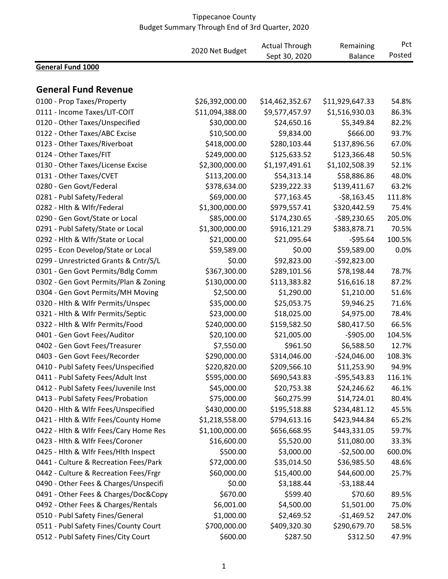|                                       | 2020 Net Budget | <b>Actual Through</b> | Remaining       | Pct    |
|---------------------------------------|-----------------|-----------------------|-----------------|--------|
|                                       |                 | Sept 30, 2020         | <b>Balance</b>  | Posted |
| <b>General Fund 1000</b>              |                 |                       |                 |        |
|                                       |                 |                       |                 |        |
| <b>General Fund Revenue</b>           |                 |                       |                 |        |
| 0100 - Prop Taxes/Property            | \$26,392,000.00 | \$14,462,352.67       | \$11,929,647.33 | 54.8%  |
| 0111 - Income Taxes/LIT-COIT          | \$11,094,388.00 | \$9,577,457.97        | \$1,516,930.03  | 86.3%  |
| 0120 - Other Taxes/Unspecified        | \$30,000.00     | \$24,650.16           | \$5,349.84      | 82.2%  |
| 0122 - Other Taxes/ABC Excise         | \$10,500.00     | \$9,834.00            | \$666.00        | 93.7%  |
| 0123 - Other Taxes/Riverboat          | \$418,000.00    | \$280,103.44          | \$137,896.56    | 67.0%  |
| 0124 - Other Taxes/FIT                | \$249,000.00    | \$125,633.52          | \$123,366.48    | 50.5%  |
| 0130 - Other Taxes/License Excise     | \$2,300,000.00  | \$1,197,491.61        | \$1,102,508.39  | 52.1%  |
| 0131 - Other Taxes/CVET               | \$113,200.00    | \$54,313.14           | \$58,886.86     | 48.0%  |
| 0280 - Gen Govt/Federal               | \$378,634.00    | \$239,222.33          | \$139,411.67    | 63.2%  |
| 0281 - Publ Safety/Federal            | \$69,000.00     | \$77,163.45           | $-58,163.45$    | 111.8% |
| 0282 - Hlth & Wlfr/Federal            | \$1,300,000.00  | \$979,557.41          | \$320,442.59    | 75.4%  |
| 0290 - Gen Govt/State or Local        | \$85,000.00     | \$174,230.65          | $-$89,230.65$   | 205.0% |
| 0291 - Publ Safety/State or Local     | \$1,300,000.00  | \$916,121.29          | \$383,878.71    | 70.5%  |
| 0292 - Hlth & Wlfr/State or Local     | \$21,000.00     | \$21,095.64           | $-595.64$       | 100.5% |
| 0295 - Econ Develop/State or Local    | \$59,589.00     | \$0.00                | \$59,589.00     | 0.0%   |
| 0299 - Unrestricted Grants & Cntr/S/L | \$0.00          | \$92,823.00           | $-$92,823.00$   |        |
| 0301 - Gen Govt Permits/Bdlg Comm     | \$367,300.00    | \$289,101.56          | \$78,198.44     | 78.7%  |
| 0302 - Gen Govt Permits/Plan & Zoning | \$130,000.00    | \$113,383.82          | \$16,616.18     | 87.2%  |
| 0304 - Gen Govt Permits/MH Moving     | \$2,500.00      | \$1,290.00            | \$1,210.00      | 51.6%  |
| 0320 - Hlth & Wlfr Permits/Unspec     | \$35,000.00     | \$25,053.75           | \$9,946.25      | 71.6%  |
| 0321 - Hith & Wifr Permits/Septic     | \$23,000.00     | \$18,025.00           | \$4,975.00      | 78.4%  |
| 0322 - Hlth & Wlfr Permits/Food       | \$240,000.00    | \$159,582.50          | \$80,417.50     | 66.5%  |
| 0401 - Gen Govt Fees/Auditor          | \$20,100.00     | \$21,005.00           | $-5905.00$      | 104.5% |
| 0402 - Gen Govt Fees/Treasurer        | \$7,550.00      | \$961.50              | \$6,588.50      | 12.7%  |
| 0403 - Gen Govt Fees/Recorder         | \$290,000.00    | \$314,046.00          | $-524,046.00$   | 108.3% |
| 0410 - Publ Safety Fees/Unspecified   | \$220,820.00    | \$209,566.10          | \$11,253.90     | 94.9%  |
| 0411 - Publ Safety Fees/Adult Inst    | \$595,000.00    | \$690,543.83          | $-595,543.83$   | 116.1% |
| 0412 - Publ Safety Fees/Juvenile Inst | \$45,000.00     | \$20,753.38           | \$24,246.62     | 46.1%  |
| 0413 - Publ Safety Fees/Probation     | \$75,000.00     | \$60,275.99           | \$14,724.01     | 80.4%  |
| 0420 - Hlth & Wlfr Fees/Unspecified   | \$430,000.00    | \$195,518.88          | \$234,481.12    | 45.5%  |
| 0421 - Hlth & Wlfr Fees/County Home   | \$1,218,558.00  | \$794,613.16          | \$423,944.84    | 65.2%  |
| 0422 - Hlth & Wlfr Fees/Cary Home Res | \$1,100,000.00  | \$656,668.95          | \$443,331.05    | 59.7%  |
| 0423 - Hlth & Wlfr Fees/Coroner       | \$16,600.00     | \$5,520.00            | \$11,080.00     | 33.3%  |
| 0425 - Hith & Wifr Fees/Hith Inspect  | \$500.00        | \$3,000.00            | $-$2,500.00$    | 600.0% |
| 0441 - Culture & Recreation Fees/Park | \$72,000.00     | \$35,014.50           | \$36,985.50     | 48.6%  |
| 0442 - Culture & Recreation Fees/Frgr | \$60,000.00     | \$15,400.00           | \$44,600.00     | 25.7%  |
| 0490 - Other Fees & Charges/Unspecifi | \$0.00          | \$3,188.44            | $-53,188.44$    |        |
| 0491 - Other Fees & Charges/Doc&Copy  | \$670.00        | \$599.40              | \$70.60         | 89.5%  |
| 0492 - Other Fees & Charges/Rentals   | \$6,001.00      | \$4,500.00            | \$1,501.00      | 75.0%  |
| 0510 - Publ Safety Fines/General      | \$1,000.00      | \$2,469.52            | $-$1,469.52$    | 247.0% |
| 0511 - Publ Safety Fines/County Court | \$700,000.00    | \$409,320.30          | \$290,679.70    | 58.5%  |
| 0512 - Publ Safety Fines/City Court   | \$600.00        | \$287.50              | \$312.50        | 47.9%  |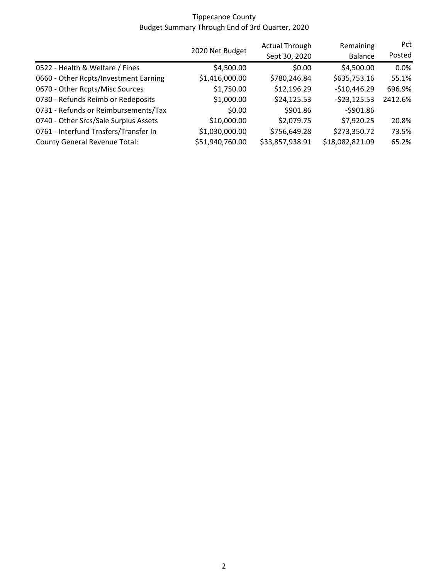|                                       |                 | <b>Actual Through</b> | Remaining       | <b>Pct</b> |
|---------------------------------------|-----------------|-----------------------|-----------------|------------|
|                                       | 2020 Net Budget | Sept 30, 2020         | <b>Balance</b>  | Posted     |
| 0522 - Health & Welfare / Fines       | \$4,500.00      | \$0.00                | \$4,500.00      | 0.0%       |
| 0660 - Other Rcpts/Investment Earning | \$1,416,000.00  | \$780,246.84          | \$635,753.16    | 55.1%      |
| 0670 - Other Rcpts/Misc Sources       | \$1,750.00      | \$12,196.29           | $-$10,446.29$   | 696.9%     |
| 0730 - Refunds Reimb or Redeposits    | \$1,000.00      | \$24,125.53           | $-523,125.53$   | 2412.6%    |
| 0731 - Refunds or Reimbursements/Tax  | \$0.00          | \$901.86              | $-5901.86$      |            |
| 0740 - Other Srcs/Sale Surplus Assets | \$10,000.00     | \$2,079.75            | \$7,920.25      | 20.8%      |
| 0761 - Interfund Trnsfers/Transfer In | \$1,030,000.00  | \$756,649.28          | \$273,350.72    | 73.5%      |
| <b>County General Revenue Total:</b>  | \$51,940,760.00 | \$33,857,938.91       | \$18,082,821.09 | 65.2%      |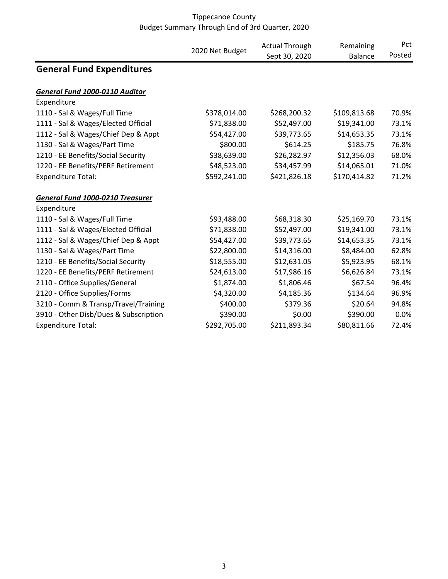|                                       | 2020 Net Budget | <b>Actual Through</b><br>Sept 30, 2020 | Remaining<br><b>Balance</b> | Pct<br>Posted |
|---------------------------------------|-----------------|----------------------------------------|-----------------------------|---------------|
| <b>General Fund Expenditures</b>      |                 |                                        |                             |               |
| General Fund 1000-0110 Auditor        |                 |                                        |                             |               |
| Expenditure                           |                 |                                        |                             |               |
| 1110 - Sal & Wages/Full Time          | \$378,014.00    | \$268,200.32                           | \$109,813.68                | 70.9%         |
| 1111 - Sal & Wages/Elected Official   | \$71,838.00     | \$52,497.00                            | \$19,341.00                 | 73.1%         |
| 1112 - Sal & Wages/Chief Dep & Appt   | \$54,427.00     | \$39,773.65                            | \$14,653.35                 | 73.1%         |
| 1130 - Sal & Wages/Part Time          | \$800.00        | \$614.25                               | \$185.75                    | 76.8%         |
| 1210 - EE Benefits/Social Security    | \$38,639.00     | \$26,282.97                            | \$12,356.03                 | 68.0%         |
| 1220 - EE Benefits/PERF Retirement    | \$48,523.00     | \$34,457.99                            | \$14,065.01                 | 71.0%         |
| <b>Expenditure Total:</b>             | \$592,241.00    | \$421,826.18                           | \$170,414.82                | 71.2%         |
| General Fund 1000-0210 Treasurer      |                 |                                        |                             |               |
| Expenditure                           |                 |                                        |                             |               |
| 1110 - Sal & Wages/Full Time          | \$93,488.00     | \$68,318.30                            | \$25,169.70                 | 73.1%         |
| 1111 - Sal & Wages/Elected Official   | \$71,838.00     | \$52,497.00                            | \$19,341.00                 | 73.1%         |
| 1112 - Sal & Wages/Chief Dep & Appt   | \$54,427.00     | \$39,773.65                            | \$14,653.35                 | 73.1%         |
| 1130 - Sal & Wages/Part Time          | \$22,800.00     | \$14,316.00                            | \$8,484.00                  | 62.8%         |
| 1210 - EE Benefits/Social Security    | \$18,555.00     | \$12,631.05                            | \$5,923.95                  | 68.1%         |
| 1220 - EE Benefits/PERF Retirement    | \$24,613.00     | \$17,986.16                            | \$6,626.84                  | 73.1%         |
| 2110 - Office Supplies/General        | \$1,874.00      | \$1,806.46                             | \$67.54                     | 96.4%         |
| 2120 - Office Supplies/Forms          | \$4,320.00      | \$4,185.36                             | \$134.64                    | 96.9%         |
| 3210 - Comm & Transp/Travel/Training  | \$400.00        | \$379.36                               | \$20.64                     | 94.8%         |
| 3910 - Other Disb/Dues & Subscription | \$390.00        | \$0.00                                 | \$390.00                    | 0.0%          |
| <b>Expenditure Total:</b>             | \$292,705.00    | \$211,893.34                           | \$80,811.66                 | 72.4%         |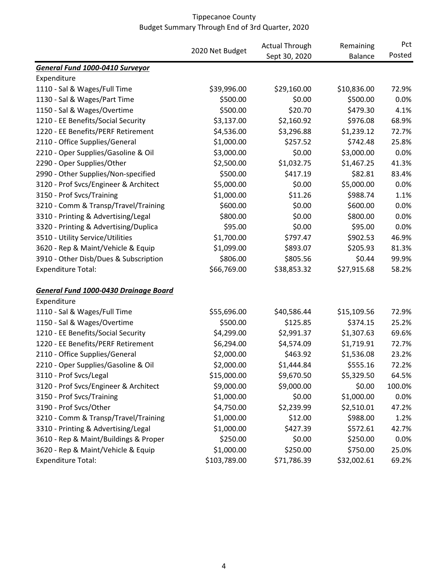|                                       |              | <b>Actual Through</b><br>2020 Net Budget<br>Sept 30, 2020 | Remaining<br><b>Balance</b> | Pct<br>Posted |
|---------------------------------------|--------------|-----------------------------------------------------------|-----------------------------|---------------|
|                                       |              |                                                           |                             |               |
| General Fund 1000-0410 Surveyor       |              |                                                           |                             |               |
| Expenditure                           |              |                                                           |                             |               |
| 1110 - Sal & Wages/Full Time          | \$39,996.00  | \$29,160.00                                               | \$10,836.00                 | 72.9%         |
| 1130 - Sal & Wages/Part Time          | \$500.00     | \$0.00                                                    | \$500.00                    | 0.0%          |
| 1150 - Sal & Wages/Overtime           | \$500.00     | \$20.70                                                   | \$479.30                    | 4.1%          |
| 1210 - EE Benefits/Social Security    | \$3,137.00   | \$2,160.92                                                | \$976.08                    | 68.9%         |
| 1220 - EE Benefits/PERF Retirement    | \$4,536.00   | \$3,296.88                                                | \$1,239.12                  | 72.7%         |
| 2110 - Office Supplies/General        | \$1,000.00   | \$257.52                                                  | \$742.48                    | 25.8%         |
| 2210 - Oper Supplies/Gasoline & Oil   | \$3,000.00   | \$0.00                                                    | \$3,000.00                  | 0.0%          |
| 2290 - Oper Supplies/Other            | \$2,500.00   | \$1,032.75                                                | \$1,467.25                  | 41.3%         |
| 2990 - Other Supplies/Non-specified   | \$500.00     | \$417.19                                                  | \$82.81                     | 83.4%         |
| 3120 - Prof Svcs/Engineer & Architect | \$5,000.00   | \$0.00                                                    | \$5,000.00                  | 0.0%          |
| 3150 - Prof Svcs/Training             | \$1,000.00   | \$11.26                                                   | \$988.74                    | 1.1%          |
| 3210 - Comm & Transp/Travel/Training  | \$600.00     | \$0.00                                                    | \$600.00                    | 0.0%          |
| 3310 - Printing & Advertising/Legal   | \$800.00     | \$0.00                                                    | \$800.00                    | 0.0%          |
| 3320 - Printing & Advertising/Duplica | \$95.00      | \$0.00                                                    | \$95.00                     | 0.0%          |
| 3510 - Utility Service/Utilities      | \$1,700.00   | \$797.47                                                  | \$902.53                    | 46.9%         |
| 3620 - Rep & Maint/Vehicle & Equip    | \$1,099.00   | \$893.07                                                  | \$205.93                    | 81.3%         |
| 3910 - Other Disb/Dues & Subscription | \$806.00     | \$805.56                                                  | \$0.44                      | 99.9%         |
| <b>Expenditure Total:</b>             | \$66,769.00  | \$38,853.32                                               | \$27,915.68                 | 58.2%         |
| General Fund 1000-0430 Drainage Board |              |                                                           |                             |               |
| Expenditure                           |              |                                                           |                             |               |
| 1110 - Sal & Wages/Full Time          | \$55,696.00  | \$40,586.44                                               | \$15,109.56                 | 72.9%         |
| 1150 - Sal & Wages/Overtime           | \$500.00     | \$125.85                                                  | \$374.15                    | 25.2%         |
| 1210 - EE Benefits/Social Security    | \$4,299.00   | \$2,991.37                                                | \$1,307.63                  | 69.6%         |
| 1220 - EE Benefits/PERF Retirement    | \$6,294.00   | \$4,574.09                                                | \$1,719.91                  | 72.7%         |
| 2110 - Office Supplies/General        | \$2,000.00   | \$463.92                                                  | \$1,536.08                  | 23.2%         |
| 2210 - Oper Supplies/Gasoline & Oil   | \$2,000.00   | \$1,444.84                                                | \$555.16                    | 72.2%         |
| 3110 - Prof Svcs/Legal                | \$15,000.00  | \$9,670.50                                                | \$5,329.50                  | 64.5%         |
| 3120 - Prof Svcs/Engineer & Architect | \$9,000.00   | \$9,000.00                                                | \$0.00                      | 100.0%        |
| 3150 - Prof Svcs/Training             | \$1,000.00   | \$0.00                                                    | \$1,000.00                  | 0.0%          |
| 3190 - Prof Svcs/Other                | \$4,750.00   | \$2,239.99                                                | \$2,510.01                  | 47.2%         |
| 3210 - Comm & Transp/Travel/Training  | \$1,000.00   | \$12.00                                                   | \$988.00                    | 1.2%          |
| 3310 - Printing & Advertising/Legal   | \$1,000.00   | \$427.39                                                  | \$572.61                    | 42.7%         |
| 3610 - Rep & Maint/Buildings & Proper | \$250.00     | \$0.00                                                    | \$250.00                    | 0.0%          |
| 3620 - Rep & Maint/Vehicle & Equip    | \$1,000.00   | \$250.00                                                  | \$750.00                    | 25.0%         |
| <b>Expenditure Total:</b>             | \$103,789.00 | \$71,786.39                                               | \$32,002.61                 | 69.2%         |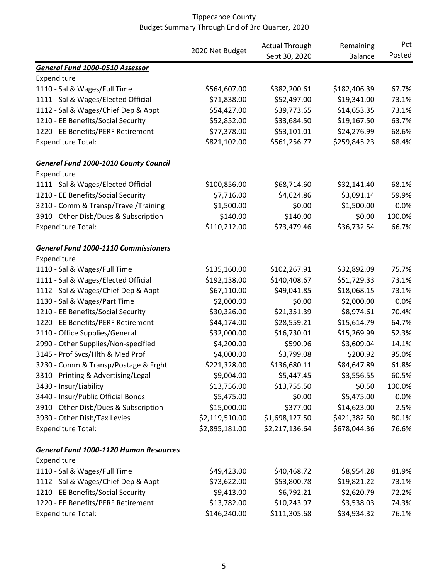|                                               |                 | <b>Actual Through</b> | Remaining      | Pct    |
|-----------------------------------------------|-----------------|-----------------------|----------------|--------|
|                                               | 2020 Net Budget | Sept 30, 2020         | <b>Balance</b> | Posted |
| General Fund 1000-0510 Assessor               |                 |                       |                |        |
| Expenditure                                   |                 |                       |                |        |
| 1110 - Sal & Wages/Full Time                  | \$564,607.00    | \$382,200.61          | \$182,406.39   | 67.7%  |
| 1111 - Sal & Wages/Elected Official           | \$71,838.00     | \$52,497.00           | \$19,341.00    | 73.1%  |
| 1112 - Sal & Wages/Chief Dep & Appt           | \$54,427.00     | \$39,773.65           | \$14,653.35    | 73.1%  |
| 1210 - EE Benefits/Social Security            | \$52,852.00     | \$33,684.50           | \$19,167.50    | 63.7%  |
| 1220 - EE Benefits/PERF Retirement            | \$77,378.00     | \$53,101.01           | \$24,276.99    | 68.6%  |
| <b>Expenditure Total:</b>                     | \$821,102.00    | \$561,256.77          | \$259,845.23   | 68.4%  |
| <b>General Fund 1000-1010 County Council</b>  |                 |                       |                |        |
| Expenditure                                   |                 |                       |                |        |
| 1111 - Sal & Wages/Elected Official           | \$100,856.00    | \$68,714.60           | \$32,141.40    | 68.1%  |
| 1210 - EE Benefits/Social Security            | \$7,716.00      | \$4,624.86            | \$3,091.14     | 59.9%  |
| 3210 - Comm & Transp/Travel/Training          | \$1,500.00      | \$0.00                | \$1,500.00     | 0.0%   |
| 3910 - Other Disb/Dues & Subscription         | \$140.00        | \$140.00              | \$0.00         | 100.0% |
| <b>Expenditure Total:</b>                     | \$110,212.00    | \$73,479.46           | \$36,732.54    | 66.7%  |
| <b>General Fund 1000-1110 Commissioners</b>   |                 |                       |                |        |
| Expenditure                                   |                 |                       |                |        |
| 1110 - Sal & Wages/Full Time                  | \$135,160.00    | \$102,267.91          | \$32,892.09    | 75.7%  |
| 1111 - Sal & Wages/Elected Official           | \$192,138.00    | \$140,408.67          | \$51,729.33    | 73.1%  |
| 1112 - Sal & Wages/Chief Dep & Appt           | \$67,110.00     | \$49,041.85           | \$18,068.15    | 73.1%  |
| 1130 - Sal & Wages/Part Time                  | \$2,000.00      | \$0.00                | \$2,000.00     | 0.0%   |
| 1210 - EE Benefits/Social Security            | \$30,326.00     | \$21,351.39           | \$8,974.61     | 70.4%  |
| 1220 - EE Benefits/PERF Retirement            | \$44,174.00     | \$28,559.21           | \$15,614.79    | 64.7%  |
| 2110 - Office Supplies/General                | \$32,000.00     | \$16,730.01           | \$15,269.99    | 52.3%  |
| 2990 - Other Supplies/Non-specified           | \$4,200.00      | \$590.96              | \$3,609.04     | 14.1%  |
| 3145 - Prof Svcs/Hlth & Med Prof              | \$4,000.00      | \$3,799.08            | \$200.92       | 95.0%  |
| 3230 - Comm & Transp/Postage & Frght          | \$221,328.00    | \$136,680.11          | \$84,647.89    | 61.8%  |
| 3310 - Printing & Advertising/Legal           | \$9,004.00      | \$5,447.45            | \$3,556.55     | 60.5%  |
| 3430 - Insur/Liability                        | \$13,756.00     | \$13,755.50           | \$0.50         | 100.0% |
| 3440 - Insur/Public Official Bonds            | \$5,475.00      | \$0.00                | \$5,475.00     | 0.0%   |
| 3910 - Other Disb/Dues & Subscription         | \$15,000.00     | \$377.00              | \$14,623.00    | 2.5%   |
| 3930 - Other Disb/Tax Levies                  | \$2,119,510.00  | \$1,698,127.50        | \$421,382.50   | 80.1%  |
| <b>Expenditure Total:</b>                     | \$2,895,181.00  | \$2,217,136.64        | \$678,044.36   | 76.6%  |
| <b>General Fund 1000-1120 Human Resources</b> |                 |                       |                |        |
| Expenditure                                   |                 |                       |                |        |
| 1110 - Sal & Wages/Full Time                  | \$49,423.00     | \$40,468.72           | \$8,954.28     | 81.9%  |
| 1112 - Sal & Wages/Chief Dep & Appt           | \$73,622.00     | \$53,800.78           | \$19,821.22    | 73.1%  |
| 1210 - EE Benefits/Social Security            | \$9,413.00      | \$6,792.21            | \$2,620.79     | 72.2%  |
| 1220 - EE Benefits/PERF Retirement            | \$13,782.00     | \$10,243.97           | \$3,538.03     | 74.3%  |
| <b>Expenditure Total:</b>                     | \$146,240.00    | \$111,305.68          | \$34,934.32    | 76.1%  |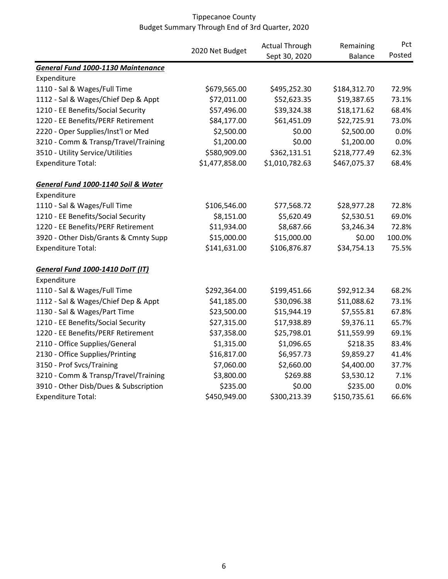|                                         |                 | <b>Actual Through</b> | Remaining      | Pct    |
|-----------------------------------------|-----------------|-----------------------|----------------|--------|
|                                         | 2020 Net Budget | Sept 30, 2020         | <b>Balance</b> | Posted |
| General Fund 1000-1130 Maintenance      |                 |                       |                |        |
| Expenditure                             |                 |                       |                |        |
| 1110 - Sal & Wages/Full Time            | \$679,565.00    | \$495,252.30          | \$184,312.70   | 72.9%  |
| 1112 - Sal & Wages/Chief Dep & Appt     | \$72,011.00     | \$52,623.35           | \$19,387.65    | 73.1%  |
| 1210 - EE Benefits/Social Security      | \$57,496.00     | \$39,324.38           | \$18,171.62    | 68.4%  |
| 1220 - EE Benefits/PERF Retirement      | \$84,177.00     | \$61,451.09           | \$22,725.91    | 73.0%  |
| 2220 - Oper Supplies/Inst'l or Med      | \$2,500.00      | \$0.00                | \$2,500.00     | 0.0%   |
| 3210 - Comm & Transp/Travel/Training    | \$1,200.00      | \$0.00                | \$1,200.00     | 0.0%   |
| 3510 - Utility Service/Utilities        | \$580,909.00    | \$362,131.51          | \$218,777.49   | 62.3%  |
| <b>Expenditure Total:</b>               | \$1,477,858.00  | \$1,010,782.63        | \$467,075.37   | 68.4%  |
| General Fund 1000-1140 Soil & Water     |                 |                       |                |        |
| Expenditure                             |                 |                       |                |        |
| 1110 - Sal & Wages/Full Time            | \$106,546.00    | \$77,568.72           | \$28,977.28    | 72.8%  |
| 1210 - EE Benefits/Social Security      | \$8,151.00      | \$5,620.49            | \$2,530.51     | 69.0%  |
| 1220 - EE Benefits/PERF Retirement      | \$11,934.00     | \$8,687.66            | \$3,246.34     | 72.8%  |
| 3920 - Other Disb/Grants & Cmnty Supp   | \$15,000.00     | \$15,000.00           | \$0.00         | 100.0% |
| <b>Expenditure Total:</b>               | \$141,631.00    | \$106,876.87          | \$34,754.13    | 75.5%  |
| <b>General Fund 1000-1410 DoIT (IT)</b> |                 |                       |                |        |
| Expenditure                             |                 |                       |                |        |
| 1110 - Sal & Wages/Full Time            | \$292,364.00    | \$199,451.66          | \$92,912.34    | 68.2%  |
| 1112 - Sal & Wages/Chief Dep & Appt     | \$41,185.00     | \$30,096.38           | \$11,088.62    | 73.1%  |
| 1130 - Sal & Wages/Part Time            | \$23,500.00     | \$15,944.19           | \$7,555.81     | 67.8%  |
| 1210 - EE Benefits/Social Security      | \$27,315.00     | \$17,938.89           | \$9,376.11     | 65.7%  |
| 1220 - EE Benefits/PERF Retirement      | \$37,358.00     | \$25,798.01           | \$11,559.99    | 69.1%  |
| 2110 - Office Supplies/General          | \$1,315.00      | \$1,096.65            | \$218.35       | 83.4%  |
| 2130 - Office Supplies/Printing         | \$16,817.00     | \$6,957.73            | \$9,859.27     | 41.4%  |
| 3150 - Prof Svcs/Training               | \$7,060.00      | \$2,660.00            | \$4,400.00     | 37.7%  |
| 3210 - Comm & Transp/Travel/Training    | \$3,800.00      | \$269.88              | \$3,530.12     | 7.1%   |
| 3910 - Other Disb/Dues & Subscription   | \$235.00        | \$0.00                | \$235.00       | 0.0%   |
| <b>Expenditure Total:</b>               | \$450,949.00    | \$300,213.39          | \$150,735.61   | 66.6%  |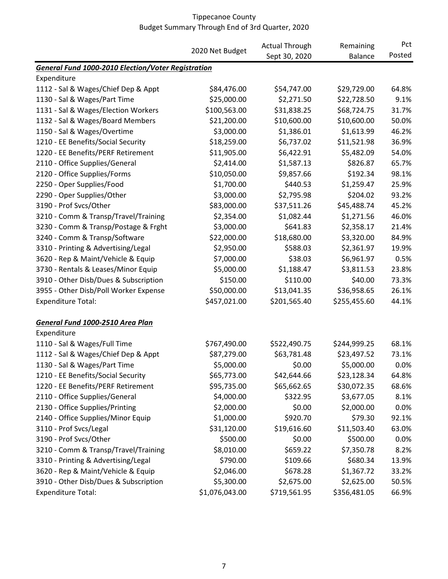|                                                           |                 | <b>Actual Through</b> | Remaining      | Pct    |
|-----------------------------------------------------------|-----------------|-----------------------|----------------|--------|
|                                                           | 2020 Net Budget | Sept 30, 2020         | <b>Balance</b> | Posted |
| <b>General Fund 1000-2010 Election/Voter Registration</b> |                 |                       |                |        |
| Expenditure                                               |                 |                       |                |        |
| 1112 - Sal & Wages/Chief Dep & Appt                       | \$84,476.00     | \$54,747.00           | \$29,729.00    | 64.8%  |
| 1130 - Sal & Wages/Part Time                              | \$25,000.00     | \$2,271.50            | \$22,728.50    | 9.1%   |
| 1131 - Sal & Wages/Election Workers                       | \$100,563.00    | \$31,838.25           | \$68,724.75    | 31.7%  |
| 1132 - Sal & Wages/Board Members                          | \$21,200.00     | \$10,600.00           | \$10,600.00    | 50.0%  |
| 1150 - Sal & Wages/Overtime                               | \$3,000.00      | \$1,386.01            | \$1,613.99     | 46.2%  |
| 1210 - EE Benefits/Social Security                        | \$18,259.00     | \$6,737.02            | \$11,521.98    | 36.9%  |
| 1220 - EE Benefits/PERF Retirement                        | \$11,905.00     | \$6,422.91            | \$5,482.09     | 54.0%  |
| 2110 - Office Supplies/General                            | \$2,414.00      | \$1,587.13            | \$826.87       | 65.7%  |
| 2120 - Office Supplies/Forms                              | \$10,050.00     | \$9,857.66            | \$192.34       | 98.1%  |
| 2250 - Oper Supplies/Food                                 | \$1,700.00      | \$440.53              | \$1,259.47     | 25.9%  |
| 2290 - Oper Supplies/Other                                | \$3,000.00      | \$2,795.98            | \$204.02       | 93.2%  |
| 3190 - Prof Svcs/Other                                    | \$83,000.00     | \$37,511.26           | \$45,488.74    | 45.2%  |
| 3210 - Comm & Transp/Travel/Training                      | \$2,354.00      | \$1,082.44            | \$1,271.56     | 46.0%  |
| 3230 - Comm & Transp/Postage & Frght                      | \$3,000.00      | \$641.83              | \$2,358.17     | 21.4%  |
| 3240 - Comm & Transp/Software                             | \$22,000.00     | \$18,680.00           | \$3,320.00     | 84.9%  |
| 3310 - Printing & Advertising/Legal                       | \$2,950.00      | \$588.03              | \$2,361.97     | 19.9%  |
| 3620 - Rep & Maint/Vehicle & Equip                        | \$7,000.00      | \$38.03               | \$6,961.97     | 0.5%   |
| 3730 - Rentals & Leases/Minor Equip                       | \$5,000.00      | \$1,188.47            | \$3,811.53     | 23.8%  |
| 3910 - Other Disb/Dues & Subscription                     | \$150.00        | \$110.00              | \$40.00        | 73.3%  |
| 3955 - Other Disb/Poll Worker Expense                     | \$50,000.00     | \$13,041.35           | \$36,958.65    | 26.1%  |
| <b>Expenditure Total:</b>                                 | \$457,021.00    | \$201,565.40          | \$255,455.60   | 44.1%  |
| General Fund 1000-2510 Area Plan                          |                 |                       |                |        |
| Expenditure                                               |                 |                       |                |        |
| 1110 - Sal & Wages/Full Time                              | \$767,490.00    | \$522,490.75          | \$244,999.25   | 68.1%  |
| 1112 - Sal & Wages/Chief Dep & Appt                       | \$87,279.00     | \$63,781.48           | \$23,497.52    | 73.1%  |
| 1130 - Sal & Wages/Part Time                              | \$5,000.00      | \$0.00                | \$5,000.00     | 0.0%   |
| 1210 - EE Benefits/Social Security                        | \$65,773.00     | \$42,644.66           | \$23,128.34    | 64.8%  |
| 1220 - EE Benefits/PERF Retirement                        | \$95,735.00     | \$65,662.65           | \$30,072.35    | 68.6%  |
| 2110 - Office Supplies/General                            | \$4,000.00      | \$322.95              | \$3,677.05     | 8.1%   |
| 2130 - Office Supplies/Printing                           | \$2,000.00      | \$0.00                | \$2,000.00     | 0.0%   |
| 2140 - Office Supplies/Minor Equip                        | \$1,000.00      | \$920.70              | \$79.30        | 92.1%  |
| 3110 - Prof Svcs/Legal                                    | \$31,120.00     | \$19,616.60           | \$11,503.40    | 63.0%  |
| 3190 - Prof Svcs/Other                                    | \$500.00        | \$0.00                | \$500.00       | 0.0%   |
| 3210 - Comm & Transp/Travel/Training                      | \$8,010.00      | \$659.22              | \$7,350.78     | 8.2%   |
| 3310 - Printing & Advertising/Legal                       | \$790.00        | \$109.66              | \$680.34       | 13.9%  |
| 3620 - Rep & Maint/Vehicle & Equip                        | \$2,046.00      | \$678.28              | \$1,367.72     | 33.2%  |
| 3910 - Other Disb/Dues & Subscription                     | \$5,300.00      | \$2,675.00            | \$2,625.00     | 50.5%  |
| <b>Expenditure Total:</b>                                 | \$1,076,043.00  | \$719,561.95          | \$356,481.05   | 66.9%  |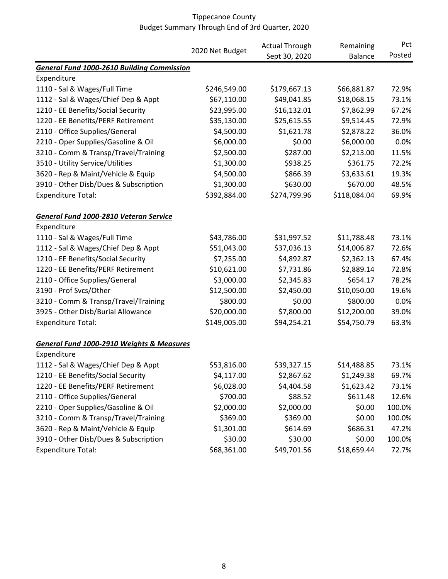|                                                   |                 | <b>Actual Through</b> | Remaining      | Pct    |
|---------------------------------------------------|-----------------|-----------------------|----------------|--------|
|                                                   | 2020 Net Budget | Sept 30, 2020         | <b>Balance</b> | Posted |
| <b>General Fund 1000-2610 Building Commission</b> |                 |                       |                |        |
| Expenditure                                       |                 |                       |                |        |
| 1110 - Sal & Wages/Full Time                      | \$246,549.00    | \$179,667.13          | \$66,881.87    | 72.9%  |
| 1112 - Sal & Wages/Chief Dep & Appt               | \$67,110.00     | \$49,041.85           | \$18,068.15    | 73.1%  |
| 1210 - EE Benefits/Social Security                | \$23,995.00     | \$16,132.01           | \$7,862.99     | 67.2%  |
| 1220 - EE Benefits/PERF Retirement                | \$35,130.00     | \$25,615.55           | \$9,514.45     | 72.9%  |
| 2110 - Office Supplies/General                    | \$4,500.00      | \$1,621.78            | \$2,878.22     | 36.0%  |
| 2210 - Oper Supplies/Gasoline & Oil               | \$6,000.00      | \$0.00                | \$6,000.00     | 0.0%   |
| 3210 - Comm & Transp/Travel/Training              | \$2,500.00      | \$287.00              | \$2,213.00     | 11.5%  |
| 3510 - Utility Service/Utilities                  | \$1,300.00      | \$938.25              | \$361.75       | 72.2%  |
| 3620 - Rep & Maint/Vehicle & Equip                | \$4,500.00      | \$866.39              | \$3,633.61     | 19.3%  |
| 3910 - Other Disb/Dues & Subscription             | \$1,300.00      | \$630.00              | \$670.00       | 48.5%  |
| <b>Expenditure Total:</b>                         | \$392,884.00    | \$274,799.96          | \$118,084.04   | 69.9%  |
| General Fund 1000-2810 Veteran Service            |                 |                       |                |        |
| Expenditure                                       |                 |                       |                |        |
| 1110 - Sal & Wages/Full Time                      | \$43,786.00     | \$31,997.52           | \$11,788.48    | 73.1%  |
| 1112 - Sal & Wages/Chief Dep & Appt               | \$51,043.00     | \$37,036.13           | \$14,006.87    | 72.6%  |
| 1210 - EE Benefits/Social Security                | \$7,255.00      | \$4,892.87            | \$2,362.13     | 67.4%  |
| 1220 - EE Benefits/PERF Retirement                | \$10,621.00     | \$7,731.86            | \$2,889.14     | 72.8%  |
| 2110 - Office Supplies/General                    | \$3,000.00      | \$2,345.83            | \$654.17       | 78.2%  |
| 3190 - Prof Svcs/Other                            | \$12,500.00     | \$2,450.00            | \$10,050.00    | 19.6%  |
| 3210 - Comm & Transp/Travel/Training              | \$800.00        | \$0.00                | \$800.00       | 0.0%   |
| 3925 - Other Disb/Burial Allowance                | \$20,000.00     | \$7,800.00            | \$12,200.00    | 39.0%  |
| <b>Expenditure Total:</b>                         | \$149,005.00    | \$94,254.21           | \$54,750.79    | 63.3%  |
| General Fund 1000-2910 Weights & Measures         |                 |                       |                |        |
| Expenditure                                       |                 |                       |                |        |
| 1112 - Sal & Wages/Chief Dep & Appt               | \$53,816.00     | \$39,327.15           | \$14,488.85    | 73.1%  |
| 1210 - EE Benefits/Social Security                | \$4,117.00      | \$2,867.62            | \$1,249.38     | 69.7%  |
| 1220 - EE Benefits/PERF Retirement                | \$6,028.00      | \$4,404.58            | \$1,623.42     | 73.1%  |
| 2110 - Office Supplies/General                    | \$700.00        | \$88.52               | \$611.48       | 12.6%  |
| 2210 - Oper Supplies/Gasoline & Oil               | \$2,000.00      | \$2,000.00            | \$0.00         | 100.0% |
| 3210 - Comm & Transp/Travel/Training              | \$369.00        | \$369.00              | \$0.00         | 100.0% |
| 3620 - Rep & Maint/Vehicle & Equip                | \$1,301.00      | \$614.69              | \$686.31       | 47.2%  |
| 3910 - Other Disb/Dues & Subscription             | \$30.00         | \$30.00               | \$0.00         | 100.0% |
| <b>Expenditure Total:</b>                         | \$68,361.00     | \$49,701.56           | \$18,659.44    | 72.7%  |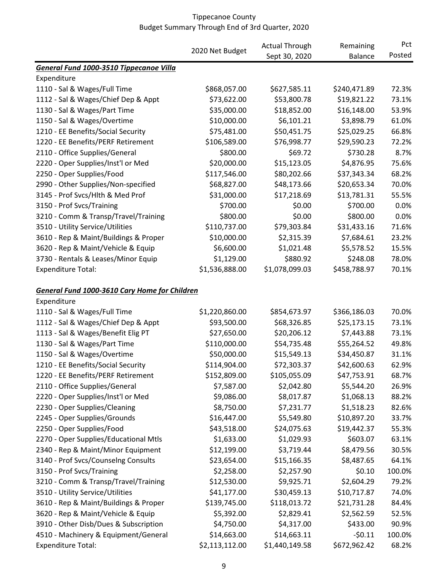|                                               |                 | <b>Actual Through</b> | Remaining      | Pct    |
|-----------------------------------------------|-----------------|-----------------------|----------------|--------|
|                                               | 2020 Net Budget | Sept 30, 2020         | <b>Balance</b> | Posted |
| General Fund 1000-3510 Tippecanoe Villa       |                 |                       |                |        |
| Expenditure                                   |                 |                       |                |        |
| 1110 - Sal & Wages/Full Time                  | \$868,057.00    | \$627,585.11          | \$240,471.89   | 72.3%  |
| 1112 - Sal & Wages/Chief Dep & Appt           | \$73,622.00     | \$53,800.78           | \$19,821.22    | 73.1%  |
| 1130 - Sal & Wages/Part Time                  | \$35,000.00     | \$18,852.00           | \$16,148.00    | 53.9%  |
| 1150 - Sal & Wages/Overtime                   | \$10,000.00     | \$6,101.21            | \$3,898.79     | 61.0%  |
| 1210 - EE Benefits/Social Security            | \$75,481.00     | \$50,451.75           | \$25,029.25    | 66.8%  |
| 1220 - EE Benefits/PERF Retirement            | \$106,589.00    | \$76,998.77           | \$29,590.23    | 72.2%  |
| 2110 - Office Supplies/General                | \$800.00        | \$69.72               | \$730.28       | 8.7%   |
| 2220 - Oper Supplies/Inst'l or Med            | \$20,000.00     | \$15,123.05           | \$4,876.95     | 75.6%  |
| 2250 - Oper Supplies/Food                     | \$117,546.00    | \$80,202.66           | \$37,343.34    | 68.2%  |
| 2990 - Other Supplies/Non-specified           | \$68,827.00     | \$48,173.66           | \$20,653.34    | 70.0%  |
| 3145 - Prof Svcs/Hlth & Med Prof              | \$31,000.00     | \$17,218.69           | \$13,781.31    | 55.5%  |
| 3150 - Prof Svcs/Training                     | \$700.00        | \$0.00                | \$700.00       | 0.0%   |
| 3210 - Comm & Transp/Travel/Training          | \$800.00        | \$0.00                | \$800.00       | 0.0%   |
| 3510 - Utility Service/Utilities              | \$110,737.00    | \$79,303.84           | \$31,433.16    | 71.6%  |
| 3610 - Rep & Maint/Buildings & Proper         | \$10,000.00     | \$2,315.39            | \$7,684.61     | 23.2%  |
| 3620 - Rep & Maint/Vehicle & Equip            | \$6,600.00      | \$1,021.48            | \$5,578.52     | 15.5%  |
| 3730 - Rentals & Leases/Minor Equip           | \$1,129.00      | \$880.92              | \$248.08       | 78.0%  |
| <b>Expenditure Total:</b>                     | \$1,536,888.00  | \$1,078,099.03        | \$458,788.97   | 70.1%  |
| General Fund 1000-3610 Cary Home for Children |                 |                       |                |        |
| Expenditure                                   |                 |                       |                |        |
| 1110 - Sal & Wages/Full Time                  | \$1,220,860.00  | \$854,673.97          | \$366,186.03   | 70.0%  |
| 1112 - Sal & Wages/Chief Dep & Appt           | \$93,500.00     | \$68,326.85           | \$25,173.15    | 73.1%  |
| 1113 - Sal & Wages/Benefit Elig PT            | \$27,650.00     | \$20,206.12           | \$7,443.88     | 73.1%  |
| 1130 - Sal & Wages/Part Time                  | \$110,000.00    | \$54,735.48           | \$55,264.52    | 49.8%  |
| 1150 - Sal & Wages/Overtime                   | \$50,000.00     | \$15,549.13           | \$34,450.87    | 31.1%  |
| 1210 - EE Benefits/Social Security            | \$114,904.00    | \$72,303.37           | \$42,600.63    | 62.9%  |
| 1220 - EE Benefits/PERF Retirement            | \$152,809.00    | \$105,055.09          | \$47,753.91    | 68.7%  |
| 2110 - Office Supplies/General                | \$7,587.00      | \$2,042.80            | \$5,544.20     | 26.9%  |
| 2220 - Oper Supplies/Inst'l or Med            | \$9,086.00      | \$8,017.87            | \$1,068.13     | 88.2%  |
| 2230 - Oper Supplies/Cleaning                 | \$8,750.00      | \$7,231.77            | \$1,518.23     | 82.6%  |
| 2245 - Oper Supplies/Grounds                  | \$16,447.00     | \$5,549.80            | \$10,897.20    | 33.7%  |
| 2250 - Oper Supplies/Food                     | \$43,518.00     | \$24,075.63           | \$19,442.37    | 55.3%  |
| 2270 - Oper Supplies/Educational Mtls         | \$1,633.00      | \$1,029.93            | \$603.07       | 63.1%  |
| 2340 - Rep & Maint/Minor Equipment            | \$12,199.00     | \$3,719.44            | \$8,479.56     | 30.5%  |
| 3140 - Prof Svcs/Counselng Consults           | \$23,654.00     | \$15,166.35           | \$8,487.65     | 64.1%  |
| 3150 - Prof Svcs/Training                     | \$2,258.00      | \$2,257.90            | \$0.10         | 100.0% |
| 3210 - Comm & Transp/Travel/Training          | \$12,530.00     | \$9,925.71            | \$2,604.29     | 79.2%  |
| 3510 - Utility Service/Utilities              | \$41,177.00     | \$30,459.13           | \$10,717.87    | 74.0%  |
| 3610 - Rep & Maint/Buildings & Proper         | \$139,745.00    | \$118,013.72          | \$21,731.28    | 84.4%  |
| 3620 - Rep & Maint/Vehicle & Equip            | \$5,392.00      | \$2,829.41            | \$2,562.59     | 52.5%  |
| 3910 - Other Disb/Dues & Subscription         | \$4,750.00      | \$4,317.00            | \$433.00       | 90.9%  |
| 4510 - Machinery & Equipment/General          | \$14,663.00     | \$14,663.11           | $-50.11$       | 100.0% |
| <b>Expenditure Total:</b>                     | \$2,113,112.00  | \$1,440,149.58        | \$672,962.42   | 68.2%  |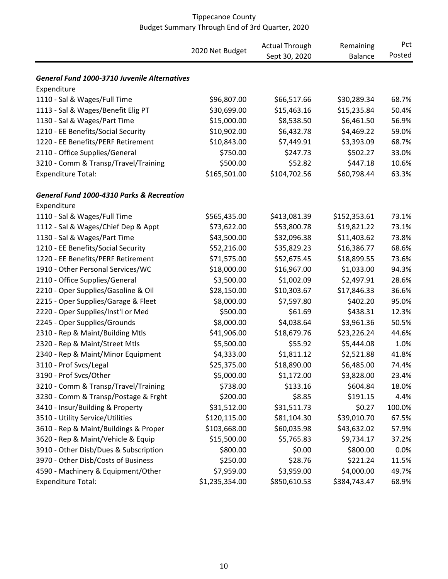#### 2020 Net Budget<br>
2020 0022 - 2020 - 2020 2020 Sept 30, 2020 Remaining Balance Pct Posted *General Fund 1000-3710 Juvenile Alternatives* Expenditure 1110 - Sal & Wages/Full Time \$96,807.00 \$66,517.66 \$30,289.34 68.7% 1113 - Sal & Wages/Benefit Elig PT \$30,699.00 \$15,463.16 \$15,235.84 50.4% 1130 - Sal & Wages/Part Time \$15,000.00 \$8,538.50 \$6,461.50 56.9% 1210 - EE Benefits/Social Security \$10,902.00 \$6,432.78 \$4,469.22 59.0% 1220 - EE Benefits/PERF Retirement \$10,843.00 \$7,449.91 \$3,393.09 68.7% 2110 - Office Supplies/General \$750.00 \$247.73 \$502.27 33.0% 3210 - Comm & Transp/Travel/Training \$500.00 \$52.82 \$447.18 10.6% Expenditure Total:  $$165,501.00$  \$104,702.56 \$60,798.44 63.3% *General Fund 1000-4310 Parks & Recreation* Expenditure 1110 - Sal & Wages/Full Time \$565,435.00 \$413,081.39 \$152,353.61 73.1% 1112 - Sal & Wages/Chief Dep & Appt \$73,622.00 \$53,800.78 \$19,821.22 73.1% 1130 - Sal & Wages/Part Time \$43,500.00 \$32,096.38 \$11,403.62 73.8% 1210 - EE Benefits/Social Security \$52,216.00 \$35,829.23 \$16,386.77 68.6% 1220 - EE Benefits/PERF Retirement \$71,575.00 \$52,675.45 \$18,899.55 73.6% 1910 - Other Personal Services/WC \$18,000.00 \$16,967.00 \$1,033.00 94.3% 2110 - Office Supplies/General \$3,500.00 \$1,002.09 \$2,497.91 28.6% 2210 - Oper Supplies/Gasoline & Oil \$28,150.00 \$10,303.67 \$17,846.33 36.6% 2215 - Oper Supplies/Garage & Fleet  $$8,000.00$  \$7,597.80 \$402.20 95.0% 2220 - Oper Supplies/Inst'l or Med  $$500.00$  \$61.69 \$438.31 12.3% 2245 - Oper Supplies/Grounds \$8,000.00 \$4,038.64 \$3,961.36 50.5% 2310 - Rep & Maint/Building Mtls **\$41,906.00** \$18,679.76 \$23,226.24 44.6% 2320 - Rep & Maint/Street Mtls \$5,500.00 \$55.92 \$5,444.08 1.0% 2340 - Rep & Maint/Minor Equipment \$4,333.00 \$1,811.12 \$2,521.88 41.8% 3110 - Prof Svcs/Legal \$25,375.00 \$18,890.00 \$6,485.00 74.4% 3190 - Prof Svcs/Other \$5,000.00 \$1,172.00 \$3,828.00 23.4% 3210 - Comm & Transp/Travel/Training  $$738.00$  \$133.16 \$604.84 18.0% 3230 - Comm & Transp/Postage & Frght  $$200.00$  \$8.85 \$191.15 4.4% 3410 - Insur/Building & Property \$31,512.00 \$31,511.73 \$0.27 100.0% 3510 - Utility Service/Utilities \$120,115.00 \$81,104.30 \$39,010.70 67.5% 3610 - Rep & Maint/Buildings & Proper \$103,668.00 \$60,035.98 \$43,632.02 57.9% 3620 - Rep & Maint/Vehicle & Equip \$15,500.00 \$5,765.83 \$9,734.17 37.2% 3910 - Other Disb/Dues & Subscription \$800.00 \$0.00 \$800.00 0.0% 3970 - Other Disb/Costs of Business  $$250.00$   $$28.76$  \$221.24 11.5% 4590 - Machinery & Equipment/Other \$7,959.00 \$3,959.00 \$4,000.00 49.7% Expenditure Total:  $$1,235,354.00$   $$850,610.53$   $$384,743.47$  68.9%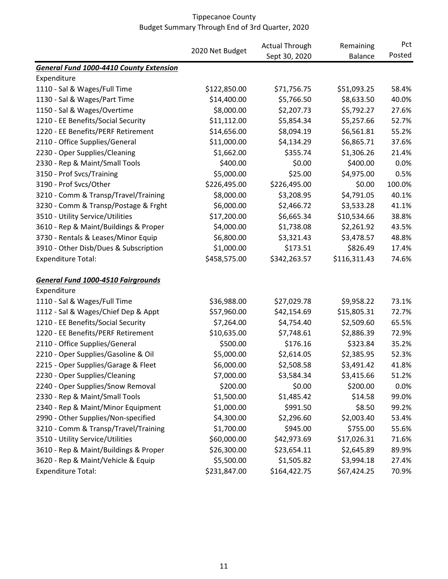|                                           |                 | <b>Actual Through</b> | Remaining      | Pct<br>Posted |
|-------------------------------------------|-----------------|-----------------------|----------------|---------------|
|                                           | 2020 Net Budget | Sept 30, 2020         | <b>Balance</b> |               |
| General Fund 1000-4410 County Extension   |                 |                       |                |               |
| Expenditure                               |                 |                       |                |               |
| 1110 - Sal & Wages/Full Time              | \$122,850.00    | \$71,756.75           | \$51,093.25    | 58.4%         |
| 1130 - Sal & Wages/Part Time              | \$14,400.00     | \$5,766.50            | \$8,633.50     | 40.0%         |
| 1150 - Sal & Wages/Overtime               | \$8,000.00      | \$2,207.73            | \$5,792.27     | 27.6%         |
| 1210 - EE Benefits/Social Security        | \$11,112.00     | \$5,854.34            | \$5,257.66     | 52.7%         |
| 1220 - EE Benefits/PERF Retirement        | \$14,656.00     | \$8,094.19            | \$6,561.81     | 55.2%         |
| 2110 - Office Supplies/General            | \$11,000.00     | \$4,134.29            | \$6,865.71     | 37.6%         |
| 2230 - Oper Supplies/Cleaning             | \$1,662.00      | \$355.74              | \$1,306.26     | 21.4%         |
| 2330 - Rep & Maint/Small Tools            | \$400.00        | \$0.00                | \$400.00       | 0.0%          |
| 3150 - Prof Svcs/Training                 | \$5,000.00      | \$25.00               | \$4,975.00     | 0.5%          |
| 3190 - Prof Svcs/Other                    | \$226,495.00    | \$226,495.00          | \$0.00         | 100.0%        |
| 3210 - Comm & Transp/Travel/Training      | \$8,000.00      | \$3,208.95            | \$4,791.05     | 40.1%         |
| 3230 - Comm & Transp/Postage & Frght      | \$6,000.00      | \$2,466.72            | \$3,533.28     | 41.1%         |
| 3510 - Utility Service/Utilities          | \$17,200.00     | \$6,665.34            | \$10,534.66    | 38.8%         |
| 3610 - Rep & Maint/Buildings & Proper     | \$4,000.00      | \$1,738.08            | \$2,261.92     | 43.5%         |
| 3730 - Rentals & Leases/Minor Equip       | \$6,800.00      | \$3,321.43            | \$3,478.57     | 48.8%         |
| 3910 - Other Disb/Dues & Subscription     | \$1,000.00      | \$173.51              | \$826.49       | 17.4%         |
| <b>Expenditure Total:</b>                 | \$458,575.00    | \$342,263.57          | \$116,311.43   | 74.6%         |
| <b>General Fund 1000-4510 Fairgrounds</b> |                 |                       |                |               |
| Expenditure                               |                 |                       |                |               |
| 1110 - Sal & Wages/Full Time              | \$36,988.00     | \$27,029.78           | \$9,958.22     | 73.1%         |
| 1112 - Sal & Wages/Chief Dep & Appt       | \$57,960.00     | \$42,154.69           | \$15,805.31    | 72.7%         |
| 1210 - EE Benefits/Social Security        | \$7,264.00      | \$4,754.40            | \$2,509.60     | 65.5%         |
| 1220 - EE Benefits/PERF Retirement        | \$10,635.00     | \$7,748.61            | \$2,886.39     | 72.9%         |
| 2110 - Office Supplies/General            | \$500.00        | \$176.16              | \$323.84       | 35.2%         |
| 2210 - Oper Supplies/Gasoline & Oil       | \$5,000.00      | \$2,614.05            | \$2,385.95     | 52.3%         |
| 2215 - Oper Supplies/Garage & Fleet       | \$6,000.00      | \$2,508.58            | \$3,491.42     | 41.8%         |
| 2230 - Oper Supplies/Cleaning             | \$7,000.00      | \$3,584.34            | \$3,415.66     | 51.2%         |
| 2240 - Oper Supplies/Snow Removal         | \$200.00        | \$0.00                | \$200.00       | 0.0%          |
| 2330 - Rep & Maint/Small Tools            | \$1,500.00      | \$1,485.42            | \$14.58        | 99.0%         |
| 2340 - Rep & Maint/Minor Equipment        | \$1,000.00      | \$991.50              | \$8.50         | 99.2%         |
| 2990 - Other Supplies/Non-specified       | \$4,300.00      | \$2,296.60            | \$2,003.40     | 53.4%         |
| 3210 - Comm & Transp/Travel/Training      | \$1,700.00      | \$945.00              | \$755.00       | 55.6%         |
| 3510 - Utility Service/Utilities          | \$60,000.00     | \$42,973.69           | \$17,026.31    | 71.6%         |
| 3610 - Rep & Maint/Buildings & Proper     | \$26,300.00     | \$23,654.11           | \$2,645.89     | 89.9%         |
| 3620 - Rep & Maint/Vehicle & Equip        | \$5,500.00      | \$1,505.82            | \$3,994.18     | 27.4%         |
| <b>Expenditure Total:</b>                 | \$231,847.00    | \$164,422.75          | \$67,424.25    | 70.9%         |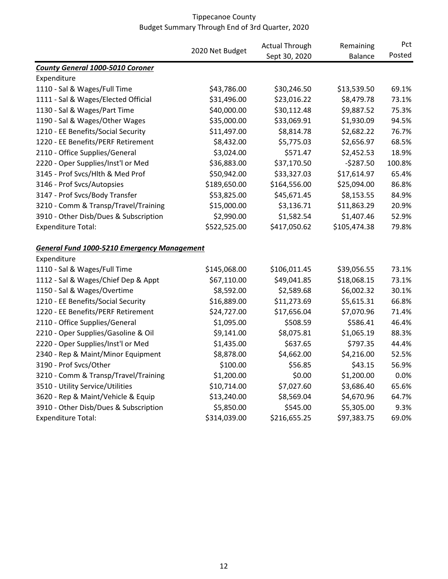|                                                    |                 | <b>Actual Through</b><br>Sept 30, 2020 | Remaining<br><b>Balance</b> | Pct<br>Posted |
|----------------------------------------------------|-----------------|----------------------------------------|-----------------------------|---------------|
|                                                    | 2020 Net Budget |                                        |                             |               |
| <b>County General 1000-5010 Coroner</b>            |                 |                                        |                             |               |
| Expenditure                                        |                 |                                        |                             |               |
| 1110 - Sal & Wages/Full Time                       | \$43,786.00     | \$30,246.50                            | \$13,539.50                 | 69.1%         |
| 1111 - Sal & Wages/Elected Official                | \$31,496.00     | \$23,016.22                            | \$8,479.78                  | 73.1%         |
| 1130 - Sal & Wages/Part Time                       | \$40,000.00     | \$30,112.48                            | \$9,887.52                  | 75.3%         |
| 1190 - Sal & Wages/Other Wages                     | \$35,000.00     | \$33,069.91                            | \$1,930.09                  | 94.5%         |
| 1210 - EE Benefits/Social Security                 | \$11,497.00     | \$8,814.78                             | \$2,682.22                  | 76.7%         |
| 1220 - EE Benefits/PERF Retirement                 | \$8,432.00      | \$5,775.03                             | \$2,656.97                  | 68.5%         |
| 2110 - Office Supplies/General                     | \$3,024.00      | \$571.47                               | \$2,452.53                  | 18.9%         |
| 2220 - Oper Supplies/Inst'l or Med                 | \$36,883.00     | \$37,170.50                            | $-5287.50$                  | 100.8%        |
| 3145 - Prof Svcs/Hlth & Med Prof                   | \$50,942.00     | \$33,327.03                            | \$17,614.97                 | 65.4%         |
| 3146 - Prof Svcs/Autopsies                         | \$189,650.00    | \$164,556.00                           | \$25,094.00                 | 86.8%         |
| 3147 - Prof Svcs/Body Transfer                     | \$53,825.00     | \$45,671.45                            | \$8,153.55                  | 84.9%         |
| 3210 - Comm & Transp/Travel/Training               | \$15,000.00     | \$3,136.71                             | \$11,863.29                 | 20.9%         |
| 3910 - Other Disb/Dues & Subscription              | \$2,990.00      | \$1,582.54                             | \$1,407.46                  | 52.9%         |
| <b>Expenditure Total:</b>                          | \$522,525.00    | \$417,050.62                           | \$105,474.38                | 79.8%         |
| <b>General Fund 1000-5210 Emergency Management</b> |                 |                                        |                             |               |
| Expenditure                                        |                 |                                        |                             |               |
| 1110 - Sal & Wages/Full Time                       | \$145,068.00    | \$106,011.45                           | \$39,056.55                 | 73.1%         |
| 1112 - Sal & Wages/Chief Dep & Appt                | \$67,110.00     | \$49,041.85                            | \$18,068.15                 | 73.1%         |
| 1150 - Sal & Wages/Overtime                        | \$8,592.00      | \$2,589.68                             | \$6,002.32                  | 30.1%         |
| 1210 - EE Benefits/Social Security                 | \$16,889.00     | \$11,273.69                            | \$5,615.31                  | 66.8%         |
| 1220 - EE Benefits/PERF Retirement                 | \$24,727.00     | \$17,656.04                            | \$7,070.96                  | 71.4%         |
| 2110 - Office Supplies/General                     | \$1,095.00      | \$508.59                               | \$586.41                    | 46.4%         |
| 2210 - Oper Supplies/Gasoline & Oil                | \$9,141.00      | \$8,075.81                             | \$1,065.19                  | 88.3%         |
| 2220 - Oper Supplies/Inst'l or Med                 | \$1,435.00      | \$637.65                               | \$797.35                    | 44.4%         |
| 2340 - Rep & Maint/Minor Equipment                 | \$8,878.00      | \$4,662.00                             | \$4,216.00                  | 52.5%         |
| 3190 - Prof Svcs/Other                             | \$100.00        | \$56.85                                | \$43.15                     | 56.9%         |
| 3210 - Comm & Transp/Travel/Training               | \$1,200.00      | \$0.00                                 | \$1,200.00                  | 0.0%          |
| 3510 - Utility Service/Utilities                   | \$10,714.00     | \$7,027.60                             | \$3,686.40                  | 65.6%         |
| 3620 - Rep & Maint/Vehicle & Equip                 | \$13,240.00     | \$8,569.04                             | \$4,670.96                  | 64.7%         |
| 3910 - Other Disb/Dues & Subscription              | \$5,850.00      | \$545.00                               | \$5,305.00                  | 9.3%          |
| <b>Expenditure Total:</b>                          | \$314,039.00    | \$216,655.25                           | \$97,383.75                 | 69.0%         |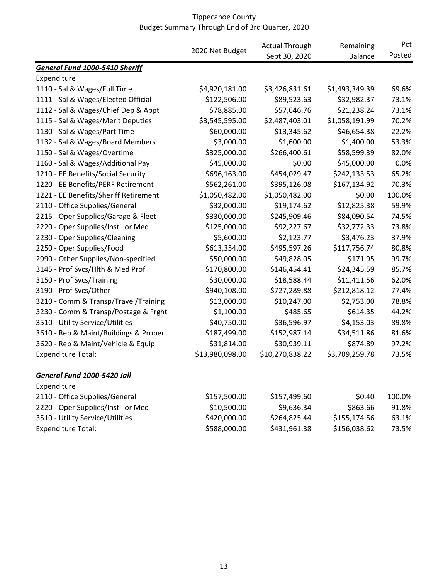|                                       |                 | <b>Actual Through</b> | Remaining      | Pct<br>Posted |
|---------------------------------------|-----------------|-----------------------|----------------|---------------|
|                                       | 2020 Net Budget | Sept 30, 2020         | <b>Balance</b> |               |
| <b>General Fund 1000-5410 Sheriff</b> |                 |                       |                |               |
| Expenditure                           |                 |                       |                |               |
| 1110 - Sal & Wages/Full Time          | \$4,920,181.00  | \$3,426,831.61        | \$1,493,349.39 | 69.6%         |
| 1111 - Sal & Wages/Elected Official   | \$122,506.00    | \$89,523.63           | \$32,982.37    | 73.1%         |
| 1112 - Sal & Wages/Chief Dep & Appt   | \$78,885.00     | \$57,646.76           | \$21,238.24    | 73.1%         |
| 1115 - Sal & Wages/Merit Deputies     | \$3,545,595.00  | \$2,487,403.01        | \$1,058,191.99 | 70.2%         |
| 1130 - Sal & Wages/Part Time          | \$60,000.00     | \$13,345.62           | \$46,654.38    | 22.2%         |
| 1132 - Sal & Wages/Board Members      | \$3,000.00      | \$1,600.00            | \$1,400.00     | 53.3%         |
| 1150 - Sal & Wages/Overtime           | \$325,000.00    | \$266,400.61          | \$58,599.39    | 82.0%         |
| 1160 - Sal & Wages/Additional Pay     | \$45,000.00     | \$0.00                | \$45,000.00    | 0.0%          |
| 1210 - EE Benefits/Social Security    | \$696,163.00    | \$454,029.47          | \$242,133.53   | 65.2%         |
| 1220 - EE Benefits/PERF Retirement    | \$562,261.00    | \$395,126.08          | \$167,134.92   | 70.3%         |
| 1221 - EE Benefits/Sheriff Retirement | \$1,050,482.00  | \$1,050,482.00        | \$0.00         | 100.0%        |
| 2110 - Office Supplies/General        | \$32,000.00     | \$19,174.62           | \$12,825.38    | 59.9%         |
| 2215 - Oper Supplies/Garage & Fleet   | \$330,000.00    | \$245,909.46          | \$84,090.54    | 74.5%         |
| 2220 - Oper Supplies/Inst'l or Med    | \$125,000.00    | \$92,227.67           | \$32,772.33    | 73.8%         |
| 2230 - Oper Supplies/Cleaning         | \$5,600.00      | \$2,123.77            | \$3,476.23     | 37.9%         |
| 2250 - Oper Supplies/Food             | \$613,354.00    | \$495,597.26          | \$117,756.74   | 80.8%         |
| 2990 - Other Supplies/Non-specified   | \$50,000.00     | \$49,828.05           | \$171.95       | 99.7%         |
| 3145 - Prof Svcs/Hlth & Med Prof      | \$170,800.00    | \$146,454.41          | \$24,345.59    | 85.7%         |
| 3150 - Prof Svcs/Training             | \$30,000.00     | \$18,588.44           | \$11,411.56    | 62.0%         |
| 3190 - Prof Svcs/Other                | \$940,108.00    | \$727,289.88          | \$212,818.12   | 77.4%         |
| 3210 - Comm & Transp/Travel/Training  | \$13,000.00     | \$10,247.00           | \$2,753.00     | 78.8%         |
| 3230 - Comm & Transp/Postage & Frght  | \$1,100.00      | \$485.65              | \$614.35       | 44.2%         |
| 3510 - Utility Service/Utilities      | \$40,750.00     | \$36,596.97           | \$4,153.03     | 89.8%         |
| 3610 - Rep & Maint/Buildings & Proper | \$187,499.00    | \$152,987.14          | \$34,511.86    | 81.6%         |
| 3620 - Rep & Maint/Vehicle & Equip    | \$31,814.00     | \$30,939.11           | \$874.89       | 97.2%         |
| <b>Expenditure Total:</b>             | \$13,980,098.00 | \$10,270,838.22       | \$3,709,259.78 | 73.5%         |
| General Fund 1000-5420 Jail           |                 |                       |                |               |
| Expenditure                           |                 |                       |                |               |
| 2110 - Office Supplies/General        | \$157,500.00    | \$157,499.60          | \$0.40         | 100.0%        |
| 2220 - Oper Supplies/Inst'l or Med    | \$10,500.00     | \$9,636.34            | \$863.66       | 91.8%         |
| 3510 - Utility Service/Utilities      | \$420,000.00    | \$264,825.44          | \$155,174.56   | 63.1%         |
| <b>Expenditure Total:</b>             | \$588,000.00    | \$431,961.38          | \$156,038.62   | 73.5%         |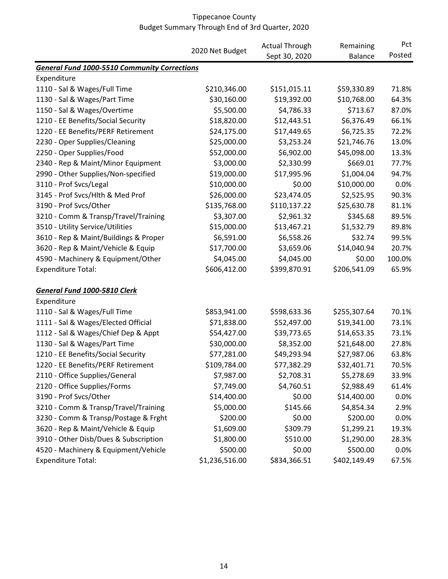|                                                     |                 | <b>Actual Through</b> | Remaining      | Pct<br>Posted |
|-----------------------------------------------------|-----------------|-----------------------|----------------|---------------|
|                                                     | 2020 Net Budget | Sept 30, 2020         | <b>Balance</b> |               |
| <b>General Fund 1000-5510 Community Corrections</b> |                 |                       |                |               |
| Expenditure                                         |                 |                       |                |               |
| 1110 - Sal & Wages/Full Time                        | \$210,346.00    | \$151,015.11          | \$59,330.89    | 71.8%         |
| 1130 - Sal & Wages/Part Time                        | \$30,160.00     | \$19,392.00           | \$10,768.00    | 64.3%         |
| 1150 - Sal & Wages/Overtime                         | \$5,500.00      | \$4,786.33            | \$713.67       | 87.0%         |
| 1210 - EE Benefits/Social Security                  | \$18,820.00     | \$12,443.51           | \$6,376.49     | 66.1%         |
| 1220 - EE Benefits/PERF Retirement                  | \$24,175.00     | \$17,449.65           | \$6,725.35     | 72.2%         |
| 2230 - Oper Supplies/Cleaning                       | \$25,000.00     | \$3,253.24            | \$21,746.76    | 13.0%         |
| 2250 - Oper Supplies/Food                           | \$52,000.00     | \$6,902.00            | \$45,098.00    | 13.3%         |
| 2340 - Rep & Maint/Minor Equipment                  | \$3,000.00      | \$2,330.99            | \$669.01       | 77.7%         |
| 2990 - Other Supplies/Non-specified                 | \$19,000.00     | \$17,995.96           | \$1,004.04     | 94.7%         |
| 3110 - Prof Svcs/Legal                              | \$10,000.00     | \$0.00                | \$10,000.00    | 0.0%          |
| 3145 - Prof Svcs/Hlth & Med Prof                    | \$26,000.00     | \$23,474.05           | \$2,525.95     | 90.3%         |
| 3190 - Prof Svcs/Other                              | \$135,768.00    | \$110,137.22          | \$25,630.78    | 81.1%         |
| 3210 - Comm & Transp/Travel/Training                | \$3,307.00      | \$2,961.32            | \$345.68       | 89.5%         |
| 3510 - Utility Service/Utilities                    | \$15,000.00     | \$13,467.21           | \$1,532.79     | 89.8%         |
| 3610 - Rep & Maint/Buildings & Proper               | \$6,591.00      | \$6,558.26            | \$32.74        | 99.5%         |
| 3620 - Rep & Maint/Vehicle & Equip                  | \$17,700.00     | \$3,659.06            | \$14,040.94    | 20.7%         |
| 4590 - Machinery & Equipment/Other                  | \$4,045.00      | \$4,045.00            | \$0.00         | 100.0%        |
| <b>Expenditure Total:</b>                           | \$606,412.00    | \$399,870.91          | \$206,541.09   | 65.9%         |
| General Fund 1000-5810 Clerk                        |                 |                       |                |               |
| Expenditure                                         |                 |                       |                |               |
| 1110 - Sal & Wages/Full Time                        | \$853,941.00    | \$598,633.36          | \$255,307.64   | 70.1%         |
| 1111 - Sal & Wages/Elected Official                 | \$71,838.00     | \$52,497.00           | \$19,341.00    | 73.1%         |
| 1112 - Sal & Wages/Chief Dep & Appt                 | \$54,427.00     | \$39,773.65           | \$14,653.35    | 73.1%         |
| 1130 - Sal & Wages/Part Time                        | \$30,000.00     | \$8,352.00            | \$21,648.00    | 27.8%         |
| 1210 - EE Benefits/Social Security                  | \$77,281.00     | \$49,293.94           | \$27,987.06    | 63.8%         |
| 1220 - EE Benefits/PERF Retirement                  | \$109,784.00    | \$77,382.29           | \$32,401.71    | 70.5%         |
| 2110 - Office Supplies/General                      | \$7,987.00      | \$2,708.31            | \$5,278.69     | 33.9%         |
| 2120 - Office Supplies/Forms                        | \$7,749.00      | \$4,760.51            | \$2,988.49     | 61.4%         |
| 3190 - Prof Svcs/Other                              | \$14,400.00     | \$0.00                | \$14,400.00    | 0.0%          |
| 3210 - Comm & Transp/Travel/Training                | \$5,000.00      | \$145.66              | \$4,854.34     | 2.9%          |
| 3230 - Comm & Transp/Postage & Frght                | \$200.00        | \$0.00                | \$200.00       | 0.0%          |
| 3620 - Rep & Maint/Vehicle & Equip                  | \$1,609.00      | \$309.79              | \$1,299.21     | 19.3%         |
| 3910 - Other Disb/Dues & Subscription               | \$1,800.00      | \$510.00              | \$1,290.00     | 28.3%         |
| 4520 - Machinery & Equipment/Vehicle                | \$500.00        | \$0.00                | \$500.00       | 0.0%          |
| <b>Expenditure Total:</b>                           | \$1,236,516.00  | \$834,366.51          | \$402,149.49   | 67.5%         |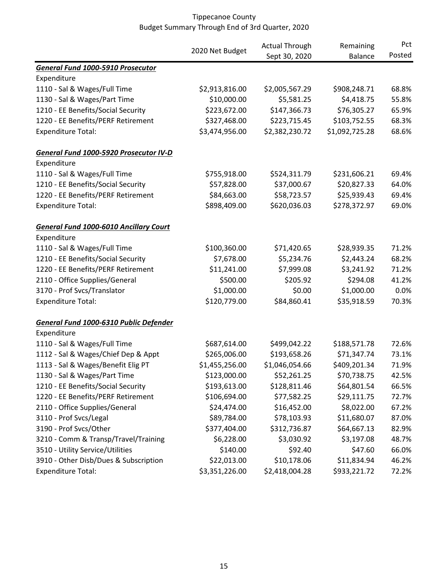|                                               |                 | <b>Actual Through</b> | Remaining      | Pct    |
|-----------------------------------------------|-----------------|-----------------------|----------------|--------|
|                                               | 2020 Net Budget | Sept 30, 2020         | <b>Balance</b> | Posted |
| <b>General Fund 1000-5910 Prosecutor</b>      |                 |                       |                |        |
| Expenditure                                   |                 |                       |                |        |
| 1110 - Sal & Wages/Full Time                  | \$2,913,816.00  | \$2,005,567.29        | \$908,248.71   | 68.8%  |
| 1130 - Sal & Wages/Part Time                  | \$10,000.00     | \$5,581.25            | \$4,418.75     | 55.8%  |
| 1210 - EE Benefits/Social Security            | \$223,672.00    | \$147,366.73          | \$76,305.27    | 65.9%  |
| 1220 - EE Benefits/PERF Retirement            | \$327,468.00    | \$223,715.45          | \$103,752.55   | 68.3%  |
| <b>Expenditure Total:</b>                     | \$3,474,956.00  | \$2,382,230.72        | \$1,092,725.28 | 68.6%  |
| General Fund 1000-5920 Prosecutor IV-D        |                 |                       |                |        |
| Expenditure                                   |                 |                       |                |        |
| 1110 - Sal & Wages/Full Time                  | \$755,918.00    | \$524,311.79          | \$231,606.21   | 69.4%  |
| 1210 - EE Benefits/Social Security            | \$57,828.00     | \$37,000.67           | \$20,827.33    | 64.0%  |
| 1220 - EE Benefits/PERF Retirement            | \$84,663.00     | \$58,723.57           | \$25,939.43    | 69.4%  |
| <b>Expenditure Total:</b>                     | \$898,409.00    | \$620,036.03          | \$278,372.97   | 69.0%  |
| <b>General Fund 1000-6010 Ancillary Court</b> |                 |                       |                |        |
| Expenditure                                   |                 |                       |                |        |
| 1110 - Sal & Wages/Full Time                  | \$100,360.00    | \$71,420.65           | \$28,939.35    | 71.2%  |
| 1210 - EE Benefits/Social Security            | \$7,678.00      | \$5,234.76            | \$2,443.24     | 68.2%  |
| 1220 - EE Benefits/PERF Retirement            | \$11,241.00     | \$7,999.08            | \$3,241.92     | 71.2%  |
| 2110 - Office Supplies/General                | \$500.00        | \$205.92              | \$294.08       | 41.2%  |
| 3170 - Prof Svcs/Translator                   | \$1,000.00      | \$0.00                | \$1,000.00     | 0.0%   |
| <b>Expenditure Total:</b>                     | \$120,779.00    | \$84,860.41           | \$35,918.59    | 70.3%  |
| General Fund 1000-6310 Public Defender        |                 |                       |                |        |
| Expenditure                                   |                 |                       |                |        |
| 1110 - Sal & Wages/Full Time                  | \$687,614.00    | \$499,042.22          | \$188,571.78   | 72.6%  |
| 1112 - Sal & Wages/Chief Dep & Appt           | \$265,006.00    | \$193,658.26          | \$71,347.74    | 73.1%  |
| 1113 - Sal & Wages/Benefit Elig PT            | \$1,455,256.00  | \$1,046,054.66        | \$409,201.34   | 71.9%  |
| 1130 - Sal & Wages/Part Time                  | \$123,000.00    | \$52,261.25           | \$70,738.75    | 42.5%  |
| 1210 - EE Benefits/Social Security            | \$193,613.00    | \$128,811.46          | \$64,801.54    | 66.5%  |
| 1220 - EE Benefits/PERF Retirement            | \$106,694.00    | \$77,582.25           | \$29,111.75    | 72.7%  |
| 2110 - Office Supplies/General                | \$24,474.00     | \$16,452.00           | \$8,022.00     | 67.2%  |
| 3110 - Prof Svcs/Legal                        | \$89,784.00     | \$78,103.93           | \$11,680.07    | 87.0%  |
| 3190 - Prof Svcs/Other                        | \$377,404.00    | \$312,736.87          | \$64,667.13    | 82.9%  |
| 3210 - Comm & Transp/Travel/Training          | \$6,228.00      | \$3,030.92            | \$3,197.08     | 48.7%  |
| 3510 - Utility Service/Utilities              | \$140.00        | \$92.40               | \$47.60        | 66.0%  |
| 3910 - Other Disb/Dues & Subscription         | \$22,013.00     | \$10,178.06           | \$11,834.94    | 46.2%  |
| <b>Expenditure Total:</b>                     | \$3,351,226.00  | \$2,418,004.28        | \$933,221.72   | 72.2%  |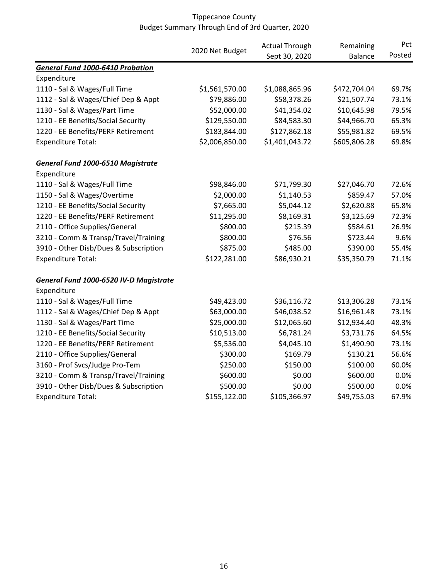|                                          |                 | <b>Actual Through</b><br>Sept 30, 2020 | Remaining<br><b>Balance</b> | Pct<br>Posted |
|------------------------------------------|-----------------|----------------------------------------|-----------------------------|---------------|
|                                          | 2020 Net Budget |                                        |                             |               |
| <b>General Fund 1000-6410 Probation</b>  |                 |                                        |                             |               |
| Expenditure                              |                 |                                        |                             |               |
| 1110 - Sal & Wages/Full Time             | \$1,561,570.00  | \$1,088,865.96                         | \$472,704.04                | 69.7%         |
| 1112 - Sal & Wages/Chief Dep & Appt      | \$79,886.00     | \$58,378.26                            | \$21,507.74                 | 73.1%         |
| 1130 - Sal & Wages/Part Time             | \$52,000.00     | \$41,354.02                            | \$10,645.98                 | 79.5%         |
| 1210 - EE Benefits/Social Security       | \$129,550.00    | \$84,583.30                            | \$44,966.70                 | 65.3%         |
| 1220 - EE Benefits/PERF Retirement       | \$183,844.00    | \$127,862.18                           | \$55,981.82                 | 69.5%         |
| <b>Expenditure Total:</b>                | \$2,006,850.00  | \$1,401,043.72                         | \$605,806.28                | 69.8%         |
| <b>General Fund 1000-6510 Magistrate</b> |                 |                                        |                             |               |
| Expenditure                              |                 |                                        |                             |               |
| 1110 - Sal & Wages/Full Time             | \$98,846.00     | \$71,799.30                            | \$27,046.70                 | 72.6%         |
| 1150 - Sal & Wages/Overtime              | \$2,000.00      | \$1,140.53                             | \$859.47                    | 57.0%         |
| 1210 - EE Benefits/Social Security       | \$7,665.00      | \$5,044.12                             | \$2,620.88                  | 65.8%         |
| 1220 - EE Benefits/PERF Retirement       | \$11,295.00     | \$8,169.31                             | \$3,125.69                  | 72.3%         |
| 2110 - Office Supplies/General           | \$800.00        | \$215.39                               | \$584.61                    | 26.9%         |
| 3210 - Comm & Transp/Travel/Training     | \$800.00        | \$76.56                                | \$723.44                    | 9.6%          |
| 3910 - Other Disb/Dues & Subscription    | \$875.00        | \$485.00                               | \$390.00                    | 55.4%         |
| <b>Expenditure Total:</b>                | \$122,281.00    | \$86,930.21                            | \$35,350.79                 | 71.1%         |
| General Fund 1000-6520 IV-D Magistrate   |                 |                                        |                             |               |
| Expenditure                              |                 |                                        |                             |               |
| 1110 - Sal & Wages/Full Time             | \$49,423.00     | \$36,116.72                            | \$13,306.28                 | 73.1%         |
| 1112 - Sal & Wages/Chief Dep & Appt      | \$63,000.00     | \$46,038.52                            | \$16,961.48                 | 73.1%         |
| 1130 - Sal & Wages/Part Time             | \$25,000.00     | \$12,065.60                            | \$12,934.40                 | 48.3%         |
| 1210 - EE Benefits/Social Security       | \$10,513.00     | \$6,781.24                             | \$3,731.76                  | 64.5%         |
| 1220 - EE Benefits/PERF Retirement       | \$5,536.00      | \$4,045.10                             | \$1,490.90                  | 73.1%         |
| 2110 - Office Supplies/General           | \$300.00        | \$169.79                               | \$130.21                    | 56.6%         |
| 3160 - Prof Svcs/Judge Pro-Tem           | \$250.00        | \$150.00                               | \$100.00                    | 60.0%         |
| 3210 - Comm & Transp/Travel/Training     | \$600.00        | \$0.00                                 | \$600.00                    | 0.0%          |
| 3910 - Other Disb/Dues & Subscription    | \$500.00        | \$0.00                                 | \$500.00                    | 0.0%          |
| <b>Expenditure Total:</b>                | \$155,122.00    | \$105,366.97                           | \$49,755.03                 | 67.9%         |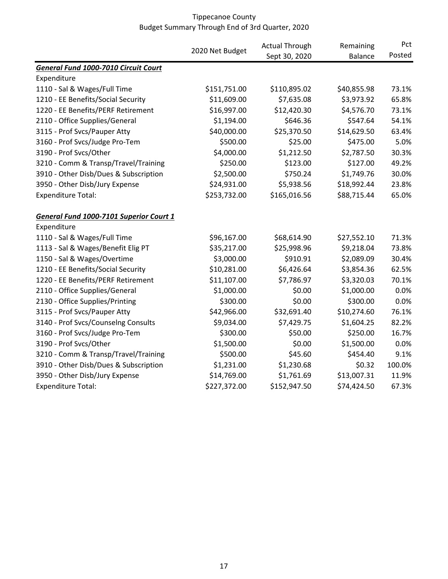|                                                |                 | <b>Actual Through</b> | Remaining      | Pct    |
|------------------------------------------------|-----------------|-----------------------|----------------|--------|
|                                                | 2020 Net Budget | Sept 30, 2020         | <b>Balance</b> | Posted |
| <b>General Fund 1000-7010 Circuit Court</b>    |                 |                       |                |        |
| Expenditure                                    |                 |                       |                |        |
| 1110 - Sal & Wages/Full Time                   | \$151,751.00    | \$110,895.02          | \$40,855.98    | 73.1%  |
| 1210 - EE Benefits/Social Security             | \$11,609.00     | \$7,635.08            | \$3,973.92     | 65.8%  |
| 1220 - EE Benefits/PERF Retirement             | \$16,997.00     | \$12,420.30           | \$4,576.70     | 73.1%  |
| 2110 - Office Supplies/General                 | \$1,194.00      | \$646.36              | \$547.64       | 54.1%  |
| 3115 - Prof Svcs/Pauper Atty                   | \$40,000.00     | \$25,370.50           | \$14,629.50    | 63.4%  |
| 3160 - Prof Svcs/Judge Pro-Tem                 | \$500.00        | \$25.00               | \$475.00       | 5.0%   |
| 3190 - Prof Svcs/Other                         | \$4,000.00      | \$1,212.50            | \$2,787.50     | 30.3%  |
| 3210 - Comm & Transp/Travel/Training           | \$250.00        | \$123.00              | \$127.00       | 49.2%  |
| 3910 - Other Disb/Dues & Subscription          | \$2,500.00      | \$750.24              | \$1,749.76     | 30.0%  |
| 3950 - Other Disb/Jury Expense                 | \$24,931.00     | \$5,938.56            | \$18,992.44    | 23.8%  |
| Expenditure Total:                             | \$253,732.00    | \$165,016.56          | \$88,715.44    | 65.0%  |
| <b>General Fund 1000-7101 Superior Court 1</b> |                 |                       |                |        |
| Expenditure                                    |                 |                       |                |        |
| 1110 - Sal & Wages/Full Time                   | \$96,167.00     | \$68,614.90           | \$27,552.10    | 71.3%  |
| 1113 - Sal & Wages/Benefit Elig PT             | \$35,217.00     | \$25,998.96           | \$9,218.04     | 73.8%  |
| 1150 - Sal & Wages/Overtime                    | \$3,000.00      | \$910.91              | \$2,089.09     | 30.4%  |
| 1210 - EE Benefits/Social Security             | \$10,281.00     | \$6,426.64            | \$3,854.36     | 62.5%  |
| 1220 - EE Benefits/PERF Retirement             | \$11,107.00     | \$7,786.97            | \$3,320.03     | 70.1%  |
| 2110 - Office Supplies/General                 | \$1,000.00      | \$0.00                | \$1,000.00     | 0.0%   |
| 2130 - Office Supplies/Printing                | \$300.00        | \$0.00                | \$300.00       | 0.0%   |
| 3115 - Prof Svcs/Pauper Atty                   | \$42,966.00     | \$32,691.40           | \$10,274.60    | 76.1%  |
| 3140 - Prof Svcs/Counselng Consults            | \$9,034.00      | \$7,429.75            | \$1,604.25     | 82.2%  |
| 3160 - Prof Svcs/Judge Pro-Tem                 | \$300.00        | \$50.00               | \$250.00       | 16.7%  |
| 3190 - Prof Svcs/Other                         | \$1,500.00      | \$0.00                | \$1,500.00     | 0.0%   |
| 3210 - Comm & Transp/Travel/Training           | \$500.00        | \$45.60               | \$454.40       | 9.1%   |
| 3910 - Other Disb/Dues & Subscription          | \$1,231.00      | \$1,230.68            | \$0.32         | 100.0% |
| 3950 - Other Disb/Jury Expense                 | \$14,769.00     | \$1,761.69            | \$13,007.31    | 11.9%  |
| <b>Expenditure Total:</b>                      | \$227,372.00    | \$152,947.50          | \$74,424.50    | 67.3%  |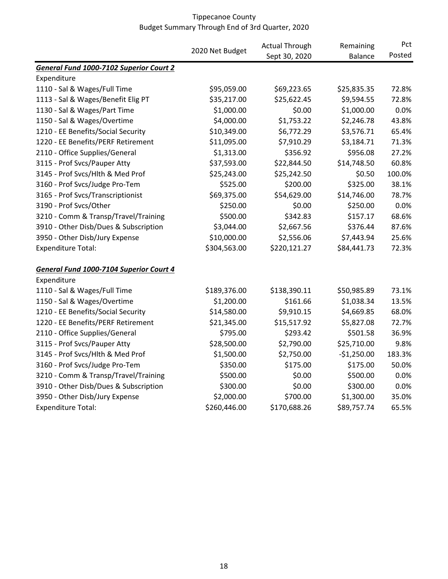|                                         |                 | <b>Actual Through</b> | Remaining      | Pct    |
|-----------------------------------------|-----------------|-----------------------|----------------|--------|
|                                         | 2020 Net Budget | Sept 30, 2020         | <b>Balance</b> | Posted |
| General Fund 1000-7102 Superior Court 2 |                 |                       |                |        |
| Expenditure                             |                 |                       |                |        |
| 1110 - Sal & Wages/Full Time            | \$95,059.00     | \$69,223.65           | \$25,835.35    | 72.8%  |
| 1113 - Sal & Wages/Benefit Elig PT      | \$35,217.00     | \$25,622.45           | \$9,594.55     | 72.8%  |
| 1130 - Sal & Wages/Part Time            | \$1,000.00      | \$0.00                | \$1,000.00     | 0.0%   |
| 1150 - Sal & Wages/Overtime             | \$4,000.00      | \$1,753.22            | \$2,246.78     | 43.8%  |
| 1210 - EE Benefits/Social Security      | \$10,349.00     | \$6,772.29            | \$3,576.71     | 65.4%  |
| 1220 - EE Benefits/PERF Retirement      | \$11,095.00     | \$7,910.29            | \$3,184.71     | 71.3%  |
| 2110 - Office Supplies/General          | \$1,313.00      | \$356.92              | \$956.08       | 27.2%  |
| 3115 - Prof Svcs/Pauper Atty            | \$37,593.00     | \$22,844.50           | \$14,748.50    | 60.8%  |
| 3145 - Prof Svcs/Hlth & Med Prof        | \$25,243.00     | \$25,242.50           | \$0.50         | 100.0% |
| 3160 - Prof Svcs/Judge Pro-Tem          | \$525.00        | \$200.00              | \$325.00       | 38.1%  |
| 3165 - Prof Svcs/Transcriptionist       | \$69,375.00     | \$54,629.00           | \$14,746.00    | 78.7%  |
| 3190 - Prof Svcs/Other                  | \$250.00        | \$0.00                | \$250.00       | 0.0%   |
| 3210 - Comm & Transp/Travel/Training    | \$500.00        | \$342.83              | \$157.17       | 68.6%  |
| 3910 - Other Disb/Dues & Subscription   | \$3,044.00      | \$2,667.56            | \$376.44       | 87.6%  |
| 3950 - Other Disb/Jury Expense          | \$10,000.00     | \$2,556.06            | \$7,443.94     | 25.6%  |
| <b>Expenditure Total:</b>               | \$304,563.00    | \$220,121.27          | \$84,441.73    | 72.3%  |
| General Fund 1000-7104 Superior Court 4 |                 |                       |                |        |
| Expenditure                             |                 |                       |                |        |
| 1110 - Sal & Wages/Full Time            | \$189,376.00    | \$138,390.11          | \$50,985.89    | 73.1%  |
| 1150 - Sal & Wages/Overtime             | \$1,200.00      | \$161.66              | \$1,038.34     | 13.5%  |
| 1210 - EE Benefits/Social Security      | \$14,580.00     | \$9,910.15            | \$4,669.85     | 68.0%  |
| 1220 - EE Benefits/PERF Retirement      | \$21,345.00     | \$15,517.92           | \$5,827.08     | 72.7%  |
| 2110 - Office Supplies/General          | \$795.00        | \$293.42              | \$501.58       | 36.9%  |
| 3115 - Prof Svcs/Pauper Atty            | \$28,500.00     | \$2,790.00            | \$25,710.00    | 9.8%   |
| 3145 - Prof Svcs/Hlth & Med Prof        | \$1,500.00      | \$2,750.00            | $-$1,250.00$   | 183.3% |
| 3160 - Prof Svcs/Judge Pro-Tem          | \$350.00        | \$175.00              | \$175.00       | 50.0%  |
| 3210 - Comm & Transp/Travel/Training    | \$500.00        | \$0.00                | \$500.00       | 0.0%   |
| 3910 - Other Disb/Dues & Subscription   | \$300.00        | \$0.00                | \$300.00       | 0.0%   |
| 3950 - Other Disb/Jury Expense          | \$2,000.00      | \$700.00              | \$1,300.00     | 35.0%  |
| <b>Expenditure Total:</b>               | \$260,446.00    | \$170,688.26          | \$89,757.74    | 65.5%  |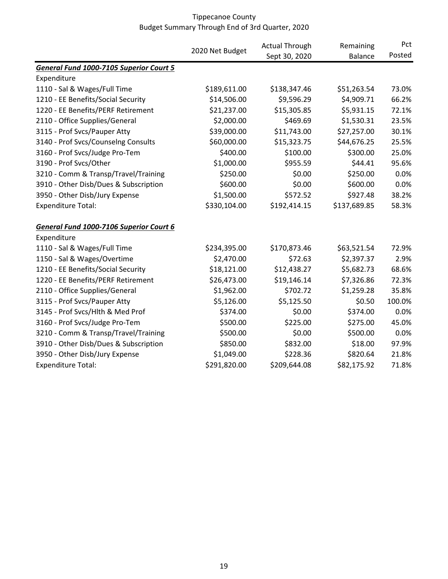|                                         |                 | <b>Actual Through</b><br>Remaining |                | Pct<br>Posted |
|-----------------------------------------|-----------------|------------------------------------|----------------|---------------|
|                                         | 2020 Net Budget | Sept 30, 2020                      | <b>Balance</b> |               |
| General Fund 1000-7105 Superior Court 5 |                 |                                    |                |               |
| Expenditure                             |                 |                                    |                |               |
| 1110 - Sal & Wages/Full Time            | \$189,611.00    | \$138,347.46                       | \$51,263.54    | 73.0%         |
| 1210 - EE Benefits/Social Security      | \$14,506.00     | \$9,596.29                         | \$4,909.71     | 66.2%         |
| 1220 - EE Benefits/PERF Retirement      | \$21,237.00     | \$15,305.85                        | \$5,931.15     | 72.1%         |
| 2110 - Office Supplies/General          | \$2,000.00      | \$469.69                           | \$1,530.31     | 23.5%         |
| 3115 - Prof Svcs/Pauper Atty            | \$39,000.00     | \$11,743.00                        | \$27,257.00    | 30.1%         |
| 3140 - Prof Svcs/Counselng Consults     | \$60,000.00     | \$15,323.75                        | \$44,676.25    | 25.5%         |
| 3160 - Prof Svcs/Judge Pro-Tem          | \$400.00        | \$100.00                           | \$300.00       | 25.0%         |
| 3190 - Prof Svcs/Other                  | \$1,000.00      | \$955.59                           | \$44.41        | 95.6%         |
| 3210 - Comm & Transp/Travel/Training    | \$250.00        | \$0.00                             | \$250.00       | 0.0%          |
| 3910 - Other Disb/Dues & Subscription   | \$600.00        | \$0.00                             | \$600.00       | 0.0%          |
| 3950 - Other Disb/Jury Expense          | \$1,500.00      | \$572.52                           | \$927.48       | 38.2%         |
| <b>Expenditure Total:</b>               | \$330,104.00    | \$192,414.15                       | \$137,689.85   | 58.3%         |
| General Fund 1000-7106 Superior Court 6 |                 |                                    |                |               |
| Expenditure                             |                 |                                    |                |               |
| 1110 - Sal & Wages/Full Time            | \$234,395.00    | \$170,873.46                       | \$63,521.54    | 72.9%         |
| 1150 - Sal & Wages/Overtime             | \$2,470.00      | \$72.63                            | \$2,397.37     | 2.9%          |
| 1210 - EE Benefits/Social Security      | \$18,121.00     | \$12,438.27                        | \$5,682.73     | 68.6%         |
| 1220 - EE Benefits/PERF Retirement      | \$26,473.00     | \$19,146.14                        | \$7,326.86     | 72.3%         |
| 2110 - Office Supplies/General          | \$1,962.00      | \$702.72                           | \$1,259.28     | 35.8%         |
| 3115 - Prof Svcs/Pauper Atty            | \$5,126.00      | \$5,125.50                         | \$0.50         | 100.0%        |
| 3145 - Prof Svcs/Hlth & Med Prof        | \$374.00        | \$0.00                             | \$374.00       | 0.0%          |
| 3160 - Prof Svcs/Judge Pro-Tem          | \$500.00        | \$225.00                           | \$275.00       | 45.0%         |
| 3210 - Comm & Transp/Travel/Training    | \$500.00        | \$0.00                             | \$500.00       | 0.0%          |
| 3910 - Other Disb/Dues & Subscription   | \$850.00        | \$832.00                           | \$18.00        | 97.9%         |
| 3950 - Other Disb/Jury Expense          | \$1,049.00      | \$228.36                           | \$820.64       | 21.8%         |
| <b>Expenditure Total:</b>               | \$291,820.00    | \$209,644.08                       | \$82,175.92    | 71.8%         |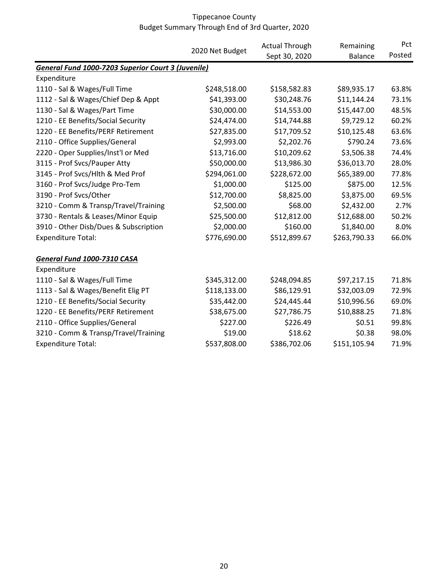|                                                           |                 | <b>Actual Through</b> | Remaining      | Pct    |
|-----------------------------------------------------------|-----------------|-----------------------|----------------|--------|
|                                                           | 2020 Net Budget | Sept 30, 2020         | <b>Balance</b> | Posted |
| <b>General Fund 1000-7203 Superior Court 3 (Juvenile)</b> |                 |                       |                |        |
| Expenditure                                               |                 |                       |                |        |
| 1110 - Sal & Wages/Full Time                              | \$248,518.00    | \$158,582.83          | \$89,935.17    | 63.8%  |
| 1112 - Sal & Wages/Chief Dep & Appt                       | \$41,393.00     | \$30,248.76           | \$11,144.24    | 73.1%  |
| 1130 - Sal & Wages/Part Time                              | \$30,000.00     | \$14,553.00           | \$15,447.00    | 48.5%  |
| 1210 - EE Benefits/Social Security                        | \$24,474.00     | \$14,744.88           | \$9,729.12     | 60.2%  |
| 1220 - EE Benefits/PERF Retirement                        | \$27,835.00     | \$17,709.52           | \$10,125.48    | 63.6%  |
| 2110 - Office Supplies/General                            | \$2,993.00      | \$2,202.76            | \$790.24       | 73.6%  |
| 2220 - Oper Supplies/Inst'l or Med                        | \$13,716.00     | \$10,209.62           | \$3,506.38     | 74.4%  |
| 3115 - Prof Svcs/Pauper Atty                              | \$50,000.00     | \$13,986.30           | \$36,013.70    | 28.0%  |
| 3145 - Prof Svcs/Hlth & Med Prof                          | \$294,061.00    | \$228,672.00          | \$65,389.00    | 77.8%  |
| 3160 - Prof Svcs/Judge Pro-Tem                            | \$1,000.00      | \$125.00              | \$875.00       | 12.5%  |
| 3190 - Prof Svcs/Other                                    | \$12,700.00     | \$8,825.00            | \$3,875.00     | 69.5%  |
| 3210 - Comm & Transp/Travel/Training                      | \$2,500.00      | \$68.00               | \$2,432.00     | 2.7%   |
| 3730 - Rentals & Leases/Minor Equip                       | \$25,500.00     | \$12,812.00           | \$12,688.00    | 50.2%  |
| 3910 - Other Disb/Dues & Subscription                     | \$2,000.00      | \$160.00              | \$1,840.00     | 8.0%   |
| <b>Expenditure Total:</b>                                 | \$776,690.00    | \$512,899.67          | \$263,790.33   | 66.0%  |
| General Fund 1000-7310 CASA                               |                 |                       |                |        |
| Expenditure                                               |                 |                       |                |        |
| 1110 - Sal & Wages/Full Time                              | \$345,312.00    | \$248,094.85          | \$97,217.15    | 71.8%  |
| 1113 - Sal & Wages/Benefit Elig PT                        | \$118,133.00    | \$86,129.91           | \$32,003.09    | 72.9%  |
| 1210 - EE Benefits/Social Security                        | \$35,442.00     | \$24,445.44           | \$10,996.56    | 69.0%  |
| 1220 - EE Benefits/PERF Retirement                        | \$38,675.00     | \$27,786.75           | \$10,888.25    | 71.8%  |
| 2110 - Office Supplies/General                            | \$227.00        | \$226.49              | \$0.51         | 99.8%  |
| 3210 - Comm & Transp/Travel/Training                      | \$19.00         | \$18.62               | \$0.38         | 98.0%  |
| <b>Expenditure Total:</b>                                 | \$537,808.00    | \$386,702.06          | \$151,105.94   | 71.9%  |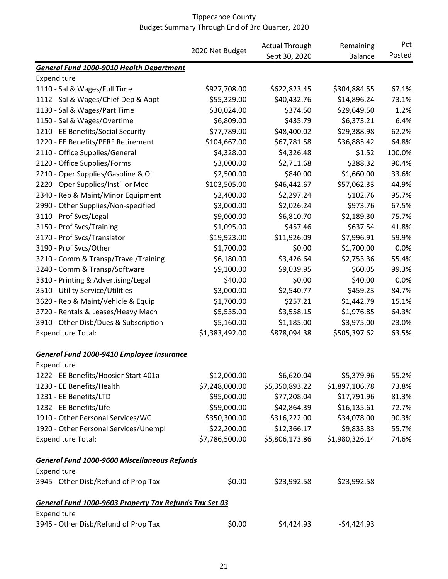|                                                        |                 | <b>Actual Through</b> | Remaining      | Pct    |
|--------------------------------------------------------|-----------------|-----------------------|----------------|--------|
|                                                        | 2020 Net Budget | Sept 30, 2020         | <b>Balance</b> | Posted |
| General Fund 1000-9010 Health Department               |                 |                       |                |        |
| Expenditure                                            |                 |                       |                |        |
| 1110 - Sal & Wages/Full Time                           | \$927,708.00    | \$622,823.45          | \$304,884.55   | 67.1%  |
| 1112 - Sal & Wages/Chief Dep & Appt                    | \$55,329.00     | \$40,432.76           | \$14,896.24    | 73.1%  |
| 1130 - Sal & Wages/Part Time                           | \$30,024.00     | \$374.50              | \$29,649.50    | 1.2%   |
| 1150 - Sal & Wages/Overtime                            | \$6,809.00      | \$435.79              | \$6,373.21     | 6.4%   |
| 1210 - EE Benefits/Social Security                     | \$77,789.00     | \$48,400.02           | \$29,388.98    | 62.2%  |
| 1220 - EE Benefits/PERF Retirement                     | \$104,667.00    | \$67,781.58           | \$36,885.42    | 64.8%  |
| 2110 - Office Supplies/General                         | \$4,328.00      | \$4,326.48            | \$1.52         | 100.0% |
| 2120 - Office Supplies/Forms                           | \$3,000.00      | \$2,711.68            | \$288.32       | 90.4%  |
| 2210 - Oper Supplies/Gasoline & Oil                    | \$2,500.00      | \$840.00              | \$1,660.00     | 33.6%  |
| 2220 - Oper Supplies/Inst'l or Med                     | \$103,505.00    | \$46,442.67           | \$57,062.33    | 44.9%  |
| 2340 - Rep & Maint/Minor Equipment                     | \$2,400.00      | \$2,297.24            | \$102.76       | 95.7%  |
| 2990 - Other Supplies/Non-specified                    | \$3,000.00      | \$2,026.24            | \$973.76       | 67.5%  |
| 3110 - Prof Svcs/Legal                                 | \$9,000.00      | \$6,810.70            | \$2,189.30     | 75.7%  |
| 3150 - Prof Svcs/Training                              | \$1,095.00      | \$457.46              | \$637.54       | 41.8%  |
| 3170 - Prof Svcs/Translator                            | \$19,923.00     | \$11,926.09           | \$7,996.91     | 59.9%  |
| 3190 - Prof Svcs/Other                                 | \$1,700.00      | \$0.00                | \$1,700.00     | 0.0%   |
| 3210 - Comm & Transp/Travel/Training                   | \$6,180.00      | \$3,426.64            | \$2,753.36     | 55.4%  |
| 3240 - Comm & Transp/Software                          | \$9,100.00      | \$9,039.95            | \$60.05        | 99.3%  |
| 3310 - Printing & Advertising/Legal                    | \$40.00         | \$0.00                | \$40.00        | 0.0%   |
| 3510 - Utility Service/Utilities                       | \$3,000.00      | \$2,540.77            | \$459.23       | 84.7%  |
| 3620 - Rep & Maint/Vehicle & Equip                     | \$1,700.00      | \$257.21              | \$1,442.79     | 15.1%  |
| 3720 - Rentals & Leases/Heavy Mach                     | \$5,535.00      | \$3,558.15            | \$1,976.85     | 64.3%  |
| 3910 - Other Disb/Dues & Subscription                  | \$5,160.00      | \$1,185.00            | \$3,975.00     | 23.0%  |
| <b>Expenditure Total:</b>                              | \$1,383,492.00  | \$878,094.38          | \$505,397.62   | 63.5%  |
| General Fund 1000-9410 Employee Insurance              |                 |                       |                |        |
| Expenditure                                            |                 |                       |                |        |
| 1222 - EE Benefits/Hoosier Start 401a                  | \$12,000.00     | \$6,620.04            | \$5,379.96     | 55.2%  |
| 1230 - EE Benefits/Health                              | \$7,248,000.00  | \$5,350,893.22        | \$1,897,106.78 | 73.8%  |
| 1231 - EE Benefits/LTD                                 | \$95,000.00     | \$77,208.04           | \$17,791.96    | 81.3%  |
| 1232 - EE Benefits/Life                                | \$59,000.00     | \$42,864.39           | \$16,135.61    | 72.7%  |
| 1910 - Other Personal Services/WC                      | \$350,300.00    | \$316,222.00          | \$34,078.00    | 90.3%  |
| 1920 - Other Personal Services/Unempl                  | \$22,200.00     | \$12,366.17           | \$9,833.83     | 55.7%  |
| <b>Expenditure Total:</b>                              | \$7,786,500.00  | \$5,806,173.86        | \$1,980,326.14 | 74.6%  |
| General Fund 1000-9600 Miscellaneous Refunds           |                 |                       |                |        |
| Expenditure                                            |                 |                       |                |        |
| 3945 - Other Disb/Refund of Prop Tax                   | \$0.00          | \$23,992.58           | $-523,992.58$  |        |
| General Fund 1000-9603 Property Tax Refunds Tax Set 03 |                 |                       |                |        |
| Expenditure                                            |                 |                       |                |        |
| 3945 - Other Disb/Refund of Prop Tax                   | \$0.00          | \$4,424.93            | -\$4,424.93    |        |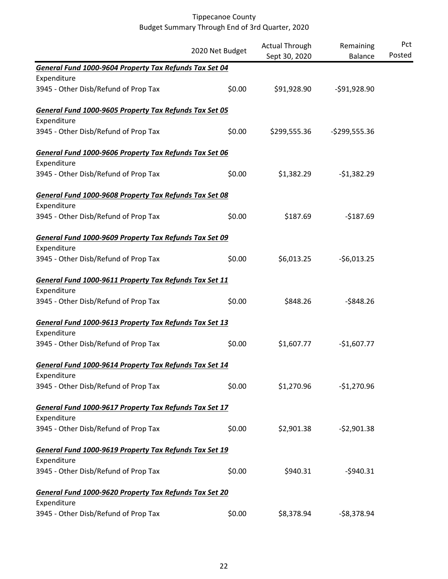|                                                        |                 | <b>Actual Through</b> | Remaining      | Pct    |
|--------------------------------------------------------|-----------------|-----------------------|----------------|--------|
|                                                        | 2020 Net Budget | Sept 30, 2020         | <b>Balance</b> | Posted |
| General Fund 1000-9604 Property Tax Refunds Tax Set 04 |                 |                       |                |        |
| Expenditure                                            |                 |                       |                |        |
| 3945 - Other Disb/Refund of Prop Tax                   | \$0.00          | \$91,928.90           | $-591,928.90$  |        |
| General Fund 1000-9605 Property Tax Refunds Tax Set 05 |                 |                       |                |        |
| Expenditure                                            |                 |                       |                |        |
| 3945 - Other Disb/Refund of Prop Tax                   | \$0.00          | \$299,555.36          | $-$299,555.36$ |        |
| General Fund 1000-9606 Property Tax Refunds Tax Set 06 |                 |                       |                |        |
| Expenditure                                            |                 |                       |                |        |
| 3945 - Other Disb/Refund of Prop Tax                   | \$0.00          | \$1,382.29            | $-51,382.29$   |        |
| General Fund 1000-9608 Property Tax Refunds Tax Set 08 |                 |                       |                |        |
| Expenditure                                            |                 |                       |                |        |
| 3945 - Other Disb/Refund of Prop Tax                   | \$0.00          | \$187.69              | $-$187.69$     |        |
| General Fund 1000-9609 Property Tax Refunds Tax Set 09 |                 |                       |                |        |
| Expenditure                                            |                 |                       |                |        |
| 3945 - Other Disb/Refund of Prop Tax                   | \$0.00          | \$6,013.25            | $-56,013.25$   |        |
| General Fund 1000-9611 Property Tax Refunds Tax Set 11 |                 |                       |                |        |
| Expenditure                                            |                 |                       |                |        |
| 3945 - Other Disb/Refund of Prop Tax                   | \$0.00          | \$848.26              | $-$ \$848.26   |        |
| General Fund 1000-9613 Property Tax Refunds Tax Set 13 |                 |                       |                |        |
| Expenditure                                            |                 |                       |                |        |
| 3945 - Other Disb/Refund of Prop Tax                   | \$0.00          | \$1,607.77            | $-$1,607.77$   |        |
| General Fund 1000-9614 Property Tax Refunds Tax Set 14 |                 |                       |                |        |
| Expenditure                                            |                 |                       |                |        |
| 3945 - Other Disb/Refund of Prop Tax                   | \$0.00          | \$1,270.96            | $-$1,270.96$   |        |
| General Fund 1000-9617 Property Tax Refunds Tax Set 17 |                 |                       |                |        |
| Expenditure                                            |                 |                       |                |        |
| 3945 - Other Disb/Refund of Prop Tax                   | \$0.00          | \$2,901.38            | $-52,901.38$   |        |
| General Fund 1000-9619 Property Tax Refunds Tax Set 19 |                 |                       |                |        |
| Expenditure                                            |                 |                       |                |        |
| 3945 - Other Disb/Refund of Prop Tax                   | \$0.00          | \$940.31              | $-5940.31$     |        |
| General Fund 1000-9620 Property Tax Refunds Tax Set 20 |                 |                       |                |        |
| Expenditure                                            |                 |                       |                |        |
| 3945 - Other Disb/Refund of Prop Tax                   | \$0.00          | \$8,378.94            | $-58,378.94$   |        |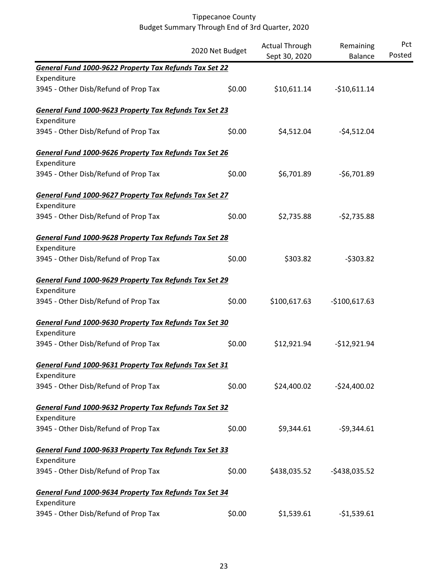|                                                        | 2020 Net Budget | <b>Actual Through</b> | Remaining      | Pct    |
|--------------------------------------------------------|-----------------|-----------------------|----------------|--------|
|                                                        |                 | Sept 30, 2020         | <b>Balance</b> | Posted |
| General Fund 1000-9622 Property Tax Refunds Tax Set 22 |                 |                       |                |        |
| Expenditure                                            |                 |                       |                |        |
| 3945 - Other Disb/Refund of Prop Tax                   | \$0.00          | \$10,611.14           | $-$10,611.14$  |        |
| General Fund 1000-9623 Property Tax Refunds Tax Set 23 |                 |                       |                |        |
| Expenditure                                            |                 |                       |                |        |
| 3945 - Other Disb/Refund of Prop Tax                   | \$0.00          | \$4,512.04            | $-54,512.04$   |        |
| General Fund 1000-9626 Property Tax Refunds Tax Set 26 |                 |                       |                |        |
| Expenditure                                            |                 |                       |                |        |
| 3945 - Other Disb/Refund of Prop Tax                   | \$0.00          | \$6,701.89            | $-56,701.89$   |        |
| General Fund 1000-9627 Property Tax Refunds Tax Set 27 |                 |                       |                |        |
| Expenditure                                            |                 |                       |                |        |
| 3945 - Other Disb/Refund of Prop Tax                   | \$0.00          | \$2,735.88            | $-52,735.88$   |        |
| General Fund 1000-9628 Property Tax Refunds Tax Set 28 |                 |                       |                |        |
| Expenditure                                            |                 |                       |                |        |
| 3945 - Other Disb/Refund of Prop Tax                   | \$0.00          | \$303.82              | $-5303.82$     |        |
| General Fund 1000-9629 Property Tax Refunds Tax Set 29 |                 |                       |                |        |
| Expenditure                                            |                 |                       |                |        |
| 3945 - Other Disb/Refund of Prop Tax                   | \$0.00          | \$100,617.63          | $-$100,617.63$ |        |
| General Fund 1000-9630 Property Tax Refunds Tax Set 30 |                 |                       |                |        |
| Expenditure                                            |                 |                       |                |        |
| 3945 - Other Disb/Refund of Prop Tax                   | \$0.00          | \$12,921.94           | $-$12,921.94$  |        |
| General Fund 1000-9631 Property Tax Refunds Tax Set 31 |                 |                       |                |        |
| Expenditure                                            |                 |                       |                |        |
| 3945 - Other Disb/Refund of Prop Tax                   | \$0.00          | \$24,400.02           | $-524,400.02$  |        |
| General Fund 1000-9632 Property Tax Refunds Tax Set 32 |                 |                       |                |        |
| Expenditure                                            |                 |                       |                |        |
| 3945 - Other Disb/Refund of Prop Tax                   | \$0.00          | \$9,344.61            | $-59,344.61$   |        |
| General Fund 1000-9633 Property Tax Refunds Tax Set 33 |                 |                       |                |        |
| Expenditure                                            |                 |                       |                |        |
| 3945 - Other Disb/Refund of Prop Tax                   | \$0.00          | \$438,035.52          | $-5438,035.52$ |        |
| General Fund 1000-9634 Property Tax Refunds Tax Set 34 |                 |                       |                |        |
| Expenditure                                            |                 |                       |                |        |
| 3945 - Other Disb/Refund of Prop Tax                   | \$0.00          | \$1,539.61            | $-51,539.61$   |        |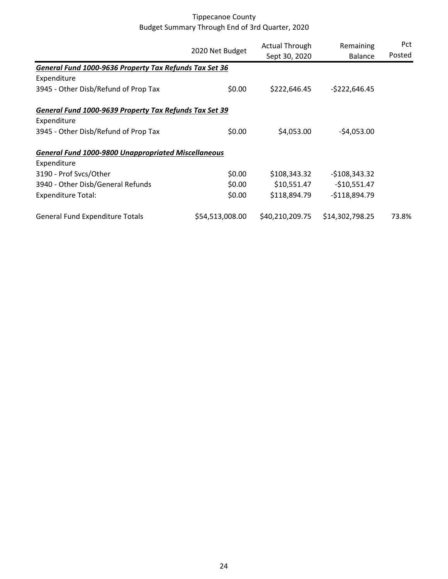|                                                            |                 | <b>Actual Through</b> | Remaining       | <b>Pct</b> |
|------------------------------------------------------------|-----------------|-----------------------|-----------------|------------|
|                                                            | 2020 Net Budget | Sept 30, 2020         | <b>Balance</b>  | Posted     |
| General Fund 1000-9636 Property Tax Refunds Tax Set 36     |                 |                       |                 |            |
| Expenditure                                                |                 |                       |                 |            |
| 3945 - Other Disb/Refund of Prop Tax                       | \$0.00          | \$222,646.45          | $-5222,646.45$  |            |
| General Fund 1000-9639 Property Tax Refunds Tax Set 39     |                 |                       |                 |            |
| Expenditure                                                |                 |                       |                 |            |
| 3945 - Other Disb/Refund of Prop Tax                       | \$0.00          | \$4,053.00            | $-54,053.00$    |            |
| <b>General Fund 1000-9800 Unappropriated Miscellaneous</b> |                 |                       |                 |            |
| Expenditure                                                |                 |                       |                 |            |
| 3190 - Prof Svcs/Other                                     | \$0.00          | \$108,343.32          | $-$108,343.32$  |            |
| 3940 - Other Disb/General Refunds                          | \$0.00          | \$10,551.47           | $-$10,551.47$   |            |
| <b>Expenditure Total:</b>                                  | \$0.00          | \$118,894.79          | $-$118,894.79$  |            |
| <b>General Fund Expenditure Totals</b>                     | \$54,513,008.00 | \$40,210,209.75       | \$14,302,798.25 | 73.8%      |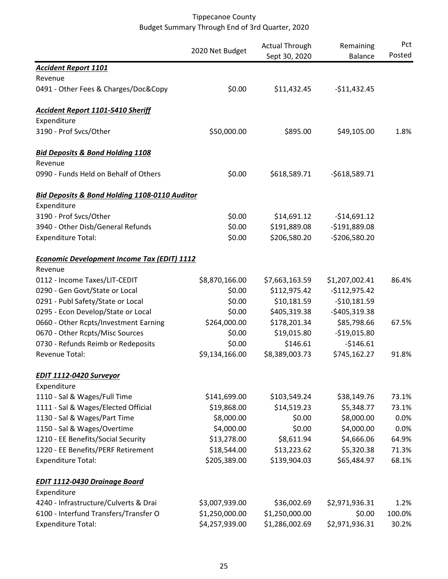|                                                          | 2020 Net Budget | <b>Actual Through</b> | Remaining<br>Balance | Pct<br>Posted |
|----------------------------------------------------------|-----------------|-----------------------|----------------------|---------------|
| <b>Accident Report 1101</b>                              |                 | Sept 30, 2020         |                      |               |
| Revenue                                                  |                 |                       |                      |               |
| 0491 - Other Fees & Charges/Doc&Copy                     | \$0.00          | \$11,432.45           | $-$11,432.45$        |               |
| <b>Accident Report 1101-5410 Sheriff</b>                 |                 |                       |                      |               |
| Expenditure                                              |                 |                       |                      |               |
| 3190 - Prof Svcs/Other                                   | \$50,000.00     | \$895.00              | \$49,105.00          | 1.8%          |
| <b>Bid Deposits &amp; Bond Holding 1108</b>              |                 |                       |                      |               |
| Revenue                                                  |                 |                       |                      |               |
| 0990 - Funds Held on Behalf of Others                    | \$0.00          | \$618,589.71          | $-5618,589.71$       |               |
| <b>Bid Deposits &amp; Bond Holding 1108-0110 Auditor</b> |                 |                       |                      |               |
| Expenditure                                              |                 |                       |                      |               |
| 3190 - Prof Svcs/Other                                   | \$0.00          | \$14,691.12           | $-$14,691.12$        |               |
| 3940 - Other Disb/General Refunds                        | \$0.00          | \$191,889.08          | $-$191,889.08$       |               |
| <b>Expenditure Total:</b>                                | \$0.00          | \$206,580.20          | $-$206,580.20$       |               |
| <b>Economic Development Income Tax (EDIT) 1112</b>       |                 |                       |                      |               |
| Revenue                                                  |                 |                       |                      |               |
| 0112 - Income Taxes/LIT-CEDIT                            | \$8,870,166.00  | \$7,663,163.59        | \$1,207,002.41       | 86.4%         |
| 0290 - Gen Govt/State or Local                           | \$0.00          | \$112,975.42          | $-$112,975.42$       |               |
| 0291 - Publ Safety/State or Local                        | \$0.00          | \$10,181.59           | $-$10,181.59$        |               |
| 0295 - Econ Develop/State or Local                       | \$0.00          | \$405,319.38          | $-$405,319.38$       |               |
| 0660 - Other Rcpts/Investment Earning                    | \$264,000.00    | \$178,201.34          | \$85,798.66          | 67.5%         |
| 0670 - Other Rcpts/Misc Sources                          | \$0.00          | \$19,015.80           | $-$19,015.80$        |               |
| 0730 - Refunds Reimb or Redeposits                       | \$0.00          | \$146.61              | $-$146.61$           |               |
| <b>Revenue Total:</b>                                    | \$9,134,166.00  | \$8,389,003.73        | \$745,162.27         | 91.8%         |
| EDIT 1112-0420 Surveyor                                  |                 |                       |                      |               |
| Expenditure                                              |                 |                       |                      |               |
| 1110 - Sal & Wages/Full Time                             | \$141,699.00    | \$103,549.24          | \$38,149.76          | 73.1%         |
| 1111 - Sal & Wages/Elected Official                      | \$19,868.00     | \$14,519.23           | \$5,348.77           | 73.1%         |
| 1130 - Sal & Wages/Part Time                             | \$8,000.00      | \$0.00                | \$8,000.00           | 0.0%          |
| 1150 - Sal & Wages/Overtime                              | \$4,000.00      | \$0.00                | \$4,000.00           | 0.0%          |
| 1210 - EE Benefits/Social Security                       | \$13,278.00     | \$8,611.94            | \$4,666.06           | 64.9%         |
| 1220 - EE Benefits/PERF Retirement                       | \$18,544.00     | \$13,223.62           | \$5,320.38           | 71.3%         |
| <b>Expenditure Total:</b>                                | \$205,389.00    | \$139,904.03          | \$65,484.97          | 68.1%         |
| <b>EDIT 1112-0430 Drainage Board</b>                     |                 |                       |                      |               |
| Expenditure                                              |                 |                       |                      |               |
| 4240 - Infrastructure/Culverts & Drai                    | \$3,007,939.00  | \$36,002.69           | \$2,971,936.31       | 1.2%          |
| 6100 - Interfund Transfers/Transfer O                    | \$1,250,000.00  | \$1,250,000.00        | \$0.00               | 100.0%        |
| <b>Expenditure Total:</b>                                | \$4,257,939.00  | \$1,286,002.69        | \$2,971,936.31       | 30.2%         |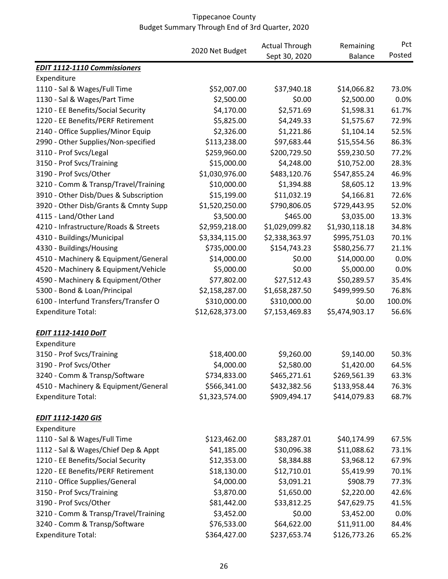|                                       | 2020 Net Budget | <b>Actual Through</b> | Remaining      | Pct    |
|---------------------------------------|-----------------|-----------------------|----------------|--------|
|                                       |                 | Sept 30, 2020         | <b>Balance</b> | Posted |
| <b>EDIT 1112-1110 Commissioners</b>   |                 |                       |                |        |
| Expenditure                           |                 |                       |                |        |
| 1110 - Sal & Wages/Full Time          | \$52,007.00     | \$37,940.18           | \$14,066.82    | 73.0%  |
| 1130 - Sal & Wages/Part Time          | \$2,500.00      | \$0.00                | \$2,500.00     | 0.0%   |
| 1210 - EE Benefits/Social Security    | \$4,170.00      | \$2,571.69            | \$1,598.31     | 61.7%  |
| 1220 - EE Benefits/PERF Retirement    | \$5,825.00      | \$4,249.33            | \$1,575.67     | 72.9%  |
| 2140 - Office Supplies/Minor Equip    | \$2,326.00      | \$1,221.86            | \$1,104.14     | 52.5%  |
| 2990 - Other Supplies/Non-specified   | \$113,238.00    | \$97,683.44           | \$15,554.56    | 86.3%  |
| 3110 - Prof Svcs/Legal                | \$259,960.00    | \$200,729.50          | \$59,230.50    | 77.2%  |
| 3150 - Prof Svcs/Training             | \$15,000.00     | \$4,248.00            | \$10,752.00    | 28.3%  |
| 3190 - Prof Svcs/Other                | \$1,030,976.00  | \$483,120.76          | \$547,855.24   | 46.9%  |
| 3210 - Comm & Transp/Travel/Training  | \$10,000.00     | \$1,394.88            | \$8,605.12     | 13.9%  |
| 3910 - Other Disb/Dues & Subscription | \$15,199.00     | \$11,032.19           | \$4,166.81     | 72.6%  |
| 3920 - Other Disb/Grants & Cmnty Supp | \$1,520,250.00  | \$790,806.05          | \$729,443.95   | 52.0%  |
| 4115 - Land/Other Land                | \$3,500.00      | \$465.00              | \$3,035.00     | 13.3%  |
| 4210 - Infrastructure/Roads & Streets | \$2,959,218.00  | \$1,029,099.82        | \$1,930,118.18 | 34.8%  |
| 4310 - Buildings/Municipal            | \$3,334,115.00  | \$2,338,363.97        | \$995,751.03   | 70.1%  |
| 4330 - Buildings/Housing              | \$735,000.00    | \$154,743.23          | \$580,256.77   | 21.1%  |
| 4510 - Machinery & Equipment/General  | \$14,000.00     | \$0.00                | \$14,000.00    | 0.0%   |
| 4520 - Machinery & Equipment/Vehicle  | \$5,000.00      | \$0.00                | \$5,000.00     | 0.0%   |
| 4590 - Machinery & Equipment/Other    | \$77,802.00     | \$27,512.43           | \$50,289.57    | 35.4%  |
| 5300 - Bond & Loan/Principal          | \$2,158,287.00  | \$1,658,287.50        | \$499,999.50   | 76.8%  |
| 6100 - Interfund Transfers/Transfer O | \$310,000.00    | \$310,000.00          | \$0.00         | 100.0% |
| <b>Expenditure Total:</b>             | \$12,628,373.00 | \$7,153,469.83        | \$5,474,903.17 | 56.6%  |
| <b>EDIT 1112-1410 DoIT</b>            |                 |                       |                |        |
| Expenditure                           |                 |                       |                |        |
| 3150 - Prof Svcs/Training             | \$18,400.00     | \$9,260.00            | \$9,140.00     | 50.3%  |
| 3190 - Prof Svcs/Other                | \$4,000.00      | \$2,580.00            | \$1,420.00     | 64.5%  |
| 3240 - Comm & Transp/Software         | \$734,833.00    | \$465,271.61          | \$269,561.39   | 63.3%  |
| 4510 - Machinery & Equipment/General  | \$566,341.00    | \$432,382.56          | \$133,958.44   | 76.3%  |
| <b>Expenditure Total:</b>             | \$1,323,574.00  | \$909,494.17          | \$414,079.83   | 68.7%  |
| <b>EDIT 1112-1420 GIS</b>             |                 |                       |                |        |
| Expenditure                           |                 |                       |                |        |
| 1110 - Sal & Wages/Full Time          | \$123,462.00    | \$83,287.01           | \$40,174.99    | 67.5%  |
| 1112 - Sal & Wages/Chief Dep & Appt   | \$41,185.00     | \$30,096.38           | \$11,088.62    | 73.1%  |
| 1210 - EE Benefits/Social Security    | \$12,353.00     | \$8,384.88            | \$3,968.12     | 67.9%  |
| 1220 - EE Benefits/PERF Retirement    | \$18,130.00     | \$12,710.01           | \$5,419.99     | 70.1%  |
| 2110 - Office Supplies/General        | \$4,000.00      | \$3,091.21            | \$908.79       | 77.3%  |
| 3150 - Prof Svcs/Training             | \$3,870.00      | \$1,650.00            | \$2,220.00     | 42.6%  |
| 3190 - Prof Svcs/Other                | \$81,442.00     | \$33,812.25           | \$47,629.75    | 41.5%  |
| 3210 - Comm & Transp/Travel/Training  | \$3,452.00      | \$0.00                | \$3,452.00     | 0.0%   |
| 3240 - Comm & Transp/Software         | \$76,533.00     | \$64,622.00           | \$11,911.00    | 84.4%  |
| <b>Expenditure Total:</b>             | \$364,427.00    | \$237,653.74          | \$126,773.26   | 65.2%  |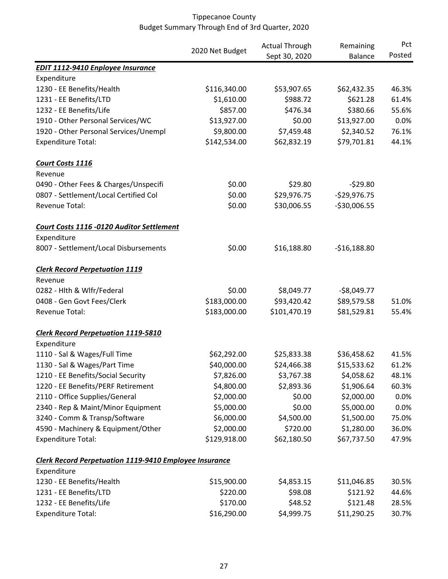|                                                               |                 | <b>Actual Through</b> | Remaining      | Pct    |
|---------------------------------------------------------------|-----------------|-----------------------|----------------|--------|
|                                                               | 2020 Net Budget | Sept 30, 2020         | <b>Balance</b> | Posted |
| <b>EDIT 1112-9410 Enployee Insurance</b>                      |                 |                       |                |        |
| Expenditure                                                   |                 |                       |                |        |
| 1230 - EE Benefits/Health                                     | \$116,340.00    | \$53,907.65           | \$62,432.35    | 46.3%  |
| 1231 - EE Benefits/LTD                                        | \$1,610.00      | \$988.72              | \$621.28       | 61.4%  |
| 1232 - EE Benefits/Life                                       | \$857.00        | \$476.34              | \$380.66       | 55.6%  |
| 1910 - Other Personal Services/WC                             | \$13,927.00     | \$0.00                | \$13,927.00    | 0.0%   |
| 1920 - Other Personal Services/Unempl                         | \$9,800.00      | \$7,459.48            | \$2,340.52     | 76.1%  |
| <b>Expenditure Total:</b>                                     | \$142,534.00    | \$62,832.19           | \$79,701.81    | 44.1%  |
| Court Costs 1116                                              |                 |                       |                |        |
| Revenue                                                       |                 |                       |                |        |
| 0490 - Other Fees & Charges/Unspecifi                         | \$0.00          | \$29.80               | $-529.80$      |        |
| 0807 - Settlement/Local Certified Col                         | \$0.00          | \$29,976.75           | $-$29,976.75$  |        |
| Revenue Total:                                                | \$0.00          | \$30,006.55           | $-$30,006.55$  |        |
| Court Costs 1116 -0120 Auditor Settlement                     |                 |                       |                |        |
| Expenditure                                                   |                 |                       |                |        |
| 8007 - Settlement/Local Disbursements                         | \$0.00          | \$16,188.80           | $-$16,188.80$  |        |
| <b>Clerk Record Perpetuation 1119</b>                         |                 |                       |                |        |
| Revenue                                                       |                 |                       |                |        |
| 0282 - Hlth & Wlfr/Federal                                    | \$0.00          | \$8,049.77            | $-$8,049.77$   |        |
| 0408 - Gen Govt Fees/Clerk                                    | \$183,000.00    | \$93,420.42           | \$89,579.58    | 51.0%  |
| Revenue Total:                                                | \$183,000.00    | \$101,470.19          | \$81,529.81    | 55.4%  |
| <b>Clerk Record Perpetuation 1119-5810</b>                    |                 |                       |                |        |
| Expenditure                                                   |                 |                       |                |        |
| 1110 - Sal & Wages/Full Time                                  | \$62,292.00     | \$25,833.38           | \$36,458.62    | 41.5%  |
| 1130 - Sal & Wages/Part Time                                  | \$40,000.00     | \$24,466.38           | \$15,533.62    | 61.2%  |
| 1210 - EE Benefits/Social Security                            | \$7,826.00      | \$3,767.38            | \$4,058.62     | 48.1%  |
| 1220 - EE Benefits/PERF Retirement                            | \$4,800.00      | \$2,893.36            | \$1,906.64     | 60.3%  |
| 2110 - Office Supplies/General                                | \$2,000.00      | \$0.00                | \$2,000.00     | 0.0%   |
| 2340 - Rep & Maint/Minor Equipment                            | \$5,000.00      | \$0.00                | \$5,000.00     | 0.0%   |
| 3240 - Comm & Transp/Software                                 | \$6,000.00      | \$4,500.00            | \$1,500.00     | 75.0%  |
| 4590 - Machinery & Equipment/Other                            | \$2,000.00      | \$720.00              | \$1,280.00     | 36.0%  |
| <b>Expenditure Total:</b>                                     | \$129,918.00    | \$62,180.50           | \$67,737.50    | 47.9%  |
| <b>Clerk Record Perpetuation 1119-9410 Employee Insurance</b> |                 |                       |                |        |
| Expenditure                                                   |                 |                       |                |        |
| 1230 - EE Benefits/Health                                     | \$15,900.00     | \$4,853.15            | \$11,046.85    | 30.5%  |
| 1231 - EE Benefits/LTD                                        | \$220.00        | \$98.08               | \$121.92       | 44.6%  |
| 1232 - EE Benefits/Life                                       | \$170.00        | \$48.52               | \$121.48       | 28.5%  |
| <b>Expenditure Total:</b>                                     | \$16,290.00     | \$4,999.75            | \$11,290.25    | 30.7%  |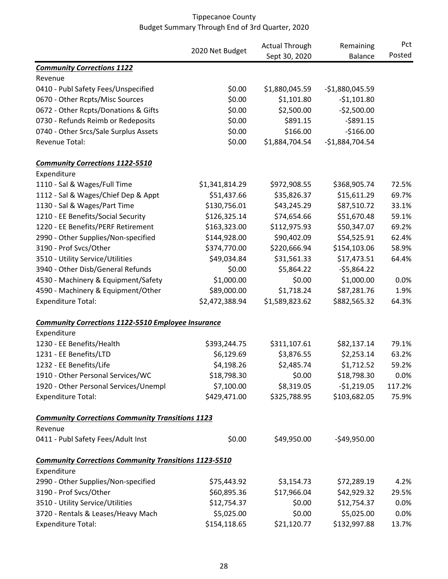|                                                              | 2020 Net Budget | <b>Actual Through</b> | Remaining        | Pct    |
|--------------------------------------------------------------|-----------------|-----------------------|------------------|--------|
|                                                              |                 | Sept 30, 2020         | <b>Balance</b>   | Posted |
| <b>Community Corrections 1122</b>                            |                 |                       |                  |        |
| Revenue                                                      |                 |                       |                  |        |
| 0410 - Publ Safety Fees/Unspecified                          | \$0.00          | \$1,880,045.59        | $-51,880,045.59$ |        |
| 0670 - Other Rcpts/Misc Sources                              | \$0.00          | \$1,101.80            | $-$1,101.80$     |        |
| 0672 - Other Rcpts/Donations & Gifts                         | \$0.00          | \$2,500.00            | $-$2,500.00$     |        |
| 0730 - Refunds Reimb or Redeposits                           | \$0.00          | \$891.15              | $-5891.15$       |        |
| 0740 - Other Srcs/Sale Surplus Assets                        | \$0.00          | \$166.00              | $-$166.00$       |        |
| Revenue Total:                                               | \$0.00          | \$1,884,704.54        | $-$1,884,704.54$ |        |
| <b>Community Corrections 1122-5510</b>                       |                 |                       |                  |        |
| Expenditure                                                  |                 |                       |                  |        |
| 1110 - Sal & Wages/Full Time                                 | \$1,341,814.29  | \$972,908.55          | \$368,905.74     | 72.5%  |
| 1112 - Sal & Wages/Chief Dep & Appt                          | \$51,437.66     | \$35,826.37           | \$15,611.29      | 69.7%  |
| 1130 - Sal & Wages/Part Time                                 | \$130,756.01    | \$43,245.29           | \$87,510.72      | 33.1%  |
| 1210 - EE Benefits/Social Security                           | \$126,325.14    | \$74,654.66           | \$51,670.48      | 59.1%  |
| 1220 - EE Benefits/PERF Retirement                           | \$163,323.00    | \$112,975.93          | \$50,347.07      | 69.2%  |
| 2990 - Other Supplies/Non-specified                          | \$144,928.00    | \$90,402.09           | \$54,525.91      | 62.4%  |
| 3190 - Prof Svcs/Other                                       | \$374,770.00    | \$220,666.94          | \$154,103.06     | 58.9%  |
| 3510 - Utility Service/Utilities                             | \$49,034.84     | \$31,561.33           | \$17,473.51      | 64.4%  |
| 3940 - Other Disb/General Refunds                            | \$0.00          | \$5,864.22            | $-55,864.22$     |        |
| 4530 - Machinery & Equipment/Safety                          | \$1,000.00      | \$0.00                | \$1,000.00       | 0.0%   |
| 4590 - Machinery & Equipment/Other                           | \$89,000.00     | \$1,718.24            | \$87,281.76      | 1.9%   |
| <b>Expenditure Total:</b>                                    | \$2,472,388.94  | \$1,589,823.62        | \$882,565.32     | 64.3%  |
| <b>Community Corrections 1122-5510 Employee Insurance</b>    |                 |                       |                  |        |
| Expenditure                                                  |                 |                       |                  |        |
| 1230 - EE Benefits/Health                                    | \$393,244.75    | \$311,107.61          | \$82,137.14      | 79.1%  |
| 1231 - EE Benefits/LTD                                       | \$6,129.69      | \$3,876.55            | \$2,253.14       | 63.2%  |
| 1232 - EE Benefits/Life                                      | \$4,198.26      | \$2,485.74            | \$1,712.52       | 59.2%  |
| 1910 - Other Personal Services/WC                            | \$18,798.30     | \$0.00                | \$18,798.30      | 0.0%   |
| 1920 - Other Personal Services/Unempl                        | \$7,100.00      | \$8,319.05            | $-$1,219.05$     | 117.2% |
| <b>Expenditure Total:</b>                                    | \$429,471.00    | \$325,788.95          | \$103,682.05     | 75.9%  |
| <b>Community Corrections Community Transitions 1123</b>      |                 |                       |                  |        |
| Revenue                                                      |                 |                       |                  |        |
| 0411 - Publ Safety Fees/Adult Inst                           | \$0.00          | \$49,950.00           | $-$49,950.00$    |        |
| <b>Community Corrections Community Transitions 1123-5510</b> |                 |                       |                  |        |
| Expenditure                                                  |                 |                       |                  |        |
| 2990 - Other Supplies/Non-specified                          | \$75,443.92     | \$3,154.73            | \$72,289.19      | 4.2%   |
| 3190 - Prof Svcs/Other                                       | \$60,895.36     | \$17,966.04           | \$42,929.32      | 29.5%  |
| 3510 - Utility Service/Utilities                             | \$12,754.37     | \$0.00                | \$12,754.37      | 0.0%   |
| 3720 - Rentals & Leases/Heavy Mach                           | \$5,025.00      | \$0.00                | \$5,025.00       | 0.0%   |
| <b>Expenditure Total:</b>                                    | \$154,118.65    | \$21,120.77           | \$132,997.88     | 13.7%  |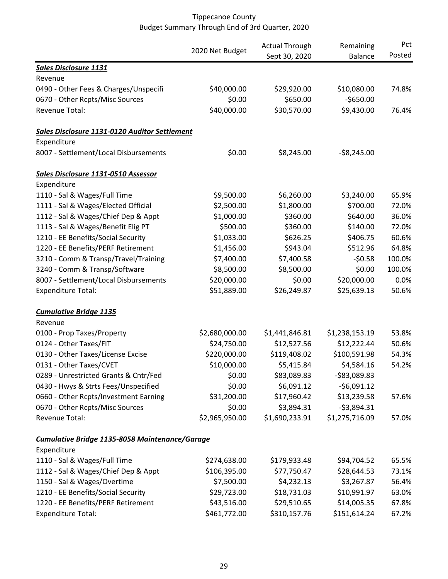|                                                       |                 | <b>Actual Through</b> | Remaining      |        |
|-------------------------------------------------------|-----------------|-----------------------|----------------|--------|
|                                                       | 2020 Net Budget | Sept 30, 2020         | <b>Balance</b> | Posted |
| <b>Sales Disclosure 1131</b>                          |                 |                       |                |        |
| Revenue                                               |                 |                       |                |        |
| 0490 - Other Fees & Charges/Unspecifi                 | \$40,000.00     | \$29,920.00           | \$10,080.00    | 74.8%  |
| 0670 - Other Rcpts/Misc Sources                       | \$0.00          | \$650.00              | $-$650.00$     |        |
| Revenue Total:                                        | \$40,000.00     | \$30,570.00           | \$9,430.00     | 76.4%  |
| Sales Disclosure 1131-0120 Auditor Settlement         |                 |                       |                |        |
| Expenditure                                           |                 |                       |                |        |
| 8007 - Settlement/Local Disbursements                 | \$0.00          | \$8,245.00            | $-58,245.00$   |        |
| Sales Disclosure 1131-0510 Assessor                   |                 |                       |                |        |
| Expenditure                                           |                 |                       |                |        |
| 1110 - Sal & Wages/Full Time                          | \$9,500.00      | \$6,260.00            | \$3,240.00     | 65.9%  |
| 1111 - Sal & Wages/Elected Official                   | \$2,500.00      | \$1,800.00            | \$700.00       | 72.0%  |
| 1112 - Sal & Wages/Chief Dep & Appt                   | \$1,000.00      | \$360.00              | \$640.00       | 36.0%  |
| 1113 - Sal & Wages/Benefit Elig PT                    | \$500.00        | \$360.00              | \$140.00       | 72.0%  |
| 1210 - EE Benefits/Social Security                    | \$1,033.00      | \$626.25              | \$406.75       | 60.6%  |
| 1220 - EE Benefits/PERF Retirement                    | \$1,456.00      | \$943.04              | \$512.96       | 64.8%  |
| 3210 - Comm & Transp/Travel/Training                  | \$7,400.00      | \$7,400.58            | $-50.58$       | 100.0% |
| 3240 - Comm & Transp/Software                         | \$8,500.00      | \$8,500.00            | \$0.00         | 100.0% |
| 8007 - Settlement/Local Disbursements                 | \$20,000.00     | \$0.00                | \$20,000.00    | 0.0%   |
| <b>Expenditure Total:</b>                             | \$51,889.00     | \$26,249.87           | \$25,639.13    | 50.6%  |
| <b>Cumulative Bridge 1135</b>                         |                 |                       |                |        |
| Revenue                                               |                 |                       |                |        |
| 0100 - Prop Taxes/Property                            | \$2,680,000.00  | \$1,441,846.81        | \$1,238,153.19 | 53.8%  |
| 0124 - Other Taxes/FIT                                | \$24,750.00     | \$12,527.56           | \$12,222.44    | 50.6%  |
| 0130 - Other Taxes/License Excise                     | \$220,000.00    | \$119,408.02          | \$100,591.98   | 54.3%  |
| 0131 - Other Taxes/CVET                               | \$10,000.00     | \$5,415.84            | \$4,584.16     | 54.2%  |
| 0289 - Unrestricted Grants & Cntr/Fed                 | \$0.00          | \$83,089.83           | $-$83,089.83$  |        |
| 0430 - Hwys & Strts Fees/Unspecified                  | \$0.00          | \$6,091.12            | $-$6,091.12$   |        |
| 0660 - Other Rcpts/Investment Earning                 | \$31,200.00     | \$17,960.42           | \$13,239.58    | 57.6%  |
| 0670 - Other Rcpts/Misc Sources                       | \$0.00          | \$3,894.31            | $-53,894.31$   |        |
| Revenue Total:                                        | \$2,965,950.00  | \$1,690,233.91        | \$1,275,716.09 | 57.0%  |
| <b>Cumulative Bridge 1135-8058 Maintenance/Garage</b> |                 |                       |                |        |
| Expenditure                                           |                 |                       |                |        |
| 1110 - Sal & Wages/Full Time                          | \$274,638.00    | \$179,933.48          | \$94,704.52    | 65.5%  |
| 1112 - Sal & Wages/Chief Dep & Appt                   | \$106,395.00    | \$77,750.47           | \$28,644.53    | 73.1%  |
| 1150 - Sal & Wages/Overtime                           | \$7,500.00      | \$4,232.13            | \$3,267.87     | 56.4%  |
| 1210 - EE Benefits/Social Security                    | \$29,723.00     | \$18,731.03           | \$10,991.97    | 63.0%  |
| 1220 - EE Benefits/PERF Retirement                    | \$43,516.00     | \$29,510.65           | \$14,005.35    | 67.8%  |
| <b>Expenditure Total:</b>                             | \$461,772.00    | \$310,157.76          | \$151,614.24   | 67.2%  |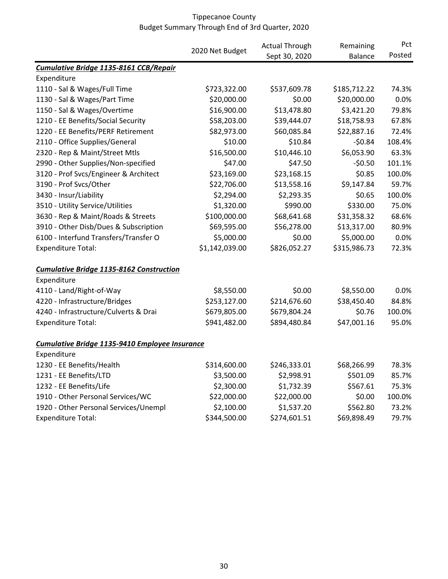|                                                 |                 | <b>Actual Through</b> | Remaining      | Pct    |
|-------------------------------------------------|-----------------|-----------------------|----------------|--------|
|                                                 | 2020 Net Budget | Sept 30, 2020         | <b>Balance</b> | Posted |
| Cumulative Bridge 1135-8161 CCB/Repair          |                 |                       |                |        |
| Expenditure                                     |                 |                       |                |        |
| 1110 - Sal & Wages/Full Time                    | \$723,322.00    | \$537,609.78          | \$185,712.22   | 74.3%  |
| 1130 - Sal & Wages/Part Time                    | \$20,000.00     | \$0.00                | \$20,000.00    | 0.0%   |
| 1150 - Sal & Wages/Overtime                     | \$16,900.00     | \$13,478.80           | \$3,421.20     | 79.8%  |
| 1210 - EE Benefits/Social Security              | \$58,203.00     | \$39,444.07           | \$18,758.93    | 67.8%  |
| 1220 - EE Benefits/PERF Retirement              | \$82,973.00     | \$60,085.84           | \$22,887.16    | 72.4%  |
| 2110 - Office Supplies/General                  | \$10.00         | \$10.84               | $-50.84$       | 108.4% |
| 2320 - Rep & Maint/Street Mtls                  | \$16,500.00     | \$10,446.10           | \$6,053.90     | 63.3%  |
| 2990 - Other Supplies/Non-specified             | \$47.00         | \$47.50               | $-50.50$       | 101.1% |
| 3120 - Prof Svcs/Engineer & Architect           | \$23,169.00     | \$23,168.15           | \$0.85         | 100.0% |
| 3190 - Prof Svcs/Other                          | \$22,706.00     | \$13,558.16           | \$9,147.84     | 59.7%  |
| 3430 - Insur/Liability                          | \$2,294.00      | \$2,293.35            | \$0.65         | 100.0% |
| 3510 - Utility Service/Utilities                | \$1,320.00      | \$990.00              | \$330.00       | 75.0%  |
| 3630 - Rep & Maint/Roads & Streets              | \$100,000.00    | \$68,641.68           | \$31,358.32    | 68.6%  |
| 3910 - Other Disb/Dues & Subscription           | \$69,595.00     | \$56,278.00           | \$13,317.00    | 80.9%  |
| 6100 - Interfund Transfers/Transfer O           | \$5,000.00      | \$0.00                | \$5,000.00     | 0.0%   |
| <b>Expenditure Total:</b>                       | \$1,142,039.00  | \$826,052.27          | \$315,986.73   | 72.3%  |
| <b>Cumulative Bridge 1135-8162 Construction</b> |                 |                       |                |        |
| Expenditure                                     |                 |                       |                |        |
| 4110 - Land/Right-of-Way                        | \$8,550.00      | \$0.00                | \$8,550.00     | 0.0%   |
| 4220 - Infrastructure/Bridges                   | \$253,127.00    | \$214,676.60          | \$38,450.40    | 84.8%  |
| 4240 - Infrastructure/Culverts & Drai           | \$679,805.00    | \$679,804.24          | \$0.76         | 100.0% |
| <b>Expenditure Total:</b>                       | \$941,482.00    | \$894,480.84          | \$47,001.16    | 95.0%  |
| Cumulative Bridge 1135-9410 Employee Insurance  |                 |                       |                |        |
| Expenditure                                     |                 |                       |                |        |
| 1230 - EE Benefits/Health                       | \$314,600.00    | \$246,333.01          | \$68,266.99    | 78.3%  |
| 1231 - EE Benefits/LTD                          | \$3,500.00      | \$2,998.91            | \$501.09       | 85.7%  |
| 1232 - EE Benefits/Life                         | \$2,300.00      | \$1,732.39            | \$567.61       | 75.3%  |
| 1910 - Other Personal Services/WC               | \$22,000.00     | \$22,000.00           | \$0.00         | 100.0% |
| 1920 - Other Personal Services/Unempl           | \$2,100.00      | \$1,537.20            | \$562.80       | 73.2%  |
| <b>Expenditure Total:</b>                       | \$344,500.00    | \$274,601.51          | \$69,898.49    | 79.7%  |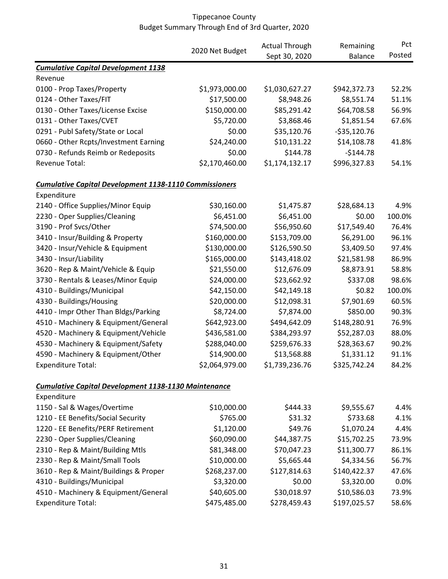|                                                               |                 | <b>Actual Through</b> | Remaining      | Pct    |
|---------------------------------------------------------------|-----------------|-----------------------|----------------|--------|
|                                                               | 2020 Net Budget | Sept 30, 2020         | <b>Balance</b> | Posted |
| <b>Cumulative Capital Development 1138</b>                    |                 |                       |                |        |
| Revenue                                                       |                 |                       |                |        |
| 0100 - Prop Taxes/Property                                    | \$1,973,000.00  | \$1,030,627.27        | \$942,372.73   | 52.2%  |
| 0124 - Other Taxes/FIT                                        | \$17,500.00     | \$8,948.26            | \$8,551.74     | 51.1%  |
| 0130 - Other Taxes/License Excise                             | \$150,000.00    | \$85,291.42           | \$64,708.58    | 56.9%  |
| 0131 - Other Taxes/CVET                                       | \$5,720.00      | \$3,868.46            | \$1,851.54     | 67.6%  |
| 0291 - Publ Safety/State or Local                             | \$0.00          | \$35,120.76           | $-535,120.76$  |        |
| 0660 - Other Rcpts/Investment Earning                         | \$24,240.00     | \$10,131.22           | \$14,108.78    | 41.8%  |
| 0730 - Refunds Reimb or Redeposits                            | \$0.00          | \$144.78              | $-$144.78$     |        |
| Revenue Total:                                                | \$2,170,460.00  | \$1,174,132.17        | \$996,327.83   | 54.1%  |
| <b>Cumulative Capital Development 1138-1110 Commissioners</b> |                 |                       |                |        |
| Expenditure                                                   |                 |                       |                |        |
| 2140 - Office Supplies/Minor Equip                            | \$30,160.00     | \$1,475.87            | \$28,684.13    | 4.9%   |
| 2230 - Oper Supplies/Cleaning                                 | \$6,451.00      | \$6,451.00            | \$0.00         | 100.0% |
| 3190 - Prof Svcs/Other                                        | \$74,500.00     | \$56,950.60           | \$17,549.40    | 76.4%  |
| 3410 - Insur/Building & Property                              | \$160,000.00    | \$153,709.00          | \$6,291.00     | 96.1%  |
| 3420 - Insur/Vehicle & Equipment                              | \$130,000.00    | \$126,590.50          | \$3,409.50     | 97.4%  |
| 3430 - Insur/Liability                                        | \$165,000.00    | \$143,418.02          | \$21,581.98    | 86.9%  |
| 3620 - Rep & Maint/Vehicle & Equip                            | \$21,550.00     | \$12,676.09           | \$8,873.91     | 58.8%  |
| 3730 - Rentals & Leases/Minor Equip                           | \$24,000.00     | \$23,662.92           | \$337.08       | 98.6%  |
| 4310 - Buildings/Municipal                                    | \$42,150.00     | \$42,149.18           | \$0.82         | 100.0% |
| 4330 - Buildings/Housing                                      | \$20,000.00     | \$12,098.31           | \$7,901.69     | 60.5%  |
| 4410 - Impr Other Than Bldgs/Parking                          | \$8,724.00      | \$7,874.00            | \$850.00       | 90.3%  |
| 4510 - Machinery & Equipment/General                          | \$642,923.00    | \$494,642.09          | \$148,280.91   | 76.9%  |
| 4520 - Machinery & Equipment/Vehicle                          | \$436,581.00    | \$384,293.97          | \$52,287.03    | 88.0%  |
| 4530 - Machinery & Equipment/Safety                           | \$288,040.00    | \$259,676.33          | \$28,363.67    | 90.2%  |
| 4590 - Machinery & Equipment/Other                            | \$14,900.00     | \$13,568.88           | \$1,331.12     | 91.1%  |
| <b>Expenditure Total:</b>                                     | \$2,064,979.00  | \$1,739,236.76        | \$325,742.24   | 84.2%  |
| <b>Cumulative Capital Development 1138-1130 Maintenance</b>   |                 |                       |                |        |
| Expenditure                                                   |                 |                       |                |        |
| 1150 - Sal & Wages/Overtime                                   | \$10,000.00     | \$444.33              | \$9,555.67     | 4.4%   |
| 1210 - EE Benefits/Social Security                            | \$765.00        | \$31.32               | \$733.68       | 4.1%   |
| 1220 - EE Benefits/PERF Retirement                            | \$1,120.00      | \$49.76               | \$1,070.24     | 4.4%   |
| 2230 - Oper Supplies/Cleaning                                 | \$60,090.00     | \$44,387.75           | \$15,702.25    | 73.9%  |
| 2310 - Rep & Maint/Building Mtls                              | \$81,348.00     | \$70,047.23           | \$11,300.77    | 86.1%  |
| 2330 - Rep & Maint/Small Tools                                | \$10,000.00     | \$5,665.44            | \$4,334.56     | 56.7%  |
| 3610 - Rep & Maint/Buildings & Proper                         | \$268,237.00    | \$127,814.63          | \$140,422.37   | 47.6%  |
| 4310 - Buildings/Municipal                                    | \$3,320.00      | \$0.00                | \$3,320.00     | 0.0%   |
| 4510 - Machinery & Equipment/General                          | \$40,605.00     | \$30,018.97           | \$10,586.03    | 73.9%  |
| <b>Expenditure Total:</b>                                     | \$475,485.00    | \$278,459.43          | \$197,025.57   | 58.6%  |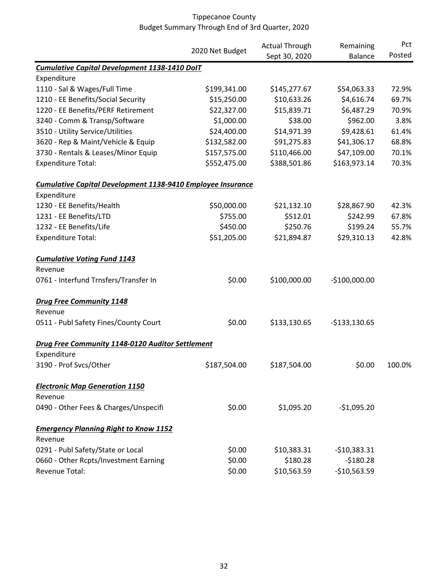|                                                             |                 | <b>Actual Through</b> | Remaining      | Pct    |
|-------------------------------------------------------------|-----------------|-----------------------|----------------|--------|
|                                                             | 2020 Net Budget | Sept 30, 2020         | <b>Balance</b> | Posted |
| <b>Cumulative Capital Development 1138-1410 DoIT</b>        |                 |                       |                |        |
| Expenditure                                                 |                 |                       |                |        |
| 1110 - Sal & Wages/Full Time                                | \$199,341.00    | \$145,277.67          | \$54,063.33    | 72.9%  |
| 1210 - EE Benefits/Social Security                          | \$15,250.00     | \$10,633.26           | \$4,616.74     | 69.7%  |
| 1220 - EE Benefits/PERF Retirement                          | \$22,327.00     | \$15,839.71           | \$6,487.29     | 70.9%  |
| 3240 - Comm & Transp/Software                               | \$1,000.00      | \$38.00               | \$962.00       | 3.8%   |
| 3510 - Utility Service/Utilities                            | \$24,400.00     | \$14,971.39           | \$9,428.61     | 61.4%  |
| 3620 - Rep & Maint/Vehicle & Equip                          | \$132,582.00    | \$91,275.83           | \$41,306.17    | 68.8%  |
| 3730 - Rentals & Leases/Minor Equip                         | \$157,575.00    | \$110,466.00          | \$47,109.00    | 70.1%  |
| <b>Expenditure Total:</b>                                   | \$552,475.00    | \$388,501.86          | \$163,973.14   | 70.3%  |
| Cumulative Capital Development 1138-9410 Employee Insurance |                 |                       |                |        |
| Expenditure                                                 |                 |                       |                |        |
| 1230 - EE Benefits/Health                                   | \$50,000.00     | \$21,132.10           | \$28,867.90    | 42.3%  |
| 1231 - EE Benefits/LTD                                      | \$755.00        | \$512.01              | \$242.99       | 67.8%  |
| 1232 - EE Benefits/Life                                     | \$450.00        | \$250.76              | \$199.24       | 55.7%  |
| <b>Expenditure Total:</b>                                   | \$51,205.00     | \$21,894.87           | \$29,310.13    | 42.8%  |
| <b>Cumulative Voting Fund 1143</b>                          |                 |                       |                |        |
| Revenue                                                     |                 |                       |                |        |
| 0761 - Interfund Trnsfers/Transfer In                       | \$0.00          | \$100,000.00          | $-$100,000.00$ |        |
| <b>Drug Free Community 1148</b>                             |                 |                       |                |        |
| Revenue                                                     |                 |                       |                |        |
| 0511 - Publ Safety Fines/County Court                       | \$0.00          | \$133,130.65          | $-$133,130.65$ |        |
| Drug Free Community 1148-0120 Auditor Settlement            |                 |                       |                |        |
| Expenditure                                                 |                 |                       |                |        |
| 3190 - Prof Svcs/Other                                      | \$187,504.00    | \$187,504.00          | \$0.00         | 100.0% |
| <b>Electronic Map Generation 1150</b>                       |                 |                       |                |        |
| Revenue                                                     |                 |                       |                |        |
| 0490 - Other Fees & Charges/Unspecifi                       | \$0.00          | \$1,095.20            | $-$1,095.20$   |        |
| <b>Emergency Planning Right to Know 1152</b>                |                 |                       |                |        |
| Revenue                                                     |                 |                       |                |        |
| 0291 - Publ Safety/State or Local                           | \$0.00          | \$10,383.31           | $-$10,383.31$  |        |
| 0660 - Other Rcpts/Investment Earning                       | \$0.00          | \$180.28              | $-5180.28$     |        |
| Revenue Total:                                              | \$0.00          | \$10,563.59           | $-$10,563.59$  |        |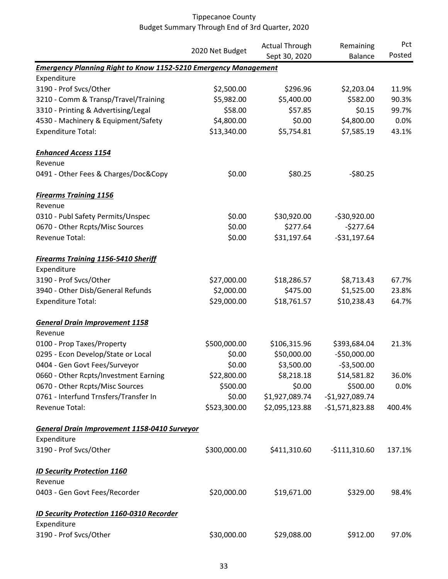|                                                                        |                 | <b>Actual Through</b> | Remaining        | Pct    |
|------------------------------------------------------------------------|-----------------|-----------------------|------------------|--------|
|                                                                        | 2020 Net Budget | Sept 30, 2020         | <b>Balance</b>   | Posted |
| <b>Emergency Planning Right to Know 1152-5210 Emergency Management</b> |                 |                       |                  |        |
| Expenditure                                                            |                 |                       |                  |        |
| 3190 - Prof Svcs/Other                                                 | \$2,500.00      | \$296.96              | \$2,203.04       | 11.9%  |
| 3210 - Comm & Transp/Travel/Training                                   | \$5,982.00      | \$5,400.00            | \$582.00         | 90.3%  |
| 3310 - Printing & Advertising/Legal                                    | \$58.00         | \$57.85               | \$0.15           | 99.7%  |
| 4530 - Machinery & Equipment/Safety                                    | \$4,800.00      | \$0.00                | \$4,800.00       | 0.0%   |
| <b>Expenditure Total:</b>                                              | \$13,340.00     | \$5,754.81            | \$7,585.19       | 43.1%  |
| <b>Enhanced Access 1154</b>                                            |                 |                       |                  |        |
| Revenue                                                                |                 |                       |                  |        |
| 0491 - Other Fees & Charges/Doc&Copy                                   | \$0.00          | \$80.25               | $-580.25$        |        |
| <b>Firearms Training 1156</b>                                          |                 |                       |                  |        |
| Revenue                                                                |                 |                       |                  |        |
| 0310 - Publ Safety Permits/Unspec                                      | \$0.00          | \$30,920.00           | $-530,920.00$    |        |
| 0670 - Other Rcpts/Misc Sources                                        | \$0.00          | \$277.64              | $-5277.64$       |        |
| Revenue Total:                                                         | \$0.00          | \$31,197.64           | $-531,197.64$    |        |
| <b>Firearms Training 1156-5410 Sheriff</b>                             |                 |                       |                  |        |
| Expenditure                                                            |                 |                       |                  |        |
| 3190 - Prof Svcs/Other                                                 | \$27,000.00     | \$18,286.57           | \$8,713.43       | 67.7%  |
| 3940 - Other Disb/General Refunds                                      | \$2,000.00      | \$475.00              | \$1,525.00       | 23.8%  |
| <b>Expenditure Total:</b>                                              | \$29,000.00     | \$18,761.57           | \$10,238.43      | 64.7%  |
| <b>General Drain Improvement 1158</b>                                  |                 |                       |                  |        |
| Revenue                                                                |                 |                       |                  |        |
| 0100 - Prop Taxes/Property                                             | \$500,000.00    | \$106,315.96          | \$393,684.04     | 21.3%  |
| 0295 - Econ Develop/State or Local                                     | \$0.00          | \$50,000.00           | $-$50,000.00$    |        |
| 0404 - Gen Govt Fees/Surveyor                                          | \$0.00          | \$3,500.00            | $-$3,500.00$     |        |
| 0660 - Other Rcpts/Investment Earning                                  | \$22,800.00     | \$8,218.18            | \$14,581.82      | 36.0%  |
| 0670 - Other Rcpts/Misc Sources                                        | \$500.00        | \$0.00                | \$500.00         | 0.0%   |
| 0761 - Interfund Trnsfers/Transfer In                                  | \$0.00          | \$1,927,089.74        | $-$1,927,089.74$ |        |
| Revenue Total:                                                         | \$523,300.00    | \$2,095,123.88        | $-51,571,823.88$ | 400.4% |
| <b>General Drain Improvement 1158-0410 Surveyor</b>                    |                 |                       |                  |        |
| Expenditure                                                            |                 |                       |                  |        |
| 3190 - Prof Svcs/Other                                                 | \$300,000.00    | \$411,310.60          | $-$111,310.60$   | 137.1% |
| <b>ID Security Protection 1160</b>                                     |                 |                       |                  |        |
| Revenue                                                                |                 |                       |                  |        |
| 0403 - Gen Govt Fees/Recorder                                          | \$20,000.00     | \$19,671.00           | \$329.00         | 98.4%  |
| <b>ID Security Protection 1160-0310 Recorder</b>                       |                 |                       |                  |        |
| Expenditure                                                            |                 |                       |                  |        |
| 3190 - Prof Svcs/Other                                                 | \$30,000.00     | \$29,088.00           | \$912.00         | 97.0%  |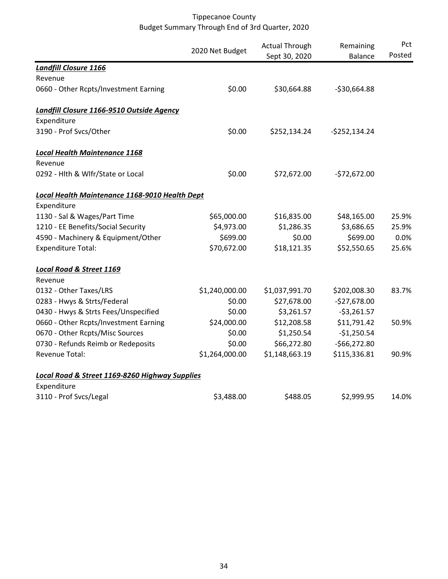|                                                | 2020 Net Budget | <b>Actual Through</b><br>Sept 30, 2020 | Remaining<br><b>Balance</b> | Pct<br>Posted |
|------------------------------------------------|-----------------|----------------------------------------|-----------------------------|---------------|
| <b>Landfill Closure 1166</b>                   |                 |                                        |                             |               |
| Revenue                                        |                 |                                        |                             |               |
| 0660 - Other Rcpts/Investment Earning          | \$0.00          | \$30,664.88                            | $-530,664.88$               |               |
| Landfill Closure 1166-9510 Outside Agency      |                 |                                        |                             |               |
| Expenditure                                    |                 |                                        |                             |               |
| 3190 - Prof Svcs/Other                         | \$0.00          | \$252,134.24                           | $-5252,134.24$              |               |
| <b>Local Health Maintenance 1168</b>           |                 |                                        |                             |               |
| Revenue                                        |                 |                                        |                             |               |
| 0292 - Hlth & Wlfr/State or Local              | \$0.00          | \$72,672.00                            | $-572,672.00$               |               |
| Local Health Maintenance 1168-9010 Health Dept |                 |                                        |                             |               |
| Expenditure                                    |                 |                                        |                             |               |
| 1130 - Sal & Wages/Part Time                   | \$65,000.00     | \$16,835.00                            | \$48,165.00                 | 25.9%         |
| 1210 - EE Benefits/Social Security             | \$4,973.00      | \$1,286.35                             | \$3,686.65                  | 25.9%         |
| 4590 - Machinery & Equipment/Other             | \$699.00        | \$0.00                                 | \$699.00                    | 0.0%          |
| <b>Expenditure Total:</b>                      | \$70,672.00     | \$18,121.35                            | \$52,550.65                 | 25.6%         |
| <b>Local Road &amp; Street 1169</b>            |                 |                                        |                             |               |
| Revenue                                        |                 |                                        |                             |               |
| 0132 - Other Taxes/LRS                         | \$1,240,000.00  | \$1,037,991.70                         | \$202,008.30                | 83.7%         |
| 0283 - Hwys & Strts/Federal                    | \$0.00          | \$27,678.00                            | $-$27,678.00$               |               |
| 0430 - Hwys & Strts Fees/Unspecified           | \$0.00          | \$3,261.57                             | $-$3,261.57$                |               |
| 0660 - Other Rcpts/Investment Earning          | \$24,000.00     | \$12,208.58                            | \$11,791.42                 | 50.9%         |
| 0670 - Other Rcpts/Misc Sources                | \$0.00          | \$1,250.54                             | $-$1,250.54$                |               |
| 0730 - Refunds Reimb or Redeposits             | \$0.00          | \$66,272.80                            | $-566,272.80$               |               |
| Revenue Total:                                 | \$1,264,000.00  | \$1,148,663.19                         | \$115,336.81                | 90.9%         |
| Local Road & Street 1169-8260 Highway Supplies |                 |                                        |                             |               |
| Expenditure                                    |                 |                                        |                             |               |
| 3110 - Prof Svcs/Legal                         | \$3,488.00      | \$488.05                               | \$2,999.95                  | 14.0%         |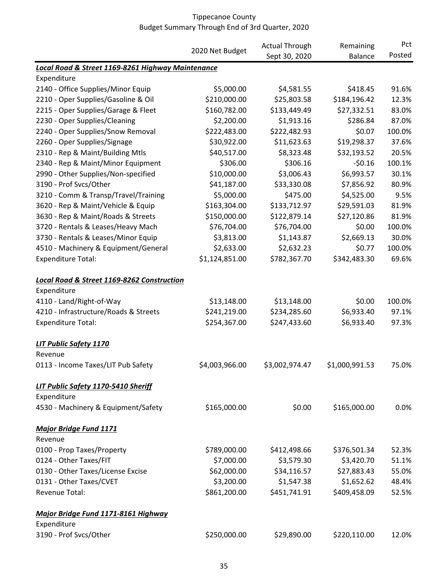|                                                       | 2020 Net Budget | <b>Actual Through</b> | Remaining      | Pct    |
|-------------------------------------------------------|-----------------|-----------------------|----------------|--------|
|                                                       |                 | Sept 30, 2020         | <b>Balance</b> | Posted |
| Local Road & Street 1169-8261 Highway Maintenance     |                 |                       |                |        |
| Expenditure                                           |                 |                       |                |        |
| 2140 - Office Supplies/Minor Equip                    | \$5,000.00      | \$4,581.55            | \$418.45       | 91.6%  |
| 2210 - Oper Supplies/Gasoline & Oil                   | \$210,000.00    | \$25,803.58           | \$184,196.42   | 12.3%  |
| 2215 - Oper Supplies/Garage & Fleet                   | \$160,782.00    | \$133,449.49          | \$27,332.51    | 83.0%  |
| 2230 - Oper Supplies/Cleaning                         | \$2,200.00      | \$1,913.16            | \$286.84       | 87.0%  |
| 2240 - Oper Supplies/Snow Removal                     | \$222,483.00    | \$222,482.93          | \$0.07         | 100.0% |
| 2260 - Oper Supplies/Signage                          | \$30,922.00     | \$11,623.63           | \$19,298.37    | 37.6%  |
| 2310 - Rep & Maint/Building Mtls                      | \$40,517.00     | \$8,323.48            | \$32,193.52    | 20.5%  |
| 2340 - Rep & Maint/Minor Equipment                    | \$306.00        | \$306.16              | $-50.16$       | 100.1% |
| 2990 - Other Supplies/Non-specified                   | \$10,000.00     | \$3,006.43            | \$6,993.57     | 30.1%  |
| 3190 - Prof Svcs/Other                                | \$41,187.00     | \$33,330.08           | \$7,856.92     | 80.9%  |
| 3210 - Comm & Transp/Travel/Training                  | \$5,000.00      | \$475.00              | \$4,525.00     | 9.5%   |
| 3620 - Rep & Maint/Vehicle & Equip                    | \$163,304.00    | \$133,712.97          | \$29,591.03    | 81.9%  |
| 3630 - Rep & Maint/Roads & Streets                    | \$150,000.00    | \$122,879.14          | \$27,120.86    | 81.9%  |
| 3720 - Rentals & Leases/Heavy Mach                    | \$76,704.00     | \$76,704.00           | \$0.00         | 100.0% |
| 3730 - Rentals & Leases/Minor Equip                   | \$3,813.00      | \$1,143.87            | \$2,669.13     | 30.0%  |
| 4510 - Machinery & Equipment/General                  | \$2,633.00      | \$2,632.23            | \$0.77         | 100.0% |
| <b>Expenditure Total:</b>                             | \$1,124,851.00  | \$782,367.70          | \$342,483.30   | 69.6%  |
|                                                       |                 |                       |                |        |
| <b>Local Road &amp; Street 1169-8262 Construction</b> |                 |                       |                |        |
| Expenditure                                           |                 |                       |                |        |
| 4110 - Land/Right-of-Way                              | \$13,148.00     | \$13,148.00           | \$0.00         | 100.0% |
| 4210 - Infrastructure/Roads & Streets                 | \$241,219.00    | \$234,285.60          | \$6,933.40     | 97.1%  |
| <b>Expenditure Total:</b>                             | \$254,367.00    | \$247,433.60          | \$6,933.40     | 97.3%  |
| LIT Public Safety 1170                                |                 |                       |                |        |
| Revenue                                               |                 |                       |                |        |
| 0113 - Income Taxes/LIT Pub Safety                    | \$4,003,966.00  | \$3,002,974.47        | \$1,000,991.53 | 75.0%  |
| LIT Public Safety 1170-5410 Sheriff                   |                 |                       |                |        |
| Expenditure                                           |                 |                       |                |        |
| 4530 - Machinery & Equipment/Safety                   | \$165,000.00    | \$0.00                | \$165,000.00   | 0.0%   |
| <b>Major Bridge Fund 1171</b>                         |                 |                       |                |        |
| Revenue                                               |                 |                       |                |        |
| 0100 - Prop Taxes/Property                            | \$789,000.00    | \$412,498.66          | \$376,501.34   | 52.3%  |
| 0124 - Other Taxes/FIT                                | \$7,000.00      | \$3,579.30            | \$3,420.70     | 51.1%  |
| 0130 - Other Taxes/License Excise                     | \$62,000.00     | \$34,116.57           | \$27,883.43    | 55.0%  |
| 0131 - Other Taxes/CVET                               | \$3,200.00      | \$1,547.38            | \$1,652.62     | 48.4%  |
| <b>Revenue Total:</b>                                 | \$861,200.00    | \$451,741.91          | \$409,458.09   | 52.5%  |
|                                                       |                 |                       |                |        |
| Major Bridge Fund 1171-8161 Highway                   |                 |                       |                |        |
| Expenditure                                           |                 |                       |                |        |
| 3190 - Prof Svcs/Other                                | \$250,000.00    | \$29,890.00           | \$220,110.00   | 12.0%  |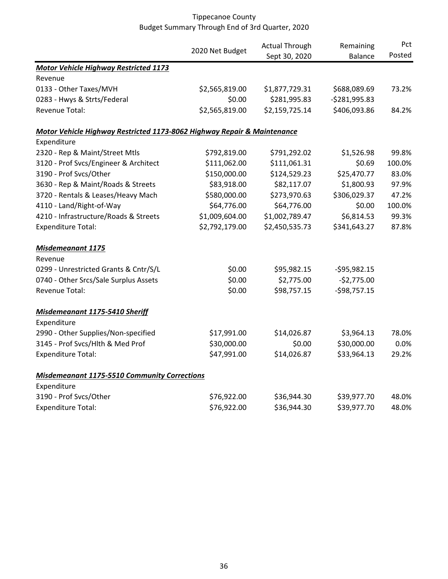|                                                                         |                 | <b>Actual Through</b> | Remaining      | Pct    |
|-------------------------------------------------------------------------|-----------------|-----------------------|----------------|--------|
|                                                                         | 2020 Net Budget | Sept 30, 2020         | <b>Balance</b> | Posted |
| <b>Motor Vehicle Highway Restricted 1173</b>                            |                 |                       |                |        |
| Revenue                                                                 |                 |                       |                |        |
| 0133 - Other Taxes/MVH                                                  | \$2,565,819.00  | \$1,877,729.31        | \$688,089.69   | 73.2%  |
| 0283 - Hwys & Strts/Federal                                             | \$0.00          | \$281,995.83          | $-5281,995.83$ |        |
| <b>Revenue Total:</b>                                                   | \$2,565,819.00  | \$2,159,725.14        | \$406,093.86   | 84.2%  |
| Motor Vehicle Highway Restricted 1173-8062 Highway Repair & Maintenance |                 |                       |                |        |
| Expenditure                                                             |                 |                       |                |        |
| 2320 - Rep & Maint/Street Mtls                                          | \$792,819.00    | \$791,292.02          | \$1,526.98     | 99.8%  |
| 3120 - Prof Svcs/Engineer & Architect                                   | \$111,062.00    | \$111,061.31          | \$0.69         | 100.0% |
| 3190 - Prof Svcs/Other                                                  | \$150,000.00    | \$124,529.23          | \$25,470.77    | 83.0%  |
| 3630 - Rep & Maint/Roads & Streets                                      | \$83,918.00     | \$82,117.07           | \$1,800.93     | 97.9%  |
| 3720 - Rentals & Leases/Heavy Mach                                      | \$580,000.00    | \$273,970.63          | \$306,029.37   | 47.2%  |
| 4110 - Land/Right-of-Way                                                | \$64,776.00     | \$64,776.00           | \$0.00         | 100.0% |
| 4210 - Infrastructure/Roads & Streets                                   | \$1,009,604.00  | \$1,002,789.47        | \$6,814.53     | 99.3%  |
| <b>Expenditure Total:</b>                                               | \$2,792,179.00  | \$2,450,535.73        | \$341,643.27   | 87.8%  |
| <b>Misdemeanant 1175</b>                                                |                 |                       |                |        |
| Revenue                                                                 |                 |                       |                |        |
| 0299 - Unrestricted Grants & Cntr/S/L                                   | \$0.00          | \$95,982.15           | $-595,982.15$  |        |
| 0740 - Other Srcs/Sale Surplus Assets                                   | \$0.00          | \$2,775.00            | $-$2,775.00$   |        |
| <b>Revenue Total:</b>                                                   | \$0.00          | \$98,757.15           | $-$98,757.15$  |        |
| Misdemeanant 1175-5410 Sheriff                                          |                 |                       |                |        |
| Expenditure                                                             |                 |                       |                |        |
| 2990 - Other Supplies/Non-specified                                     | \$17,991.00     | \$14,026.87           | \$3,964.13     | 78.0%  |
| 3145 - Prof Svcs/Hlth & Med Prof                                        | \$30,000.00     | \$0.00                | \$30,000.00    | 0.0%   |
| <b>Expenditure Total:</b>                                               | \$47,991.00     | \$14,026.87           | \$33,964.13    | 29.2%  |
| <b>Misdemeanant 1175-5510 Community Corrections</b>                     |                 |                       |                |        |
| Expenditure                                                             |                 |                       |                |        |
| 3190 - Prof Svcs/Other                                                  | \$76,922.00     | \$36,944.30           | \$39,977.70    | 48.0%  |
| <b>Expenditure Total:</b>                                               | \$76,922.00     | \$36,944.30           | \$39,977.70    | 48.0%  |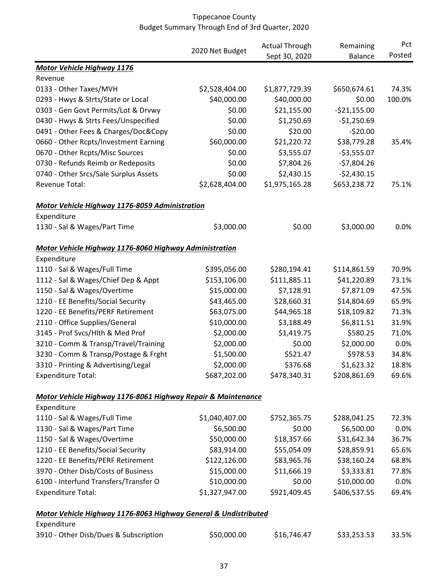|                                                                 |                 | <b>Actual Through</b> | Remaining      | Pct    |
|-----------------------------------------------------------------|-----------------|-----------------------|----------------|--------|
|                                                                 | 2020 Net Budget | Sept 30, 2020         | <b>Balance</b> | Posted |
| <b>Motor Vehicle Highway 1176</b>                               |                 |                       |                |        |
| Revenue                                                         |                 |                       |                |        |
| 0133 - Other Taxes/MVH                                          | \$2,528,404.00  | \$1,877,729.39        | \$650,674.61   | 74.3%  |
| 0293 - Hwys & Strts/State or Local                              | \$40,000.00     | \$40,000.00           | \$0.00         | 100.0% |
| 0303 - Gen Govt Permits/Lot & Drvwy                             | \$0.00          | \$21,155.00           | $-521,155.00$  |        |
| 0430 - Hwys & Strts Fees/Unspecified                            | \$0.00          | \$1,250.69            | $-$1,250.69$   |        |
| 0491 - Other Fees & Charges/Doc&Copy                            | \$0.00          | \$20.00               | $-520.00$      |        |
| 0660 - Other Rcpts/Investment Earning                           | \$60,000.00     | \$21,220.72           | \$38,779.28    | 35.4%  |
| 0670 - Other Rcpts/Misc Sources                                 | \$0.00          | \$3,555.07            | $-53,555.07$   |        |
| 0730 - Refunds Reimb or Redeposits                              | \$0.00          | \$7,804.26            | $-57,804.26$   |        |
| 0740 - Other Srcs/Sale Surplus Assets                           | \$0.00          | \$2,430.15            | $-52,430.15$   |        |
| Revenue Total:                                                  | \$2,628,404.00  | \$1,975,165.28        | \$653,238.72   | 75.1%  |
| <b>Motor Vehicle Highway 1176-8059 Administration</b>           |                 |                       |                |        |
| Expenditure                                                     |                 |                       |                |        |
| 1130 - Sal & Wages/Part Time                                    | \$3,000.00      | \$0.00                | \$3,000.00     | 0.0%   |
| Motor Vehicle Highway 1176-8060 Highway Administration          |                 |                       |                |        |
| Expenditure                                                     |                 |                       |                |        |
| 1110 - Sal & Wages/Full Time                                    | \$395,056.00    | \$280,194.41          | \$114,861.59   | 70.9%  |
| 1112 - Sal & Wages/Chief Dep & Appt                             | \$153,106.00    | \$111,885.11          | \$41,220.89    | 73.1%  |
| 1150 - Sal & Wages/Overtime                                     | \$15,000.00     | \$7,128.91            | \$7,871.09     | 47.5%  |
| 1210 - EE Benefits/Social Security                              | \$43,465.00     | \$28,660.31           | \$14,804.69    | 65.9%  |
| 1220 - EE Benefits/PERF Retirement                              | \$63,075.00     | \$44,965.18           | \$18,109.82    | 71.3%  |
| 2110 - Office Supplies/General                                  | \$10,000.00     | \$3,188.49            | \$6,811.51     | 31.9%  |
| 3145 - Prof Svcs/Hlth & Med Prof                                | \$2,000.00      | \$1,419.75            | \$580.25       | 71.0%  |
| 3210 - Comm & Transp/Travel/Training                            | \$2,000.00      | \$0.00                | \$2,000.00     | 0.0%   |
| 3230 - Comm & Transp/Postage & Frght                            | \$1,500.00      | \$521.47              | \$978.53       | 34.8%  |
| 3310 - Printing & Advertising/Legal                             | \$2,000.00      | \$376.68              | \$1,623.32     | 18.8%  |
| <b>Expenditure Total:</b>                                       | \$687,202.00    | \$478,340.31          | \$208,861.69   | 69.6%  |
| Motor Vehicle Highway 1176-8061 Highway Repair & Maintenance    |                 |                       |                |        |
| Expenditure                                                     |                 |                       |                |        |
| 1110 - Sal & Wages/Full Time                                    | \$1,040,407.00  | \$752,365.75          | \$288,041.25   | 72.3%  |
| 1130 - Sal & Wages/Part Time                                    | \$6,500.00      | \$0.00                | \$6,500.00     | 0.0%   |
| 1150 - Sal & Wages/Overtime                                     | \$50,000.00     | \$18,357.66           | \$31,642.34    | 36.7%  |
| 1210 - EE Benefits/Social Security                              | \$83,914.00     | \$55,054.09           | \$28,859.91    | 65.6%  |
| 1220 - EE Benefits/PERF Retirement                              | \$122,126.00    | \$83,965.76           | \$38,160.24    | 68.8%  |
| 3970 - Other Disb/Costs of Business                             | \$15,000.00     | \$11,666.19           | \$3,333.81     | 77.8%  |
| 6100 - Interfund Transfers/Transfer O                           | \$10,000.00     | \$0.00                | \$10,000.00    | 0.0%   |
| <b>Expenditure Total:</b>                                       | \$1,327,947.00  | \$921,409.45          | \$406,537.55   | 69.4%  |
| Motor Vehicle Highway 1176-8063 Highway General & Undistributed |                 |                       |                |        |
| Expenditure                                                     |                 |                       |                |        |
| 3910 - Other Disb/Dues & Subscription                           | \$50,000.00     | \$16,746.47           | \$33,253.53    | 33.5%  |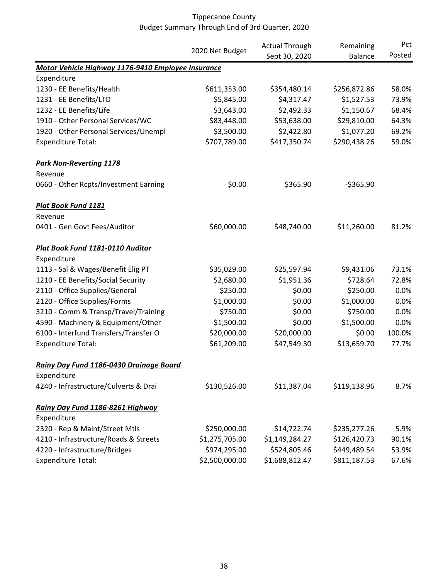|                                                    |                 | <b>Actual Through</b> | Remaining      | Pct    |
|----------------------------------------------------|-----------------|-----------------------|----------------|--------|
|                                                    | 2020 Net Budget | Sept 30, 2020         | <b>Balance</b> | Posted |
| Motor Vehicle Highway 1176-9410 Employee Insurance |                 |                       |                |        |
| Expenditure                                        |                 |                       |                |        |
| 1230 - EE Benefits/Health                          | \$611,353.00    | \$354,480.14          | \$256,872.86   | 58.0%  |
| 1231 - EE Benefits/LTD                             | \$5,845.00      | \$4,317.47            | \$1,527.53     | 73.9%  |
| 1232 - EE Benefits/Life                            | \$3,643.00      | \$2,492.33            | \$1,150.67     | 68.4%  |
| 1910 - Other Personal Services/WC                  | \$83,448.00     | \$53,638.00           | \$29,810.00    | 64.3%  |
| 1920 - Other Personal Services/Unempl              | \$3,500.00      | \$2,422.80            | \$1,077.20     | 69.2%  |
| <b>Expenditure Total:</b>                          | \$707,789.00    | \$417,350.74          | \$290,438.26   | 59.0%  |
| <b>Park Non-Reverting 1178</b>                     |                 |                       |                |        |
| Revenue                                            |                 |                       |                |        |
| 0660 - Other Rcpts/Investment Earning              | \$0.00          | \$365.90              | $-5365.90$     |        |
| <b>Plat Book Fund 1181</b>                         |                 |                       |                |        |
| Revenue                                            |                 |                       |                |        |
| 0401 - Gen Govt Fees/Auditor                       | \$60,000.00     | \$48,740.00           | \$11,260.00    | 81.2%  |
| Plat Book Fund 1181-0110 Auditor                   |                 |                       |                |        |
| Expenditure                                        |                 |                       |                |        |
| 1113 - Sal & Wages/Benefit Elig PT                 | \$35,029.00     | \$25,597.94           | \$9,431.06     | 73.1%  |
| 1210 - EE Benefits/Social Security                 | \$2,680.00      | \$1,951.36            | \$728.64       | 72.8%  |
| 2110 - Office Supplies/General                     | \$250.00        | \$0.00                | \$250.00       | 0.0%   |
| 2120 - Office Supplies/Forms                       | \$1,000.00      | \$0.00                | \$1,000.00     | 0.0%   |
| 3210 - Comm & Transp/Travel/Training               | \$750.00        | \$0.00                | \$750.00       | 0.0%   |
| 4590 - Machinery & Equipment/Other                 | \$1,500.00      | \$0.00                | \$1,500.00     | 0.0%   |
| 6100 - Interfund Transfers/Transfer O              | \$20,000.00     | \$20,000.00           | \$0.00         | 100.0% |
| <b>Expenditure Total:</b>                          | \$61,209.00     | \$47,549.30           | \$13,659.70    | 77.7%  |
| Rainy Day Fund 1186-0430 Drainage Board            |                 |                       |                |        |
| Expenditure                                        |                 |                       |                |        |
| 4240 - Infrastructure/Culverts & Drai              | \$130,526.00    | \$11,387.04           | \$119,138.96   | 8.7%   |
| Rainy Day Fund 1186-8261 Highway                   |                 |                       |                |        |
| Expenditure                                        |                 |                       |                |        |
| 2320 - Rep & Maint/Street Mtls                     | \$250,000.00    | \$14,722.74           | \$235,277.26   | 5.9%   |
| 4210 - Infrastructure/Roads & Streets              | \$1,275,705.00  | \$1,149,284.27        | \$126,420.73   | 90.1%  |
| 4220 - Infrastructure/Bridges                      | \$974,295.00    | \$524,805.46          | \$449,489.54   | 53.9%  |
| <b>Expenditure Total:</b>                          | \$2,500,000.00  | \$1,688,812.47        | \$811,187.53   | 67.6%  |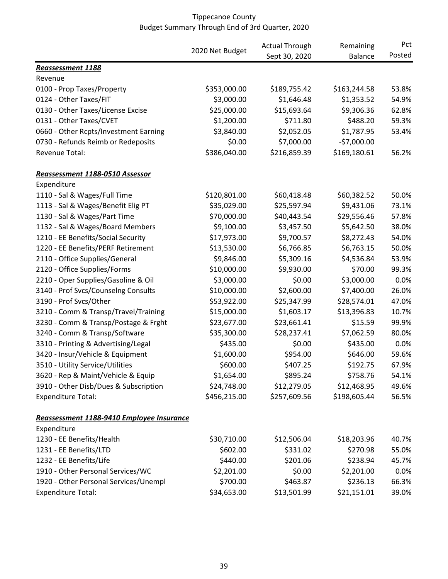|                                           |                 | <b>Actual Through</b> | Remaining      | Pct    |
|-------------------------------------------|-----------------|-----------------------|----------------|--------|
|                                           | 2020 Net Budget | Sept 30, 2020         | <b>Balance</b> | Posted |
| Reassessment 1188                         |                 |                       |                |        |
| Revenue                                   |                 |                       |                |        |
| 0100 - Prop Taxes/Property                | \$353,000.00    | \$189,755.42          | \$163,244.58   | 53.8%  |
| 0124 - Other Taxes/FIT                    | \$3,000.00      | \$1,646.48            | \$1,353.52     | 54.9%  |
| 0130 - Other Taxes/License Excise         | \$25,000.00     | \$15,693.64           | \$9,306.36     | 62.8%  |
| 0131 - Other Taxes/CVET                   | \$1,200.00      | \$711.80              | \$488.20       | 59.3%  |
| 0660 - Other Rcpts/Investment Earning     | \$3,840.00      | \$2,052.05            | \$1,787.95     | 53.4%  |
| 0730 - Refunds Reimb or Redeposits        | \$0.00          | \$7,000.00            | $-57,000.00$   |        |
| Revenue Total:                            | \$386,040.00    | \$216,859.39          | \$169,180.61   | 56.2%  |
| Reassessment 1188-0510 Assessor           |                 |                       |                |        |
| Expenditure                               |                 |                       |                |        |
| 1110 - Sal & Wages/Full Time              | \$120,801.00    | \$60,418.48           | \$60,382.52    | 50.0%  |
| 1113 - Sal & Wages/Benefit Elig PT        | \$35,029.00     | \$25,597.94           | \$9,431.06     | 73.1%  |
| 1130 - Sal & Wages/Part Time              | \$70,000.00     | \$40,443.54           | \$29,556.46    | 57.8%  |
| 1132 - Sal & Wages/Board Members          | \$9,100.00      | \$3,457.50            | \$5,642.50     | 38.0%  |
| 1210 - EE Benefits/Social Security        | \$17,973.00     | \$9,700.57            | \$8,272.43     | 54.0%  |
| 1220 - EE Benefits/PERF Retirement        | \$13,530.00     | \$6,766.85            | \$6,763.15     | 50.0%  |
| 2110 - Office Supplies/General            | \$9,846.00      | \$5,309.16            | \$4,536.84     | 53.9%  |
| 2120 - Office Supplies/Forms              | \$10,000.00     | \$9,930.00            | \$70.00        | 99.3%  |
| 2210 - Oper Supplies/Gasoline & Oil       | \$3,000.00      | \$0.00                | \$3,000.00     | 0.0%   |
| 3140 - Prof Svcs/Counselng Consults       | \$10,000.00     | \$2,600.00            | \$7,400.00     | 26.0%  |
| 3190 - Prof Svcs/Other                    | \$53,922.00     | \$25,347.99           | \$28,574.01    | 47.0%  |
| 3210 - Comm & Transp/Travel/Training      | \$15,000.00     | \$1,603.17            | \$13,396.83    | 10.7%  |
| 3230 - Comm & Transp/Postage & Frght      | \$23,677.00     | \$23,661.41           | \$15.59        | 99.9%  |
| 3240 - Comm & Transp/Software             | \$35,300.00     | \$28,237.41           | \$7,062.59     | 80.0%  |
| 3310 - Printing & Advertising/Legal       | \$435.00        | \$0.00                | \$435.00       | 0.0%   |
| 3420 - Insur/Vehicle & Equipment          | \$1,600.00      | \$954.00              | \$646.00       | 59.6%  |
| 3510 - Utility Service/Utilities          | \$600.00        | \$407.25              | \$192.75       | 67.9%  |
| 3620 - Rep & Maint/Vehicle & Equip        | \$1,654.00      | \$895.24              | \$758.76       | 54.1%  |
| 3910 - Other Disb/Dues & Subscription     | \$24,748.00     | \$12,279.05           | \$12,468.95    | 49.6%  |
| <b>Expenditure Total:</b>                 | \$456,215.00    | \$257,609.56          | \$198,605.44   | 56.5%  |
| Reassessment 1188-9410 Employee Insurance |                 |                       |                |        |
| Expenditure                               |                 |                       |                |        |
| 1230 - EE Benefits/Health                 | \$30,710.00     | \$12,506.04           | \$18,203.96    | 40.7%  |
| 1231 - EE Benefits/LTD                    | \$602.00        | \$331.02              | \$270.98       | 55.0%  |
| 1232 - EE Benefits/Life                   | \$440.00        | \$201.06              | \$238.94       | 45.7%  |
| 1910 - Other Personal Services/WC         | \$2,201.00      | \$0.00                | \$2,201.00     | 0.0%   |
| 1920 - Other Personal Services/Unempl     | \$700.00        | \$463.87              | \$236.13       | 66.3%  |
| <b>Expenditure Total:</b>                 | \$34,653.00     | \$13,501.99           | \$21,151.01    | 39.0%  |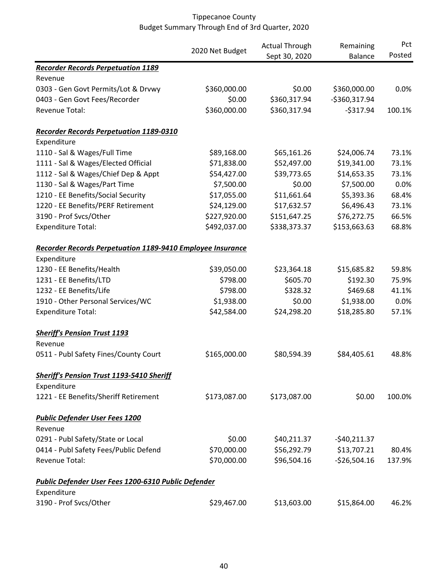|                                                                   |                 | <b>Actual Through</b> | Remaining      | Pct    |
|-------------------------------------------------------------------|-----------------|-----------------------|----------------|--------|
|                                                                   | 2020 Net Budget | Sept 30, 2020         | <b>Balance</b> | Posted |
| <b>Recorder Records Perpetuation 1189</b>                         |                 |                       |                |        |
| Revenue                                                           |                 |                       |                |        |
| 0303 - Gen Govt Permits/Lot & Drvwy                               | \$360,000.00    | \$0.00                | \$360,000.00   | 0.0%   |
| 0403 - Gen Govt Fees/Recorder                                     | \$0.00          | \$360,317.94          | -\$360,317.94  |        |
| Revenue Total:                                                    | \$360,000.00    | \$360,317.94          | $-5317.94$     | 100.1% |
| <b>Recorder Records Perpetuation 1189-0310</b>                    |                 |                       |                |        |
| Expenditure                                                       |                 |                       |                |        |
| 1110 - Sal & Wages/Full Time                                      | \$89,168.00     | \$65,161.26           | \$24,006.74    | 73.1%  |
| 1111 - Sal & Wages/Elected Official                               | \$71,838.00     | \$52,497.00           | \$19,341.00    | 73.1%  |
| 1112 - Sal & Wages/Chief Dep & Appt                               | \$54,427.00     | \$39,773.65           | \$14,653.35    | 73.1%  |
| 1130 - Sal & Wages/Part Time                                      | \$7,500.00      | \$0.00                | \$7,500.00     | 0.0%   |
| 1210 - EE Benefits/Social Security                                | \$17,055.00     | \$11,661.64           | \$5,393.36     | 68.4%  |
| 1220 - EE Benefits/PERF Retirement                                | \$24,129.00     | \$17,632.57           | \$6,496.43     | 73.1%  |
| 3190 - Prof Svcs/Other                                            | \$227,920.00    | \$151,647.25          | \$76,272.75    | 66.5%  |
| <b>Expenditure Total:</b>                                         | \$492,037.00    | \$338,373.37          | \$153,663.63   | 68.8%  |
| <b>Recorder Records Perpetuation 1189-9410 Employee Insurance</b> |                 |                       |                |        |
| Expenditure                                                       |                 |                       |                |        |
| 1230 - EE Benefits/Health                                         | \$39,050.00     | \$23,364.18           | \$15,685.82    | 59.8%  |
| 1231 - EE Benefits/LTD                                            | \$798.00        | \$605.70              | \$192.30       | 75.9%  |
| 1232 - EE Benefits/Life                                           | \$798.00        | \$328.32              | \$469.68       | 41.1%  |
| 1910 - Other Personal Services/WC                                 | \$1,938.00      | \$0.00                | \$1,938.00     | 0.0%   |
| <b>Expenditure Total:</b>                                         | \$42,584.00     | \$24,298.20           | \$18,285.80    | 57.1%  |
| <b>Sheriff's Pension Trust 1193</b>                               |                 |                       |                |        |
| Revenue                                                           |                 |                       |                |        |
| 0511 - Publ Safety Fines/County Court                             | \$165,000.00    | \$80,594.39           | \$84,405.61    | 48.8%  |
| Sheriff's Pension Trust 1193-5410 Sheriff                         |                 |                       |                |        |
| Expenditure                                                       |                 |                       |                |        |
| 1221 - EE Benefits/Sheriff Retirement                             | \$173,087.00    | \$173,087.00          | \$0.00         | 100.0% |
| <b>Public Defender User Fees 1200</b>                             |                 |                       |                |        |
| Revenue                                                           |                 |                       |                |        |
| 0291 - Publ Safety/State or Local                                 | \$0.00          | \$40,211.37           | $-$40,211.37$  |        |
| 0414 - Publ Safety Fees/Public Defend                             | \$70,000.00     | \$56,292.79           | \$13,707.21    | 80.4%  |
| Revenue Total:                                                    | \$70,000.00     | \$96,504.16           | $-526,504.16$  | 137.9% |
| Public Defender User Fees 1200-6310 Public Defender               |                 |                       |                |        |
| Expenditure                                                       |                 |                       |                |        |
| 3190 - Prof Svcs/Other                                            | \$29,467.00     | \$13,603.00           | \$15,864.00    | 46.2%  |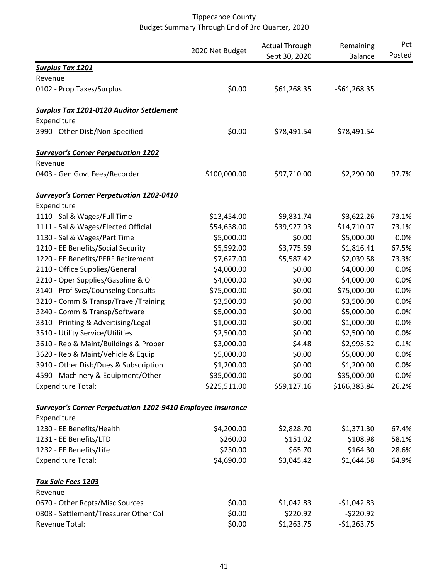|                                                                    | 2020 Net Budget | <b>Actual Through</b><br>Sept 30, 2020 | Remaining<br><b>Balance</b> | Pct<br>Posted |
|--------------------------------------------------------------------|-----------------|----------------------------------------|-----------------------------|---------------|
| <b>Surplus Tax 1201</b>                                            |                 |                                        |                             |               |
| Revenue                                                            |                 |                                        |                             |               |
| 0102 - Prop Taxes/Surplus                                          | \$0.00          | \$61,268.35                            | $-561,268.35$               |               |
| <b>Surplus Tax 1201-0120 Auditor Settlement</b>                    |                 |                                        |                             |               |
| Expenditure                                                        |                 |                                        |                             |               |
| 3990 - Other Disb/Non-Specified                                    | \$0.00          | \$78,491.54                            | $-578,491.54$               |               |
| <b>Surveyor's Corner Perpetuation 1202</b>                         |                 |                                        |                             |               |
| Revenue                                                            |                 |                                        |                             |               |
| 0403 - Gen Govt Fees/Recorder                                      | \$100,000.00    | \$97,710.00                            | \$2,290.00                  | 97.7%         |
| <b>Surveyor's Corner Perpetuation 1202-0410</b>                    |                 |                                        |                             |               |
| Expenditure                                                        |                 |                                        |                             |               |
| 1110 - Sal & Wages/Full Time                                       | \$13,454.00     | \$9,831.74                             | \$3,622.26                  | 73.1%         |
| 1111 - Sal & Wages/Elected Official                                | \$54,638.00     | \$39,927.93                            | \$14,710.07                 | 73.1%         |
| 1130 - Sal & Wages/Part Time                                       | \$5,000.00      | \$0.00                                 | \$5,000.00                  | 0.0%          |
| 1210 - EE Benefits/Social Security                                 | \$5,592.00      | \$3,775.59                             | \$1,816.41                  | 67.5%         |
| 1220 - EE Benefits/PERF Retirement                                 | \$7,627.00      | \$5,587.42                             | \$2,039.58                  | 73.3%         |
| 2110 - Office Supplies/General                                     | \$4,000.00      | \$0.00                                 | \$4,000.00                  | 0.0%          |
| 2210 - Oper Supplies/Gasoline & Oil                                | \$4,000.00      | \$0.00                                 | \$4,000.00                  | 0.0%          |
| 3140 - Prof Svcs/Counselng Consults                                | \$75,000.00     | \$0.00                                 | \$75,000.00                 | 0.0%          |
| 3210 - Comm & Transp/Travel/Training                               | \$3,500.00      | \$0.00                                 | \$3,500.00                  | 0.0%          |
| 3240 - Comm & Transp/Software                                      | \$5,000.00      | \$0.00                                 | \$5,000.00                  | 0.0%          |
| 3310 - Printing & Advertising/Legal                                | \$1,000.00      | \$0.00                                 | \$1,000.00                  | 0.0%          |
| 3510 - Utility Service/Utilities                                   | \$2,500.00      | \$0.00                                 | \$2,500.00                  | 0.0%          |
| 3610 - Rep & Maint/Buildings & Proper                              | \$3,000.00      | \$4.48                                 | \$2,995.52                  | 0.1%          |
| 3620 - Rep & Maint/Vehicle & Equip                                 | \$5,000.00      | \$0.00                                 | \$5,000.00                  | 0.0%          |
| 3910 - Other Disb/Dues & Subscription                              | \$1,200.00      | \$0.00                                 | \$1,200.00                  | 0.0%          |
| 4590 - Machinery & Equipment/Other                                 | \$35,000.00     | \$0.00                                 | \$35,000.00                 | 0.0%          |
| <b>Expenditure Total:</b>                                          | \$225,511.00    | \$59,127.16                            | \$166,383.84                | 26.2%         |
| <b>Surveyor's Corner Perpetuation 1202-9410 Employee Insurance</b> |                 |                                        |                             |               |
| Expenditure                                                        |                 |                                        |                             |               |
| 1230 - EE Benefits/Health                                          | \$4,200.00      | \$2,828.70                             | \$1,371.30                  | 67.4%         |
| 1231 - EE Benefits/LTD                                             | \$260.00        | \$151.02                               | \$108.98                    | 58.1%         |
| 1232 - EE Benefits/Life                                            | \$230.00        | \$65.70                                | \$164.30                    | 28.6%         |
| <b>Expenditure Total:</b>                                          | \$4,690.00      | \$3,045.42                             | \$1,644.58                  | 64.9%         |
| <b>Tax Sale Fees 1203</b>                                          |                 |                                        |                             |               |
| Revenue                                                            |                 |                                        |                             |               |
| 0670 - Other Rcpts/Misc Sources                                    | \$0.00          | \$1,042.83                             | $-$1,042.83$                |               |
| 0808 - Settlement/Treasurer Other Col                              | \$0.00          | \$220.92                               | $-5220.92$                  |               |
| Revenue Total:                                                     | \$0.00          | \$1,263.75                             | $-$1,263.75$                |               |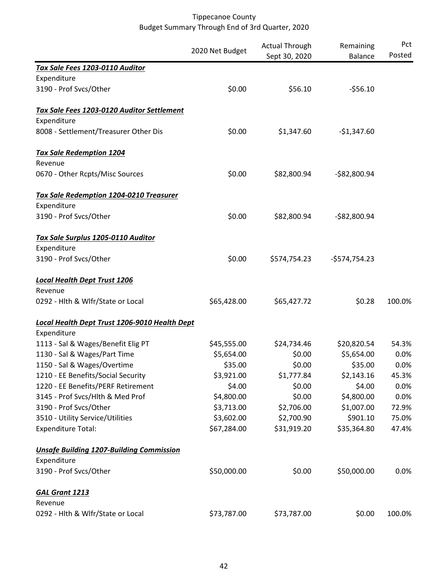|                                                 | 2020 Net Budget | <b>Actual Through</b> | Remaining      | Pct    |
|-------------------------------------------------|-----------------|-----------------------|----------------|--------|
|                                                 |                 | Sept 30, 2020         | <b>Balance</b> | Posted |
| Tax Sale Fees 1203-0110 Auditor                 |                 |                       |                |        |
| Expenditure                                     |                 |                       |                |        |
| 3190 - Prof Svcs/Other                          | \$0.00          | \$56.10               | $-556.10$      |        |
| Tax Sale Fees 1203-0120 Auditor Settlement      |                 |                       |                |        |
| Expenditure                                     |                 |                       |                |        |
| 8008 - Settlement/Treasurer Other Dis           | \$0.00          | \$1,347.60            | $-$1,347.60$   |        |
| <b>Tax Sale Redemption 1204</b>                 |                 |                       |                |        |
| Revenue                                         |                 |                       |                |        |
| 0670 - Other Rcpts/Misc Sources                 | \$0.00          | \$82,800.94           | $-$82,800.94$  |        |
| <b>Tax Sale Redemption 1204-0210 Treasurer</b>  |                 |                       |                |        |
| Expenditure                                     |                 |                       |                |        |
| 3190 - Prof Svcs/Other                          | \$0.00          | \$82,800.94           | $-$82,800.94$  |        |
| Tax Sale Surplus 1205-0110 Auditor              |                 |                       |                |        |
| Expenditure                                     |                 |                       |                |        |
| 3190 - Prof Svcs/Other                          | \$0.00          | \$574,754.23          | $-5574,754.23$ |        |
| <b>Local Health Dept Trust 1206</b>             |                 |                       |                |        |
| Revenue                                         |                 |                       |                |        |
| 0292 - Hlth & Wlfr/State or Local               | \$65,428.00     | \$65,427.72           | \$0.28         | 100.0% |
| Local Health Dept Trust 1206-9010 Health Dept   |                 |                       |                |        |
| Expenditure                                     |                 |                       |                |        |
| 1113 - Sal & Wages/Benefit Elig PT              | \$45,555.00     | \$24,734.46           | \$20,820.54    | 54.3%  |
| 1130 - Sal & Wages/Part Time                    | \$5,654.00      | \$0.00                | \$5,654.00     | 0.0%   |
| 1150 - Sal & Wages/Overtime                     | \$35.00         | \$0.00                | \$35.00        | 0.0%   |
| 1210 - EE Benefits/Social Security              | \$3,921.00      | \$1,777.84            | \$2,143.16     | 45.3%  |
| 1220 - EE Benefits/PERF Retirement              | \$4.00          | \$0.00                | \$4.00         | 0.0%   |
| 3145 - Prof Svcs/Hlth & Med Prof                | \$4,800.00      | \$0.00                | \$4,800.00     | 0.0%   |
| 3190 - Prof Svcs/Other                          | \$3,713.00      | \$2,706.00            | \$1,007.00     | 72.9%  |
| 3510 - Utility Service/Utilities                | \$3,602.00      | \$2,700.90            | \$901.10       | 75.0%  |
| <b>Expenditure Total:</b>                       | \$67,284.00     | \$31,919.20           | \$35,364.80    | 47.4%  |
| <b>Unsafe Building 1207-Building Commission</b> |                 |                       |                |        |
| Expenditure                                     |                 |                       |                |        |
| 3190 - Prof Svcs/Other                          | \$50,000.00     | \$0.00                | \$50,000.00    | 0.0%   |
| <b>GAL Grant 1213</b>                           |                 |                       |                |        |
| Revenue                                         |                 |                       |                |        |
| 0292 - Hlth & Wlfr/State or Local               | \$73,787.00     | \$73,787.00           | \$0.00         | 100.0% |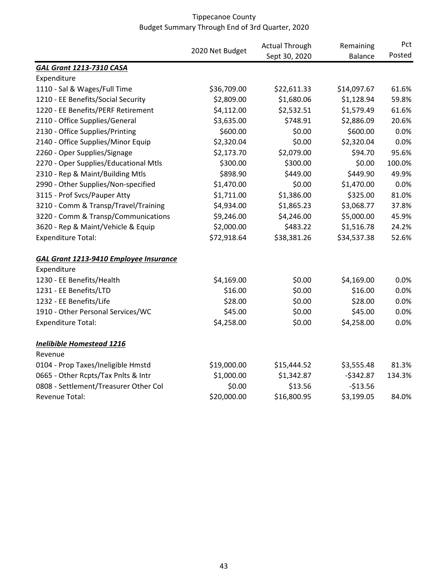|                                               |                 | <b>Actual Through</b> | Remaining      | Pct    |
|-----------------------------------------------|-----------------|-----------------------|----------------|--------|
|                                               | 2020 Net Budget | Sept 30, 2020         | <b>Balance</b> | Posted |
| <b>GAL Grant 1213-7310 CASA</b>               |                 |                       |                |        |
| Expenditure                                   |                 |                       |                |        |
| 1110 - Sal & Wages/Full Time                  | \$36,709.00     | \$22,611.33           | \$14,097.67    | 61.6%  |
| 1210 - EE Benefits/Social Security            | \$2,809.00      | \$1,680.06            | \$1,128.94     | 59.8%  |
| 1220 - EE Benefits/PERF Retirement            | \$4,112.00      | \$2,532.51            | \$1,579.49     | 61.6%  |
| 2110 - Office Supplies/General                | \$3,635.00      | \$748.91              | \$2,886.09     | 20.6%  |
| 2130 - Office Supplies/Printing               | \$600.00        | \$0.00                | \$600.00       | 0.0%   |
| 2140 - Office Supplies/Minor Equip            | \$2,320.04      | \$0.00                | \$2,320.04     | 0.0%   |
| 2260 - Oper Supplies/Signage                  | \$2,173.70      | \$2,079.00            | \$94.70        | 95.6%  |
| 2270 - Oper Supplies/Educational Mtls         | \$300.00        | \$300.00              | \$0.00         | 100.0% |
| 2310 - Rep & Maint/Building Mtls              | \$898.90        | \$449.00              | \$449.90       | 49.9%  |
| 2990 - Other Supplies/Non-specified           | \$1,470.00      | \$0.00                | \$1,470.00     | 0.0%   |
| 3115 - Prof Svcs/Pauper Atty                  | \$1,711.00      | \$1,386.00            | \$325.00       | 81.0%  |
| 3210 - Comm & Transp/Travel/Training          | \$4,934.00      | \$1,865.23            | \$3,068.77     | 37.8%  |
| 3220 - Comm & Transp/Communications           | \$9,246.00      | \$4,246.00            | \$5,000.00     | 45.9%  |
| 3620 - Rep & Maint/Vehicle & Equip            | \$2,000.00      | \$483.22              | \$1,516.78     | 24.2%  |
| <b>Expenditure Total:</b>                     | \$72,918.64     | \$38,381.26           | \$34,537.38    | 52.6%  |
| <b>GAL Grant 1213-9410 Employee Insurance</b> |                 |                       |                |        |
| Expenditure                                   |                 |                       |                |        |
| 1230 - EE Benefits/Health                     | \$4,169.00      | \$0.00                | \$4,169.00     | 0.0%   |
| 1231 - EE Benefits/LTD                        | \$16.00         | \$0.00                | \$16.00        | 0.0%   |
| 1232 - EE Benefits/Life                       | \$28.00         | \$0.00                | \$28.00        | 0.0%   |
| 1910 - Other Personal Services/WC             | \$45.00         | \$0.00                | \$45.00        | 0.0%   |
| <b>Expenditure Total:</b>                     | \$4,258.00      | \$0.00                | \$4,258.00     | 0.0%   |
| <b>Inelibible Homestead 1216</b>              |                 |                       |                |        |
| Revenue                                       |                 |                       |                |        |
| 0104 - Prop Taxes/Ineligible Hmstd            | \$19,000.00     | \$15,444.52           | \$3,555.48     | 81.3%  |
| 0665 - Other Rcpts/Tax Pnlts & Intr           | \$1,000.00      | \$1,342.87            | $-5342.87$     | 134.3% |
| 0808 - Settlement/Treasurer Other Col         | \$0.00          | \$13.56               | $-513.56$      |        |
| Revenue Total:                                | \$20,000.00     | \$16,800.95           | \$3,199.05     | 84.0%  |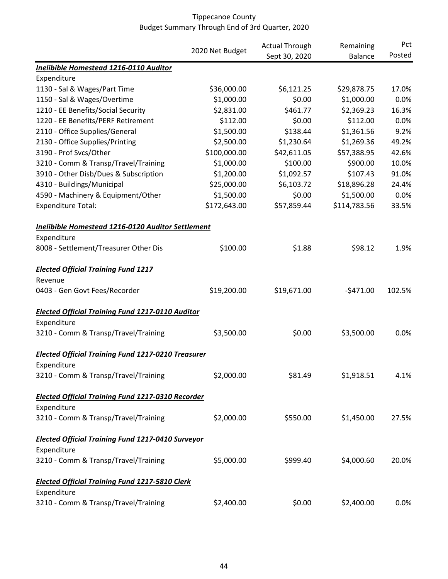|                                                           |                 | <b>Actual Through</b> | Remaining      | Pct    |
|-----------------------------------------------------------|-----------------|-----------------------|----------------|--------|
|                                                           | 2020 Net Budget | Sept 30, 2020         | <b>Balance</b> | Posted |
| Inelibible Homestead 1216-0110 Auditor                    |                 |                       |                |        |
| Expenditure                                               |                 |                       |                |        |
| 1130 - Sal & Wages/Part Time                              | \$36,000.00     | \$6,121.25            | \$29,878.75    | 17.0%  |
| 1150 - Sal & Wages/Overtime                               | \$1,000.00      | \$0.00                | \$1,000.00     | 0.0%   |
| 1210 - EE Benefits/Social Security                        | \$2,831.00      | \$461.77              | \$2,369.23     | 16.3%  |
| 1220 - EE Benefits/PERF Retirement                        | \$112.00        | \$0.00                | \$112.00       | 0.0%   |
| 2110 - Office Supplies/General                            | \$1,500.00      | \$138.44              | \$1,361.56     | 9.2%   |
| 2130 - Office Supplies/Printing                           | \$2,500.00      | \$1,230.64            | \$1,269.36     | 49.2%  |
| 3190 - Prof Svcs/Other                                    | \$100,000.00    | \$42,611.05           | \$57,388.95    | 42.6%  |
| 3210 - Comm & Transp/Travel/Training                      | \$1,000.00      | \$100.00              | \$900.00       | 10.0%  |
| 3910 - Other Disb/Dues & Subscription                     | \$1,200.00      | \$1,092.57            | \$107.43       | 91.0%  |
| 4310 - Buildings/Municipal                                | \$25,000.00     | \$6,103.72            | \$18,896.28    | 24.4%  |
| 4590 - Machinery & Equipment/Other                        | \$1,500.00      | \$0.00                | \$1,500.00     | 0.0%   |
| <b>Expenditure Total:</b>                                 | \$172,643.00    | \$57,859.44           | \$114,783.56   | 33.5%  |
| Inelibible Homestead 1216-0120 Auditor Settlement         |                 |                       |                |        |
| Expenditure                                               |                 |                       |                |        |
| 8008 - Settlement/Treasurer Other Dis                     | \$100.00        | \$1.88                | \$98.12        | 1.9%   |
| <b>Elected Official Training Fund 1217</b>                |                 |                       |                |        |
| Revenue                                                   |                 |                       |                |        |
| 0403 - Gen Govt Fees/Recorder                             | \$19,200.00     | \$19,671.00           | $-5471.00$     | 102.5% |
| <b>Elected Official Training Fund 1217-0110 Auditor</b>   |                 |                       |                |        |
| Expenditure                                               |                 |                       |                |        |
| 3210 - Comm & Transp/Travel/Training                      | \$3,500.00      | \$0.00                | \$3,500.00     | 0.0%   |
| <b>Elected Official Training Fund 1217-0210 Treasurer</b> |                 |                       |                |        |
| Expenditure                                               |                 |                       |                |        |
| 3210 - Comm & Transp/Travel/Training                      | \$2,000.00      | \$81.49               | \$1,918.51     | 4.1%   |
|                                                           |                 |                       |                |        |
| <b>Elected Official Training Fund 1217-0310 Recorder</b>  |                 |                       |                |        |
| Expenditure                                               |                 |                       |                |        |
| 3210 - Comm & Transp/Travel/Training                      | \$2,000.00      | \$550.00              | \$1,450.00     | 27.5%  |
| <b>Elected Official Training Fund 1217-0410 Surveyor</b>  |                 |                       |                |        |
| Expenditure                                               |                 |                       |                |        |
| 3210 - Comm & Transp/Travel/Training                      | \$5,000.00      | \$999.40              | \$4,000.60     | 20.0%  |
| <b>Elected Official Training Fund 1217-5810 Clerk</b>     |                 |                       |                |        |
| Expenditure                                               |                 |                       |                |        |
| 3210 - Comm & Transp/Travel/Training                      | \$2,400.00      | \$0.00                | \$2,400.00     | 0.0%   |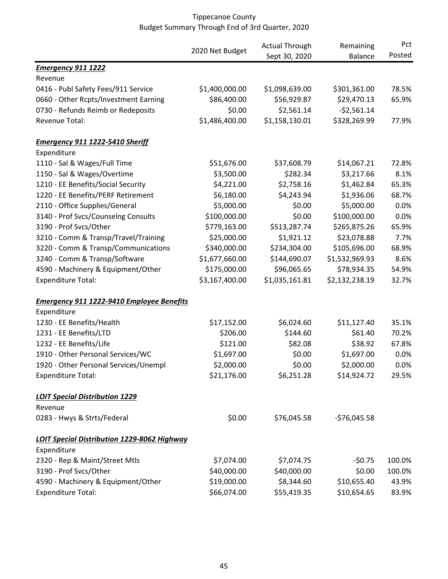|                                                    |                 | <b>Actual Through</b> | Remaining      | Pct    |
|----------------------------------------------------|-----------------|-----------------------|----------------|--------|
|                                                    | 2020 Net Budget | Sept 30, 2020         | <b>Balance</b> | Posted |
| <b>Emergency 911 1222</b>                          |                 |                       |                |        |
| Revenue                                            |                 |                       |                |        |
| 0416 - Publ Safety Fees/911 Service                | \$1,400,000.00  | \$1,098,639.00        | \$301,361.00   | 78.5%  |
| 0660 - Other Rcpts/Investment Earning              | \$86,400.00     | \$56,929.87           | \$29,470.13    | 65.9%  |
| 0730 - Refunds Reimb or Redeposits                 | \$0.00          | \$2,561.14            | $-52,561.14$   |        |
| Revenue Total:                                     | \$1,486,400.00  | \$1,158,130.01        | \$328,269.99   | 77.9%  |
| <b>Emergency 911 1222-5410 Sheriff</b>             |                 |                       |                |        |
| Expenditure                                        |                 |                       |                |        |
| 1110 - Sal & Wages/Full Time                       | \$51,676.00     | \$37,608.79           | \$14,067.21    | 72.8%  |
| 1150 - Sal & Wages/Overtime                        | \$3,500.00      | \$282.34              | \$3,217.66     | 8.1%   |
| 1210 - EE Benefits/Social Security                 | \$4,221.00      | \$2,758.16            | \$1,462.84     | 65.3%  |
| 1220 - EE Benefits/PERF Retirement                 | \$6,180.00      | \$4,243.94            | \$1,936.06     | 68.7%  |
| 2110 - Office Supplies/General                     | \$5,000.00      | \$0.00                | \$5,000.00     | 0.0%   |
| 3140 - Prof Svcs/Counselng Consults                | \$100,000.00    | \$0.00                | \$100,000.00   | 0.0%   |
| 3190 - Prof Svcs/Other                             | \$779,163.00    | \$513,287.74          | \$265,875.26   | 65.9%  |
| 3210 - Comm & Transp/Travel/Training               | \$25,000.00     | \$1,921.12            | \$23,078.88    | 7.7%   |
| 3220 - Comm & Transp/Communications                | \$340,000.00    | \$234,304.00          | \$105,696.00   | 68.9%  |
| 3240 - Comm & Transp/Software                      | \$1,677,660.00  | \$144,690.07          | \$1,532,969.93 | 8.6%   |
| 4590 - Machinery & Equipment/Other                 | \$175,000.00    | \$96,065.65           | \$78,934.35    | 54.9%  |
| <b>Expenditure Total:</b>                          | \$3,167,400.00  | \$1,035,161.81        | \$2,132,238.19 | 32.7%  |
| <b>Emergency 911 1222-9410 Employee Benefits</b>   |                 |                       |                |        |
| Expenditure                                        |                 |                       |                |        |
| 1230 - EE Benefits/Health                          | \$17,152.00     | \$6,024.60            | \$11,127.40    | 35.1%  |
| 1231 - EE Benefits/LTD                             | \$206.00        | \$144.60              | \$61.40        | 70.2%  |
| 1232 - EE Benefits/Life                            | \$121.00        | \$82.08               | \$38.92        | 67.8%  |
| 1910 - Other Personal Services/WC                  | \$1,697.00      | \$0.00                | \$1,697.00     | 0.0%   |
| 1920 - Other Personal Services/Unempl              | \$2,000.00      | \$0.00                | \$2,000.00     | 0.0%   |
| <b>Expenditure Total:</b>                          | \$21,176.00     | \$6,251.28            | \$14,924.72    | 29.5%  |
| <b>LOIT Special Distribution 1229</b>              |                 |                       |                |        |
| Revenue                                            |                 |                       |                |        |
| 0283 - Hwys & Strts/Federal                        | \$0.00          | \$76,045.58           | $-576,045.58$  |        |
| <b>LOIT Special Distribution 1229-8062 Highway</b> |                 |                       |                |        |
| Expenditure                                        |                 |                       |                |        |
| 2320 - Rep & Maint/Street Mtls                     | \$7,074.00      | \$7,074.75            | $-50.75$       | 100.0% |
| 3190 - Prof Svcs/Other                             | \$40,000.00     | \$40,000.00           | \$0.00         | 100.0% |
| 4590 - Machinery & Equipment/Other                 | \$19,000.00     | \$8,344.60            | \$10,655.40    | 43.9%  |
| <b>Expenditure Total:</b>                          | \$66,074.00     | \$55,419.35           | \$10,654.65    | 83.9%  |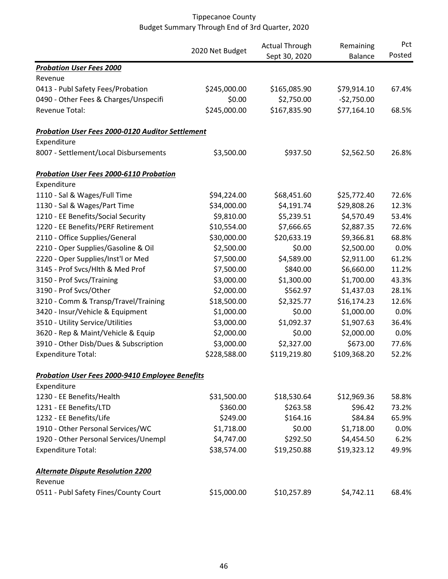|                                                         |                 | <b>Actual Through</b> | Remaining      | Pct    |
|---------------------------------------------------------|-----------------|-----------------------|----------------|--------|
|                                                         | 2020 Net Budget | Sept 30, 2020         | <b>Balance</b> | Posted |
| <b>Probation User Fees 2000</b>                         |                 |                       |                |        |
| Revenue                                                 |                 |                       |                |        |
| 0413 - Publ Safety Fees/Probation                       | \$245,000.00    | \$165,085.90          | \$79,914.10    | 67.4%  |
| 0490 - Other Fees & Charges/Unspecifi                   | \$0.00          | \$2,750.00            | $-$2,750.00$   |        |
| Revenue Total:                                          | \$245,000.00    | \$167,835.90          | \$77,164.10    | 68.5%  |
| <b>Probation User Fees 2000-0120 Auditor Settlement</b> |                 |                       |                |        |
| Expenditure                                             |                 |                       |                |        |
| 8007 - Settlement/Local Disbursements                   | \$3,500.00      | \$937.50              | \$2,562.50     | 26.8%  |
| <b>Probation User Fees 2000-6110 Probation</b>          |                 |                       |                |        |
| Expenditure                                             |                 |                       |                |        |
| 1110 - Sal & Wages/Full Time                            | \$94,224.00     | \$68,451.60           | \$25,772.40    | 72.6%  |
| 1130 - Sal & Wages/Part Time                            | \$34,000.00     | \$4,191.74            | \$29,808.26    | 12.3%  |
| 1210 - EE Benefits/Social Security                      | \$9,810.00      | \$5,239.51            | \$4,570.49     | 53.4%  |
| 1220 - EE Benefits/PERF Retirement                      | \$10,554.00     | \$7,666.65            | \$2,887.35     | 72.6%  |
| 2110 - Office Supplies/General                          | \$30,000.00     | \$20,633.19           | \$9,366.81     | 68.8%  |
| 2210 - Oper Supplies/Gasoline & Oil                     | \$2,500.00      | \$0.00                | \$2,500.00     | 0.0%   |
| 2220 - Oper Supplies/Inst'l or Med                      | \$7,500.00      | \$4,589.00            | \$2,911.00     | 61.2%  |
| 3145 - Prof Svcs/Hlth & Med Prof                        | \$7,500.00      | \$840.00              | \$6,660.00     | 11.2%  |
| 3150 - Prof Svcs/Training                               | \$3,000.00      | \$1,300.00            | \$1,700.00     | 43.3%  |
| 3190 - Prof Svcs/Other                                  | \$2,000.00      | \$562.97              | \$1,437.03     | 28.1%  |
| 3210 - Comm & Transp/Travel/Training                    | \$18,500.00     | \$2,325.77            | \$16,174.23    | 12.6%  |
| 3420 - Insur/Vehicle & Equipment                        | \$1,000.00      | \$0.00                | \$1,000.00     | 0.0%   |
| 3510 - Utility Service/Utilities                        | \$3,000.00      | \$1,092.37            | \$1,907.63     | 36.4%  |
| 3620 - Rep & Maint/Vehicle & Equip                      | \$2,000.00      | \$0.00                | \$2,000.00     | 0.0%   |
| 3910 - Other Disb/Dues & Subscription                   | \$3,000.00      | \$2,327.00            | \$673.00       | 77.6%  |
| <b>Expenditure Total:</b>                               | \$228,588.00    | \$119,219.80          | \$109,368.20   | 52.2%  |
| <b>Probation User Fees 2000-9410 Employee Benefits</b>  |                 |                       |                |        |
| Expenditure                                             |                 |                       |                |        |
| 1230 - EE Benefits/Health                               | \$31,500.00     | \$18,530.64           | \$12,969.36    | 58.8%  |
| 1231 - EE Benefits/LTD                                  | \$360.00        | \$263.58              | \$96.42        | 73.2%  |
| 1232 - EE Benefits/Life                                 | \$249.00        | \$164.16              | \$84.84        | 65.9%  |
| 1910 - Other Personal Services/WC                       | \$1,718.00      | \$0.00                | \$1,718.00     | 0.0%   |
| 1920 - Other Personal Services/Unempl                   | \$4,747.00      | \$292.50              | \$4,454.50     | 6.2%   |
| <b>Expenditure Total:</b>                               | \$38,574.00     | \$19,250.88           | \$19,323.12    | 49.9%  |
| <b>Alternate Dispute Resolution 2200</b>                |                 |                       |                |        |
| Revenue                                                 |                 |                       |                |        |
| 0511 - Publ Safety Fines/County Court                   | \$15,000.00     | \$10,257.89           | \$4,742.11     | 68.4%  |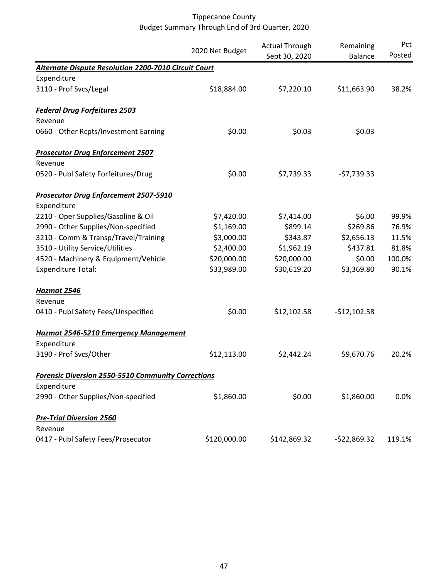|                                                             | 2020 Net Budget | <b>Actual Through</b><br>Sept 30, 2020 | Remaining<br><b>Balance</b> | Pct<br>Posted |
|-------------------------------------------------------------|-----------------|----------------------------------------|-----------------------------|---------------|
| <b>Alternate Dispute Resolution 2200-7010 Circuit Court</b> |                 |                                        |                             |               |
| Expenditure                                                 |                 |                                        |                             |               |
| 3110 - Prof Svcs/Legal                                      | \$18,884.00     | \$7,220.10                             | \$11,663.90                 | 38.2%         |
| <b>Federal Drug Forfeitures 2503</b>                        |                 |                                        |                             |               |
| Revenue                                                     |                 |                                        |                             |               |
| 0660 - Other Rcpts/Investment Earning                       | \$0.00          | \$0.03                                 | $-50.03$                    |               |
| <b>Prosecutor Drug Enforcement 2507</b>                     |                 |                                        |                             |               |
| Revenue                                                     |                 |                                        |                             |               |
| 0520 - Publ Safety Forfeitures/Drug                         | \$0.00          | \$7,739.33                             | $-57,739.33$                |               |
| <b>Prosecutor Drug Enforcement 2507-5910</b>                |                 |                                        |                             |               |
| Expenditure                                                 |                 |                                        |                             |               |
| 2210 - Oper Supplies/Gasoline & Oil                         | \$7,420.00      | \$7,414.00                             | \$6.00                      | 99.9%         |
| 2990 - Other Supplies/Non-specified                         | \$1,169.00      | \$899.14                               | \$269.86                    | 76.9%         |
| 3210 - Comm & Transp/Travel/Training                        | \$3,000.00      | \$343.87                               | \$2,656.13                  | 11.5%         |
| 3510 - Utility Service/Utilities                            | \$2,400.00      | \$1,962.19                             | \$437.81                    | 81.8%         |
| 4520 - Machinery & Equipment/Vehicle                        | \$20,000.00     | \$20,000.00                            | \$0.00                      | 100.0%        |
| <b>Expenditure Total:</b>                                   | \$33,989.00     | \$30,619.20                            | \$3,369.80                  | 90.1%         |
| <b>Hazmat 2546</b>                                          |                 |                                        |                             |               |
| Revenue                                                     |                 |                                        |                             |               |
| 0410 - Publ Safety Fees/Unspecified                         | \$0.00          | \$12,102.58                            | $-$12,102.58$               |               |
| <b>Hazmat 2546-5210 Emergency Management</b>                |                 |                                        |                             |               |
| Expenditure                                                 |                 |                                        |                             |               |
| 3190 - Prof Svcs/Other                                      | \$12,113.00     | \$2,442.24                             | \$9,670.76                  | 20.2%         |
| <b>Forensic Diversion 2550-5510 Community Corrections</b>   |                 |                                        |                             |               |
| Expenditure                                                 |                 |                                        |                             |               |
| 2990 - Other Supplies/Non-specified                         | \$1,860.00      | \$0.00                                 | \$1,860.00                  | 0.0%          |
| <b>Pre-Trial Diversion 2560</b>                             |                 |                                        |                             |               |
| Revenue                                                     |                 |                                        |                             |               |
| 0417 - Publ Safety Fees/Prosecutor                          | \$120,000.00    | \$142,869.32                           | $-$22,869.32$               | 119.1%        |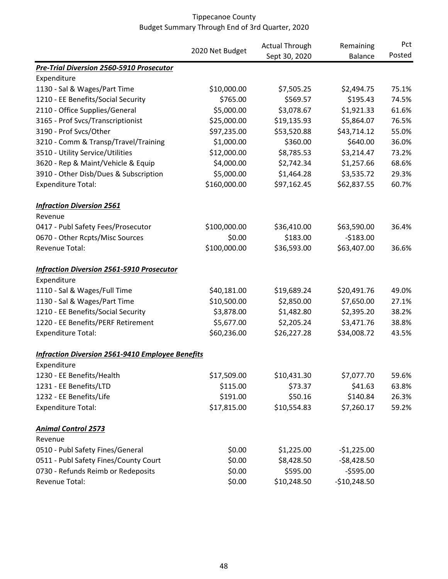|                                                         |                 | <b>Actual Through</b> | Remaining      | Pct    |
|---------------------------------------------------------|-----------------|-----------------------|----------------|--------|
|                                                         | 2020 Net Budget | Sept 30, 2020         | <b>Balance</b> | Posted |
| <b>Pre-Trial Diversion 2560-5910 Prosecutor</b>         |                 |                       |                |        |
| Expenditure                                             |                 |                       |                |        |
| 1130 - Sal & Wages/Part Time                            | \$10,000.00     | \$7,505.25            | \$2,494.75     | 75.1%  |
| 1210 - EE Benefits/Social Security                      | \$765.00        | \$569.57              | \$195.43       | 74.5%  |
| 2110 - Office Supplies/General                          | \$5,000.00      | \$3,078.67            | \$1,921.33     | 61.6%  |
| 3165 - Prof Svcs/Transcriptionist                       | \$25,000.00     | \$19,135.93           | \$5,864.07     | 76.5%  |
| 3190 - Prof Svcs/Other                                  | \$97,235.00     | \$53,520.88           | \$43,714.12    | 55.0%  |
| 3210 - Comm & Transp/Travel/Training                    | \$1,000.00      | \$360.00              | \$640.00       | 36.0%  |
| 3510 - Utility Service/Utilities                        | \$12,000.00     | \$8,785.53            | \$3,214.47     | 73.2%  |
| 3620 - Rep & Maint/Vehicle & Equip                      | \$4,000.00      | \$2,742.34            | \$1,257.66     | 68.6%  |
| 3910 - Other Disb/Dues & Subscription                   | \$5,000.00      | \$1,464.28            | \$3,535.72     | 29.3%  |
| <b>Expenditure Total:</b>                               | \$160,000.00    | \$97,162.45           | \$62,837.55    | 60.7%  |
| <b>Infraction Diversion 2561</b>                        |                 |                       |                |        |
| Revenue                                                 |                 |                       |                |        |
| 0417 - Publ Safety Fees/Prosecutor                      | \$100,000.00    | \$36,410.00           | \$63,590.00    | 36.4%  |
| 0670 - Other Rcpts/Misc Sources                         | \$0.00          | \$183.00              | $-$183.00$     |        |
| Revenue Total:                                          | \$100,000.00    | \$36,593.00           | \$63,407.00    | 36.6%  |
| <b>Infraction Diversion 2561-5910 Prosecutor</b>        |                 |                       |                |        |
| Expenditure                                             |                 |                       |                |        |
| 1110 - Sal & Wages/Full Time                            | \$40,181.00     | \$19,689.24           | \$20,491.76    | 49.0%  |
| 1130 - Sal & Wages/Part Time                            | \$10,500.00     | \$2,850.00            | \$7,650.00     | 27.1%  |
| 1210 - EE Benefits/Social Security                      | \$3,878.00      | \$1,482.80            | \$2,395.20     | 38.2%  |
| 1220 - EE Benefits/PERF Retirement                      | \$5,677.00      | \$2,205.24            | \$3,471.76     | 38.8%  |
| <b>Expenditure Total:</b>                               | \$60,236.00     | \$26,227.28           | \$34,008.72    | 43.5%  |
| <b>Infraction Diversion 2561-9410 Employee Benefits</b> |                 |                       |                |        |
| Expenditure                                             |                 |                       |                |        |
| 1230 - EE Benefits/Health                               | \$17,509.00     | \$10,431.30           | \$7,077.70     | 59.6%  |
| 1231 - EE Benefits/LTD                                  | \$115.00        | \$73.37               | \$41.63        | 63.8%  |
| 1232 - EE Benefits/Life                                 | \$191.00        | \$50.16               | \$140.84       | 26.3%  |
| <b>Expenditure Total:</b>                               | \$17,815.00     | \$10,554.83           | \$7,260.17     | 59.2%  |
| <b>Animal Control 2573</b>                              |                 |                       |                |        |
| Revenue                                                 |                 |                       |                |        |
| 0510 - Publ Safety Fines/General                        | \$0.00          | \$1,225.00            | $-$1,225.00$   |        |
| 0511 - Publ Safety Fines/County Court                   | \$0.00          | \$8,428.50            | $-$8,428.50$   |        |
| 0730 - Refunds Reimb or Redeposits                      | \$0.00          | \$595.00              | $-$595.00$     |        |
| Revenue Total:                                          | \$0.00          | \$10,248.50           | $-$10,248.50$  |        |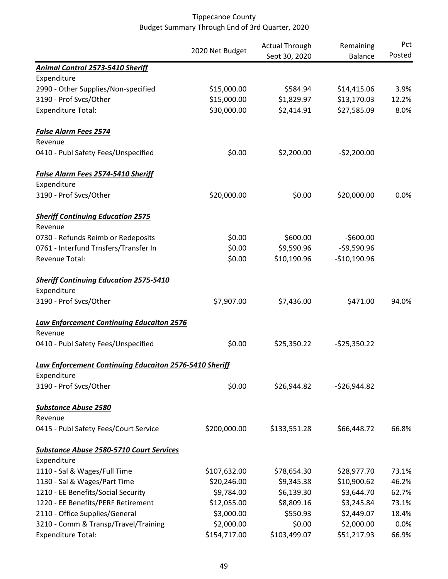|                                                        |                 | <b>Actual Through</b> | Remaining      | Pct    |
|--------------------------------------------------------|-----------------|-----------------------|----------------|--------|
|                                                        | 2020 Net Budget | Sept 30, 2020         | <b>Balance</b> | Posted |
| Animal Control 2573-5410 Sheriff                       |                 |                       |                |        |
| Expenditure                                            |                 |                       |                |        |
| 2990 - Other Supplies/Non-specified                    | \$15,000.00     | \$584.94              | \$14,415.06    | 3.9%   |
| 3190 - Prof Svcs/Other                                 | \$15,000.00     | \$1,829.97            | \$13,170.03    | 12.2%  |
| <b>Expenditure Total:</b>                              | \$30,000.00     | \$2,414.91            | \$27,585.09    | 8.0%   |
| <b>False Alarm Fees 2574</b>                           |                 |                       |                |        |
| Revenue                                                |                 |                       |                |        |
| 0410 - Publ Safety Fees/Unspecified                    | \$0.00          | \$2,200.00            | $-52,200.00$   |        |
| <b>False Alarm Fees 2574-5410 Sheriff</b>              |                 |                       |                |        |
| Expenditure                                            |                 |                       |                |        |
| 3190 - Prof Svcs/Other                                 | \$20,000.00     | \$0.00                | \$20,000.00    | 0.0%   |
| <b>Sheriff Continuing Education 2575</b>               |                 |                       |                |        |
| Revenue                                                |                 |                       |                |        |
| 0730 - Refunds Reimb or Redeposits                     | \$0.00          | \$600.00              | $-$600.00$     |        |
| 0761 - Interfund Trnsfers/Transfer In                  | \$0.00          | \$9,590.96            | $-59,590.96$   |        |
| Revenue Total:                                         | \$0.00          | \$10,190.96           | $-$10,190.96$  |        |
| <b>Sheriff Continuing Education 2575-5410</b>          |                 |                       |                |        |
| Expenditure                                            |                 |                       |                |        |
| 3190 - Prof Svcs/Other                                 | \$7,907.00      | \$7,436.00            | \$471.00       | 94.0%  |
| <b>Law Enforcement Continuing Educaiton 2576</b>       |                 |                       |                |        |
| Revenue                                                |                 |                       |                |        |
| 0410 - Publ Safety Fees/Unspecified                    | \$0.00          | \$25,350.22           | $-525,350.22$  |        |
| Law Enforcement Continuing Educaiton 2576-5410 Sheriff |                 |                       |                |        |
| Expenditure                                            |                 |                       |                |        |
| 3190 - Prof Svcs/Other                                 | \$0.00          | \$26,944.82           | $-526,944.82$  |        |
| <b>Substance Abuse 2580</b>                            |                 |                       |                |        |
| Revenue                                                |                 |                       |                |        |
| 0415 - Publ Safety Fees/Court Service                  | \$200,000.00    | \$133,551.28          | \$66,448.72    | 66.8%  |
| <b>Substance Abuse 2580-5710 Court Services</b>        |                 |                       |                |        |
| Expenditure                                            |                 |                       |                |        |
| 1110 - Sal & Wages/Full Time                           | \$107,632.00    | \$78,654.30           | \$28,977.70    | 73.1%  |
| 1130 - Sal & Wages/Part Time                           | \$20,246.00     | \$9,345.38            | \$10,900.62    | 46.2%  |
| 1210 - EE Benefits/Social Security                     | \$9,784.00      | \$6,139.30            | \$3,644.70     | 62.7%  |
| 1220 - EE Benefits/PERF Retirement                     | \$12,055.00     | \$8,809.16            | \$3,245.84     | 73.1%  |
| 2110 - Office Supplies/General                         | \$3,000.00      | \$550.93              | \$2,449.07     | 18.4%  |
| 3210 - Comm & Transp/Travel/Training                   | \$2,000.00      | \$0.00                | \$2,000.00     | 0.0%   |
| <b>Expenditure Total:</b>                              | \$154,717.00    | \$103,499.07          | \$51,217.93    | 66.9%  |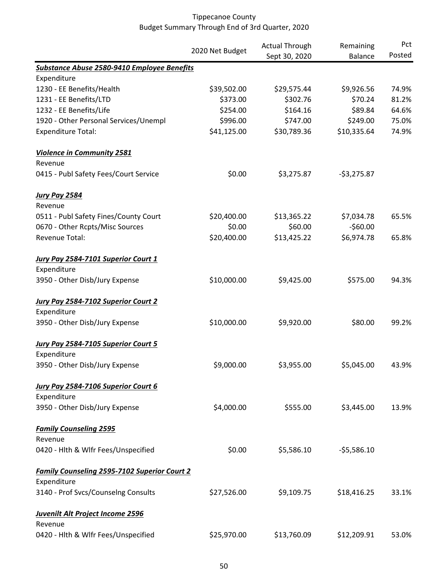|                                                     |                 | <b>Actual Through</b><br>Sept 30, 2020 | Remaining      | Pct<br>Posted |
|-----------------------------------------------------|-----------------|----------------------------------------|----------------|---------------|
|                                                     | 2020 Net Budget |                                        | <b>Balance</b> |               |
| Substance Abuse 2580-9410 Employee Benefits         |                 |                                        |                |               |
| Expenditure                                         |                 |                                        |                |               |
| 1230 - EE Benefits/Health                           | \$39,502.00     | \$29,575.44                            | \$9,926.56     | 74.9%         |
| 1231 - EE Benefits/LTD                              | \$373.00        | \$302.76                               | \$70.24        | 81.2%         |
| 1232 - EE Benefits/Life                             | \$254.00        | \$164.16                               | \$89.84        | 64.6%         |
| 1920 - Other Personal Services/Unempl               | \$996.00        | \$747.00                               | \$249.00       | 75.0%         |
| <b>Expenditure Total:</b>                           | \$41,125.00     | \$30,789.36                            | \$10,335.64    | 74.9%         |
| <b>Violence in Community 2581</b>                   |                 |                                        |                |               |
| Revenue                                             |                 |                                        |                |               |
| 0415 - Publ Safety Fees/Court Service               | \$0.00          | \$3,275.87                             | $-53,275.87$   |               |
| <b>Jury Pay 2584</b>                                |                 |                                        |                |               |
| Revenue                                             |                 |                                        |                |               |
| 0511 - Publ Safety Fines/County Court               | \$20,400.00     | \$13,365.22                            | \$7,034.78     | 65.5%         |
| 0670 - Other Rcpts/Misc Sources                     | \$0.00          | \$60.00                                | $-$60.00$      |               |
| Revenue Total:                                      | \$20,400.00     | \$13,425.22                            | \$6,974.78     | 65.8%         |
| <b>Jury Pay 2584-7101 Superior Court 1</b>          |                 |                                        |                |               |
| Expenditure                                         |                 |                                        |                |               |
| 3950 - Other Disb/Jury Expense                      | \$10,000.00     | \$9,425.00                             | \$575.00       | 94.3%         |
| Jury Pay 2584-7102 Superior Court 2                 |                 |                                        |                |               |
| Expenditure                                         |                 |                                        |                |               |
| 3950 - Other Disb/Jury Expense                      | \$10,000.00     | \$9,920.00                             | \$80.00        | 99.2%         |
| Jury Pay 2584-7105 Superior Court 5                 |                 |                                        |                |               |
| Expenditure                                         |                 |                                        |                |               |
| 3950 - Other Disb/Jury Expense                      | \$9,000.00      | \$3,955.00                             | \$5,045.00     | 43.9%         |
| Jury Pay 2584-7106 Superior Court 6                 |                 |                                        |                |               |
| Expenditure                                         |                 |                                        |                |               |
| 3950 - Other Disb/Jury Expense                      | \$4,000.00      | \$555.00                               | \$3,445.00     | 13.9%         |
| <b>Family Counseling 2595</b>                       |                 |                                        |                |               |
| Revenue                                             |                 |                                        |                |               |
| 0420 - Hlth & Wlfr Fees/Unspecified                 | \$0.00          | \$5,586.10                             | $-55,586.10$   |               |
| <b>Family Counseling 2595-7102 Superior Court 2</b> |                 |                                        |                |               |
| Expenditure                                         |                 |                                        |                |               |
| 3140 - Prof Svcs/Counselng Consults                 | \$27,526.00     | \$9,109.75                             | \$18,416.25    | 33.1%         |
| <b>Juvenilt Alt Project Income 2596</b>             |                 |                                        |                |               |
| Revenue                                             |                 |                                        |                |               |
| 0420 - Hlth & Wlfr Fees/Unspecified                 | \$25,970.00     | \$13,760.09                            | \$12,209.91    | 53.0%         |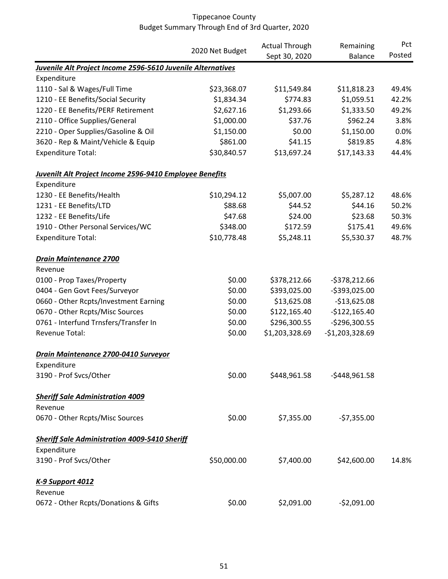|                                                                |                 | <b>Actual Through</b> | Remaining        | Pct    |
|----------------------------------------------------------------|-----------------|-----------------------|------------------|--------|
|                                                                | 2020 Net Budget | Sept 30, 2020         | Balance          | Posted |
| Juvenile Alt Project Income 2596-5610 Juvenile Alternatives    |                 |                       |                  |        |
| Expenditure                                                    |                 |                       |                  |        |
| 1110 - Sal & Wages/Full Time                                   | \$23,368.07     | \$11,549.84           | \$11,818.23      | 49.4%  |
| 1210 - EE Benefits/Social Security                             | \$1,834.34      | \$774.83              | \$1,059.51       | 42.2%  |
| 1220 - EE Benefits/PERF Retirement                             | \$2,627.16      | \$1,293.66            | \$1,333.50       | 49.2%  |
| 2110 - Office Supplies/General                                 | \$1,000.00      | \$37.76               | \$962.24         | 3.8%   |
| 2210 - Oper Supplies/Gasoline & Oil                            | \$1,150.00      | \$0.00                | \$1,150.00       | 0.0%   |
| 3620 - Rep & Maint/Vehicle & Equip                             | \$861.00        | \$41.15               | \$819.85         | 4.8%   |
| <b>Expenditure Total:</b>                                      | \$30,840.57     | \$13,697.24           | \$17,143.33      | 44.4%  |
| <b>Juvenilt Alt Project Income 2596-9410 Employee Benefits</b> |                 |                       |                  |        |
| Expenditure                                                    |                 |                       |                  |        |
| 1230 - EE Benefits/Health                                      | \$10,294.12     | \$5,007.00            | \$5,287.12       | 48.6%  |
| 1231 - EE Benefits/LTD                                         | \$88.68         | \$44.52               | \$44.16          | 50.2%  |
| 1232 - EE Benefits/Life                                        | \$47.68         | \$24.00               | \$23.68          | 50.3%  |
| 1910 - Other Personal Services/WC                              | \$348.00        | \$172.59              | \$175.41         | 49.6%  |
| <b>Expenditure Total:</b>                                      | \$10,778.48     | \$5,248.11            | \$5,530.37       | 48.7%  |
| <b>Drain Maintenance 2700</b>                                  |                 |                       |                  |        |
| Revenue                                                        |                 |                       |                  |        |
| 0100 - Prop Taxes/Property                                     | \$0.00          | \$378,212.66          | $-5378,212.66$   |        |
| 0404 - Gen Govt Fees/Surveyor                                  | \$0.00          | \$393,025.00          | -\$393,025.00    |        |
| 0660 - Other Rcpts/Investment Earning                          | \$0.00          | \$13,625.08           | $-$13,625.08$    |        |
| 0670 - Other Rcpts/Misc Sources                                | \$0.00          | \$122,165.40          | $-$122,165.40$   |        |
| 0761 - Interfund Trnsfers/Transfer In                          | \$0.00          | \$296,300.55          | -\$296,300.55    |        |
| Revenue Total:                                                 | \$0.00          | \$1,203,328.69        | $-$1,203,328.69$ |        |
| Drain Maintenance 2700-0410 Surveyor                           |                 |                       |                  |        |
| Expenditure                                                    |                 |                       |                  |        |
| 3190 - Prof Svcs/Other                                         | \$0.00          | \$448,961.58          | $-$448,961.58$   |        |
| <b>Sheriff Sale Administration 4009</b>                        |                 |                       |                  |        |
| Revenue                                                        |                 |                       |                  |        |
| 0670 - Other Rcpts/Misc Sources                                | \$0.00          | \$7,355.00            | $-57,355.00$     |        |
| <b>Sheriff Sale Administration 4009-5410 Sheriff</b>           |                 |                       |                  |        |
| Expenditure                                                    |                 |                       |                  |        |
| 3190 - Prof Svcs/Other                                         | \$50,000.00     | \$7,400.00            | \$42,600.00      | 14.8%  |
| <b>K-9 Support 4012</b>                                        |                 |                       |                  |        |
| Revenue                                                        |                 |                       |                  |        |
| 0672 - Other Rcpts/Donations & Gifts                           | \$0.00          | \$2,091.00            | $-$2,091.00$     |        |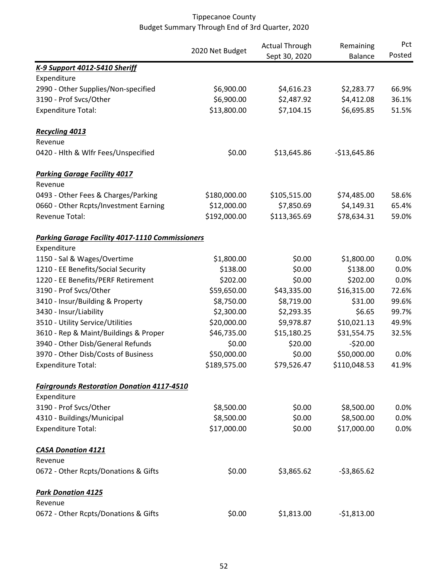|                                                        |                 | <b>Actual Through</b> | Remaining      | Pct    |
|--------------------------------------------------------|-----------------|-----------------------|----------------|--------|
|                                                        | 2020 Net Budget | Sept 30, 2020         | <b>Balance</b> | Posted |
| K-9 Support 4012-5410 Sheriff                          |                 |                       |                |        |
| Expenditure                                            |                 |                       |                |        |
| 2990 - Other Supplies/Non-specified                    | \$6,900.00      | \$4,616.23            | \$2,283.77     | 66.9%  |
| 3190 - Prof Svcs/Other                                 | \$6,900.00      | \$2,487.92            | \$4,412.08     | 36.1%  |
| <b>Expenditure Total:</b>                              | \$13,800.00     | \$7,104.15            | \$6,695.85     | 51.5%  |
| Recycling 4013                                         |                 |                       |                |        |
| Revenue                                                |                 |                       |                |        |
| 0420 - Hlth & Wlfr Fees/Unspecified                    | \$0.00          | \$13,645.86           | $-$13,645.86$  |        |
| <b>Parking Garage Facility 4017</b>                    |                 |                       |                |        |
| Revenue                                                |                 |                       |                |        |
| 0493 - Other Fees & Charges/Parking                    | \$180,000.00    | \$105,515.00          | \$74,485.00    | 58.6%  |
| 0660 - Other Rcpts/Investment Earning                  | \$12,000.00     | \$7,850.69            | \$4,149.31     | 65.4%  |
| Revenue Total:                                         | \$192,000.00    | \$113,365.69          | \$78,634.31    | 59.0%  |
| <b>Parking Garage Facility 4017-1110 Commissioners</b> |                 |                       |                |        |
| Expenditure                                            |                 |                       |                |        |
| 1150 - Sal & Wages/Overtime                            | \$1,800.00      | \$0.00                | \$1,800.00     | 0.0%   |
| 1210 - EE Benefits/Social Security                     | \$138.00        | \$0.00                | \$138.00       | 0.0%   |
| 1220 - EE Benefits/PERF Retirement                     | \$202.00        | \$0.00                | \$202.00       | 0.0%   |
| 3190 - Prof Svcs/Other                                 | \$59,650.00     | \$43,335.00           | \$16,315.00    | 72.6%  |
| 3410 - Insur/Building & Property                       | \$8,750.00      | \$8,719.00            | \$31.00        | 99.6%  |
| 3430 - Insur/Liability                                 | \$2,300.00      | \$2,293.35            | \$6.65         | 99.7%  |
| 3510 - Utility Service/Utilities                       | \$20,000.00     | \$9,978.87            | \$10,021.13    | 49.9%  |
| 3610 - Rep & Maint/Buildings & Proper                  | \$46,735.00     | \$15,180.25           | \$31,554.75    | 32.5%  |
| 3940 - Other Disb/General Refunds                      | \$0.00          | \$20.00               | $-520.00$      |        |
| 3970 - Other Disb/Costs of Business                    | \$50,000.00     | \$0.00                | \$50,000.00    | 0.0%   |
| <b>Expenditure Total:</b>                              | \$189,575.00    | \$79,526.47           | \$110,048.53   | 41.9%  |
| <b>Fairgrounds Restoration Donation 4117-4510</b>      |                 |                       |                |        |
| Expenditure                                            |                 |                       |                |        |
| 3190 - Prof Svcs/Other                                 | \$8,500.00      | \$0.00                | \$8,500.00     | 0.0%   |
| 4310 - Buildings/Municipal                             | \$8,500.00      | \$0.00                | \$8,500.00     | 0.0%   |
| <b>Expenditure Total:</b>                              | \$17,000.00     | \$0.00                | \$17,000.00    | 0.0%   |
| <b>CASA Donation 4121</b>                              |                 |                       |                |        |
| Revenue                                                |                 |                       |                |        |
| 0672 - Other Rcpts/Donations & Gifts                   | \$0.00          | \$3,865.62            | $-53,865.62$   |        |
| <b>Park Donation 4125</b>                              |                 |                       |                |        |
| Revenue                                                |                 |                       |                |        |
| 0672 - Other Rcpts/Donations & Gifts                   | \$0.00          | \$1,813.00            | $-$1,813.00$   |        |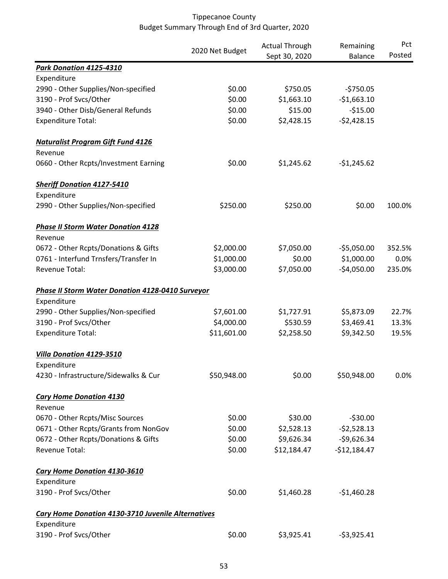|                                                           | 2020 Net Budget | <b>Actual Through</b> | Remaining      | Pct    |
|-----------------------------------------------------------|-----------------|-----------------------|----------------|--------|
|                                                           |                 | Sept 30, 2020         | <b>Balance</b> | Posted |
| Park Donation 4125-4310                                   |                 |                       |                |        |
| Expenditure                                               |                 |                       |                |        |
| 2990 - Other Supplies/Non-specified                       | \$0.00          | \$750.05              | $-5750.05$     |        |
| 3190 - Prof Svcs/Other                                    | \$0.00          | \$1,663.10            | $-$1,663.10$   |        |
| 3940 - Other Disb/General Refunds                         | \$0.00          | \$15.00               | $-$15.00$      |        |
| <b>Expenditure Total:</b>                                 | \$0.00          | \$2,428.15            | $-52,428.15$   |        |
| <b>Naturalist Program Gift Fund 4126</b>                  |                 |                       |                |        |
| Revenue                                                   |                 |                       |                |        |
| 0660 - Other Rcpts/Investment Earning                     | \$0.00          | \$1,245.62            | $-$1,245.62$   |        |
| <b>Sheriff Donation 4127-5410</b>                         |                 |                       |                |        |
| Expenditure                                               |                 |                       |                |        |
| 2990 - Other Supplies/Non-specified                       | \$250.00        | \$250.00              | \$0.00         | 100.0% |
| <b>Phase II Storm Water Donation 4128</b>                 |                 |                       |                |        |
| Revenue                                                   |                 |                       |                |        |
| 0672 - Other Rcpts/Donations & Gifts                      | \$2,000.00      | \$7,050.00            | $-55,050.00$   | 352.5% |
| 0761 - Interfund Trnsfers/Transfer In                     | \$1,000.00      | \$0.00                | \$1,000.00     | 0.0%   |
| Revenue Total:                                            | \$3,000.00      | \$7,050.00            | $-$4,050.00$   | 235.0% |
| <b>Phase II Storm Water Donation 4128-0410 Surveyor</b>   |                 |                       |                |        |
| Expenditure                                               |                 |                       |                |        |
| 2990 - Other Supplies/Non-specified                       | \$7,601.00      | \$1,727.91            | \$5,873.09     | 22.7%  |
| 3190 - Prof Svcs/Other                                    | \$4,000.00      | \$530.59              | \$3,469.41     | 13.3%  |
| <b>Expenditure Total:</b>                                 | \$11,601.00     | \$2,258.50            | \$9,342.50     | 19.5%  |
| Villa Donation 4129-3510                                  |                 |                       |                |        |
| Expenditure                                               |                 |                       |                |        |
| 4230 - Infrastructure/Sidewalks & Cur                     | \$50,948.00     | \$0.00                | \$50,948.00    | 0.0%   |
| <b>Cary Home Donation 4130</b>                            |                 |                       |                |        |
| Revenue                                                   |                 |                       |                |        |
| 0670 - Other Rcpts/Misc Sources                           | \$0.00          | \$30.00               | $-530.00$      |        |
| 0671 - Other Rcpts/Grants from NonGov                     | \$0.00          | \$2,528.13            | $-52,528.13$   |        |
| 0672 - Other Rcpts/Donations & Gifts                      | \$0.00          | \$9,626.34            | $-59,626.34$   |        |
| Revenue Total:                                            | \$0.00          | \$12,184.47           | $-$12,184.47$  |        |
| <b>Cary Home Donation 4130-3610</b>                       |                 |                       |                |        |
| Expenditure                                               |                 |                       |                |        |
| 3190 - Prof Svcs/Other                                    | \$0.00          | \$1,460.28            | $-$1,460.28$   |        |
| <b>Cary Home Donation 4130-3710 Juvenile Alternatives</b> |                 |                       |                |        |
| Expenditure                                               |                 |                       |                |        |
| 3190 - Prof Svcs/Other                                    | \$0.00          | \$3,925.41            | $-53,925.41$   |        |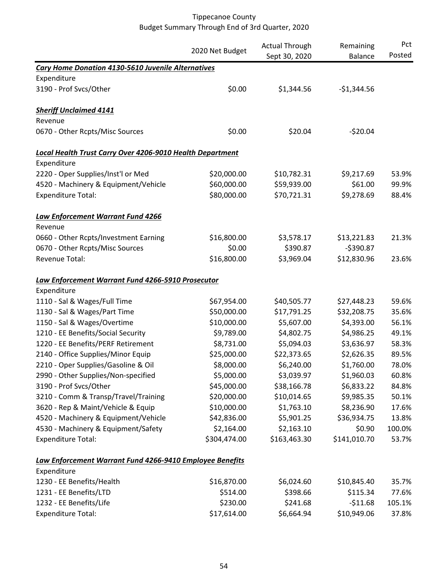|                                                           |                 | <b>Actual Through</b> | Remaining      | Pct    |
|-----------------------------------------------------------|-----------------|-----------------------|----------------|--------|
|                                                           | 2020 Net Budget | Sept 30, 2020         | <b>Balance</b> | Posted |
| <b>Cary Home Donation 4130-5610 Juvenile Alternatives</b> |                 |                       |                |        |
| Expenditure                                               |                 |                       |                |        |
| 3190 - Prof Svcs/Other                                    | \$0.00          | \$1,344.56            | $-$1,344.56$   |        |
| <b>Sheriff Unclaimed 4141</b>                             |                 |                       |                |        |
| Revenue                                                   |                 |                       |                |        |
| 0670 - Other Rcpts/Misc Sources                           | \$0.00          | \$20.04               | $-520.04$      |        |
| Local Health Trust Carry Over 4206-9010 Health Department |                 |                       |                |        |
| Expenditure                                               |                 |                       |                |        |
| 2220 - Oper Supplies/Inst'l or Med                        | \$20,000.00     | \$10,782.31           | \$9,217.69     | 53.9%  |
| 4520 - Machinery & Equipment/Vehicle                      | \$60,000.00     | \$59,939.00           | \$61.00        | 99.9%  |
| <b>Expenditure Total:</b>                                 | \$80,000.00     | \$70,721.31           | \$9,278.69     | 88.4%  |
| Law Enforcement Warrant Fund 4266                         |                 |                       |                |        |
| Revenue                                                   |                 |                       |                |        |
| 0660 - Other Rcpts/Investment Earning                     | \$16,800.00     | \$3,578.17            | \$13,221.83    | 21.3%  |
| 0670 - Other Rcpts/Misc Sources                           | \$0.00          | \$390.87              | $-5390.87$     |        |
| Revenue Total:                                            | \$16,800.00     | \$3,969.04            | \$12,830.96    | 23.6%  |
| Law Enforcement Warrant Fund 4266-5910 Prosecutor         |                 |                       |                |        |
| Expenditure                                               |                 |                       |                |        |
| 1110 - Sal & Wages/Full Time                              | \$67,954.00     | \$40,505.77           | \$27,448.23    | 59.6%  |
| 1130 - Sal & Wages/Part Time                              | \$50,000.00     | \$17,791.25           | \$32,208.75    | 35.6%  |
| 1150 - Sal & Wages/Overtime                               | \$10,000.00     | \$5,607.00            | \$4,393.00     | 56.1%  |
| 1210 - EE Benefits/Social Security                        | \$9,789.00      | \$4,802.75            | \$4,986.25     | 49.1%  |
| 1220 - EE Benefits/PERF Retirement                        | \$8,731.00      | \$5,094.03            | \$3,636.97     | 58.3%  |
| 2140 - Office Supplies/Minor Equip                        | \$25,000.00     | \$22,373.65           | \$2,626.35     | 89.5%  |
| 2210 - Oper Supplies/Gasoline & Oil                       | \$8,000.00      | \$6,240.00            | \$1,760.00     | 78.0%  |
| 2990 - Other Supplies/Non-specified                       | \$5,000.00      | \$3,039.97            | \$1,960.03     | 60.8%  |
| 3190 - Prof Svcs/Other                                    | \$45,000.00     | \$38,166.78           | \$6,833.22     | 84.8%  |
| 3210 - Comm & Transp/Travel/Training                      | \$20,000.00     | \$10,014.65           | \$9,985.35     | 50.1%  |
| 3620 - Rep & Maint/Vehicle & Equip                        | \$10,000.00     | \$1,763.10            | \$8,236.90     | 17.6%  |
| 4520 - Machinery & Equipment/Vehicle                      | \$42,836.00     | \$5,901.25            | \$36,934.75    | 13.8%  |
| 4530 - Machinery & Equipment/Safety                       | \$2,164.00      | \$2,163.10            | \$0.90         | 100.0% |
| <b>Expenditure Total:</b>                                 | \$304,474.00    | \$163,463.30          | \$141,010.70   | 53.7%  |
| Law Enforcement Warrant Fund 4266-9410 Employee Benefits  |                 |                       |                |        |
| Expenditure                                               |                 |                       |                |        |
| 1230 - EE Benefits/Health                                 | \$16,870.00     | \$6,024.60            | \$10,845.40    | 35.7%  |
| 1231 - EE Benefits/LTD                                    | \$514.00        | \$398.66              | \$115.34       | 77.6%  |
| 1232 - EE Benefits/Life                                   | \$230.00        | \$241.68              | $-$11.68$      | 105.1% |
| <b>Expenditure Total:</b>                                 | \$17,614.00     | \$6,664.94            | \$10,949.06    | 37.8%  |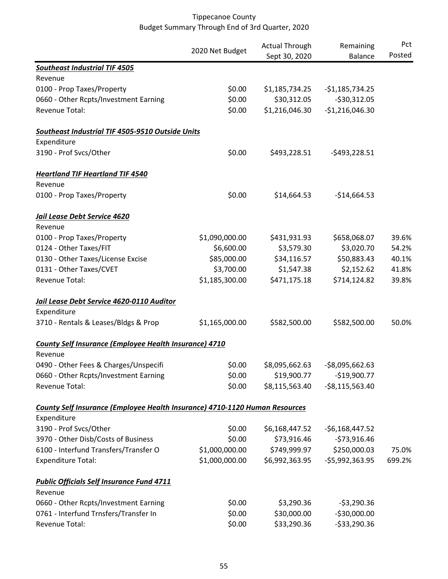|                                                                             | 2020 Net Budget | <b>Actual Through</b><br>Remaining | Pct              |        |
|-----------------------------------------------------------------------------|-----------------|------------------------------------|------------------|--------|
|                                                                             |                 | Sept 30, 2020                      | <b>Balance</b>   | Posted |
| <b>Southeast Industrial TIF 4505</b>                                        |                 |                                    |                  |        |
| Revenue                                                                     |                 |                                    |                  |        |
| 0100 - Prop Taxes/Property                                                  | \$0.00          | \$1,185,734.25                     | $-51,185,734.25$ |        |
| 0660 - Other Rcpts/Investment Earning                                       | \$0.00          | \$30,312.05                        | $-$30,312.05$    |        |
| Revenue Total:                                                              | \$0.00          | \$1,216,046.30                     | $-$1,216,046.30$ |        |
| Southeast Industrial TIF 4505-9510 Outside Units                            |                 |                                    |                  |        |
| Expenditure                                                                 |                 |                                    |                  |        |
| 3190 - Prof Svcs/Other                                                      | \$0.00          | \$493,228.51                       | $-5493,228.51$   |        |
| <b>Heartland TIF Heartland TIF 4540</b>                                     |                 |                                    |                  |        |
| Revenue                                                                     |                 |                                    |                  |        |
| 0100 - Prop Taxes/Property                                                  | \$0.00          | \$14,664.53                        | $-$14,664.53$    |        |
| <b>Jail Lease Debt Service 4620</b>                                         |                 |                                    |                  |        |
| Revenue                                                                     |                 |                                    |                  |        |
| 0100 - Prop Taxes/Property                                                  | \$1,090,000.00  | \$431,931.93                       | \$658,068.07     | 39.6%  |
| 0124 - Other Taxes/FIT                                                      | \$6,600.00      | \$3,579.30                         | \$3,020.70       | 54.2%  |
| 0130 - Other Taxes/License Excise                                           | \$85,000.00     | \$34,116.57                        | \$50,883.43      | 40.1%  |
| 0131 - Other Taxes/CVET                                                     | \$3,700.00      | \$1,547.38                         | \$2,152.62       | 41.8%  |
| Revenue Total:                                                              | \$1,185,300.00  | \$471,175.18                       | \$714,124.82     | 39.8%  |
| Jail Lease Debt Service 4620-0110 Auditor                                   |                 |                                    |                  |        |
| Expenditure                                                                 |                 |                                    |                  |        |
| 3710 - Rentals & Leases/Bldgs & Prop                                        | \$1,165,000.00  | \$582,500.00                       | \$582,500.00     | 50.0%  |
| <b>County Self Insurance (Employee Health Insurance) 4710</b>               |                 |                                    |                  |        |
| Revenue                                                                     |                 |                                    |                  |        |
| 0490 - Other Fees & Charges/Unspecifi                                       | \$0.00          | \$8,095,662.63                     | $-$8,095,662.63$ |        |
| 0660 - Other Rcpts/Investment Earning                                       | \$0.00          | \$19,900.77                        | $-$19,900.77$    |        |
| Revenue Total:                                                              | \$0.00          | \$8,115,563.40                     | $-58,115,563.40$ |        |
| County Self Insurance (Employee Health Insurance) 4710-1120 Human Resources |                 |                                    |                  |        |
| Expenditure                                                                 |                 |                                    |                  |        |
| 3190 - Prof Svcs/Other                                                      | \$0.00          | \$6,168,447.52                     | $-56,168,447.52$ |        |
| 3970 - Other Disb/Costs of Business                                         | \$0.00          | \$73,916.46                        | $-573,916.46$    |        |
| 6100 - Interfund Transfers/Transfer O                                       | \$1,000,000.00  | \$749,999.97                       | \$250,000.03     | 75.0%  |
| <b>Expenditure Total:</b>                                                   | \$1,000,000.00  | \$6,992,363.95                     | $-55,992,363.95$ | 699.2% |
| <b>Public Officials Self Insurance Fund 4711</b>                            |                 |                                    |                  |        |
| Revenue                                                                     |                 |                                    |                  |        |
| 0660 - Other Rcpts/Investment Earning                                       | \$0.00          | \$3,290.36                         | $-53,290.36$     |        |
| 0761 - Interfund Trnsfers/Transfer In                                       | \$0.00          | \$30,000.00                        | $-$30,000.00$    |        |
| Revenue Total:                                                              | \$0.00          | \$33,290.36                        | -\$33,290.36     |        |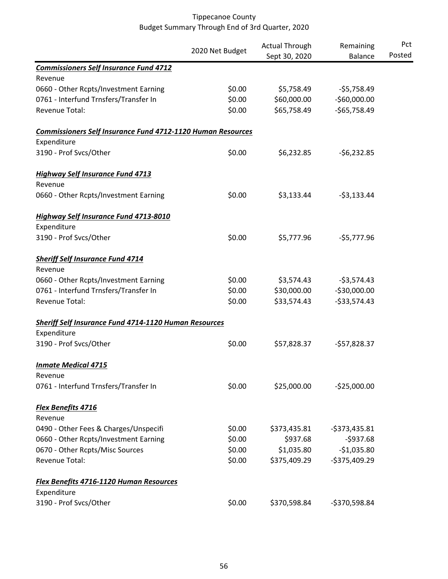|                                                                    |                 | <b>Actual Through</b> | Remaining      | Pct    |
|--------------------------------------------------------------------|-----------------|-----------------------|----------------|--------|
|                                                                    | 2020 Net Budget | Sept 30, 2020         | <b>Balance</b> | Posted |
| <b>Commissioners Self Insurance Fund 4712</b>                      |                 |                       |                |        |
| Revenue                                                            |                 |                       |                |        |
| 0660 - Other Rcpts/Investment Earning                              | \$0.00          | \$5,758.49            | $-55,758.49$   |        |
| 0761 - Interfund Trnsfers/Transfer In                              | \$0.00          | \$60,000.00           | $-$60,000.00$  |        |
| Revenue Total:                                                     | \$0.00          | \$65,758.49           | $-$65,758.49$  |        |
| <b>Commissioners Self Insurance Fund 4712-1120 Human Resources</b> |                 |                       |                |        |
| Expenditure                                                        |                 |                       |                |        |
| 3190 - Prof Svcs/Other                                             | \$0.00          | \$6,232.85            | $-56,232.85$   |        |
| <b>Highway Self Insurance Fund 4713</b>                            |                 |                       |                |        |
| Revenue                                                            |                 |                       |                |        |
| 0660 - Other Rcpts/Investment Earning                              | \$0.00          | \$3,133.44            | $-53,133.44$   |        |
| <b>Highway Self Insurance Fund 4713-8010</b>                       |                 |                       |                |        |
| Expenditure                                                        |                 |                       |                |        |
| 3190 - Prof Svcs/Other                                             | \$0.00          | \$5,777.96            | $-55,777.96$   |        |
| <b>Sheriff Self Insurance Fund 4714</b>                            |                 |                       |                |        |
| Revenue                                                            |                 |                       |                |        |
| 0660 - Other Rcpts/Investment Earning                              | \$0.00          | \$3,574.43            | $-53,574.43$   |        |
| 0761 - Interfund Trnsfers/Transfer In                              | \$0.00          | \$30,000.00           | $-$30,000.00$  |        |
| <b>Revenue Total:</b>                                              | \$0.00          | \$33,574.43           | $-533,574.43$  |        |
| <b>Sheriff Self Insurance Fund 4714-1120 Human Resources</b>       |                 |                       |                |        |
| Expenditure                                                        |                 |                       |                |        |
| 3190 - Prof Svcs/Other                                             | \$0.00          | \$57,828.37           | $-$57,828.37$  |        |
| <b>Inmate Medical 4715</b>                                         |                 |                       |                |        |
| Revenue                                                            |                 |                       |                |        |
| 0761 - Interfund Trnsfers/Transfer In                              | \$0.00          | \$25,000.00           | $-525,000.00$  |        |
| <b>Flex Benefits 4716</b>                                          |                 |                       |                |        |
| Revenue                                                            |                 |                       |                |        |
| 0490 - Other Fees & Charges/Unspecifi                              | \$0.00          | \$373,435.81          | $-5373,435.81$ |        |
| 0660 - Other Rcpts/Investment Earning                              | \$0.00          | \$937.68              | $-5937.68$     |        |
| 0670 - Other Rcpts/Misc Sources                                    | \$0.00          | \$1,035.80            | $-$1,035.80$   |        |
| Revenue Total:                                                     | \$0.00          | \$375,409.29          | $-$375,409.29$ |        |
| <b>Flex Benefits 4716-1120 Human Resources</b>                     |                 |                       |                |        |
| Expenditure                                                        |                 |                       |                |        |
| 3190 - Prof Svcs/Other                                             | \$0.00          | \$370,598.84          | -\$370,598.84  |        |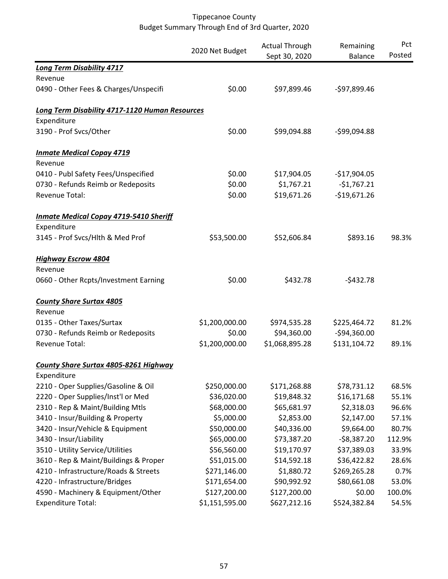|                                                       | 2020 Net Budget | <b>Actual Through</b> | Remaining      | Pct    |
|-------------------------------------------------------|-----------------|-----------------------|----------------|--------|
|                                                       |                 | Sept 30, 2020         | <b>Balance</b> | Posted |
| <b>Long Term Disability 4717</b>                      |                 |                       |                |        |
| Revenue                                               |                 |                       |                |        |
| 0490 - Other Fees & Charges/Unspecifi                 | \$0.00          | \$97,899.46           | -\$97,899.46   |        |
| <b>Long Term Disability 4717-1120 Human Resources</b> |                 |                       |                |        |
| Expenditure                                           |                 |                       |                |        |
| 3190 - Prof Svcs/Other                                | \$0.00          | \$99,094.88           | -\$99,094.88   |        |
| <b>Inmate Medical Copay 4719</b>                      |                 |                       |                |        |
| Revenue                                               |                 |                       |                |        |
| 0410 - Publ Safety Fees/Unspecified                   | \$0.00          | \$17,904.05           | $-$17,904.05$  |        |
| 0730 - Refunds Reimb or Redeposits                    | \$0.00          | \$1,767.21            | $-$1,767.21$   |        |
| Revenue Total:                                        | \$0.00          | \$19,671.26           | $-$19,671.26$  |        |
| <b>Inmate Medical Copay 4719-5410 Sheriff</b>         |                 |                       |                |        |
| Expenditure                                           |                 |                       |                |        |
| 3145 - Prof Svcs/Hlth & Med Prof                      | \$53,500.00     | \$52,606.84           | \$893.16       | 98.3%  |
| <b>Highway Escrow 4804</b>                            |                 |                       |                |        |
| Revenue                                               |                 |                       |                |        |
| 0660 - Other Rcpts/Investment Earning                 | \$0.00          | \$432.78              | $-5432.78$     |        |
| <b>County Share Surtax 4805</b>                       |                 |                       |                |        |
| Revenue                                               |                 |                       |                |        |
| 0135 - Other Taxes/Surtax                             | \$1,200,000.00  | \$974,535.28          | \$225,464.72   | 81.2%  |
| 0730 - Refunds Reimb or Redeposits                    | \$0.00          | \$94,360.00           | -\$94,360.00   |        |
| Revenue Total:                                        | \$1,200,000.00  | \$1,068,895.28        | \$131,104.72   | 89.1%  |
| <b>County Share Surtax 4805-8261 Highway</b>          |                 |                       |                |        |
| Expenditure                                           |                 |                       |                |        |
| 2210 - Oper Supplies/Gasoline & Oil                   | \$250,000.00    | \$171,268.88          | \$78,731.12    | 68.5%  |
| 2220 - Oper Supplies/Inst'l or Med                    | \$36,020.00     | \$19,848.32           | \$16,171.68    | 55.1%  |
| 2310 - Rep & Maint/Building Mtls                      | \$68,000.00     | \$65,681.97           | \$2,318.03     | 96.6%  |
| 3410 - Insur/Building & Property                      | \$5,000.00      | \$2,853.00            | \$2,147.00     | 57.1%  |
| 3420 - Insur/Vehicle & Equipment                      | \$50,000.00     | \$40,336.00           | \$9,664.00     | 80.7%  |
| 3430 - Insur/Liability                                | \$65,000.00     | \$73,387.20           | $-58,387.20$   | 112.9% |
| 3510 - Utility Service/Utilities                      | \$56,560.00     | \$19,170.97           | \$37,389.03    | 33.9%  |
| 3610 - Rep & Maint/Buildings & Proper                 | \$51,015.00     | \$14,592.18           | \$36,422.82    | 28.6%  |
| 4210 - Infrastructure/Roads & Streets                 | \$271,146.00    | \$1,880.72            | \$269,265.28   | 0.7%   |
| 4220 - Infrastructure/Bridges                         | \$171,654.00    | \$90,992.92           | \$80,661.08    | 53.0%  |
| 4590 - Machinery & Equipment/Other                    | \$127,200.00    | \$127,200.00          | \$0.00         | 100.0% |
| <b>Expenditure Total:</b>                             | \$1,151,595.00  | \$627,212.16          | \$524,382.84   | 54.5%  |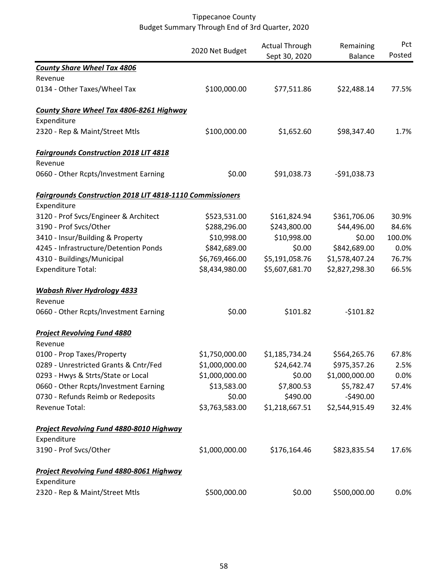|                                                                  | 2020 Net Budget | <b>Actual Through</b><br>Sept 30, 2020 | Remaining<br><b>Balance</b> | Pct<br>Posted |
|------------------------------------------------------------------|-----------------|----------------------------------------|-----------------------------|---------------|
| <b>County Share Wheel Tax 4806</b>                               |                 |                                        |                             |               |
| Revenue                                                          |                 |                                        |                             |               |
| 0134 - Other Taxes/Wheel Tax                                     | \$100,000.00    | \$77,511.86                            | \$22,488.14                 | 77.5%         |
| County Share Wheel Tax 4806-8261 Highway                         |                 |                                        |                             |               |
| Expenditure                                                      |                 |                                        |                             |               |
| 2320 - Rep & Maint/Street Mtls                                   | \$100,000.00    | \$1,652.60                             | \$98,347.40                 | 1.7%          |
| <b>Fairgrounds Construction 2018 LIT 4818</b>                    |                 |                                        |                             |               |
| Revenue                                                          |                 |                                        |                             |               |
| 0660 - Other Rcpts/Investment Earning                            | \$0.00          | \$91,038.73                            | $-591,038.73$               |               |
| <b>Fairgrounds Construction 2018 LIT 4818-1110 Commissioners</b> |                 |                                        |                             |               |
| Expenditure                                                      |                 |                                        |                             |               |
| 3120 - Prof Svcs/Engineer & Architect                            | \$523,531.00    | \$161,824.94                           | \$361,706.06                | 30.9%         |
| 3190 - Prof Svcs/Other                                           | \$288,296.00    | \$243,800.00                           | \$44,496.00                 | 84.6%         |
| 3410 - Insur/Building & Property                                 | \$10,998.00     | \$10,998.00                            | \$0.00                      | 100.0%        |
| 4245 - Infrastructure/Detention Ponds                            | \$842,689.00    | \$0.00                                 | \$842,689.00                | 0.0%          |
| 4310 - Buildings/Municipal                                       | \$6,769,466.00  | \$5,191,058.76                         | \$1,578,407.24              | 76.7%         |
| <b>Expenditure Total:</b>                                        | \$8,434,980.00  | \$5,607,681.70                         | \$2,827,298.30              | 66.5%         |
| <b>Wabash River Hydrology 4833</b>                               |                 |                                        |                             |               |
| Revenue                                                          |                 |                                        |                             |               |
| 0660 - Other Rcpts/Investment Earning                            | \$0.00          | \$101.82                               | $-5101.82$                  |               |
| <b>Project Revolving Fund 4880</b>                               |                 |                                        |                             |               |
| Revenue                                                          |                 |                                        |                             |               |
| 0100 - Prop Taxes/Property                                       | \$1,750,000.00  | \$1,185,734.24                         | \$564,265.76                | 67.8%         |
| 0289 - Unrestricted Grants & Cntr/Fed                            | \$1,000,000.00  | \$24,642.74                            | \$975,357.26                | 2.5%          |
| 0293 - Hwys & Strts/State or Local                               | \$1,000,000.00  | \$0.00                                 | \$1,000,000.00              | 0.0%          |
| 0660 - Other Rcpts/Investment Earning                            | \$13,583.00     | \$7,800.53                             | \$5,782.47                  | 57.4%         |
| 0730 - Refunds Reimb or Redeposits                               | \$0.00          | \$490.00                               | $-$490.00$                  |               |
| Revenue Total:                                                   | \$3,763,583.00  | \$1,218,667.51                         | \$2,544,915.49              | 32.4%         |
| Project Revolving Fund 4880-8010 Highway                         |                 |                                        |                             |               |
| Expenditure                                                      |                 |                                        |                             |               |
| 3190 - Prof Svcs/Other                                           | \$1,000,000.00  | \$176,164.46                           | \$823,835.54                | 17.6%         |
| Project Revolving Fund 4880-8061 Highway<br>Expenditure          |                 |                                        |                             |               |
| 2320 - Rep & Maint/Street Mtls                                   | \$500,000.00    | \$0.00                                 | \$500,000.00                | 0.0%          |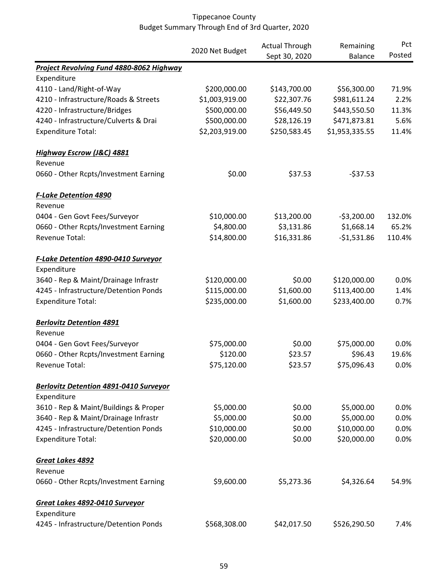|                                               |                 | <b>Actual Through</b><br>Remaining | Pct            |        |
|-----------------------------------------------|-----------------|------------------------------------|----------------|--------|
|                                               | 2020 Net Budget | Sept 30, 2020                      | <b>Balance</b> | Posted |
| Project Revolving Fund 4880-8062 Highway      |                 |                                    |                |        |
| Expenditure                                   |                 |                                    |                |        |
| 4110 - Land/Right-of-Way                      | \$200,000.00    | \$143,700.00                       | \$56,300.00    | 71.9%  |
| 4210 - Infrastructure/Roads & Streets         | \$1,003,919.00  | \$22,307.76                        | \$981,611.24   | 2.2%   |
| 4220 - Infrastructure/Bridges                 | \$500,000.00    | \$56,449.50                        | \$443,550.50   | 11.3%  |
| 4240 - Infrastructure/Culverts & Drai         | \$500,000.00    | \$28,126.19                        | \$471,873.81   | 5.6%   |
| <b>Expenditure Total:</b>                     | \$2,203,919.00  | \$250,583.45                       | \$1,953,335.55 | 11.4%  |
| <b>Highway Escrow (J&amp;C) 4881</b>          |                 |                                    |                |        |
| Revenue                                       |                 |                                    |                |        |
| 0660 - Other Rcpts/Investment Earning         | \$0.00          | \$37.53                            | $-537.53$      |        |
| <b>F-Lake Detention 4890</b>                  |                 |                                    |                |        |
| Revenue                                       |                 |                                    |                |        |
| 0404 - Gen Govt Fees/Surveyor                 | \$10,000.00     | \$13,200.00                        | $-53,200.00$   | 132.0% |
| 0660 - Other Rcpts/Investment Earning         | \$4,800.00      | \$3,131.86                         | \$1,668.14     | 65.2%  |
| Revenue Total:                                | \$14,800.00     | \$16,331.86                        | $-$1,531.86$   | 110.4% |
| <b>F-Lake Detention 4890-0410 Surveyor</b>    |                 |                                    |                |        |
| Expenditure                                   |                 |                                    |                |        |
| 3640 - Rep & Maint/Drainage Infrastr          | \$120,000.00    | \$0.00                             | \$120,000.00   | 0.0%   |
| 4245 - Infrastructure/Detention Ponds         | \$115,000.00    | \$1,600.00                         | \$113,400.00   | 1.4%   |
| <b>Expenditure Total:</b>                     | \$235,000.00    | \$1,600.00                         | \$233,400.00   | 0.7%   |
| <b>Berlovitz Detention 4891</b>               |                 |                                    |                |        |
| Revenue                                       |                 |                                    |                |        |
| 0404 - Gen Govt Fees/Surveyor                 | \$75,000.00     | \$0.00                             | \$75,000.00    | 0.0%   |
| 0660 - Other Rcpts/Investment Earning         | \$120.00        | \$23.57                            | \$96.43        | 19.6%  |
| Revenue Total:                                | \$75,120.00     | \$23.57                            | \$75,096.43    | 0.0%   |
| <b>Berlovitz Detention 4891-0410 Surveyor</b> |                 |                                    |                |        |
| Expenditure                                   |                 |                                    |                |        |
| 3610 - Rep & Maint/Buildings & Proper         | \$5,000.00      | \$0.00                             | \$5,000.00     | 0.0%   |
| 3640 - Rep & Maint/Drainage Infrastr          | \$5,000.00      | \$0.00                             | \$5,000.00     | 0.0%   |
| 4245 - Infrastructure/Detention Ponds         | \$10,000.00     | \$0.00                             | \$10,000.00    | 0.0%   |
| <b>Expenditure Total:</b>                     | \$20,000.00     | \$0.00                             | \$20,000.00    | 0.0%   |
| Great Lakes 4892                              |                 |                                    |                |        |
| Revenue                                       |                 |                                    |                |        |
| 0660 - Other Rcpts/Investment Earning         | \$9,600.00      | \$5,273.36                         | \$4,326.64     | 54.9%  |
| Great Lakes 4892-0410 Surveyor                |                 |                                    |                |        |
| Expenditure                                   |                 |                                    |                |        |
| 4245 - Infrastructure/Detention Ponds         | \$568,308.00    | \$42,017.50                        | \$526,290.50   | 7.4%   |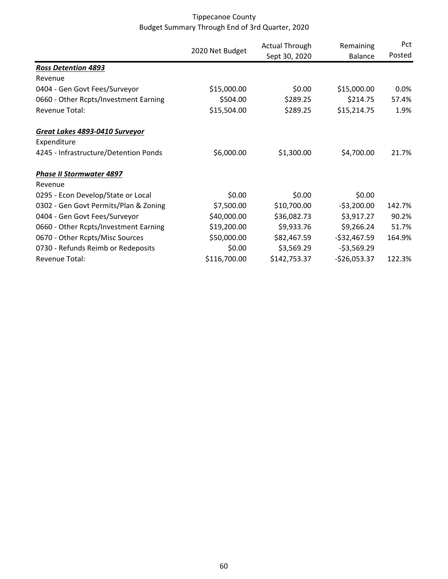|                                       | 2020 Net Budget | <b>Actual Through</b> | Remaining     | Pct     |
|---------------------------------------|-----------------|-----------------------|---------------|---------|
|                                       |                 | Sept 30, 2020         | Balance       | Posted  |
| <b>Ross Detention 4893</b>            |                 |                       |               |         |
| Revenue                               |                 |                       |               |         |
| 0404 - Gen Govt Fees/Surveyor         | \$15,000.00     | \$0.00                | \$15,000.00   | $0.0\%$ |
| 0660 - Other Rcpts/Investment Earning | \$504.00        | \$289.25              | \$214.75      | 57.4%   |
| Revenue Total:                        | \$15,504.00     | \$289.25              | \$15,214.75   | 1.9%    |
| Great Lakes 4893-0410 Surveyor        |                 |                       |               |         |
| Expenditure                           |                 |                       |               |         |
| 4245 - Infrastructure/Detention Ponds | \$6,000.00      | \$1,300.00            | \$4,700.00    | 21.7%   |
| <b>Phase II Stormwater 4897</b>       |                 |                       |               |         |
| Revenue                               |                 |                       |               |         |
| 0295 - Econ Develop/State or Local    | \$0.00          | \$0.00                | \$0.00        |         |
| 0302 - Gen Govt Permits/Plan & Zoning | \$7,500.00      | \$10,700.00           | $-53,200.00$  | 142.7%  |
| 0404 - Gen Govt Fees/Surveyor         | \$40,000.00     | \$36,082.73           | \$3,917.27    | 90.2%   |
| 0660 - Other Rcpts/Investment Earning | \$19,200.00     | \$9,933.76            | \$9,266.24    | 51.7%   |
| 0670 - Other Rcpts/Misc Sources       | \$50,000.00     | \$82,467.59           | $-$32,467.59$ | 164.9%  |
| 0730 - Refunds Reimb or Redeposits    | \$0.00          | \$3,569.29            | $-53,569.29$  |         |
| Revenue Total:                        | \$116,700.00    | \$142,753.37          | $-$26,053.37$ | 122.3%  |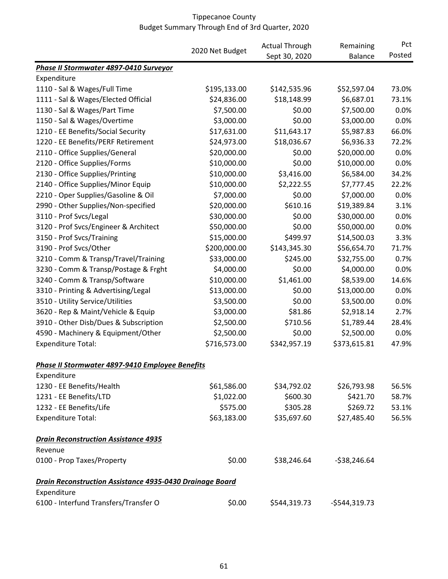|                                                                 |                 | <b>Actual Through</b> | Remaining      | Pct    |
|-----------------------------------------------------------------|-----------------|-----------------------|----------------|--------|
|                                                                 | 2020 Net Budget | Sept 30, 2020         | Balance        | Posted |
| Phase II Stormwater 4897-0410 Surveyor                          |                 |                       |                |        |
| Expenditure                                                     |                 |                       |                |        |
| 1110 - Sal & Wages/Full Time                                    | \$195,133.00    | \$142,535.96          | \$52,597.04    | 73.0%  |
| 1111 - Sal & Wages/Elected Official                             | \$24,836.00     | \$18,148.99           | \$6,687.01     | 73.1%  |
| 1130 - Sal & Wages/Part Time                                    | \$7,500.00      | \$0.00                | \$7,500.00     | 0.0%   |
| 1150 - Sal & Wages/Overtime                                     | \$3,000.00      | \$0.00                | \$3,000.00     | 0.0%   |
| 1210 - EE Benefits/Social Security                              | \$17,631.00     | \$11,643.17           | \$5,987.83     | 66.0%  |
| 1220 - EE Benefits/PERF Retirement                              | \$24,973.00     | \$18,036.67           | \$6,936.33     | 72.2%  |
| 2110 - Office Supplies/General                                  | \$20,000.00     | \$0.00                | \$20,000.00    | 0.0%   |
| 2120 - Office Supplies/Forms                                    | \$10,000.00     | \$0.00                | \$10,000.00    | 0.0%   |
| 2130 - Office Supplies/Printing                                 | \$10,000.00     | \$3,416.00            | \$6,584.00     | 34.2%  |
| 2140 - Office Supplies/Minor Equip                              | \$10,000.00     | \$2,222.55            | \$7,777.45     | 22.2%  |
| 2210 - Oper Supplies/Gasoline & Oil                             | \$7,000.00      | \$0.00                | \$7,000.00     | 0.0%   |
| 2990 - Other Supplies/Non-specified                             | \$20,000.00     | \$610.16              | \$19,389.84    | 3.1%   |
| 3110 - Prof Svcs/Legal                                          | \$30,000.00     | \$0.00                | \$30,000.00    | 0.0%   |
| 3120 - Prof Svcs/Engineer & Architect                           | \$50,000.00     | \$0.00                | \$50,000.00    | 0.0%   |
| 3150 - Prof Svcs/Training                                       | \$15,000.00     | \$499.97              | \$14,500.03    | 3.3%   |
| 3190 - Prof Svcs/Other                                          | \$200,000.00    | \$143,345.30          | \$56,654.70    | 71.7%  |
| 3210 - Comm & Transp/Travel/Training                            | \$33,000.00     | \$245.00              | \$32,755.00    | 0.7%   |
| 3230 - Comm & Transp/Postage & Frght                            | \$4,000.00      | \$0.00                | \$4,000.00     | 0.0%   |
| 3240 - Comm & Transp/Software                                   | \$10,000.00     | \$1,461.00            | \$8,539.00     | 14.6%  |
| 3310 - Printing & Advertising/Legal                             | \$13,000.00     | \$0.00                | \$13,000.00    | 0.0%   |
| 3510 - Utility Service/Utilities                                | \$3,500.00      | \$0.00                | \$3,500.00     | 0.0%   |
| 3620 - Rep & Maint/Vehicle & Equip                              | \$3,000.00      | \$81.86               | \$2,918.14     | 2.7%   |
| 3910 - Other Disb/Dues & Subscription                           | \$2,500.00      | \$710.56              | \$1,789.44     | 28.4%  |
| 4590 - Machinery & Equipment/Other                              | \$2,500.00      | \$0.00                | \$2,500.00     | 0.0%   |
| <b>Expenditure Total:</b>                                       | \$716,573.00    | \$342,957.19          | \$373,615.81   | 47.9%  |
| Phase II Stormwater 4897-9410 Employee Benefits                 |                 |                       |                |        |
| Expenditure                                                     |                 |                       |                |        |
| 1230 - EE Benefits/Health                                       | \$61,586.00     | \$34,792.02           | \$26,793.98    | 56.5%  |
| 1231 - EE Benefits/LTD                                          | \$1,022.00      | \$600.30              | \$421.70       | 58.7%  |
| 1232 - EE Benefits/Life                                         | \$575.00        | \$305.28              | \$269.72       | 53.1%  |
| <b>Expenditure Total:</b>                                       | \$63,183.00     | \$35,697.60           | \$27,485.40    | 56.5%  |
| <b>Drain Reconstruction Assistance 4935</b>                     |                 |                       |                |        |
| Revenue                                                         |                 |                       |                |        |
| 0100 - Prop Taxes/Property                                      | \$0.00          | \$38,246.64           | $-538,246.64$  |        |
| <b>Drain Reconstruction Assistance 4935-0430 Drainage Board</b> |                 |                       |                |        |
| Expenditure                                                     |                 |                       |                |        |
| 6100 - Interfund Transfers/Transfer O                           | \$0.00          | \$544,319.73          | $-$544,319.73$ |        |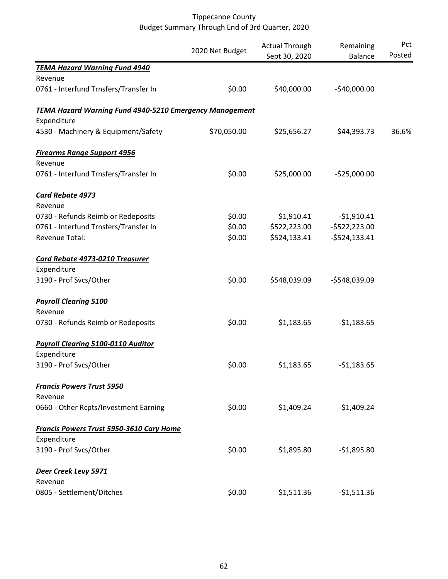|                                                                | 2020 Net Budget | <b>Actual Through</b><br>Sept 30, 2020 | Remaining<br>Balance | Pct<br>Posted |
|----------------------------------------------------------------|-----------------|----------------------------------------|----------------------|---------------|
| <b>TEMA Hazard Warning Fund 4940</b>                           |                 |                                        |                      |               |
| Revenue                                                        |                 |                                        |                      |               |
| 0761 - Interfund Trnsfers/Transfer In                          | \$0.00          | \$40,000.00                            | $-$40,000.00$        |               |
| <b>TEMA Hazard Warning Fund 4940-5210 Emergency Management</b> |                 |                                        |                      |               |
| Expenditure                                                    |                 |                                        |                      |               |
| 4530 - Machinery & Equipment/Safety                            | \$70,050.00     | \$25,656.27                            | \$44,393.73          | 36.6%         |
| <b>Firearms Range Support 4956</b>                             |                 |                                        |                      |               |
| Revenue                                                        |                 |                                        |                      |               |
| 0761 - Interfund Trnsfers/Transfer In                          | \$0.00          | \$25,000.00                            | $-525,000.00$        |               |
| <b>Card Rebate 4973</b>                                        |                 |                                        |                      |               |
| Revenue                                                        |                 |                                        |                      |               |
| 0730 - Refunds Reimb or Redeposits                             | \$0.00          | \$1,910.41                             | $-$1,910.41$         |               |
| 0761 - Interfund Trnsfers/Transfer In                          | \$0.00          | \$522,223.00                           | $-5522,223.00$       |               |
| Revenue Total:                                                 | \$0.00          | \$524,133.41                           | $-5524, 133.41$      |               |
| <b>Card Rebate 4973-0210 Treasurer</b>                         |                 |                                        |                      |               |
| Expenditure                                                    |                 |                                        |                      |               |
| 3190 - Prof Svcs/Other                                         | \$0.00          | \$548,039.09                           | -\$548,039.09        |               |
| <b>Payroll Clearing 5100</b>                                   |                 |                                        |                      |               |
| Revenue                                                        |                 |                                        |                      |               |
| 0730 - Refunds Reimb or Redeposits                             | \$0.00          | \$1,183.65                             | $-$1,183.65$         |               |
| <b>Payroll Clearing 5100-0110 Auditor</b>                      |                 |                                        |                      |               |
| Expenditure                                                    |                 |                                        |                      |               |
| 3190 - Prof Svcs/Other                                         | \$0.00          | \$1,183.65                             | $-51,183.65$         |               |
| <b>Francis Powers Trust 5950</b>                               |                 |                                        |                      |               |
| Revenue                                                        |                 |                                        |                      |               |
| 0660 - Other Rcpts/Investment Earning                          | \$0.00          | \$1,409.24                             | $-$1,409.24$         |               |
| <b>Francis Powers Trust 5950-3610 Cary Home</b>                |                 |                                        |                      |               |
| Expenditure                                                    |                 |                                        |                      |               |
| 3190 - Prof Svcs/Other                                         | \$0.00          | \$1,895.80                             | $-$1,895.80$         |               |
| Deer Creek Levy 5971                                           |                 |                                        |                      |               |
| Revenue                                                        |                 |                                        |                      |               |
| 0805 - Settlement/Ditches                                      | \$0.00          | \$1,511.36                             | $-$1,511.36$         |               |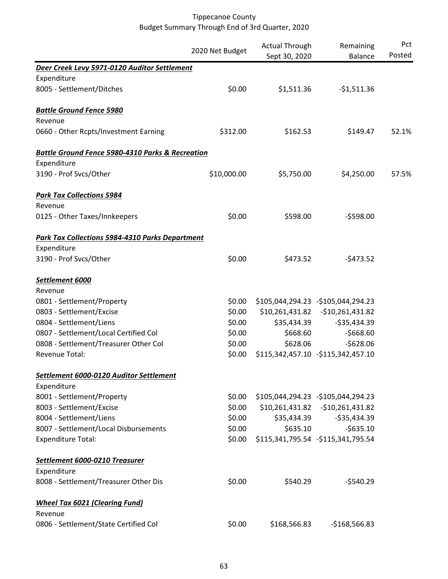|                                                             | 2020 Net Budget | <b>Actual Through</b> | Remaining                           | Pct    |
|-------------------------------------------------------------|-----------------|-----------------------|-------------------------------------|--------|
|                                                             |                 | Sept 30, 2020         | <b>Balance</b>                      | Posted |
| Deer Creek Levy 5971-0120 Auditor Settlement                |                 |                       |                                     |        |
| Expenditure                                                 |                 |                       |                                     |        |
| 8005 - Settlement/Ditches                                   | \$0.00          | \$1,511.36            | $-$1,511.36$                        |        |
| <b>Battle Ground Fence 5980</b>                             |                 |                       |                                     |        |
| Revenue                                                     |                 |                       |                                     |        |
| 0660 - Other Rcpts/Investment Earning                       | \$312.00        | \$162.53              | \$149.47                            | 52.1%  |
| <b>Battle Ground Fence 5980-4310 Parks &amp; Recreation</b> |                 |                       |                                     |        |
| Expenditure                                                 |                 |                       |                                     |        |
| 3190 - Prof Svcs/Other                                      | \$10,000.00     | \$5,750.00            | \$4,250.00                          | 57.5%  |
| <b>Park Tax Collections 5984</b>                            |                 |                       |                                     |        |
| Revenue                                                     |                 |                       |                                     |        |
| 0125 - Other Taxes/Innkeepers                               | \$0.00          | \$598.00              | $-5598.00$                          |        |
| <b>Park Tax Collections 5984-4310 Parks Department</b>      |                 |                       |                                     |        |
| Expenditure                                                 |                 |                       |                                     |        |
| 3190 - Prof Svcs/Other                                      | \$0.00          | \$473.52              | $-5473.52$                          |        |
| Settlement 6000                                             |                 |                       |                                     |        |
| Revenue                                                     |                 |                       |                                     |        |
| 0801 - Settlement/Property                                  | \$0.00          |                       | \$105,044,294.23 - \$105,044,294.23 |        |
| 0803 - Settlement/Excise                                    | \$0.00          |                       | \$10,261,431.82 - \$10,261,431.82   |        |
| 0804 - Settlement/Liens                                     | \$0.00          | \$35,434.39           | $-535,434.39$                       |        |
| 0807 - Settlement/Local Certified Col                       | \$0.00          | \$668.60              | $-$668.60$                          |        |
| 0808 - Settlement/Treasurer Other Col                       | \$0.00          | \$628.06              | $-$628.06$                          |        |
| <b>Revenue Total:</b>                                       | \$0.00          |                       | \$115,342,457.10 -\$115,342,457.10  |        |
| Settlement 6000-0120 Auditor Settlement                     |                 |                       |                                     |        |
| Expenditure                                                 |                 |                       |                                     |        |
| 8001 - Settlement/Property                                  | \$0.00          |                       | \$105,044,294.23 - \$105,044,294.23 |        |
| 8003 - Settlement/Excise                                    | \$0.00          |                       | \$10,261,431.82 - \$10,261,431.82   |        |
| 8004 - Settlement/Liens                                     | \$0.00          | \$35,434.39           | $-535,434.39$                       |        |
| 8007 - Settlement/Local Disbursements                       | \$0.00          | \$635.10              | $-5635.10$                          |        |
| <b>Expenditure Total:</b>                                   | \$0.00          |                       | \$115,341,795.54 - \$115,341,795.54 |        |
| Settlement 6000-0210 Treasurer                              |                 |                       |                                     |        |
| Expenditure                                                 |                 |                       |                                     |        |
| 8008 - Settlement/Treasurer Other Dis                       | \$0.00          | \$540.29              | $-$540.29$                          |        |
| <b>Wheel Tax 6021 (Clearing Fund)</b>                       |                 |                       |                                     |        |
| Revenue                                                     |                 |                       |                                     |        |
| 0806 - Settlement/State Certified Col                       | \$0.00          | \$168,566.83          | $-$168,566.83$                      |        |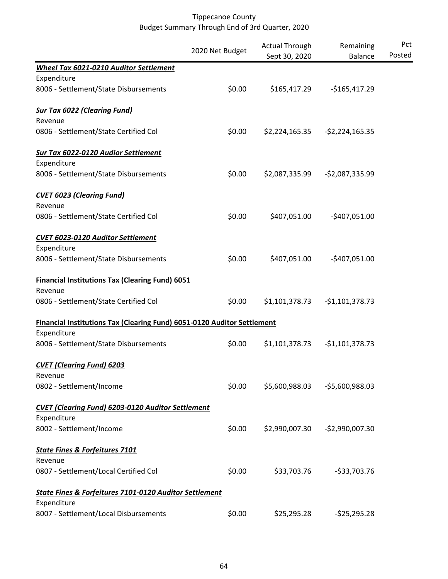|                                                                         |                 | <b>Actual Through</b> | Remaining        | Pct    |
|-------------------------------------------------------------------------|-----------------|-----------------------|------------------|--------|
|                                                                         | 2020 Net Budget | Sept 30, 2020         | <b>Balance</b>   | Posted |
| Wheel Tax 6021-0210 Auditor Settlement                                  |                 |                       |                  |        |
| Expenditure                                                             |                 |                       |                  |        |
| 8006 - Settlement/State Disbursements                                   | \$0.00          | \$165,417.29          | $-$165,417.29$   |        |
| <b>Sur Tax 6022 (Clearing Fund)</b>                                     |                 |                       |                  |        |
| Revenue                                                                 |                 |                       |                  |        |
| 0806 - Settlement/State Certified Col                                   | \$0.00          | \$2,224,165.35        | $-$2,224,165.35$ |        |
| <b>Sur Tax 6022-0120 Audior Settlement</b>                              |                 |                       |                  |        |
| Expenditure                                                             |                 |                       |                  |        |
| 8006 - Settlement/State Disbursements                                   | \$0.00          | \$2,087,335.99        | $-52,087,335.99$ |        |
| <b>CVET 6023 (Clearing Fund)</b>                                        |                 |                       |                  |        |
| Revenue                                                                 |                 |                       |                  |        |
| 0806 - Settlement/State Certified Col                                   | \$0.00          | \$407,051.00          | $-$407,051.00$   |        |
| CVET 6023-0120 Auditor Settlement                                       |                 |                       |                  |        |
| Expenditure                                                             |                 |                       |                  |        |
| 8006 - Settlement/State Disbursements                                   | \$0.00          | \$407,051.00          | $-$407,051.00$   |        |
| <b>Financial Institutions Tax (Clearing Fund) 6051</b>                  |                 |                       |                  |        |
| Revenue                                                                 |                 |                       |                  |        |
| 0806 - Settlement/State Certified Col                                   | \$0.00          | \$1,101,378.73        | $-$1,101,378.73$ |        |
| Financial Institutions Tax (Clearing Fund) 6051-0120 Auditor Settlement |                 |                       |                  |        |
| Expenditure                                                             |                 |                       |                  |        |
| 8006 - Settlement/State Disbursements                                   | \$0.00          | \$1,101,378.73        | $-$1,101,378.73$ |        |
| <b>CVET (Clearing Fund) 6203</b>                                        |                 |                       |                  |        |
| Revenue                                                                 |                 |                       |                  |        |
| 0802 - Settlement/Income                                                | \$0.00          | \$5,600,988.03        | -\$5,600,988.03  |        |
| <b>CVET (Clearing Fund) 6203-0120 Auditor Settlement</b>                |                 |                       |                  |        |
| Expenditure                                                             |                 |                       |                  |        |
| 8002 - Settlement/Income                                                | \$0.00          | \$2,990,007.30        | $-52,990,007.30$ |        |
| <b>State Fines &amp; Forfeitures 7101</b>                               |                 |                       |                  |        |
| Revenue                                                                 |                 |                       |                  |        |
| 0807 - Settlement/Local Certified Col                                   | \$0.00          | \$33,703.76           | $-533,703.76$    |        |
| State Fines & Forfeitures 7101-0120 Auditor Settlement                  |                 |                       |                  |        |
| Expenditure                                                             |                 |                       |                  |        |
| 8007 - Settlement/Local Disbursements                                   | \$0.00          | \$25,295.28           | $-525,295.28$    |        |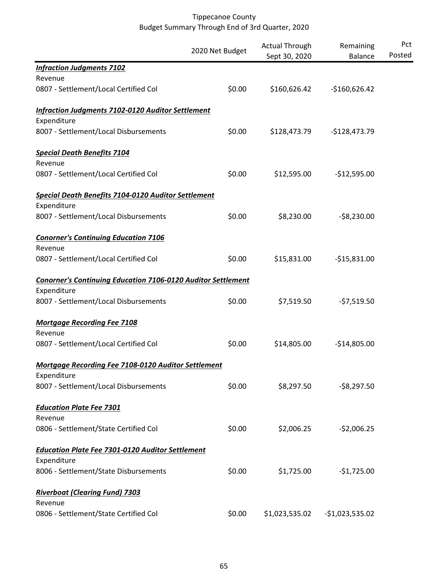|                                                                     | 2020 Net Budget | <b>Actual Through</b><br>Sept 30, 2020 | Remaining<br><b>Balance</b> | Pct<br>Posted |
|---------------------------------------------------------------------|-----------------|----------------------------------------|-----------------------------|---------------|
| <b>Infraction Judgments 7102</b>                                    |                 |                                        |                             |               |
| Revenue                                                             |                 |                                        |                             |               |
| 0807 - Settlement/Local Certified Col                               | \$0.00          | \$160,626.42                           | $-$160,626.42$              |               |
| <b>Infraction Judgments 7102-0120 Auditor Settlement</b>            |                 |                                        |                             |               |
| Expenditure                                                         |                 |                                        |                             |               |
| 8007 - Settlement/Local Disbursements                               | \$0.00          | \$128,473.79                           | $-$128,473.79$              |               |
| <b>Special Death Benefits 7104</b>                                  |                 |                                        |                             |               |
| Revenue                                                             |                 |                                        |                             |               |
| 0807 - Settlement/Local Certified Col                               | \$0.00          | \$12,595.00                            | $-$12,595.00$               |               |
| Special Death Benefits 7104-0120 Auditor Settlement                 |                 |                                        |                             |               |
| Expenditure                                                         |                 |                                        |                             |               |
| 8007 - Settlement/Local Disbursements                               | \$0.00          | \$8,230.00                             | $-58,230.00$                |               |
| <b>Conorner's Continuing Education 7106</b>                         |                 |                                        |                             |               |
| Revenue                                                             |                 |                                        |                             |               |
| 0807 - Settlement/Local Certified Col                               | \$0.00          | \$15,831.00                            | $-$15,831.00$               |               |
| <b>Conorner's Continuing Education 7106-0120 Auditor Settlement</b> |                 |                                        |                             |               |
| Expenditure                                                         |                 |                                        |                             |               |
| 8007 - Settlement/Local Disbursements                               | \$0.00          | \$7,519.50                             | $-57,519.50$                |               |
| <b>Mortgage Recording Fee 7108</b>                                  |                 |                                        |                             |               |
| Revenue                                                             |                 |                                        |                             |               |
| 0807 - Settlement/Local Certified Col                               | \$0.00          | \$14,805.00                            | $-$14,805.00$               |               |
| <b>Mortgage Recording Fee 7108-0120 Auditor Settlement</b>          |                 |                                        |                             |               |
| Expenditure                                                         |                 |                                        |                             |               |
| 8007 - Settlement/Local Disbursements                               | \$0.00          | \$8,297.50                             | $-58,297.50$                |               |
| <b>Education Plate Fee 7301</b>                                     |                 |                                        |                             |               |
| Revenue                                                             |                 |                                        |                             |               |
| 0806 - Settlement/State Certified Col                               | \$0.00          | \$2,006.25                             | $-52,006.25$                |               |
| <b>Education Plate Fee 7301-0120 Auditor Settlement</b>             |                 |                                        |                             |               |
| Expenditure                                                         |                 |                                        |                             |               |
| 8006 - Settlement/State Disbursements                               | \$0.00          | \$1,725.00                             | $-$1,725.00$                |               |
| <b>Riverboat (Clearing Fund) 7303</b>                               |                 |                                        |                             |               |
| Revenue                                                             |                 |                                        |                             |               |
| 0806 - Settlement/State Certified Col                               | \$0.00          | \$1,023,535.02                         | $-$1,023,535.02$            |               |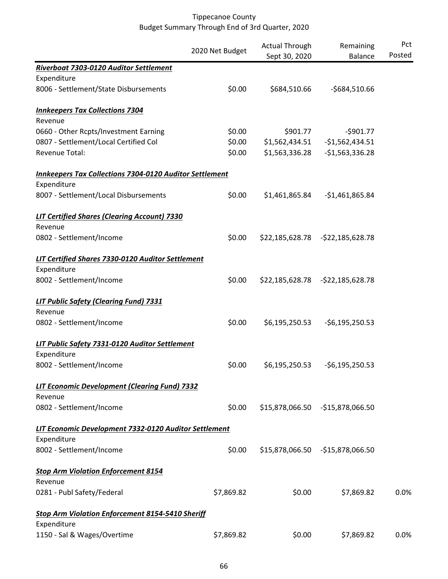|                                                                |                 | <b>Actual Through</b> | Remaining                         | Pct    |
|----------------------------------------------------------------|-----------------|-----------------------|-----------------------------------|--------|
|                                                                | 2020 Net Budget | Sept 30, 2020         | <b>Balance</b>                    | Posted |
| Riverboat 7303-0120 Auditor Settlement                         |                 |                       |                                   |        |
| Expenditure                                                    |                 |                       |                                   |        |
| 8006 - Settlement/State Disbursements                          | \$0.00          | \$684,510.66          | -\$684,510.66                     |        |
| <b>Innkeepers Tax Collections 7304</b>                         |                 |                       |                                   |        |
| Revenue                                                        |                 |                       |                                   |        |
| 0660 - Other Rcpts/Investment Earning                          | \$0.00          | \$901.77              | $-5901.77$                        |        |
| 0807 - Settlement/Local Certified Col                          | \$0.00          | \$1,562,434.51        | $-$1,562,434.51$                  |        |
| Revenue Total:                                                 | \$0.00          | \$1,563,336.28        | $-$1,563,336.28$                  |        |
| <b>Innkeepers Tax Collections 7304-0120 Auditor Settlement</b> |                 |                       |                                   |        |
| Expenditure                                                    |                 |                       |                                   |        |
| 8007 - Settlement/Local Disbursements                          | \$0.00          | \$1,461,865.84        | $-$1,461,865.84$                  |        |
| <b>LIT Certified Shares (Clearing Account) 7330</b>            |                 |                       |                                   |        |
| Revenue                                                        |                 |                       |                                   |        |
| 0802 - Settlement/Income                                       | \$0.00          |                       | \$22,185,628.78 - \$22,185,628.78 |        |
| <b>LIT Certified Shares 7330-0120 Auditor Settlement</b>       |                 |                       |                                   |        |
| Expenditure                                                    |                 |                       |                                   |        |
| 8002 - Settlement/Income                                       | \$0.00          |                       | \$22,185,628.78 - \$22,185,628.78 |        |
| <b>LIT Public Safety (Clearing Fund) 7331</b>                  |                 |                       |                                   |        |
| Revenue                                                        |                 |                       |                                   |        |
| 0802 - Settlement/Income                                       | \$0.00          | \$6,195,250.53        | $-56, 195, 250.53$                |        |
| LIT Public Safety 7331-0120 Auditor Settlement                 |                 |                       |                                   |        |
| Expenditure                                                    |                 |                       |                                   |        |
| 8002 - Settlement/Income                                       | \$0.00          | \$6,195,250.53        | $-56, 195, 250.53$                |        |
| LIT Economic Development (Clearing Fund) 7332                  |                 |                       |                                   |        |
| Revenue                                                        |                 |                       |                                   |        |
| 0802 - Settlement/Income                                       | \$0.00          |                       | \$15,878,066.50 - \$15,878,066.50 |        |
| LIT Economic Development 7332-0120 Auditor Settlement          |                 |                       |                                   |        |
| Expenditure                                                    |                 |                       |                                   |        |
| 8002 - Settlement/Income                                       | \$0.00          |                       | \$15,878,066.50 - \$15,878,066.50 |        |
| <b>Stop Arm Violation Enforcement 8154</b>                     |                 |                       |                                   |        |
| Revenue                                                        |                 |                       |                                   |        |
| 0281 - Publ Safety/Federal                                     | \$7,869.82      | \$0.00                | \$7,869.82                        | 0.0%   |
| <b>Stop Arm Violation Enforcement 8154-5410 Sheriff</b>        |                 |                       |                                   |        |
| Expenditure                                                    |                 |                       |                                   |        |
| 1150 - Sal & Wages/Overtime                                    | \$7,869.82      | \$0.00                | \$7,869.82                        | 0.0%   |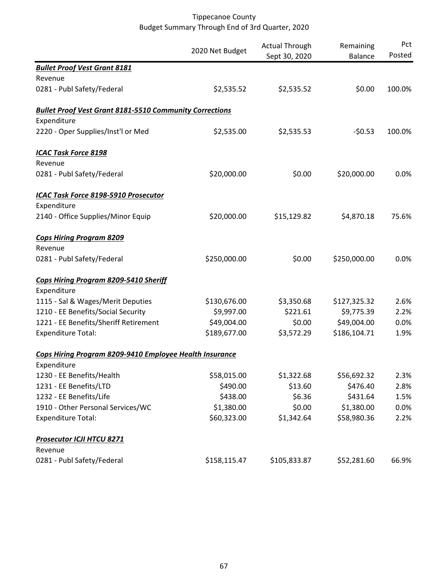|                                                                               | 2020 Net Budget | <b>Actual Through</b><br>Sept 30, 2020 | Remaining<br><b>Balance</b> | Pct<br>Posted |
|-------------------------------------------------------------------------------|-----------------|----------------------------------------|-----------------------------|---------------|
| <b>Bullet Proof Vest Grant 8181</b>                                           |                 |                                        |                             |               |
| Revenue                                                                       |                 |                                        |                             |               |
| 0281 - Publ Safety/Federal                                                    | \$2,535.52      | \$2,535.52                             | \$0.00                      | 100.0%        |
| <b>Bullet Proof Vest Grant 8181-5510 Community Corrections</b><br>Expenditure |                 |                                        |                             |               |
| 2220 - Oper Supplies/Inst'l or Med                                            | \$2,535.00      | \$2,535.53                             | $-50.53$                    | 100.0%        |
| <b>ICAC Task Force 8198</b>                                                   |                 |                                        |                             |               |
| Revenue                                                                       |                 |                                        |                             |               |
| 0281 - Publ Safety/Federal                                                    | \$20,000.00     | \$0.00                                 | \$20,000.00                 | 0.0%          |
| ICAC Task Force 8198-5910 Prosecutor                                          |                 |                                        |                             |               |
| Expenditure                                                                   |                 |                                        |                             |               |
| 2140 - Office Supplies/Minor Equip                                            | \$20,000.00     | \$15,129.82                            | \$4,870.18                  | 75.6%         |
| <b>Cops Hiring Program 8209</b><br>Revenue                                    |                 |                                        |                             |               |
| 0281 - Publ Safety/Federal                                                    | \$250,000.00    | \$0.00                                 | \$250,000.00                | 0.0%          |
| Cops Hiring Program 8209-5410 Sheriff<br>Expenditure                          |                 |                                        |                             |               |
| 1115 - Sal & Wages/Merit Deputies                                             | \$130,676.00    | \$3,350.68                             | \$127,325.32                | 2.6%          |
| 1210 - EE Benefits/Social Security                                            | \$9,997.00      | \$221.61                               | \$9,775.39                  | 2.2%          |
| 1221 - EE Benefits/Sheriff Retirement                                         | \$49,004.00     | \$0.00                                 | \$49,004.00                 | 0.0%          |
| <b>Expenditure Total:</b>                                                     | \$189,677.00    | \$3,572.29                             | \$186,104.71                | 1.9%          |
| Cops Hiring Program 8209-9410 Employee Health Insurance                       |                 |                                        |                             |               |
| Expenditure                                                                   |                 |                                        |                             |               |
| 1230 - EE Benefits/Health                                                     | \$58,015.00     | \$1,322.68                             | \$56,692.32                 | 2.3%          |
| 1231 - EE Benefits/LTD                                                        | \$490.00        | \$13.60                                | \$476.40                    | 2.8%          |
| 1232 - EE Benefits/Life                                                       | \$438.00        | \$6.36                                 | \$431.64                    | 1.5%          |
| 1910 - Other Personal Services/WC                                             | \$1,380.00      | \$0.00                                 | \$1,380.00                  | 0.0%          |
| <b>Expenditure Total:</b>                                                     | \$60,323.00     | \$1,342.64                             | \$58,980.36                 | 2.2%          |
| <b>Prosecutor ICJI HTCU 8271</b>                                              |                 |                                        |                             |               |
| Revenue<br>0281 - Publ Safety/Federal                                         | \$158,115.47    | \$105,833.87                           | \$52,281.60                 | 66.9%         |
|                                                                               |                 |                                        |                             |               |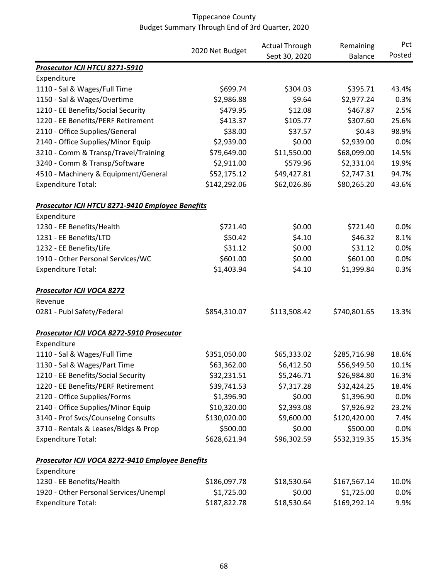|                                                  |                 | <b>Actual Through</b> | Remaining      | Pct    |
|--------------------------------------------------|-----------------|-----------------------|----------------|--------|
|                                                  | 2020 Net Budget | Sept 30, 2020         | <b>Balance</b> | Posted |
| Prosecutor ICJI HTCU 8271-5910                   |                 |                       |                |        |
| Expenditure                                      |                 |                       |                |        |
| 1110 - Sal & Wages/Full Time                     | \$699.74        | \$304.03              | \$395.71       | 43.4%  |
| 1150 - Sal & Wages/Overtime                      | \$2,986.88      | \$9.64                | \$2,977.24     | 0.3%   |
| 1210 - EE Benefits/Social Security               | \$479.95        | \$12.08               | \$467.87       | 2.5%   |
| 1220 - EE Benefits/PERF Retirement               | \$413.37        | \$105.77              | \$307.60       | 25.6%  |
| 2110 - Office Supplies/General                   | \$38.00         | \$37.57               | \$0.43         | 98.9%  |
| 2140 - Office Supplies/Minor Equip               | \$2,939.00      | \$0.00                | \$2,939.00     | 0.0%   |
| 3210 - Comm & Transp/Travel/Training             | \$79,649.00     | \$11,550.00           | \$68,099.00    | 14.5%  |
| 3240 - Comm & Transp/Software                    | \$2,911.00      | \$579.96              | \$2,331.04     | 19.9%  |
| 4510 - Machinery & Equipment/General             | \$52,175.12     | \$49,427.81           | \$2,747.31     | 94.7%  |
| <b>Expenditure Total:</b>                        | \$142,292.06    | \$62,026.86           | \$80,265.20    | 43.6%  |
| Prosecutor ICJI HTCU 8271-9410 Employee Benefits |                 |                       |                |        |
| Expenditure                                      |                 |                       |                |        |
| 1230 - EE Benefits/Health                        | \$721.40        | \$0.00                | \$721.40       | 0.0%   |
| 1231 - EE Benefits/LTD                           | \$50.42         | \$4.10                | \$46.32        | 8.1%   |
| 1232 - EE Benefits/Life                          | \$31.12         | \$0.00                | \$31.12        | 0.0%   |
| 1910 - Other Personal Services/WC                | \$601.00        | \$0.00                | \$601.00       | 0.0%   |
| <b>Expenditure Total:</b>                        | \$1,403.94      | \$4.10                | \$1,399.84     | 0.3%   |
| <b>Prosecutor ICJI VOCA 8272</b>                 |                 |                       |                |        |
| Revenue                                          |                 |                       |                |        |
| 0281 - Publ Safety/Federal                       | \$854,310.07    | \$113,508.42          | \$740,801.65   | 13.3%  |
| Prosecutor ICJI VOCA 8272-5910 Prosecutor        |                 |                       |                |        |
| Expenditure                                      |                 |                       |                |        |
| 1110 - Sal & Wages/Full Time                     | \$351,050.00    | \$65,333.02           | \$285,716.98   | 18.6%  |
| 1130 - Sal & Wages/Part Time                     | \$63,362.00     | \$6,412.50            | \$56,949.50    | 10.1%  |
| 1210 - EE Benefits/Social Security               | \$32,231.51     | \$5,246.71            | \$26,984.80    | 16.3%  |
| 1220 - EE Benefits/PERF Retirement               | \$39,741.53     | \$7,317.28            | \$32,424.25    | 18.4%  |
| 2120 - Office Supplies/Forms                     | \$1,396.90      | \$0.00                | \$1,396.90     | 0.0%   |
| 2140 - Office Supplies/Minor Equip               | \$10,320.00     | \$2,393.08            | \$7,926.92     | 23.2%  |
| 3140 - Prof Svcs/Counselng Consults              | \$130,020.00    | \$9,600.00            | \$120,420.00   | 7.4%   |
| 3710 - Rentals & Leases/Bldgs & Prop             | \$500.00        | \$0.00                | \$500.00       | 0.0%   |
| <b>Expenditure Total:</b>                        | \$628,621.94    | \$96,302.59           | \$532,319.35   | 15.3%  |
| Prosecutor ICJI VOCA 8272-9410 Employee Benefits |                 |                       |                |        |
| Expenditure                                      |                 |                       |                |        |
| 1230 - EE Benefits/Health                        | \$186,097.78    | \$18,530.64           | \$167,567.14   | 10.0%  |
| 1920 - Other Personal Services/Unempl            | \$1,725.00      | \$0.00                | \$1,725.00     | 0.0%   |
| <b>Expenditure Total:</b>                        | \$187,822.78    | \$18,530.64           | \$169,292.14   | 9.9%   |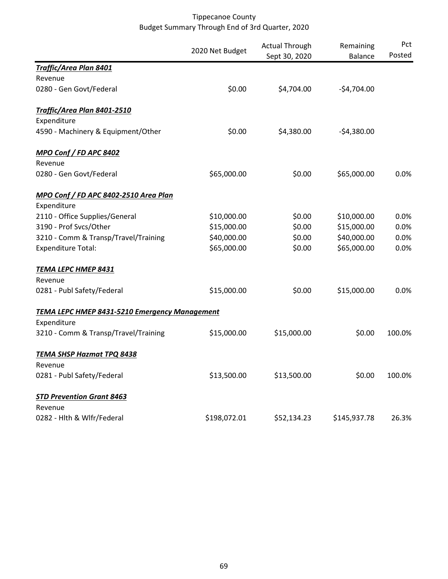|                                                      | 2020 Net Budget | <b>Actual Through</b><br>Sept 30, 2020 | Remaining<br><b>Balance</b> | Pct<br>Posted |
|------------------------------------------------------|-----------------|----------------------------------------|-----------------------------|---------------|
| <b>Traffic/Area Plan 8401</b>                        |                 |                                        |                             |               |
| Revenue                                              |                 |                                        |                             |               |
| 0280 - Gen Govt/Federal                              | \$0.00          | \$4,704.00                             | $-$4,704.00$                |               |
| Traffic/Area Plan 8401-2510<br>Expenditure           |                 |                                        |                             |               |
| 4590 - Machinery & Equipment/Other                   | \$0.00          | \$4,380.00                             | $-$4,380.00$                |               |
| MPO Conf / FD APC 8402                               |                 |                                        |                             |               |
| Revenue                                              |                 |                                        |                             |               |
| 0280 - Gen Govt/Federal                              | \$65,000.00     | \$0.00                                 | \$65,000.00                 | 0.0%          |
| MPO Conf / FD APC 8402-2510 Area Plan                |                 |                                        |                             |               |
| Expenditure                                          |                 |                                        |                             |               |
| 2110 - Office Supplies/General                       | \$10,000.00     | \$0.00                                 | \$10,000.00                 | 0.0%          |
| 3190 - Prof Svcs/Other                               | \$15,000.00     | \$0.00                                 | \$15,000.00                 | 0.0%          |
| 3210 - Comm & Transp/Travel/Training                 | \$40,000.00     | \$0.00                                 | \$40,000.00                 | 0.0%          |
| <b>Expenditure Total:</b>                            | \$65,000.00     | \$0.00                                 | \$65,000.00                 | 0.0%          |
| TEMA LEPC HMEP 8431                                  |                 |                                        |                             |               |
| Revenue                                              |                 |                                        |                             |               |
| 0281 - Publ Safety/Federal                           | \$15,000.00     | \$0.00                                 | \$15,000.00                 | 0.0%          |
| <b>TEMA LEPC HMEP 8431-5210 Emergency Management</b> |                 |                                        |                             |               |
| Expenditure                                          |                 |                                        |                             |               |
| 3210 - Comm & Transp/Travel/Training                 | \$15,000.00     | \$15,000.00                            | \$0.00                      | 100.0%        |
| <b>TEMA SHSP Hazmat TPQ 8438</b>                     |                 |                                        |                             |               |
| Revenue                                              |                 |                                        |                             |               |
| 0281 - Publ Safety/Federal                           | \$13,500.00     | \$13,500.00                            | \$0.00                      | 100.0%        |
| <b>STD Prevention Grant 8463</b>                     |                 |                                        |                             |               |
| Revenue                                              |                 |                                        |                             |               |
| 0282 - Hlth & Wlfr/Federal                           | \$198,072.01    | \$52,134.23                            | \$145,937.78                | 26.3%         |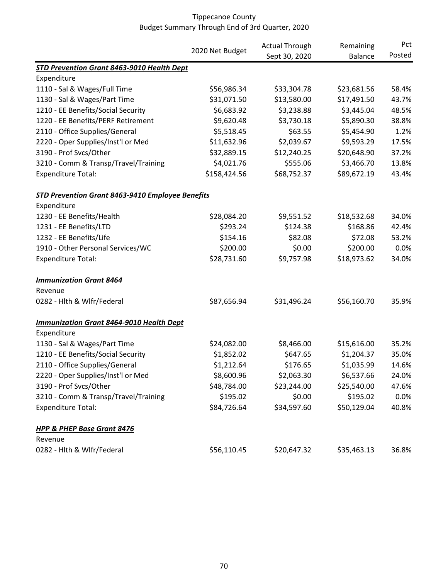|                                                  |                 | <b>Actual Through</b> | Remaining      | Pct<br>Posted |
|--------------------------------------------------|-----------------|-----------------------|----------------|---------------|
|                                                  | 2020 Net Budget | Sept 30, 2020         | <b>Balance</b> |               |
| STD Prevention Grant 8463-9010 Health Dept       |                 |                       |                |               |
| Expenditure                                      |                 |                       |                |               |
| 1110 - Sal & Wages/Full Time                     | \$56,986.34     | \$33,304.78           | \$23,681.56    | 58.4%         |
| 1130 - Sal & Wages/Part Time                     | \$31,071.50     | \$13,580.00           | \$17,491.50    | 43.7%         |
| 1210 - EE Benefits/Social Security               | \$6,683.92      | \$3,238.88            | \$3,445.04     | 48.5%         |
| 1220 - EE Benefits/PERF Retirement               | \$9,620.48      | \$3,730.18            | \$5,890.30     | 38.8%         |
| 2110 - Office Supplies/General                   | \$5,518.45      | \$63.55               | \$5,454.90     | 1.2%          |
| 2220 - Oper Supplies/Inst'l or Med               | \$11,632.96     | \$2,039.67            | \$9,593.29     | 17.5%         |
| 3190 - Prof Svcs/Other                           | \$32,889.15     | \$12,240.25           | \$20,648.90    | 37.2%         |
| 3210 - Comm & Transp/Travel/Training             | \$4,021.76      | \$555.06              | \$3,466.70     | 13.8%         |
| <b>Expenditure Total:</b>                        | \$158,424.56    | \$68,752.37           | \$89,672.19    | 43.4%         |
| STD Prevention Grant 8463-9410 Employee Benefits |                 |                       |                |               |
| Expenditure                                      |                 |                       |                |               |
| 1230 - EE Benefits/Health                        | \$28,084.20     | \$9,551.52            | \$18,532.68    | 34.0%         |
| 1231 - EE Benefits/LTD                           | \$293.24        | \$124.38              | \$168.86       | 42.4%         |
| 1232 - EE Benefits/Life                          | \$154.16        | \$82.08               | \$72.08        | 53.2%         |
| 1910 - Other Personal Services/WC                | \$200.00        | \$0.00                | \$200.00       | 0.0%          |
| <b>Expenditure Total:</b>                        | \$28,731.60     | \$9,757.98            | \$18,973.62    | 34.0%         |
| <b>Immunization Grant 8464</b>                   |                 |                       |                |               |
| Revenue                                          |                 |                       |                |               |
| 0282 - Hlth & Wlfr/Federal                       | \$87,656.94     | \$31,496.24           | \$56,160.70    | 35.9%         |
| <b>Immunization Grant 8464-9010 Health Dept</b>  |                 |                       |                |               |
| Expenditure                                      |                 |                       |                |               |
| 1130 - Sal & Wages/Part Time                     | \$24,082.00     | \$8,466.00            | \$15,616.00    | 35.2%         |
| 1210 - EE Benefits/Social Security               | \$1,852.02      | \$647.65              | \$1,204.37     | 35.0%         |
| 2110 - Office Supplies/General                   | \$1,212.64      | \$176.65              | \$1,035.99     | 14.6%         |
| 2220 - Oper Supplies/Inst'l or Med               | \$8,600.96      | \$2,063.30            | \$6,537.66     | 24.0%         |
| 3190 - Prof Svcs/Other                           | \$48,784.00     | \$23,244.00           | \$25,540.00    | 47.6%         |
| 3210 - Comm & Transp/Travel/Training             | \$195.02        | \$0.00                | \$195.02       | 0.0%          |
| <b>Expenditure Total:</b>                        | \$84,726.64     | \$34,597.60           | \$50,129.04    | 40.8%         |
| <b>HPP &amp; PHEP Base Grant 8476</b>            |                 |                       |                |               |
| Revenue                                          |                 |                       |                |               |
| 0282 - Hlth & Wlfr/Federal                       | \$56,110.45     | \$20,647.32           | \$35,463.13    | 36.8%         |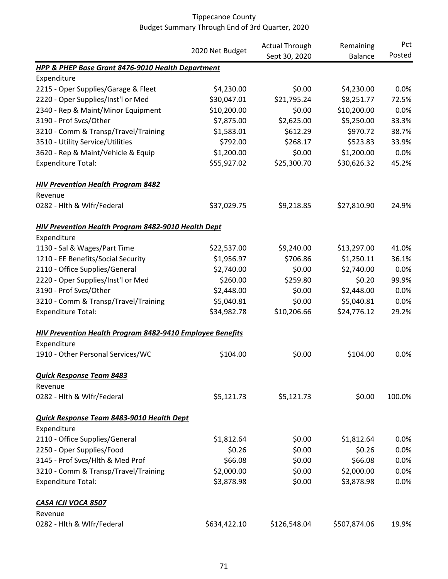|                                                                  |                 | <b>Actual Through</b> | Remaining      | Pct    |
|------------------------------------------------------------------|-----------------|-----------------------|----------------|--------|
|                                                                  | 2020 Net Budget | Sept 30, 2020         | <b>Balance</b> | Posted |
| <b>HPP &amp; PHEP Base Grant 8476-9010 Health Department</b>     |                 |                       |                |        |
| Expenditure                                                      |                 |                       |                |        |
| 2215 - Oper Supplies/Garage & Fleet                              | \$4,230.00      | \$0.00                | \$4,230.00     | 0.0%   |
| 2220 - Oper Supplies/Inst'l or Med                               | \$30,047.01     | \$21,795.24           | \$8,251.77     | 72.5%  |
| 2340 - Rep & Maint/Minor Equipment                               | \$10,200.00     | \$0.00                | \$10,200.00    | 0.0%   |
| 3190 - Prof Svcs/Other                                           | \$7,875.00      | \$2,625.00            | \$5,250.00     | 33.3%  |
| 3210 - Comm & Transp/Travel/Training                             | \$1,583.01      | \$612.29              | \$970.72       | 38.7%  |
| 3510 - Utility Service/Utilities                                 | \$792.00        | \$268.17              | \$523.83       | 33.9%  |
| 3620 - Rep & Maint/Vehicle & Equip                               | \$1,200.00      | \$0.00                | \$1,200.00     | 0.0%   |
| <b>Expenditure Total:</b>                                        | \$55,927.02     | \$25,300.70           | \$30,626.32    | 45.2%  |
| <b>HIV Prevention Health Program 8482</b>                        |                 |                       |                |        |
| Revenue                                                          |                 |                       |                |        |
| 0282 - Hlth & Wlfr/Federal                                       | \$37,029.75     | \$9,218.85            | \$27,810.90    | 24.9%  |
| HIV Prevention Health Program 8482-9010 Health Dept              |                 |                       |                |        |
| Expenditure                                                      |                 |                       |                |        |
| 1130 - Sal & Wages/Part Time                                     | \$22,537.00     | \$9,240.00            | \$13,297.00    | 41.0%  |
| 1210 - EE Benefits/Social Security                               | \$1,956.97      | \$706.86              | \$1,250.11     | 36.1%  |
| 2110 - Office Supplies/General                                   | \$2,740.00      | \$0.00                | \$2,740.00     | 0.0%   |
| 2220 - Oper Supplies/Inst'l or Med                               | \$260.00        | \$259.80              | \$0.20         | 99.9%  |
| 3190 - Prof Svcs/Other                                           | \$2,448.00      | \$0.00                | \$2,448.00     | 0.0%   |
| 3210 - Comm & Transp/Travel/Training                             | \$5,040.81      | \$0.00                | \$5,040.81     | 0.0%   |
| <b>Expenditure Total:</b>                                        | \$34,982.78     | \$10,206.66           | \$24,776.12    | 29.2%  |
| <b>HIV Prevention Health Program 8482-9410 Employee Benefits</b> |                 |                       |                |        |
| Expenditure                                                      |                 |                       |                |        |
| 1910 - Other Personal Services/WC                                | \$104.00        | \$0.00                | \$104.00       | 0.0%   |
| <b>Quick Response Team 8483</b>                                  |                 |                       |                |        |
| Revenue                                                          |                 |                       |                |        |
| 0282 - Hlth & Wlfr/Federal                                       | \$5,121.73      | \$5,121.73            | \$0.00         | 100.0% |
| Quick Response Team 8483-9010 Health Dept                        |                 |                       |                |        |
| Expenditure                                                      |                 |                       |                |        |
| 2110 - Office Supplies/General                                   | \$1,812.64      | \$0.00                | \$1,812.64     | 0.0%   |
| 2250 - Oper Supplies/Food                                        | \$0.26          | \$0.00                | \$0.26         | 0.0%   |
| 3145 - Prof Svcs/Hlth & Med Prof                                 | \$66.08         | \$0.00                | \$66.08        | 0.0%   |
| 3210 - Comm & Transp/Travel/Training                             | \$2,000.00      | \$0.00                | \$2,000.00     | 0.0%   |
| <b>Expenditure Total:</b>                                        | \$3,878.98      | \$0.00                | \$3,878.98     | 0.0%   |
| CASA ICJI VOCA 8507                                              |                 |                       |                |        |
| Revenue                                                          |                 |                       |                |        |
| 0282 - Hlth & Wlfr/Federal                                       | \$634,422.10    | \$126,548.04          | \$507,874.06   | 19.9%  |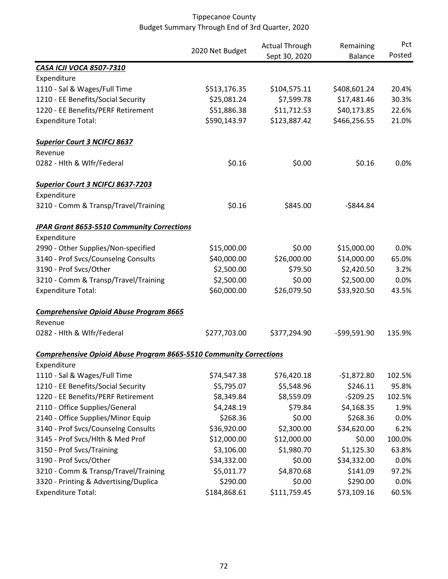|                                                                           | 2020 Net Budget | <b>Actual Through</b> | Remaining      | Pct    |
|---------------------------------------------------------------------------|-----------------|-----------------------|----------------|--------|
|                                                                           |                 | Sept 30, 2020         | <b>Balance</b> | Posted |
| <b>CASA ICJI VOCA 8507-7310</b>                                           |                 |                       |                |        |
| Expenditure                                                               |                 |                       |                |        |
| 1110 - Sal & Wages/Full Time                                              | \$513,176.35    | \$104,575.11          | \$408,601.24   | 20.4%  |
| 1210 - EE Benefits/Social Security                                        | \$25,081.24     | \$7,599.78            | \$17,481.46    | 30.3%  |
| 1220 - EE Benefits/PERF Retirement                                        | \$51,886.38     | \$11,712.53           | \$40,173.85    | 22.6%  |
| <b>Expenditure Total:</b>                                                 | \$590,143.97    | \$123,887.42          | \$466,256.55   | 21.0%  |
| <b>Superior Court 3 NCIFCJ 8637</b>                                       |                 |                       |                |        |
| Revenue                                                                   |                 |                       |                |        |
| 0282 - Hith & Wifr/Federal                                                | \$0.16          | \$0.00                | \$0.16         | 0.0%   |
| <b>Superior Court 3 NCIFCJ 8637-7203</b>                                  |                 |                       |                |        |
| Expenditure                                                               |                 |                       |                |        |
| 3210 - Comm & Transp/Travel/Training                                      | \$0.16          | \$845.00              | $-$844.84$     |        |
| <b>JPAR Grant 8653-5510 Community Corrections</b>                         |                 |                       |                |        |
| Expenditure                                                               |                 |                       |                |        |
| 2990 - Other Supplies/Non-specified                                       | \$15,000.00     | \$0.00                | \$15,000.00    | 0.0%   |
| 3140 - Prof Svcs/Counselng Consults                                       | \$40,000.00     | \$26,000.00           | \$14,000.00    | 65.0%  |
| 3190 - Prof Svcs/Other                                                    | \$2,500.00      | \$79.50               | \$2,420.50     | 3.2%   |
| 3210 - Comm & Transp/Travel/Training                                      | \$2,500.00      | \$0.00                | \$2,500.00     | 0.0%   |
| <b>Expenditure Total:</b>                                                 | \$60,000.00     | \$26,079.50           | \$33,920.50    | 43.5%  |
| <b>Comprehensive Opioid Abuse Program 8665</b>                            |                 |                       |                |        |
| Revenue                                                                   |                 |                       |                |        |
| 0282 - Hlth & Wlfr/Federal                                                | \$277,703.00    | \$377,294.90          | $-599,591.90$  | 135.9% |
| <b>Comprehensive Opioid Abuse Program 8665-5510 Community Corrections</b> |                 |                       |                |        |
| Expenditure                                                               |                 |                       |                |        |
| 1110 - Sal & Wages/Full Time                                              | \$74,547.38     | \$76,420.18           | $-$1,872.80$   | 102.5% |
| 1210 - EE Benefits/Social Security                                        | \$5,795.07      | \$5,548.96            | \$246.11       | 95.8%  |
| 1220 - EE Benefits/PERF Retirement                                        | \$8,349.84      | \$8,559.09            | $-5209.25$     | 102.5% |
| 2110 - Office Supplies/General                                            | \$4,248.19      | \$79.84               | \$4,168.35     | 1.9%   |
| 2140 - Office Supplies/Minor Equip                                        | \$268.36        | \$0.00                | \$268.36       | 0.0%   |
| 3140 - Prof Svcs/Counselng Consults                                       | \$36,920.00     | \$2,300.00            | \$34,620.00    | 6.2%   |
| 3145 - Prof Svcs/Hlth & Med Prof                                          | \$12,000.00     | \$12,000.00           | \$0.00         | 100.0% |
| 3150 - Prof Svcs/Training                                                 | \$3,106.00      | \$1,980.70            | \$1,125.30     | 63.8%  |
| 3190 - Prof Svcs/Other                                                    | \$34,332.00     | \$0.00                | \$34,332.00    | 0.0%   |
| 3210 - Comm & Transp/Travel/Training                                      | \$5,011.77      | \$4,870.68            | \$141.09       | 97.2%  |
| 3320 - Printing & Advertising/Duplica                                     | \$290.00        | \$0.00                | \$290.00       | 0.0%   |
| <b>Expenditure Total:</b>                                                 | \$184,868.61    | \$111,759.45          | \$73,109.16    | 60.5%  |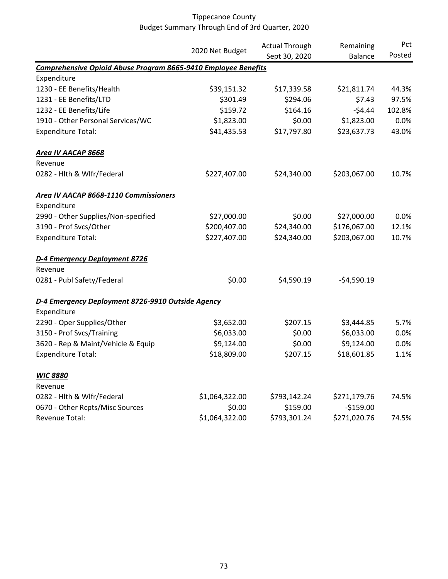|                                                                |                 | <b>Actual Through</b> | Remaining<br><b>Balance</b> | Pct<br>Posted |
|----------------------------------------------------------------|-----------------|-----------------------|-----------------------------|---------------|
|                                                                | 2020 Net Budget | Sept 30, 2020         |                             |               |
| Comprehensive Opioid Abuse Program 8665-9410 Employee Benefits |                 |                       |                             |               |
| Expenditure                                                    |                 |                       |                             |               |
| 1230 - EE Benefits/Health                                      | \$39,151.32     | \$17,339.58           | \$21,811.74                 | 44.3%         |
| 1231 - EE Benefits/LTD                                         | \$301.49        | \$294.06              | \$7.43                      | 97.5%         |
| 1232 - EE Benefits/Life                                        | \$159.72        | \$164.16              | $-54.44$                    | 102.8%        |
| 1910 - Other Personal Services/WC                              | \$1,823.00      | \$0.00                | \$1,823.00                  | 0.0%          |
| <b>Expenditure Total:</b>                                      | \$41,435.53     | \$17,797.80           | \$23,637.73                 | 43.0%         |
| Area IV AACAP 8668                                             |                 |                       |                             |               |
| Revenue                                                        |                 |                       |                             |               |
| 0282 - Hlth & Wlfr/Federal                                     | \$227,407.00    | \$24,340.00           | \$203,067.00                | 10.7%         |
| Area IV AACAP 8668-1110 Commissioners                          |                 |                       |                             |               |
| Expenditure                                                    |                 |                       |                             |               |
| 2990 - Other Supplies/Non-specified                            | \$27,000.00     | \$0.00                | \$27,000.00                 | 0.0%          |
| 3190 - Prof Svcs/Other                                         | \$200,407.00    | \$24,340.00           | \$176,067.00                | 12.1%         |
| <b>Expenditure Total:</b>                                      | \$227,407.00    | \$24,340.00           | \$203,067.00                | 10.7%         |
| D-4 Emergency Deployment 8726                                  |                 |                       |                             |               |
| Revenue                                                        |                 |                       |                             |               |
| 0281 - Publ Safety/Federal                                     | \$0.00          | \$4,590.19            | $-$4,590.19$                |               |
| D-4 Emergency Deployment 8726-9910 Outside Agency              |                 |                       |                             |               |
| Expenditure                                                    |                 |                       |                             |               |
| 2290 - Oper Supplies/Other                                     | \$3,652.00      | \$207.15              | \$3,444.85                  | 5.7%          |
| 3150 - Prof Svcs/Training                                      | \$6,033.00      | \$0.00                | \$6,033.00                  | 0.0%          |
| 3620 - Rep & Maint/Vehicle & Equip                             | \$9,124.00      | \$0.00                | \$9,124.00                  | 0.0%          |
| <b>Expenditure Total:</b>                                      | \$18,809.00     | \$207.15              | \$18,601.85                 | 1.1%          |
| <b>WIC 8880</b>                                                |                 |                       |                             |               |
| Revenue                                                        |                 |                       |                             |               |
| 0282 - Hlth & Wlfr/Federal                                     | \$1,064,322.00  | \$793,142.24          | \$271,179.76                | 74.5%         |
| 0670 - Other Rcpts/Misc Sources                                | \$0.00          | \$159.00              | $-$159.00$                  |               |
| Revenue Total:                                                 | \$1,064,322.00  | \$793,301.24          | \$271,020.76                | 74.5%         |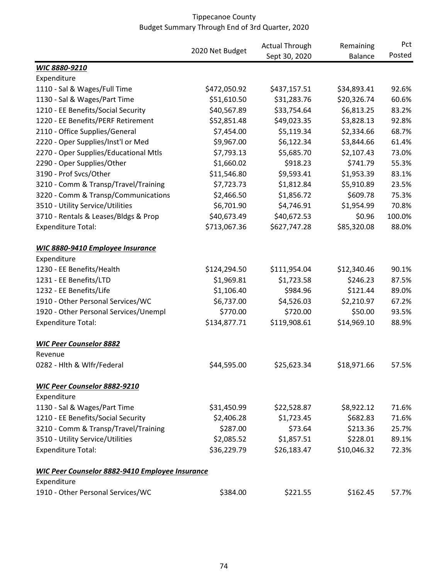|                                                        |                 | <b>Actual Through</b> | Remaining      | Pct<br>Posted |
|--------------------------------------------------------|-----------------|-----------------------|----------------|---------------|
|                                                        | 2020 Net Budget | Sept 30, 2020         | <b>Balance</b> |               |
| WIC 8880-9210                                          |                 |                       |                |               |
| Expenditure                                            |                 |                       |                |               |
| 1110 - Sal & Wages/Full Time                           | \$472,050.92    | \$437,157.51          | \$34,893.41    | 92.6%         |
| 1130 - Sal & Wages/Part Time                           | \$51,610.50     | \$31,283.76           | \$20,326.74    | 60.6%         |
| 1210 - EE Benefits/Social Security                     | \$40,567.89     | \$33,754.64           | \$6,813.25     | 83.2%         |
| 1220 - EE Benefits/PERF Retirement                     | \$52,851.48     | \$49,023.35           | \$3,828.13     | 92.8%         |
| 2110 - Office Supplies/General                         | \$7,454.00      | \$5,119.34            | \$2,334.66     | 68.7%         |
| 2220 - Oper Supplies/Inst'l or Med                     | \$9,967.00      | \$6,122.34            | \$3,844.66     | 61.4%         |
| 2270 - Oper Supplies/Educational Mtls                  | \$7,793.13      | \$5,685.70            | \$2,107.43     | 73.0%         |
| 2290 - Oper Supplies/Other                             | \$1,660.02      | \$918.23              | \$741.79       | 55.3%         |
| 3190 - Prof Svcs/Other                                 | \$11,546.80     | \$9,593.41            | \$1,953.39     | 83.1%         |
| 3210 - Comm & Transp/Travel/Training                   | \$7,723.73      | \$1,812.84            | \$5,910.89     | 23.5%         |
| 3220 - Comm & Transp/Communications                    | \$2,466.50      | \$1,856.72            | \$609.78       | 75.3%         |
| 3510 - Utility Service/Utilities                       | \$6,701.90      | \$4,746.91            | \$1,954.99     | 70.8%         |
| 3710 - Rentals & Leases/Bldgs & Prop                   | \$40,673.49     | \$40,672.53           | \$0.96         | 100.0%        |
| <b>Expenditure Total:</b>                              | \$713,067.36    | \$627,747.28          | \$85,320.08    | 88.0%         |
| <b>WIC 8880-9410 Employee Insurance</b>                |                 |                       |                |               |
| Expenditure                                            |                 |                       |                |               |
| 1230 - EE Benefits/Health                              | \$124,294.50    | \$111,954.04          | \$12,340.46    | 90.1%         |
| 1231 - EE Benefits/LTD                                 | \$1,969.81      | \$1,723.58            | \$246.23       | 87.5%         |
| 1232 - EE Benefits/Life                                | \$1,106.40      | \$984.96              | \$121.44       | 89.0%         |
| 1910 - Other Personal Services/WC                      | \$6,737.00      | \$4,526.03            | \$2,210.97     | 67.2%         |
| 1920 - Other Personal Services/Unempl                  | \$770.00        | \$720.00              | \$50.00        | 93.5%         |
| <b>Expenditure Total:</b>                              | \$134,877.71    | \$119,908.61          | \$14,969.10    | 88.9%         |
| <b>WIC Peer Counselor 8882</b>                         |                 |                       |                |               |
| Revenue                                                |                 |                       |                |               |
| 0282 - Hith & Wifr/Federal                             | \$44,595.00     | \$25,623.34           | \$18,971.66    | 57.5%         |
| <b>WIC Peer Counselor 8882-9210</b>                    |                 |                       |                |               |
| Expenditure                                            |                 |                       |                |               |
| 1130 - Sal & Wages/Part Time                           | \$31,450.99     | \$22,528.87           | \$8,922.12     | 71.6%         |
| 1210 - EE Benefits/Social Security                     | \$2,406.28      | \$1,723.45            | \$682.83       | 71.6%         |
| 3210 - Comm & Transp/Travel/Training                   | \$287.00        | \$73.64               | \$213.36       | 25.7%         |
| 3510 - Utility Service/Utilities                       | \$2,085.52      | \$1,857.51            | \$228.01       | 89.1%         |
| <b>Expenditure Total:</b>                              | \$36,229.79     | \$26,183.47           | \$10,046.32    | 72.3%         |
| <b>WIC Peer Counselor 8882-9410 Employee Insurance</b> |                 |                       |                |               |
| Expenditure                                            |                 |                       |                |               |
| 1910 - Other Personal Services/WC                      | \$384.00        | \$221.55              | \$162.45       | 57.7%         |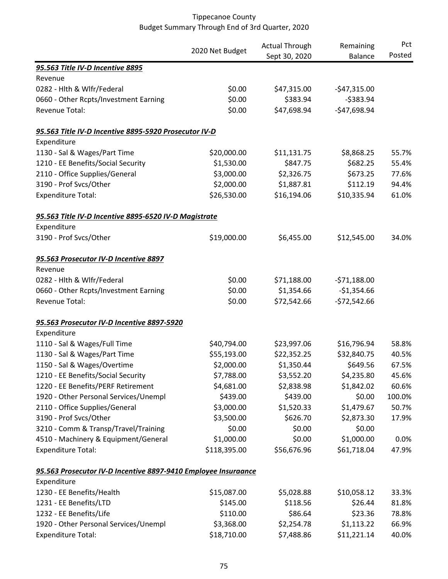|                                                                | 2020 Net Budget | <b>Actual Through</b> | Remaining      | Pct    |
|----------------------------------------------------------------|-----------------|-----------------------|----------------|--------|
|                                                                |                 | Sept 30, 2020         | <b>Balance</b> | Posted |
| 95.563 Title IV-D Incentive 8895                               |                 |                       |                |        |
| Revenue                                                        |                 |                       |                |        |
| 0282 - Hlth & Wlfr/Federal                                     | \$0.00          | \$47,315.00           | $-$47,315.00$  |        |
| 0660 - Other Rcpts/Investment Earning                          | \$0.00          | \$383.94              | $-5383.94$     |        |
| Revenue Total:                                                 | \$0.00          | \$47,698.94           | $-$47,698.94$  |        |
| 95.563 Title IV-D Incentive 8895-5920 Prosecutor IV-D          |                 |                       |                |        |
| Expenditure                                                    |                 |                       |                |        |
| 1130 - Sal & Wages/Part Time                                   | \$20,000.00     | \$11,131.75           | \$8,868.25     | 55.7%  |
| 1210 - EE Benefits/Social Security                             | \$1,530.00      | \$847.75              | \$682.25       | 55.4%  |
| 2110 - Office Supplies/General                                 | \$3,000.00      | \$2,326.75            | \$673.25       | 77.6%  |
| 3190 - Prof Svcs/Other                                         | \$2,000.00      | \$1,887.81            | \$112.19       | 94.4%  |
| <b>Expenditure Total:</b>                                      | \$26,530.00     | \$16,194.06           | \$10,335.94    | 61.0%  |
| 95.563 Title IV-D Incentive 8895-6520 IV-D Magistrate          |                 |                       |                |        |
| Expenditure                                                    |                 |                       |                |        |
| 3190 - Prof Svcs/Other                                         | \$19,000.00     | \$6,455.00            | \$12,545.00    | 34.0%  |
| 95.563 Prosecutor IV-D Incentive 8897                          |                 |                       |                |        |
| Revenue                                                        |                 |                       |                |        |
| 0282 - Hlth & Wlfr/Federal                                     | \$0.00          | \$71,188.00           | $-571,188.00$  |        |
| 0660 - Other Rcpts/Investment Earning                          | \$0.00          | \$1,354.66            | $-$1,354.66$   |        |
| Revenue Total:                                                 | \$0.00          | \$72,542.66           | $-572,542.66$  |        |
| 95.563 Prosecutor IV-D Incentive 8897-5920                     |                 |                       |                |        |
| Expenditure                                                    |                 |                       |                |        |
| 1110 - Sal & Wages/Full Time                                   | \$40,794.00     | \$23,997.06           | \$16,796.94    | 58.8%  |
| 1130 - Sal & Wages/Part Time                                   | \$55,193.00     | \$22,352.25           | \$32,840.75    | 40.5%  |
| 1150 - Sal & Wages/Overtime                                    | \$2,000.00      | \$1,350.44            | \$649.56       | 67.5%  |
| 1210 - EE Benefits/Social Security                             | \$7,788.00      | \$3,552.20            | \$4,235.80     | 45.6%  |
| 1220 - EE Benefits/PERF Retirement                             | \$4,681.00      | \$2,838.98            | \$1,842.02     | 60.6%  |
| 1920 - Other Personal Services/Unempl                          | \$439.00        | \$439.00              | \$0.00         | 100.0% |
| 2110 - Office Supplies/General                                 | \$3,000.00      | \$1,520.33            | \$1,479.67     | 50.7%  |
| 3190 - Prof Svcs/Other                                         | \$3,500.00      | \$626.70              | \$2,873.30     | 17.9%  |
| 3210 - Comm & Transp/Travel/Training                           | \$0.00          | \$0.00                | \$0.00         |        |
| 4510 - Machinery & Equipment/General                           | \$1,000.00      | \$0.00                | \$1,000.00     | 0.0%   |
| <b>Expenditure Total:</b>                                      | \$118,395.00    | \$56,676.96           | \$61,718.04    | 47.9%  |
| 95.563 Prosecutor IV-D Incentive 8897-9410 Employee Insuraance |                 |                       |                |        |
| Expenditure                                                    |                 |                       |                |        |
| 1230 - EE Benefits/Health                                      | \$15,087.00     | \$5,028.88            | \$10,058.12    | 33.3%  |
| 1231 - EE Benefits/LTD                                         | \$145.00        | \$118.56              | \$26.44        | 81.8%  |
| 1232 - EE Benefits/Life                                        | \$110.00        | \$86.64               | \$23.36        | 78.8%  |
| 1920 - Other Personal Services/Unempl                          | \$3,368.00      | \$2,254.78            | \$1,113.22     | 66.9%  |
| <b>Expenditure Total:</b>                                      | \$18,710.00     | \$7,488.86            | \$11,221.14    | 40.0%  |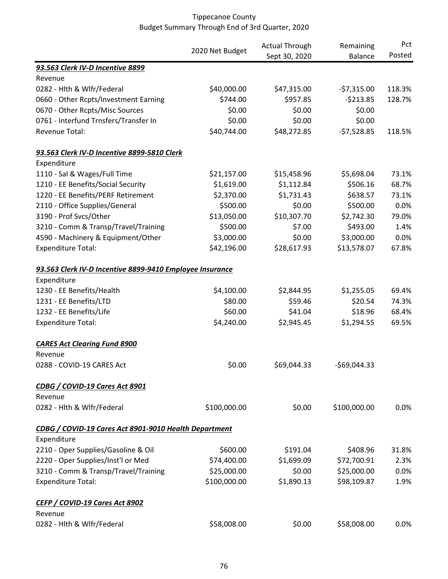|                                                          |                 | <b>Actual Through</b> | Remaining      | Pct    |
|----------------------------------------------------------|-----------------|-----------------------|----------------|--------|
|                                                          | 2020 Net Budget | Sept 30, 2020         | <b>Balance</b> | Posted |
| 93.563 Clerk IV-D Incentive 8899                         |                 |                       |                |        |
| Revenue                                                  |                 |                       |                |        |
| 0282 - Hith & Wifr/Federal                               | \$40,000.00     | \$47,315.00           | $-57,315.00$   | 118.3% |
| 0660 - Other Rcpts/Investment Earning                    | \$744.00        | \$957.85              | $-5213.85$     | 128.7% |
| 0670 - Other Rcpts/Misc Sources                          | \$0.00          | \$0.00                | \$0.00         |        |
| 0761 - Interfund Trnsfers/Transfer In                    | \$0.00          | \$0.00                | \$0.00         |        |
| Revenue Total:                                           | \$40,744.00     | \$48,272.85           | $-57,528.85$   | 118.5% |
| 93.563 Clerk IV-D Incentive 8899-5810 Clerk              |                 |                       |                |        |
| Expenditure                                              |                 |                       |                |        |
| 1110 - Sal & Wages/Full Time                             | \$21,157.00     | \$15,458.96           | \$5,698.04     | 73.1%  |
| 1210 - EE Benefits/Social Security                       | \$1,619.00      | \$1,112.84            | \$506.16       | 68.7%  |
| 1220 - EE Benefits/PERF Retirement                       | \$2,370.00      | \$1,731.43            | \$638.57       | 73.1%  |
| 2110 - Office Supplies/General                           | \$500.00        | \$0.00                | \$500.00       | 0.0%   |
| 3190 - Prof Svcs/Other                                   | \$13,050.00     | \$10,307.70           | \$2,742.30     | 79.0%  |
| 3210 - Comm & Transp/Travel/Training                     | \$500.00        | \$7.00                | \$493.00       | 1.4%   |
| 4590 - Machinery & Equipment/Other                       | \$3,000.00      | \$0.00                | \$3,000.00     | 0.0%   |
| <b>Expenditure Total:</b>                                | \$42,196.00     | \$28,617.93           | \$13,578.07    | 67.8%  |
| 93.563 Clerk IV-D Incentive 8899-9410 Employee Insurance |                 |                       |                |        |
| Expenditure                                              |                 |                       |                |        |
| 1230 - EE Benefits/Health                                | \$4,100.00      | \$2,844.95            | \$1,255.05     | 69.4%  |
| 1231 - EE Benefits/LTD                                   | \$80.00         | \$59.46               | \$20.54        | 74.3%  |
| 1232 - EE Benefits/Life                                  | \$60.00         | \$41.04               | \$18.96        | 68.4%  |
| <b>Expenditure Total:</b>                                | \$4,240.00      | \$2,945.45            | \$1,294.55     | 69.5%  |
| <b>CARES Act Clearing Fund 8900</b>                      |                 |                       |                |        |
| Revenue                                                  |                 |                       |                |        |
| 0288 - COVID-19 CARES Act                                | \$0.00          | \$69,044.33           | $-$69,044.33$  |        |
| CDBG / COVID-19 Cares Act 8901                           |                 |                       |                |        |
| Revenue                                                  |                 |                       |                |        |
| 0282 - Hlth & Wlfr/Federal                               | \$100,000.00    | \$0.00                | \$100,000.00   | 0.0%   |
| CDBG / COVID-19 Cares Act 8901-9010 Health Department    |                 |                       |                |        |
| Expenditure                                              |                 |                       |                |        |
| 2210 - Oper Supplies/Gasoline & Oil                      | \$600.00        | \$191.04              | \$408.96       | 31.8%  |
| 2220 - Oper Supplies/Inst'l or Med                       | \$74,400.00     | \$1,699.09            | \$72,700.91    | 2.3%   |
| 3210 - Comm & Transp/Travel/Training                     | \$25,000.00     | \$0.00                | \$25,000.00    | 0.0%   |
| <b>Expenditure Total:</b>                                | \$100,000.00    | \$1,890.13            | \$98,109.87    | 1.9%   |
| <b>CEFP / COVID-19 Cares Act 8902</b>                    |                 |                       |                |        |
| Revenue                                                  |                 |                       |                |        |
| 0282 - Hlth & Wlfr/Federal                               | \$58,008.00     | \$0.00                | \$58,008.00    | 0.0%   |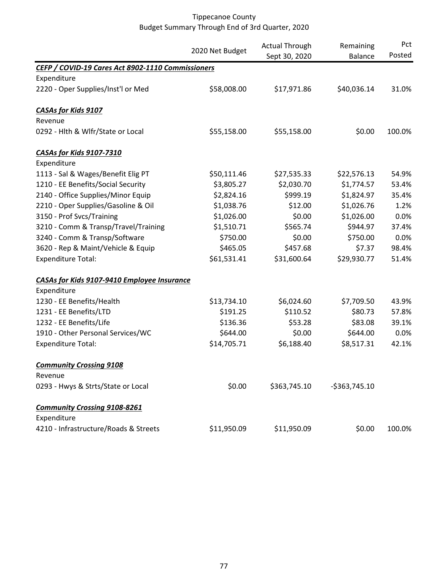|                                                   | 2020 Net Budget | <b>Actual Through</b><br>Sept 30, 2020 | Remaining<br><b>Balance</b> | Pct<br>Posted |
|---------------------------------------------------|-----------------|----------------------------------------|-----------------------------|---------------|
| CEFP / COVID-19 Cares Act 8902-1110 Commissioners |                 |                                        |                             |               |
| Expenditure                                       |                 |                                        |                             |               |
| 2220 - Oper Supplies/Inst'l or Med                | \$58,008.00     | \$17,971.86                            | \$40,036.14                 | 31.0%         |
| <b>CASAs for Kids 9107</b>                        |                 |                                        |                             |               |
| Revenue                                           |                 |                                        |                             |               |
| 0292 - Hlth & Wlfr/State or Local                 | \$55,158.00     | \$55,158.00                            | \$0.00                      | 100.0%        |
| CASAs for Kids 9107-7310                          |                 |                                        |                             |               |
| Expenditure                                       |                 |                                        |                             |               |
| 1113 - Sal & Wages/Benefit Elig PT                | \$50,111.46     | \$27,535.33                            | \$22,576.13                 | 54.9%         |
| 1210 - EE Benefits/Social Security                | \$3,805.27      | \$2,030.70                             | \$1,774.57                  | 53.4%         |
| 2140 - Office Supplies/Minor Equip                | \$2,824.16      | \$999.19                               | \$1,824.97                  | 35.4%         |
| 2210 - Oper Supplies/Gasoline & Oil               | \$1,038.76      | \$12.00                                | \$1,026.76                  | 1.2%          |
| 3150 - Prof Svcs/Training                         | \$1,026.00      | \$0.00                                 | \$1,026.00                  | 0.0%          |
| 3210 - Comm & Transp/Travel/Training              | \$1,510.71      | \$565.74                               | \$944.97                    | 37.4%         |
| 3240 - Comm & Transp/Software                     | \$750.00        | \$0.00                                 | \$750.00                    | 0.0%          |
| 3620 - Rep & Maint/Vehicle & Equip                | \$465.05        | \$457.68                               | \$7.37                      | 98.4%         |
| <b>Expenditure Total:</b>                         | \$61,531.41     | \$31,600.64                            | \$29,930.77                 | 51.4%         |
| CASAs for Kids 9107-9410 Employee Insurance       |                 |                                        |                             |               |
| Expenditure                                       |                 |                                        |                             |               |
| 1230 - EE Benefits/Health                         | \$13,734.10     | \$6,024.60                             | \$7,709.50                  | 43.9%         |
| 1231 - EE Benefits/LTD                            | \$191.25        | \$110.52                               | \$80.73                     | 57.8%         |
| 1232 - EE Benefits/Life                           | \$136.36        | \$53.28                                | \$83.08                     | 39.1%         |
| 1910 - Other Personal Services/WC                 | \$644.00        | \$0.00                                 | \$644.00                    | 0.0%          |
| <b>Expenditure Total:</b>                         | \$14,705.71     | \$6,188.40                             | \$8,517.31                  | 42.1%         |
| <b>Community Crossing 9108</b>                    |                 |                                        |                             |               |
| Revenue                                           |                 |                                        |                             |               |
| 0293 - Hwys & Strts/State or Local                | \$0.00          | \$363,745.10                           | $-5363,745.10$              |               |
| <b>Community Crossing 9108-8261</b>               |                 |                                        |                             |               |
| Expenditure                                       |                 |                                        |                             |               |
| 4210 - Infrastructure/Roads & Streets             | \$11,950.09     | \$11,950.09                            | \$0.00                      | 100.0%        |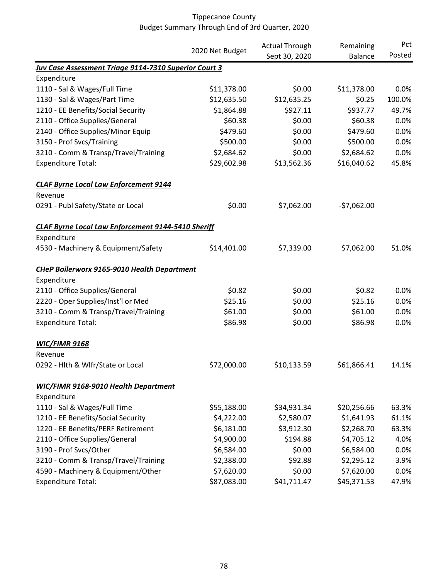|                                                              |                 | <b>Actual Through</b> | Remaining      | Pct    |
|--------------------------------------------------------------|-----------------|-----------------------|----------------|--------|
|                                                              | 2020 Net Budget | Sept 30, 2020         | <b>Balance</b> | Posted |
| <b>Juv Case Assessment Triage 9114-7310 Superior Court 3</b> |                 |                       |                |        |
| Expenditure                                                  |                 |                       |                |        |
| 1110 - Sal & Wages/Full Time                                 | \$11,378.00     | \$0.00                | \$11,378.00    | 0.0%   |
| 1130 - Sal & Wages/Part Time                                 | \$12,635.50     | \$12,635.25           | \$0.25         | 100.0% |
| 1210 - EE Benefits/Social Security                           | \$1,864.88      | \$927.11              | \$937.77       | 49.7%  |
| 2110 - Office Supplies/General                               | \$60.38         | \$0.00                | \$60.38        | 0.0%   |
| 2140 - Office Supplies/Minor Equip                           | \$479.60        | \$0.00                | \$479.60       | 0.0%   |
| 3150 - Prof Svcs/Training                                    | \$500.00        | \$0.00                | \$500.00       | 0.0%   |
| 3210 - Comm & Transp/Travel/Training                         | \$2,684.62      | \$0.00                | \$2,684.62     | 0.0%   |
| <b>Expenditure Total:</b>                                    | \$29,602.98     | \$13,562.36           | \$16,040.62    | 45.8%  |
| <b>CLAF Byrne Local Law Enforcement 9144</b>                 |                 |                       |                |        |
| Revenue                                                      |                 |                       |                |        |
| 0291 - Publ Safety/State or Local                            | \$0.00          | \$7,062.00            | $-57,062.00$   |        |
| <b>CLAF Byrne Local Law Enforcement 9144-5410 Sheriff</b>    |                 |                       |                |        |
| Expenditure                                                  |                 |                       |                |        |
| 4530 - Machinery & Equipment/Safety                          | \$14,401.00     | \$7,339.00            | \$7,062.00     | 51.0%  |
| <b>CHeP Boilerworx 9165-9010 Health Department</b>           |                 |                       |                |        |
| Expenditure                                                  |                 |                       |                |        |
| 2110 - Office Supplies/General                               | \$0.82          | \$0.00                | \$0.82         | 0.0%   |
| 2220 - Oper Supplies/Inst'l or Med                           | \$25.16         | \$0.00                | \$25.16        | 0.0%   |
| 3210 - Comm & Transp/Travel/Training                         | \$61.00         | \$0.00                | \$61.00        | 0.0%   |
| <b>Expenditure Total:</b>                                    | \$86.98         | \$0.00                | \$86.98        | 0.0%   |
| <b>WIC/FIMR 9168</b>                                         |                 |                       |                |        |
| Revenue                                                      |                 |                       |                |        |
| 0292 - Hlth & Wlfr/State or Local                            | \$72,000.00     | \$10,133.59           | \$61,866.41    | 14.1%  |
| <b>WIC/FIMR 9168-9010 Health Department</b>                  |                 |                       |                |        |
| Expenditure                                                  |                 |                       |                |        |
| 1110 - Sal & Wages/Full Time                                 | \$55,188.00     | \$34,931.34           | \$20,256.66    | 63.3%  |
| 1210 - EE Benefits/Social Security                           | \$4,222.00      | \$2,580.07            | \$1,641.93     | 61.1%  |
| 1220 - EE Benefits/PERF Retirement                           | \$6,181.00      | \$3,912.30            | \$2,268.70     | 63.3%  |
| 2110 - Office Supplies/General                               | \$4,900.00      | \$194.88              | \$4,705.12     | 4.0%   |
| 3190 - Prof Svcs/Other                                       | \$6,584.00      | \$0.00                | \$6,584.00     | 0.0%   |
| 3210 - Comm & Transp/Travel/Training                         | \$2,388.00      | \$92.88               | \$2,295.12     | 3.9%   |
| 4590 - Machinery & Equipment/Other                           | \$7,620.00      | \$0.00                | \$7,620.00     | 0.0%   |
| <b>Expenditure Total:</b>                                    | \$87,083.00     | \$41,711.47           | \$45,371.53    | 47.9%  |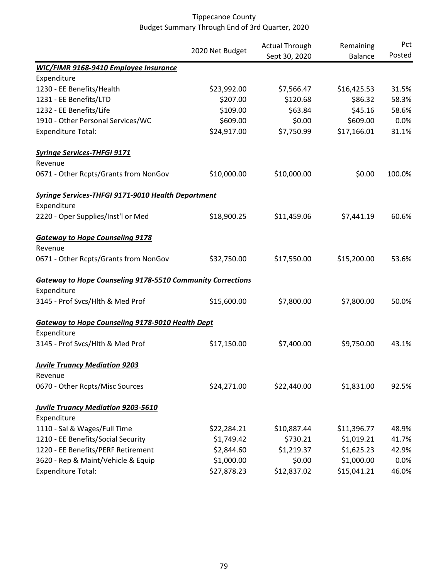|                                                                   | 2020 Net Budget | <b>Actual Through</b><br>Sept 30, 2020 | Remaining<br><b>Balance</b> | Pct<br>Posted |
|-------------------------------------------------------------------|-----------------|----------------------------------------|-----------------------------|---------------|
|                                                                   |                 |                                        |                             |               |
| <b>WIC/FIMR 9168-9410 Employee Insurance</b><br>Expenditure       |                 |                                        |                             |               |
| 1230 - EE Benefits/Health                                         | \$23,992.00     | \$7,566.47                             | \$16,425.53                 | 31.5%         |
| 1231 - EE Benefits/LTD                                            | \$207.00        | \$120.68                               | \$86.32                     | 58.3%         |
| 1232 - EE Benefits/Life                                           | \$109.00        | \$63.84                                | \$45.16                     | 58.6%         |
| 1910 - Other Personal Services/WC                                 | \$609.00        | \$0.00                                 | \$609.00                    | 0.0%          |
| <b>Expenditure Total:</b>                                         | \$24,917.00     | \$7,750.99                             | \$17,166.01                 | 31.1%         |
| <b>Syringe Services-THFGI 9171</b>                                |                 |                                        |                             |               |
| Revenue                                                           |                 |                                        |                             |               |
| 0671 - Other Rcpts/Grants from NonGov                             | \$10,000.00     | \$10,000.00                            | \$0.00                      | 100.0%        |
| <b>Syringe Services-THFGI 9171-9010 Health Department</b>         |                 |                                        |                             |               |
| Expenditure                                                       |                 |                                        |                             |               |
| 2220 - Oper Supplies/Inst'l or Med                                | \$18,900.25     | \$11,459.06                            | \$7,441.19                  | 60.6%         |
| <b>Gateway to Hope Counseling 9178</b>                            |                 |                                        |                             |               |
| Revenue                                                           |                 |                                        |                             |               |
| 0671 - Other Rcpts/Grants from NonGov                             | \$32,750.00     | \$17,550.00                            | \$15,200.00                 | 53.6%         |
| <b>Gateway to Hope Counseling 9178-5510 Community Corrections</b> |                 |                                        |                             |               |
| Expenditure                                                       |                 |                                        |                             |               |
| 3145 - Prof Svcs/Hlth & Med Prof                                  | \$15,600.00     | \$7,800.00                             | \$7,800.00                  | 50.0%         |
| <b>Gateway to Hope Counseling 9178-9010 Health Dept</b>           |                 |                                        |                             |               |
| Expenditure                                                       |                 |                                        |                             |               |
| 3145 - Prof Svcs/Hlth & Med Prof                                  | \$17,150.00     | \$7,400.00                             | \$9,750.00                  | 43.1%         |
| <b>Juvile Truancy Mediation 9203</b>                              |                 |                                        |                             |               |
| Revenue                                                           |                 |                                        |                             |               |
| 0670 - Other Rcpts/Misc Sources                                   | \$24,271.00     | \$22,440.00                            | \$1,831.00                  | 92.5%         |
| <b>Juvile Truancy Mediation 9203-5610</b>                         |                 |                                        |                             |               |
| Expenditure                                                       |                 |                                        |                             |               |
| 1110 - Sal & Wages/Full Time                                      | \$22,284.21     | \$10,887.44                            | \$11,396.77                 | 48.9%         |
| 1210 - EE Benefits/Social Security                                | \$1,749.42      | \$730.21                               | \$1,019.21                  | 41.7%         |
| 1220 - EE Benefits/PERF Retirement                                | \$2,844.60      | \$1,219.37                             | \$1,625.23                  | 42.9%         |
| 3620 - Rep & Maint/Vehicle & Equip                                | \$1,000.00      | \$0.00                                 | \$1,000.00                  | 0.0%          |
| <b>Expenditure Total:</b>                                         | \$27,878.23     | \$12,837.02                            | \$15,041.21                 | 46.0%         |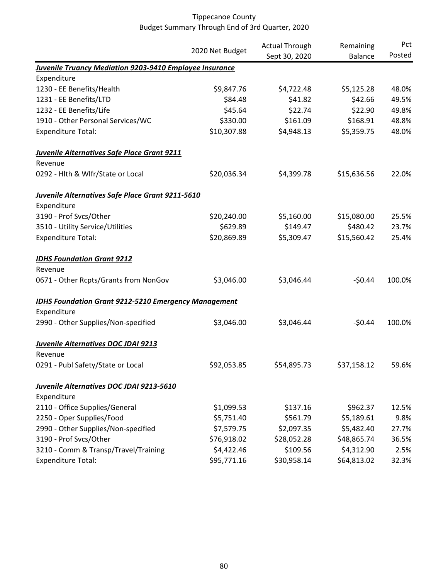|                                                                | 2020 Net Budget | <b>Actual Through</b><br>Remaining |                | Pct<br>Posted |
|----------------------------------------------------------------|-----------------|------------------------------------|----------------|---------------|
|                                                                |                 | Sept 30, 2020                      | <b>Balance</b> |               |
| <b>Juvenile Truancy Mediation 9203-9410 Employee Insurance</b> |                 |                                    |                |               |
| Expenditure                                                    |                 |                                    |                |               |
| 1230 - EE Benefits/Health                                      | \$9,847.76      | \$4,722.48                         | \$5,125.28     | 48.0%         |
| 1231 - EE Benefits/LTD                                         | \$84.48         | \$41.82                            | \$42.66        | 49.5%         |
| 1232 - EE Benefits/Life                                        | \$45.64         | \$22.74                            | \$22.90        | 49.8%         |
| 1910 - Other Personal Services/WC                              | \$330.00        | \$161.09                           | \$168.91       | 48.8%         |
| <b>Expenditure Total:</b>                                      | \$10,307.88     | \$4,948.13                         | \$5,359.75     | 48.0%         |
| <b>Juvenile Alternatives Safe Place Grant 9211</b>             |                 |                                    |                |               |
| Revenue                                                        |                 |                                    |                |               |
| 0292 - Hlth & Wlfr/State or Local                              | \$20,036.34     | \$4,399.78                         | \$15,636.56    | 22.0%         |
| <b>Juvenile Alternatives Safe Place Grant 9211-5610</b>        |                 |                                    |                |               |
| Expenditure                                                    |                 |                                    |                |               |
| 3190 - Prof Svcs/Other                                         | \$20,240.00     | \$5,160.00                         | \$15,080.00    | 25.5%         |
| 3510 - Utility Service/Utilities                               | \$629.89        | \$149.47                           | \$480.42       | 23.7%         |
| <b>Expenditure Total:</b>                                      | \$20,869.89     | \$5,309.47                         | \$15,560.42    | 25.4%         |
| <b>IDHS Foundation Grant 9212</b>                              |                 |                                    |                |               |
| Revenue                                                        |                 |                                    |                |               |
| 0671 - Other Rcpts/Grants from NonGov                          | \$3,046.00      | \$3,046.44                         | $-50.44$       | 100.0%        |
| <b>IDHS Foundation Grant 9212-5210 Emergency Management</b>    |                 |                                    |                |               |
| Expenditure                                                    |                 |                                    |                |               |
| 2990 - Other Supplies/Non-specified                            | \$3,046.00      | \$3,046.44                         | $-50.44$       | 100.0%        |
| Juvenile Alternatives DOC JDAI 9213                            |                 |                                    |                |               |
| Revenue                                                        |                 |                                    |                |               |
| 0291 - Publ Safety/State or Local                              | \$92,053.85     | \$54,895.73                        | \$37,158.12    | 59.6%         |
| Juvenile Alternatives DOC JDAI 9213-5610                       |                 |                                    |                |               |
| Expenditure                                                    |                 |                                    |                |               |
| 2110 - Office Supplies/General                                 | \$1,099.53      | \$137.16                           | \$962.37       | 12.5%         |
| 2250 - Oper Supplies/Food                                      | \$5,751.40      | \$561.79                           | \$5,189.61     | 9.8%          |
| 2990 - Other Supplies/Non-specified                            | \$7,579.75      | \$2,097.35                         | \$5,482.40     | 27.7%         |
| 3190 - Prof Svcs/Other                                         | \$76,918.02     | \$28,052.28                        | \$48,865.74    | 36.5%         |
| 3210 - Comm & Transp/Travel/Training                           | \$4,422.46      | \$109.56                           | \$4,312.90     | 2.5%          |
| <b>Expenditure Total:</b>                                      | \$95,771.16     | \$30,958.14                        | \$64,813.02    | 32.3%         |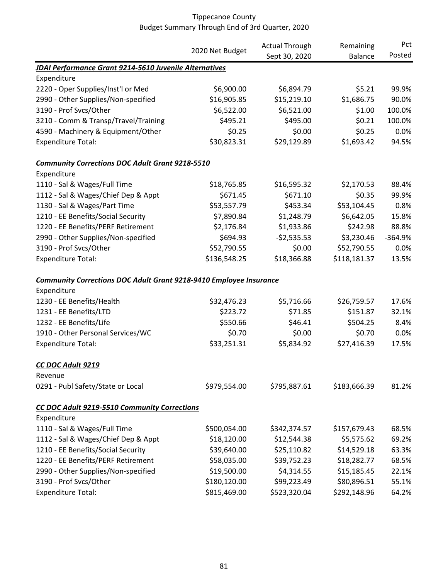|                                                                           |                 | <b>Actual Through</b> | Remaining      | Pct       |
|---------------------------------------------------------------------------|-----------------|-----------------------|----------------|-----------|
|                                                                           | 2020 Net Budget | Sept 30, 2020         | <b>Balance</b> | Posted    |
| <b>JDAI Performance Grant 9214-5610 Juvenile Alternatives</b>             |                 |                       |                |           |
| Expenditure                                                               |                 |                       |                |           |
| 2220 - Oper Supplies/Inst'l or Med                                        | \$6,900.00      | \$6,894.79            | \$5.21         | 99.9%     |
| 2990 - Other Supplies/Non-specified                                       | \$16,905.85     | \$15,219.10           | \$1,686.75     | 90.0%     |
| 3190 - Prof Svcs/Other                                                    | \$6,522.00      | \$6,521.00            | \$1.00         | 100.0%    |
| 3210 - Comm & Transp/Travel/Training                                      | \$495.21        | \$495.00              | \$0.21         | 100.0%    |
| 4590 - Machinery & Equipment/Other                                        | \$0.25          | \$0.00                | \$0.25         | 0.0%      |
| <b>Expenditure Total:</b>                                                 | \$30,823.31     | \$29,129.89           | \$1,693.42     | 94.5%     |
| <b>Community Corrections DOC Adult Grant 9218-5510</b>                    |                 |                       |                |           |
| Expenditure                                                               |                 |                       |                |           |
| 1110 - Sal & Wages/Full Time                                              | \$18,765.85     | \$16,595.32           | \$2,170.53     | 88.4%     |
| 1112 - Sal & Wages/Chief Dep & Appt                                       | \$671.45        | \$671.10              | \$0.35         | 99.9%     |
| 1130 - Sal & Wages/Part Time                                              | \$53,557.79     | \$453.34              | \$53,104.45    | 0.8%      |
| 1210 - EE Benefits/Social Security                                        | \$7,890.84      | \$1,248.79            | \$6,642.05     | 15.8%     |
| 1220 - EE Benefits/PERF Retirement                                        | \$2,176.84      | \$1,933.86            | \$242.98       | 88.8%     |
| 2990 - Other Supplies/Non-specified                                       | \$694.93        | $-52,535.53$          | \$3,230.46     | $-364.9%$ |
| 3190 - Prof Svcs/Other                                                    | \$52,790.55     | \$0.00                | \$52,790.55    | 0.0%      |
| <b>Expenditure Total:</b>                                                 | \$136,548.25    | \$18,366.88           | \$118,181.37   | 13.5%     |
| <b>Community Corrections DOC Adult Grant 9218-9410 Employee Insurance</b> |                 |                       |                |           |
| Expenditure                                                               |                 |                       |                |           |
| 1230 - EE Benefits/Health                                                 | \$32,476.23     | \$5,716.66            | \$26,759.57    | 17.6%     |
| 1231 - EE Benefits/LTD                                                    | \$223.72        | \$71.85               | \$151.87       | 32.1%     |
| 1232 - EE Benefits/Life                                                   | \$550.66        | \$46.41               | \$504.25       | 8.4%      |
| 1910 - Other Personal Services/WC                                         | \$0.70          | \$0.00                | \$0.70         | 0.0%      |
| <b>Expenditure Total:</b>                                                 | \$33,251.31     | \$5,834.92            | \$27,416.39    | 17.5%     |
| CC DOC Adult 9219                                                         |                 |                       |                |           |
| Revenue                                                                   |                 |                       |                |           |
| 0291 - Publ Safety/State or Local                                         | \$979,554.00    | \$795,887.61          | \$183,666.39   | 81.2%     |
| CC DOC Adult 9219-5510 Community Corrections                              |                 |                       |                |           |
| Expenditure                                                               |                 |                       |                |           |
| 1110 - Sal & Wages/Full Time                                              | \$500,054.00    | \$342,374.57          | \$157,679.43   | 68.5%     |
| 1112 - Sal & Wages/Chief Dep & Appt                                       | \$18,120.00     | \$12,544.38           | \$5,575.62     | 69.2%     |
| 1210 - EE Benefits/Social Security                                        | \$39,640.00     | \$25,110.82           | \$14,529.18    | 63.3%     |
| 1220 - EE Benefits/PERF Retirement                                        | \$58,035.00     | \$39,752.23           | \$18,282.77    | 68.5%     |
| 2990 - Other Supplies/Non-specified                                       | \$19,500.00     | \$4,314.55            | \$15,185.45    | 22.1%     |
| 3190 - Prof Svcs/Other                                                    | \$180,120.00    | \$99,223.49           | \$80,896.51    | 55.1%     |
| <b>Expenditure Total:</b>                                                 | \$815,469.00    | \$523,320.04          | \$292,148.96   | 64.2%     |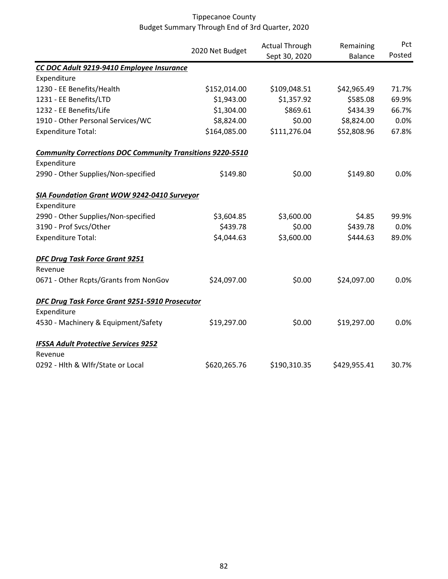|                                                                  |                 | <b>Actual Through</b> | Remaining      | Pct    |
|------------------------------------------------------------------|-----------------|-----------------------|----------------|--------|
|                                                                  | 2020 Net Budget | Sept 30, 2020         | <b>Balance</b> | Posted |
| CC DOC Adult 9219-9410 Employee Insurance                        |                 |                       |                |        |
| Expenditure                                                      |                 |                       |                |        |
| 1230 - EE Benefits/Health                                        | \$152,014.00    | \$109,048.51          | \$42,965.49    | 71.7%  |
| 1231 - EE Benefits/LTD                                           | \$1,943.00      | \$1,357.92            | \$585.08       | 69.9%  |
| 1232 - EE Benefits/Life                                          | \$1,304.00      | \$869.61              | \$434.39       | 66.7%  |
| 1910 - Other Personal Services/WC                                | \$8,824.00      | \$0.00                | \$8,824.00     | 0.0%   |
| <b>Expenditure Total:</b>                                        | \$164,085.00    | \$111,276.04          | \$52,808.96    | 67.8%  |
| <b>Community Corrections DOC Community Transitions 9220-5510</b> |                 |                       |                |        |
| Expenditure                                                      |                 |                       |                |        |
| 2990 - Other Supplies/Non-specified                              | \$149.80        | \$0.00                | \$149.80       | 0.0%   |
| <b>SIA Foundation Grant WOW 9242-0410 Surveyor</b>               |                 |                       |                |        |
| Expenditure                                                      |                 |                       |                |        |
| 2990 - Other Supplies/Non-specified                              | \$3,604.85      | \$3,600.00            | \$4.85         | 99.9%  |
| 3190 - Prof Svcs/Other                                           | \$439.78        | \$0.00                | \$439.78       | 0.0%   |
| <b>Expenditure Total:</b>                                        | \$4,044.63      | \$3,600.00            | \$444.63       | 89.0%  |
| <b>DFC Drug Task Force Grant 9251</b>                            |                 |                       |                |        |
| Revenue                                                          |                 |                       |                |        |
| 0671 - Other Rcpts/Grants from NonGov                            | \$24,097.00     | \$0.00                | \$24,097.00    | 0.0%   |
| DFC Drug Task Force Grant 9251-5910 Prosecutor                   |                 |                       |                |        |
| Expenditure                                                      |                 |                       |                |        |
| 4530 - Machinery & Equipment/Safety                              | \$19,297.00     | \$0.00                | \$19,297.00    | 0.0%   |
| <b>IFSSA Adult Protective Services 9252</b>                      |                 |                       |                |        |
| Revenue                                                          |                 |                       |                |        |
| 0292 - Hlth & Wlfr/State or Local                                | \$620,265.76    | \$190,310.35          | \$429,955.41   | 30.7%  |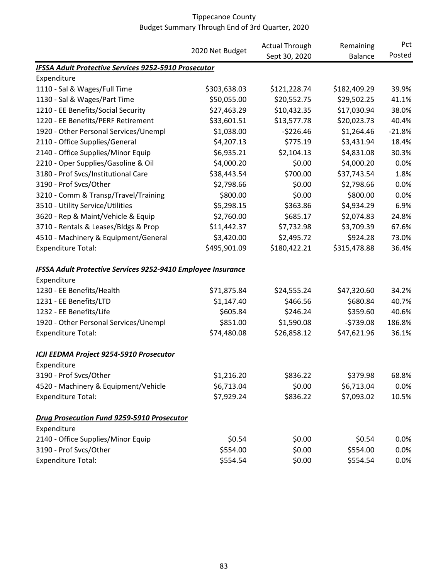|                                                                     |                 | <b>Actual Through</b> | Remaining<br><b>Balance</b> | Pct<br>Posted |
|---------------------------------------------------------------------|-----------------|-----------------------|-----------------------------|---------------|
|                                                                     | 2020 Net Budget | Sept 30, 2020         |                             |               |
| <b>IFSSA Adult Protective Services 9252-5910 Prosecutor</b>         |                 |                       |                             |               |
| Expenditure                                                         |                 |                       |                             |               |
| 1110 - Sal & Wages/Full Time                                        | \$303,638.03    | \$121,228.74          | \$182,409.29                | 39.9%         |
| 1130 - Sal & Wages/Part Time                                        | \$50,055.00     | \$20,552.75           | \$29,502.25                 | 41.1%         |
| 1210 - EE Benefits/Social Security                                  | \$27,463.29     | \$10,432.35           | \$17,030.94                 | 38.0%         |
| 1220 - EE Benefits/PERF Retirement                                  | \$33,601.51     | \$13,577.78           | \$20,023.73                 | 40.4%         |
| 1920 - Other Personal Services/Unempl                               | \$1,038.00      | $-5226.46$            | \$1,264.46                  | $-21.8%$      |
| 2110 - Office Supplies/General                                      | \$4,207.13      | \$775.19              | \$3,431.94                  | 18.4%         |
| 2140 - Office Supplies/Minor Equip                                  | \$6,935.21      | \$2,104.13            | \$4,831.08                  | 30.3%         |
| 2210 - Oper Supplies/Gasoline & Oil                                 | \$4,000.20      | \$0.00                | \$4,000.20                  | 0.0%          |
| 3180 - Prof Svcs/Institutional Care                                 | \$38,443.54     | \$700.00              | \$37,743.54                 | 1.8%          |
| 3190 - Prof Svcs/Other                                              | \$2,798.66      | \$0.00                | \$2,798.66                  | 0.0%          |
| 3210 - Comm & Transp/Travel/Training                                | \$800.00        | \$0.00                | \$800.00                    | 0.0%          |
| 3510 - Utility Service/Utilities                                    | \$5,298.15      | \$363.86              | \$4,934.29                  | 6.9%          |
| 3620 - Rep & Maint/Vehicle & Equip                                  | \$2,760.00      | \$685.17              | \$2,074.83                  | 24.8%         |
| 3710 - Rentals & Leases/Bldgs & Prop                                | \$11,442.37     | \$7,732.98            | \$3,709.39                  | 67.6%         |
| 4510 - Machinery & Equipment/General                                | \$3,420.00      | \$2,495.72            | \$924.28                    | 73.0%         |
| <b>Expenditure Total:</b>                                           | \$495,901.09    | \$180,422.21          | \$315,478.88                | 36.4%         |
| <b>IFSSA Adult Protective Services 9252-9410 Employee Insurance</b> |                 |                       |                             |               |
| Expenditure                                                         |                 |                       |                             |               |
| 1230 - EE Benefits/Health                                           | \$71,875.84     | \$24,555.24           | \$47,320.60                 | 34.2%         |
| 1231 - EE Benefits/LTD                                              | \$1,147.40      | \$466.56              | \$680.84                    | 40.7%         |
| 1232 - EE Benefits/Life                                             | \$605.84        | \$246.24              | \$359.60                    | 40.6%         |
| 1920 - Other Personal Services/Unempl                               | \$851.00        | \$1,590.08            | $-5739.08$                  | 186.8%        |
| <b>Expenditure Total:</b>                                           | \$74,480.08     | \$26,858.12           | \$47,621.96                 | 36.1%         |
| ICJI EEDMA Project 9254-5910 Prosecutor                             |                 |                       |                             |               |
| Expenditure                                                         |                 |                       |                             |               |
| 3190 - Prof Svcs/Other                                              | \$1,216.20      | \$836.22              | \$379.98                    | 68.8%         |
| 4520 - Machinery & Equipment/Vehicle                                | \$6,713.04      | \$0.00                | \$6,713.04                  | 0.0%          |
| <b>Expenditure Total:</b>                                           | \$7,929.24      | \$836.22              | \$7,093.02                  | 10.5%         |
| <b>Drug Prosecution Fund 9259-5910 Prosecutor</b>                   |                 |                       |                             |               |
| Expenditure                                                         |                 |                       |                             |               |
| 2140 - Office Supplies/Minor Equip                                  | \$0.54          | \$0.00                | \$0.54                      | 0.0%          |
| 3190 - Prof Svcs/Other                                              | \$554.00        | \$0.00                | \$554.00                    | 0.0%          |
| <b>Expenditure Total:</b>                                           | \$554.54        | \$0.00                | \$554.54                    | 0.0%          |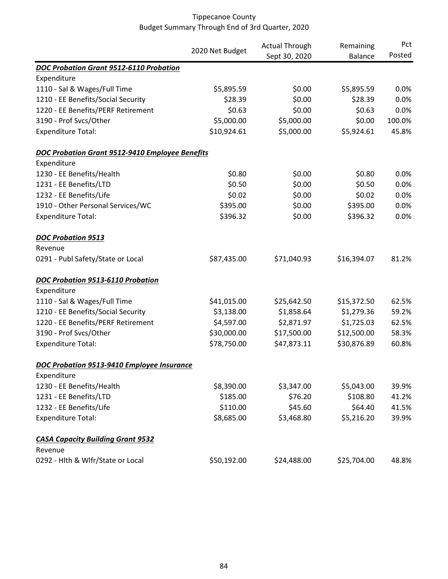|                                                        | 2020 Net Budget | <b>Actual Through</b> | Remaining      | Pct    |
|--------------------------------------------------------|-----------------|-----------------------|----------------|--------|
|                                                        |                 | Sept 30, 2020         | <b>Balance</b> | Posted |
| DOC Probation Grant 9512-6110 Probation                |                 |                       |                |        |
| Expenditure                                            |                 |                       |                |        |
| 1110 - Sal & Wages/Full Time                           | \$5,895.59      | \$0.00                | \$5,895.59     | 0.0%   |
| 1210 - EE Benefits/Social Security                     | \$28.39         | \$0.00                | \$28.39        | 0.0%   |
| 1220 - EE Benefits/PERF Retirement                     | \$0.63          | \$0.00                | \$0.63         | 0.0%   |
| 3190 - Prof Svcs/Other                                 | \$5,000.00      | \$5,000.00            | \$0.00         | 100.0% |
| <b>Expenditure Total:</b>                              | \$10,924.61     | \$5,000.00            | \$5,924.61     | 45.8%  |
| <b>DOC Probation Grant 9512-9410 Employee Benefits</b> |                 |                       |                |        |
| Expenditure                                            |                 |                       |                |        |
| 1230 - EE Benefits/Health                              | \$0.80          | \$0.00                | \$0.80         | 0.0%   |
| 1231 - EE Benefits/LTD                                 | \$0.50          | \$0.00                | \$0.50         | 0.0%   |
| 1232 - EE Benefits/Life                                | \$0.02          | \$0.00                | \$0.02         | 0.0%   |
| 1910 - Other Personal Services/WC                      | \$395.00        | \$0.00                | \$395.00       | 0.0%   |
| <b>Expenditure Total:</b>                              | \$396.32        | \$0.00                | \$396.32       | 0.0%   |
| <b>DOC Probation 9513</b>                              |                 |                       |                |        |
| Revenue                                                |                 |                       |                |        |
| 0291 - Publ Safety/State or Local                      | \$87,435.00     | \$71,040.93           | \$16,394.07    | 81.2%  |
| DOC Probation 9513-6110 Probation                      |                 |                       |                |        |
| Expenditure                                            |                 |                       |                |        |
| 1110 - Sal & Wages/Full Time                           | \$41,015.00     | \$25,642.50           | \$15,372.50    | 62.5%  |
| 1210 - EE Benefits/Social Security                     | \$3,138.00      | \$1,858.64            | \$1,279.36     | 59.2%  |
| 1220 - EE Benefits/PERF Retirement                     | \$4,597.00      | \$2,871.97            | \$1,725.03     | 62.5%  |
| 3190 - Prof Svcs/Other                                 | \$30,000.00     | \$17,500.00           | \$12,500.00    | 58.3%  |
| <b>Expenditure Total:</b>                              | \$78,750.00     | \$47,873.11           | \$30,876.89    | 60.8%  |
| DOC Probation 9513-9410 Employee Insurance             |                 |                       |                |        |
| Expenditure                                            |                 |                       |                |        |
| 1230 - EE Benefits/Health                              | \$8,390.00      | \$3,347.00            | \$5,043.00     | 39.9%  |
| 1231 - EE Benefits/LTD                                 | \$185.00        | \$76.20               | \$108.80       | 41.2%  |
| 1232 - EE Benefits/Life                                | \$110.00        | \$45.60               | \$64.40        | 41.5%  |
| <b>Expenditure Total:</b>                              | \$8,685.00      | \$3,468.80            | \$5,216.20     | 39.9%  |
| <b>CASA Capacity Building Grant 9532</b>               |                 |                       |                |        |
| Revenue                                                |                 |                       |                |        |
| 0292 - Hlth & Wlfr/State or Local                      | \$50,192.00     | \$24,488.00           | \$25,704.00    | 48.8%  |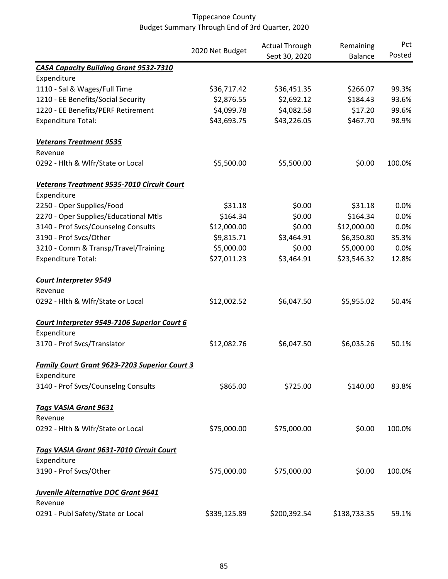|                                               | 2020 Net Budget | <b>Actual Through</b><br>Sept 30, 2020 | Remaining<br><b>Balance</b> | Pct<br>Posted |
|-----------------------------------------------|-----------------|----------------------------------------|-----------------------------|---------------|
|                                               |                 |                                        |                             |               |
| <b>CASA Capacity Building Grant 9532-7310</b> |                 |                                        |                             |               |
| Expenditure                                   |                 |                                        |                             |               |
| 1110 - Sal & Wages/Full Time                  | \$36,717.42     | \$36,451.35                            | \$266.07                    | 99.3%         |
| 1210 - EE Benefits/Social Security            | \$2,876.55      | \$2,692.12                             | \$184.43                    | 93.6%         |
| 1220 - EE Benefits/PERF Retirement            | \$4,099.78      | \$4,082.58                             | \$17.20                     | 99.6%         |
| <b>Expenditure Total:</b>                     | \$43,693.75     | \$43,226.05                            | \$467.70                    | 98.9%         |
| <b>Veterans Treatment 9535</b>                |                 |                                        |                             |               |
| Revenue                                       |                 |                                        |                             |               |
| 0292 - Hlth & Wlfr/State or Local             | \$5,500.00      | \$5,500.00                             | \$0.00                      | 100.0%        |
| Veterans Treatment 9535-7010 Circuit Court    |                 |                                        |                             |               |
| Expenditure                                   |                 |                                        |                             |               |
| 2250 - Oper Supplies/Food                     | \$31.18         | \$0.00                                 | \$31.18                     | 0.0%          |
| 2270 - Oper Supplies/Educational Mtls         | \$164.34        | \$0.00                                 | \$164.34                    | 0.0%          |
| 3140 - Prof Svcs/Counselng Consults           | \$12,000.00     | \$0.00                                 | \$12,000.00                 | 0.0%          |
| 3190 - Prof Svcs/Other                        | \$9,815.71      | \$3,464.91                             | \$6,350.80                  | 35.3%         |
| 3210 - Comm & Transp/Travel/Training          | \$5,000.00      | \$0.00                                 | \$5,000.00                  | 0.0%          |
| <b>Expenditure Total:</b>                     | \$27,011.23     | \$3,464.91                             | \$23,546.32                 | 12.8%         |
| <b>Court Interpreter 9549</b>                 |                 |                                        |                             |               |
| Revenue                                       |                 |                                        |                             |               |
| 0292 - Hlth & Wlfr/State or Local             | \$12,002.52     | \$6,047.50                             | \$5,955.02                  | 50.4%         |
| Court Interpreter 9549-7106 Superior Court 6  |                 |                                        |                             |               |
| Expenditure                                   |                 |                                        |                             |               |
| 3170 - Prof Svcs/Translator                   | \$12,082.76     | \$6,047.50                             | \$6,035.26                  | 50.1%         |
| Family Court Grant 9623-7203 Superior Court 3 |                 |                                        |                             |               |
| Expenditure                                   |                 |                                        |                             |               |
| 3140 - Prof Svcs/Counselng Consults           | \$865.00        | \$725.00                               | \$140.00                    | 83.8%         |
| <b>Tags VASIA Grant 9631</b>                  |                 |                                        |                             |               |
| Revenue                                       |                 |                                        |                             |               |
| 0292 - Hlth & Wlfr/State or Local             | \$75,000.00     | \$75,000.00                            | \$0.00                      | 100.0%        |
| Tags VASIA Grant 9631-7010 Circuit Court      |                 |                                        |                             |               |
| Expenditure                                   |                 |                                        |                             |               |
| 3190 - Prof Svcs/Other                        | \$75,000.00     | \$75,000.00                            | \$0.00                      | 100.0%        |
| Juvenile Alternative DOC Grant 9641           |                 |                                        |                             |               |
| Revenue                                       |                 |                                        |                             |               |
| 0291 - Publ Safety/State or Local             | \$339,125.89    | \$200,392.54                           | \$138,733.35                | 59.1%         |